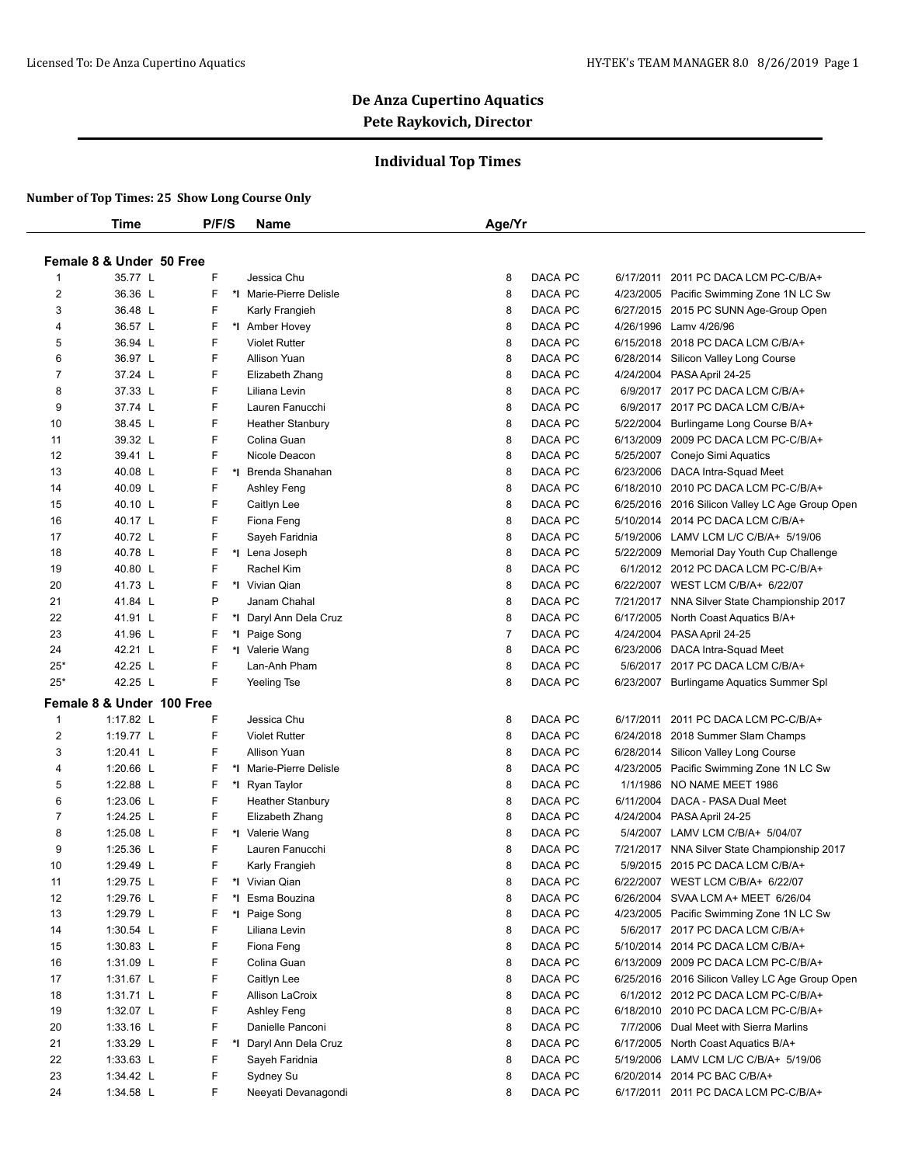#### **Individual Top Times**

|                | Time                      | P/F/S | Name                         | Age/Yr                    |           |                                                 |
|----------------|---------------------------|-------|------------------------------|---------------------------|-----------|-------------------------------------------------|
|                |                           |       |                              |                           |           |                                                 |
|                | Female 8 & Under 50 Free  |       |                              |                           |           |                                                 |
| 1              | 35.77 L                   | F     | Jessica Chu                  | DACA PC<br>8              | 6/17/2011 | 2011 PC DACA LCM PC-C/B/A+                      |
| $\overline{2}$ | 36.36 L                   | F     | *I Marie-Pierre Delisle      | DACA PC<br>8              |           | 4/23/2005 Pacific Swimming Zone 1N LC Sw        |
| 3              | 36.48 L                   | F     | Karly Frangieh               | 8<br>DACA PC              |           | 6/27/2015 2015 PC SUNN Age-Group Open           |
| 4              | 36.57 L                   | F     | *I Amber Hovey               | 8<br>DACA PC              |           | 4/26/1996 Lamy 4/26/96                          |
| 5              | 36.94 L                   | F     | <b>Violet Rutter</b>         | 8<br>DACA PC              |           | 6/15/2018 2018 PC DACA LCM C/B/A+               |
| 6              | 36.97 L                   | F     | <b>Allison Yuan</b>          | 8<br>DACA PC              |           | 6/28/2014 Silicon Valley Long Course            |
| 7              | 37.24 L                   | F     | Elizabeth Zhang              | 8<br>DACA PC              |           | 4/24/2004 PASA April 24-25                      |
| 8              | 37.33 L                   | F     | Liliana Levin                | 8<br>DACA PC              |           | 6/9/2017 2017 PC DACA LCM C/B/A+                |
| 9              | 37.74 L                   | F     | Lauren Fanucchi              | 8<br>DACA PC              |           | 6/9/2017 2017 PC DACA LCM C/B/A+                |
| 10             | 38.45 L                   | F     | <b>Heather Stanbury</b>      | 8<br>DACA PC              | 5/22/2004 | Burlingame Long Course B/A+                     |
| 11             | 39.32 L                   | F     | Colina Guan                  | 8<br>DACA PC              |           | 6/13/2009 2009 PC DACA LCM PC-C/B/A+            |
| 12             | 39.41 L                   | F     | Nicole Deacon                | 8<br>DACA PC              |           | 5/25/2007 Conejo Simi Aquatics                  |
| 13             | 40.08 L                   | F     | *I Brenda Shanahan           | 8<br>DACA PC              |           | 6/23/2006 DACA Intra-Squad Meet                 |
| 14             | 40.09 L                   | F     |                              | 8<br>DACA PC              |           | 6/18/2010 2010 PC DACA LCM PC-C/B/A+            |
| 15             | 40.10 L                   | F     | Ashley Feng                  | 8<br>DACA PC              |           |                                                 |
|                |                           | F     | Caitlyn Lee                  |                           |           | 6/25/2016 2016 Silicon Valley LC Age Group Open |
| 16             | 40.17 L                   | F     | Fiona Feng<br>Sayeh Faridnia | 8<br>DACA PC              |           | 5/10/2014 2014 PC DACA LCM C/B/A+               |
| 17             | 40.72 L<br>40.78 L        |       |                              | 8<br>DACA PC              |           | 5/19/2006 LAMV LCM L/C C/B/A+ 5/19/06           |
| 18             |                           | F     | *I Lena Joseph               | 8<br>DACA PC              |           | 5/22/2009 Memorial Day Youth Cup Challenge      |
| 19             | 40.80 L                   | F     | Rachel Kim                   | 8<br>DACA PC              |           | 6/1/2012 2012 PC DACA LCM PC-C/B/A+             |
| 20             | 41.73 L                   | F     | *I Vivian Qian               | 8<br>DACA PC              |           | 6/22/2007 WEST LCM C/B/A+ 6/22/07               |
| 21             | 41.84 L                   | P     | Janam Chahal                 | 8<br>DACA PC              |           | 7/21/2017 NNA Silver State Championship 2017    |
| 22             | 41.91 L                   | F     | *I Daryl Ann Dela Cruz       | DACA PC<br>8              |           | 6/17/2005 North Coast Aquatics B/A+             |
| 23             | 41.96 L                   | F     | *I Paige Song                | $\overline{7}$<br>DACA PC |           | 4/24/2004 PASA April 24-25                      |
| 24             | 42.21 L                   | F     | *1 Valerie Wang              | 8<br>DACA PC              |           | 6/23/2006 DACA Intra-Squad Meet                 |
| 25*            | 42.25 L                   | F     | Lan-Anh Pham                 | 8<br>DACA PC              |           | 5/6/2017 2017 PC DACA LCM C/B/A+                |
| $25*$          | 42.25 L                   | F     | Yeeling Tse                  | 8<br>DACA PC              |           | 6/23/2007 Burlingame Aquatics Summer Spl        |
|                | Female 8 & Under 100 Free |       |                              |                           |           |                                                 |
| 1              | 1:17.82 L                 | F     | Jessica Chu                  | DACA PC<br>8              | 6/17/2011 | 2011 PC DACA LCM PC-C/B/A+                      |
| $\overline{2}$ | 1:19.77 L                 | F     | <b>Violet Rutter</b>         | DACA PC<br>8              |           | 6/24/2018 2018 Summer Slam Champs               |
| 3              | 1:20.41 L                 | F     | <b>Allison Yuan</b>          | 8<br>DACA PC              |           | 6/28/2014 Silicon Valley Long Course            |
| 4              | 1:20.66 L                 | F     | *I Marie-Pierre Delisle      | 8<br>DACA PC              |           | 4/23/2005 Pacific Swimming Zone 1N LC Sw        |
| 5              | 1:22.88 L                 | F     | *I Ryan Taylor               | 8<br>DACA PC              |           | 1/1/1986 NO NAME MEET 1986                      |
| 6              | 1:23.06 $L$               | F     | <b>Heather Stanbury</b>      | 8<br>DACA PC              |           | 6/11/2004 DACA - PASA Dual Meet                 |
| $\overline{7}$ | 1:24.25 L                 | F     | Elizabeth Zhang              | 8<br>DACA PC              |           | 4/24/2004 PASA April 24-25                      |
| 8              | 1:25.08 L                 | F     | *I Valerie Wang              | 8<br>DACA PC              |           | 5/4/2007 LAMV LCM C/B/A+ 5/04/07                |
| 9              | 1:25.36 L                 | F     | Lauren Fanucchi              | DACA PC<br>8              |           | 7/21/2017 NNA Silver State Championship 2017    |
| 10             | 1:29.49 L                 | F     | Karly Frangieh               | 8<br>DACA PC              |           | 5/9/2015 2015 PC DACA LCM C/B/A+                |
| 11             | 1:29.75 L                 |       | *I Vivian Qian               | DACA PC<br>8              |           | 6/22/2007 WEST LCM C/B/A+ 6/22/07               |
| 12             | 1:29.76 L                 | F     | *I Esma Bouzina              | DACA PC<br>8              |           | 6/26/2004 SVAA LCM A+ MEET 6/26/04              |
| 13             | 1:29.79 L                 | F     | *1 Paige Song                | DACA PC<br>8              |           | 4/23/2005 Pacific Swimming Zone 1N LC Sw        |
| 14             | 1:30.54 $L$               | F     | Liliana Levin                | 8<br>DACA PC              |           | 5/6/2017 2017 PC DACA LCM C/B/A+                |
| 15             | 1:30.83 $L$               | F     | Fiona Feng                   | DACA PC<br>8              |           | 5/10/2014 2014 PC DACA LCM C/B/A+               |
| 16             | 1:31.09 L                 | F     | Colina Guan                  | DACA PC<br>8              |           | 6/13/2009 2009 PC DACA LCM PC-C/B/A+            |
| 17             | 1:31.67 $L$               | F     | Caitlyn Lee                  | 8<br>DACA PC              |           | 6/25/2016 2016 Silicon Valley LC Age Group Open |
| 18             | $1:31.71$ L               | F     | Allison LaCroix              | DACA PC<br>8              |           | 6/1/2012 2012 PC DACA LCM PC-C/B/A+             |
| 19             | 1:32.07 L                 | F     | Ashley Feng                  | DACA PC<br>8              |           | 6/18/2010 2010 PC DACA LCM PC-C/B/A+            |
| 20             | $1:33.16$ L               | F     | Danielle Panconi             | DACA PC<br>8              |           | 7/7/2006 Dual Meet with Sierra Marlins          |
| 21             | 1:33.29 L                 | F     | *I Daryl Ann Dela Cruz       | DACA PC<br>8              |           | 6/17/2005 North Coast Aquatics B/A+             |
| 22             | 1:33.63 L                 | F     | Sayeh Faridnia               | 8<br>DACA PC              |           | 5/19/2006 LAMV LCM L/C C/B/A+ 5/19/06           |
| 23             | 1:34.42 L                 | F     | Sydney Su                    | DACA PC<br>8              |           | 6/20/2014 2014 PC BAC C/B/A+                    |
| 24             |                           | F     | Neeyati Devanagondi          | DACA PC<br>8              |           |                                                 |
|                | 1:34.58 L                 |       |                              |                           |           | 6/17/2011 2011 PC DACA LCM PC-C/B/A+            |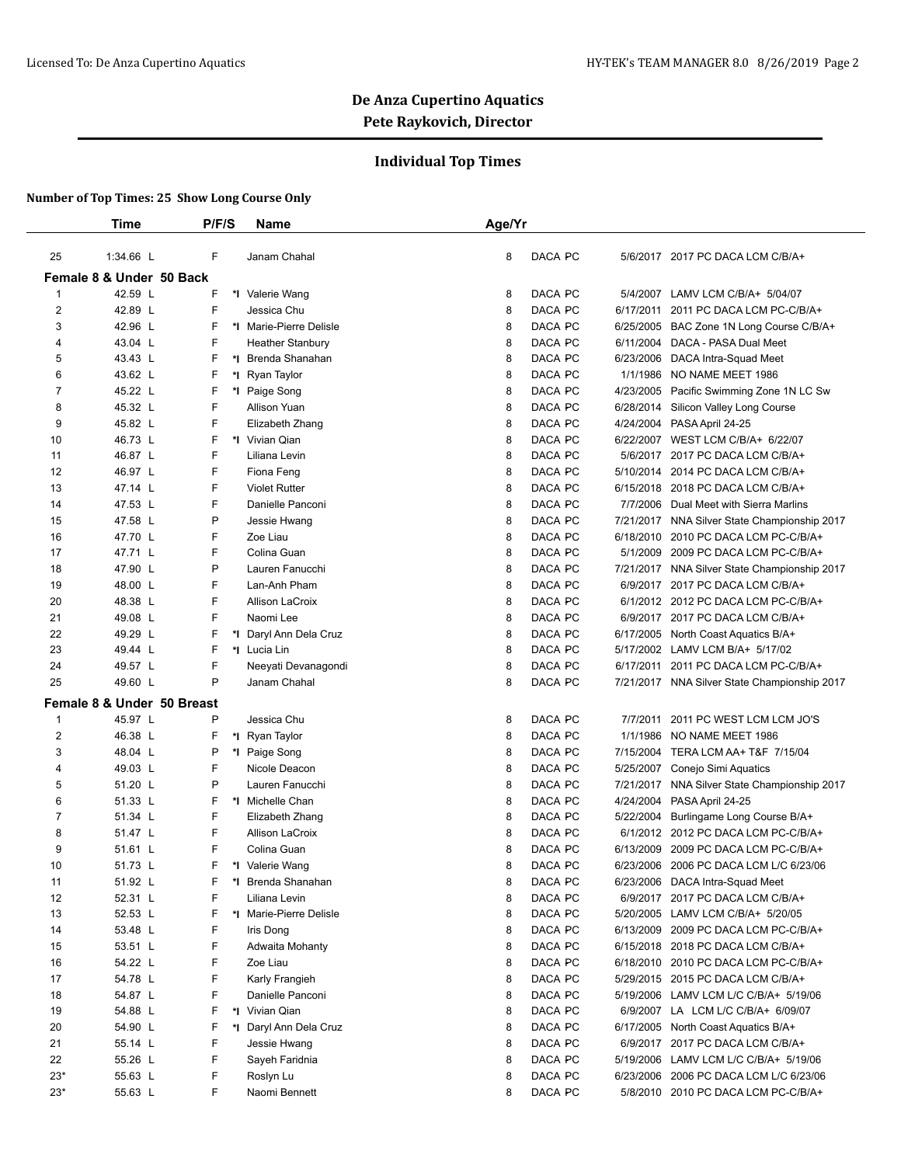## **Individual Top Times**

|                | <b>Time</b>                | P/F/S | Name                    | Age/Yr |         |           |                                              |
|----------------|----------------------------|-------|-------------------------|--------|---------|-----------|----------------------------------------------|
|                |                            |       |                         |        |         |           |                                              |
| 25             | 1:34.66 L                  | F     | Janam Chahal            | 8      | DACA PC |           | 5/6/2017 2017 PC DACA LCM C/B/A+             |
|                | Female 8 & Under 50 Back   |       |                         |        |         |           |                                              |
| $\mathbf{1}$   | 42.59 L                    | F     | *I Valerie Wang         | 8      | DACA PC |           | 5/4/2007 LAMV LCM C/B/A+ 5/04/07             |
| $\overline{2}$ | 42.89 L                    | F     | Jessica Chu             | 8      | DACA PC | 6/17/2011 | 2011 PC DACA LCM PC-C/B/A+                   |
| 3              | 42.96 L                    | F     | *I Marie-Pierre Delisle | 8      | DACA PC |           | 6/25/2005 BAC Zone 1N Long Course C/B/A+     |
| 4              | 43.04 L                    | F     | <b>Heather Stanbury</b> | 8      | DACA PC |           | 6/11/2004 DACA - PASA Dual Meet              |
| 5              | 43.43 L                    | F     | *I Brenda Shanahan      | 8      | DACA PC |           | 6/23/2006 DACA Intra-Squad Meet              |
| 6              | 43.62 L                    | F     | *I Ryan Taylor          | 8      | DACA PC | 1/1/1986  | NO NAME MEET 1986                            |
| 7              | 45.22 L                    | F     | *I Paige Song           | 8      | DACA PC |           | 4/23/2005 Pacific Swimming Zone 1N LC Sw     |
| 8              | 45.32 L                    | F     | Allison Yuan            | 8      | DACA PC |           | 6/28/2014 Silicon Valley Long Course         |
| 9              | 45.82 L                    | F     | Elizabeth Zhang         | 8      | DACA PC |           | 4/24/2004 PASA April 24-25                   |
| 10             | 46.73 L                    | F     | *I Vivian Qian          | 8      | DACA PC |           | 6/22/2007 WEST LCM C/B/A+ 6/22/07            |
| 11             | 46.87 L                    | F     | Liliana Levin           | 8      | DACA PC | 5/6/2017  | 2017 PC DACA LCM C/B/A+                      |
| 12             | 46.97 L                    | F     | Fiona Feng              | 8      | DACA PC | 5/10/2014 | 2014 PC DACA LCM C/B/A+                      |
| 13             | 47.14 L                    | F     | <b>Violet Rutter</b>    | 8      | DACA PC |           | 6/15/2018 2018 PC DACA LCM C/B/A+            |
| 14             | 47.53 L                    | F     | Danielle Panconi        | 8      | DACA PC |           | 7/7/2006 Dual Meet with Sierra Marlins       |
| 15             | 47.58 L                    | P     | Jessie Hwang            | 8      | DACA PC |           | 7/21/2017 NNA Silver State Championship 2017 |
| 16             | 47.70 L                    | F     | Zoe Liau                | 8      | DACA PC | 6/18/2010 | 2010 PC DACA LCM PC-C/B/A+                   |
| 17             | 47.71 L                    | F     | Colina Guan             | 8      | DACA PC | 5/1/2009  | 2009 PC DACA LCM PC-C/B/A+                   |
| 18             | 47.90 L                    | P     | Lauren Fanucchi         | 8      | DACA PC | 7/21/2017 | NNA Silver State Championship 2017           |
| 19             | 48.00 L                    | F     | Lan-Anh Pham            | 8      | DACA PC |           | 6/9/2017 2017 PC DACA LCM C/B/A+             |
| 20             | 48.38 L                    | F     | Allison LaCroix         | 8      | DACA PC |           | 6/1/2012 2012 PC DACA LCM PC-C/B/A+          |
| 21             | 49.08 L                    | F     | Naomi Lee               | 8      | DACA PC |           | 6/9/2017 2017 PC DACA LCM C/B/A+             |
| 22             | 49.29 L                    | F     | *I Daryl Ann Dela Cruz  | 8      | DACA PC |           | 6/17/2005 North Coast Aquatics B/A+          |
| 23             | 49.44 L                    | F     | *I Lucia Lin            | 8      | DACA PC |           | 5/17/2002 LAMV LCM B/A+ 5/17/02              |
| 24             | 49.57 L                    | F     | Neeyati Devanagondi     | 8      | DACA PC | 6/17/2011 | 2011 PC DACA LCM PC-C/B/A+                   |
| 25             | 49.60 L                    | P     | Janam Chahal            | 8      | DACA PC |           | 7/21/2017 NNA Silver State Championship 2017 |
|                | Female 8 & Under 50 Breast |       |                         |        |         |           |                                              |
| $\mathbf{1}$   | 45.97 L                    | P     | Jessica Chu             | 8      | DACA PC | 7/7/2011  | 2011 PC WEST LCM LCM JO'S                    |
| 2              | 46.38 L                    | F     | *I Ryan Taylor          | 8      | DACA PC | 1/1/1986  | NO NAME MEET 1986                            |
| 3              | 48.04 L                    | P     | *I Paige Song           | 8      | DACA PC |           | 7/15/2004 TERA LCM AA+ T&F 7/15/04           |
| $\overline{4}$ | 49.03 L                    | F     | Nicole Deacon           | 8      | DACA PC |           | 5/25/2007 Conejo Simi Aquatics               |
| 5              | 51.20 L                    | P     | Lauren Fanucchi         | 8      | DACA PC |           | 7/21/2017 NNA Silver State Championship 2017 |
| 6              | 51.33 L                    | F     | *I Michelle Chan        | 8      | DACA PC |           | 4/24/2004 PASA April 24-25                   |
| 7              | 51.34 L                    | F     | Elizabeth Zhang         | 8      | DACA PC | 5/22/2004 | Burlingame Long Course B/A+                  |
| 8              | 51.47 L                    | F     | Allison LaCroix         | 8      | DACA PC |           | 6/1/2012 2012 PC DACA LCM PC-C/B/A+          |
| 9              | 51.61 L                    | F     | Colina Guan             | 8      | DACA PC | 6/13/2009 | 2009 PC DACA LCM PC-C/B/A+                   |
| 10             | 51.73 L                    | F     | *I Valerie Wang         | 8      | DACA PC |           | 6/23/2006 2006 PC DACA LCM L/C 6/23/06       |
| 11             | 51.92 L                    | ۲     | *I Brenda Shanahan      | 8      | DACA PC |           | 6/23/2006 DACA Intra-Squad Meet              |
| 12             | 52.31 L                    | F     | Liliana Levin           | 8      | DACA PC |           | 6/9/2017 2017 PC DACA LCM C/B/A+             |
| 13             | 52.53 L                    | F     | *I Marie-Pierre Delisle | 8      | DACA PC |           | 5/20/2005 LAMV LCM C/B/A+ 5/20/05            |
| 14             | 53.48 L                    | F     | Iris Dong               | 8      | DACA PC |           | 6/13/2009 2009 PC DACA LCM PC-C/B/A+         |
| 15             | 53.51 L                    | F     | Adwaita Mohanty         | 8      | DACA PC |           | 6/15/2018 2018 PC DACA LCM C/B/A+            |
| 16             | 54.22 L                    | F     | Zoe Liau                | 8      | DACA PC |           | 6/18/2010 2010 PC DACA LCM PC-C/B/A+         |
| 17             | 54.78 L                    | F     | Karly Frangieh          | 8      | DACA PC |           | 5/29/2015 2015 PC DACA LCM C/B/A+            |
| 18             | 54.87 L                    | F     | Danielle Panconi        | 8      | DACA PC |           | 5/19/2006 LAMV LCM L/C C/B/A+ 5/19/06        |
| 19             | 54.88 L                    | F     | *I Vivian Qian          | 8      | DACA PC |           | 6/9/2007 LA LCM L/C C/B/A+ 6/09/07           |
| 20             | 54.90 L                    | F     | *I Daryl Ann Dela Cruz  | 8      | DACA PC |           | 6/17/2005 North Coast Aquatics B/A+          |
| 21             | 55.14 L                    | F     | Jessie Hwang            | 8      | DACA PC |           | 6/9/2017 2017 PC DACA LCM C/B/A+             |
| 22             | 55.26 L                    | F     | Sayeh Faridnia          | 8      | DACA PC |           | 5/19/2006 LAMV LCM L/C C/B/A+ 5/19/06        |
| $23*$          | 55.63 L                    | F     | Roslyn Lu               | 8      | DACA PC |           | 6/23/2006 2006 PC DACA LCM L/C 6/23/06       |
| $23*$          | 55.63 L                    | F     | Naomi Bennett           | 8      | DACA PC |           | 5/8/2010 2010 PC DACA LCM PC-C/B/A+          |
|                |                            |       |                         |        |         |           |                                              |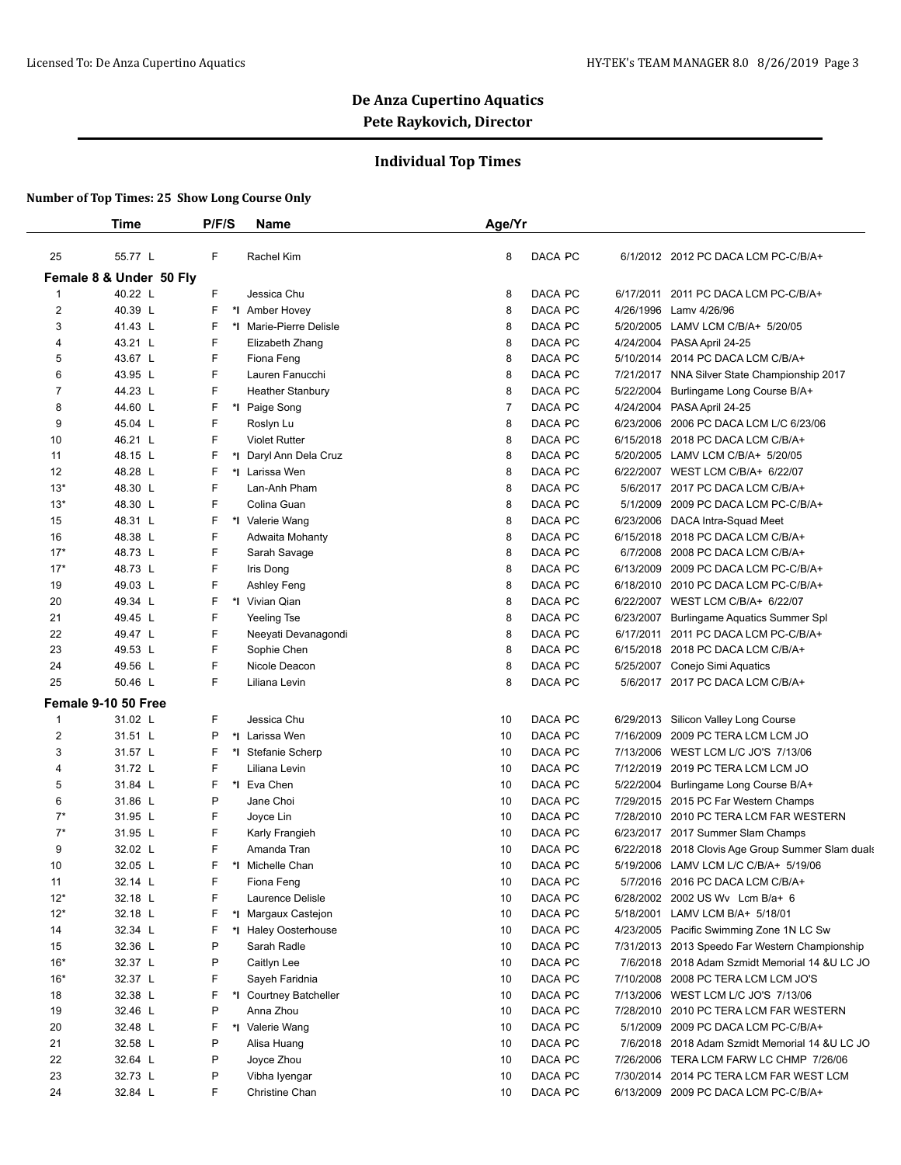## **Individual Top Times**

|                | Time                    | P/F/S   | <b>Name</b>             | Age/Yr         |                |           |                                                   |
|----------------|-------------------------|---------|-------------------------|----------------|----------------|-----------|---------------------------------------------------|
| 25             | 55.77 L                 | F       | Rachel Kim              | 8              | DACA PC        |           | 6/1/2012 2012 PC DACA LCM PC-C/B/A+               |
|                | Female 8 & Under 50 Fly |         |                         |                |                |           |                                                   |
| $\mathbf{1}$   | 40.22 L                 | F       | Jessica Chu             | 8              | DACA PC        | 6/17/2011 | 2011 PC DACA LCM PC-C/B/A+                        |
| $\overline{2}$ | 40.39 L                 | F       | *1 Amber Hovey          | 8              | DACA PC        | 4/26/1996 | Lamv 4/26/96                                      |
| 3              | 41.43 L                 | F       | *I Marie-Pierre Delisle | 8              | DACA PC        |           | 5/20/2005 LAMV LCM C/B/A+ 5/20/05                 |
| 4              | 43.21 L                 | F       | Elizabeth Zhang         | 8              | DACA PC        |           | 4/24/2004 PASA April 24-25                        |
| 5              | 43.67 L                 | F       | Fiona Feng              | 8              | DACA PC        | 5/10/2014 | 2014 PC DACA LCM C/B/A+                           |
| 6              | 43.95 L                 | F       | Lauren Fanucchi         | 8              | <b>DACA PC</b> |           | 7/21/2017 NNA Silver State Championship 2017      |
| 7              | 44.23 L                 | F       | <b>Heather Stanbury</b> | 8              | DACA PC        | 5/22/2004 | Burlingame Long Course B/A+                       |
| 8              | 44.60 L                 | F       | *I Paige Song           | $\overline{7}$ | DACA PC        | 4/24/2004 | PASA April 24-25                                  |
| 9              | 45.04 L                 | F       | Roslyn Lu               | 8              | <b>DACA PC</b> | 6/23/2006 | 2006 PC DACA LCM L/C 6/23/06                      |
| 10             | 46.21 L                 | F       | <b>Violet Rutter</b>    | 8              | DACA PC        | 6/15/2018 | 2018 PC DACA LCM C/B/A+                           |
| 11             | 48.15 L                 | F<br>*l | Daryl Ann Dela Cruz     | 8              | DACA PC        | 5/20/2005 | LAMV LCM C/B/A+ 5/20/05                           |
| 12             | 48.28 L                 | F       | *I Larissa Wen          | 8              | DACA PC        |           | 6/22/2007 WEST LCM C/B/A+ 6/22/07                 |
| $13*$          | 48.30 L                 | F       | Lan-Anh Pham            | 8              | DACA PC        |           | 5/6/2017 2017 PC DACA LCM C/B/A+                  |
| $13*$          | 48.30 L                 | F       | Colina Guan             | 8              | DACA PC        | 5/1/2009  | 2009 PC DACA LCM PC-C/B/A+                        |
| 15             | 48.31 L                 | F       | *I Valerie Wang         | 8              | DACA PC        | 6/23/2006 | DACA Intra-Squad Meet                             |
| 16             | 48.38 L                 | F       | Adwaita Mohanty         | 8              | DACA PC        | 6/15/2018 | 2018 PC DACA LCM C/B/A+                           |
| $17*$          | 48.73 L                 | F       | Sarah Savage            | 8              | <b>DACA PC</b> | 6/7/2008  | 2008 PC DACA LCM C/B/A+                           |
| $17*$          | 48.73 L                 | F       | Iris Dong               | 8              | <b>DACA PC</b> | 6/13/2009 | 2009 PC DACA LCM PC-C/B/A+                        |
| 19             | 49.03 L                 | F       | Ashley Feng             | 8              | DACA PC        |           | 6/18/2010 2010 PC DACA LCM PC-C/B/A+              |
| 20             | 49.34 L                 | F       | *I Vivian Qian          | 8              | DACA PC        |           | 6/22/2007 WEST LCM C/B/A+ 6/22/07                 |
| 21             | 49.45 L                 | F       | Yeeling Tse             | 8              | DACA PC        | 6/23/2007 | Burlingame Aquatics Summer Spl                    |
| 22             | 49.47 L                 | F       | Neeyati Devanagondi     | 8              | DACA PC        | 6/17/2011 | 2011 PC DACA LCM PC-C/B/A+                        |
| 23             | 49.53 L                 | F       | Sophie Chen             | 8              | DACA PC        | 6/15/2018 | 2018 PC DACA LCM C/B/A+                           |
| 24             | 49.56 L                 | F       | Nicole Deacon           | 8              | DACA PC        | 5/25/2007 | Conejo Simi Aquatics                              |
| 25             | 50.46 L                 | F       | Liliana Levin           | 8              | DACA PC        |           | 5/6/2017 2017 PC DACA LCM C/B/A+                  |
|                | Female 9-10 50 Free     |         |                         |                |                |           |                                                   |
| $\mathbf{1}$   | 31.02 L                 | F       | Jessica Chu             | 10             | DACA PC        | 6/29/2013 | Silicon Valley Long Course                        |
| $\overline{2}$ | 31.51 L                 | P       | *I Larissa Wen          | 10             | DACA PC        | 7/16/2009 | 2009 PC TERA LCM LCM JO                           |
| 3              | 31.57 L                 | F       | *I Stefanie Scherp      | 10             | DACA PC        | 7/13/2006 | WEST LCM L/C JO'S 7/13/06                         |
| 4              | 31.72 L                 | F       | Liliana Levin           | 10             | DACA PC        | 7/12/2019 | 2019 PC TERA LCM LCM JO                           |
| 5              | 31.84 L                 | F       | *1 Eva Chen             | 10             | DACA PC        |           | 5/22/2004 Burlingame Long Course B/A+             |
| 6              | 31.86 L                 | P       | Jane Choi               | 10             | DACA PC        |           | 7/29/2015 2015 PC Far Western Champs              |
| $7^*$          | 31.95 L                 | F       | Joyce Lin               | 10             | DACA PC        | 7/28/2010 | 2010 PC TERA LCM FAR WESTERN                      |
| $7^*$          | 31.95 L                 | F       | Karly Frangieh          | 10             | DACA PC        |           | 6/23/2017 2017 Summer Slam Champs                 |
| 9              | 32.02 L                 | F       | Amanda Tran             | 10             | DACA PC        |           | 6/22/2018 2018 Clovis Age Group Summer Slam duals |
| 10             | 32.05 L                 | F       | *I Michelle Chan        | 10             | DACA PC        |           | 5/19/2006 LAMV LCM L/C C/B/A+ 5/19/06             |
| 11             | 32.14 L                 | F       | Fiona Feng              | 10             | DACA PC        | 5/7/2016  | 2016 PC DACA LCM C/B/A+                           |
| $12*$          | 32.18 L                 | F       | Laurence Delisle        | 10             | DACA PC        |           | 6/28/2002 2002 US Wv Lcm B/a+ 6                   |
| $12*$          | 32.18 L                 | F<br>*∣ | Margaux Castejon        | 10             | DACA PC        |           | 5/18/2001 LAMV LCM B/A+ 5/18/01                   |
| 14             | 32.34 L                 | F       | *I Haley Oosterhouse    | 10             | DACA PC        |           | 4/23/2005 Pacific Swimming Zone 1N LC Sw          |
| 15             | 32.36 L                 | P       | Sarah Radle             | 10             | DACA PC        |           | 7/31/2013 2013 Speedo Far Western Championship    |
| $16*$          | 32.37 L                 | P       | Caitlyn Lee             | 10             | DACA PC        |           | 7/6/2018 2018 Adam Szmidt Memorial 14 &U LC JO    |
| $16*$          | 32.37 L                 | F       | Sayeh Faridnia          | 10             | DACA PC        |           | 7/10/2008 2008 PC TERA LCM LCM JO'S               |
| 18             | 32.38 L                 | F       | *I Courtney Batcheller  | 10             | DACA PC        |           | 7/13/2006 WEST LCM L/C JO'S 7/13/06               |
| 19             | 32.46 L                 | P       | Anna Zhou               | 10             | DACA PC        | 7/28/2010 | 2010 PC TERA LCM FAR WESTERN                      |
| 20             | 32.48 L                 | F       | *I Valerie Wang         | 10             | DACA PC        |           | 5/1/2009 2009 PC DACA LCM PC-C/B/A+               |
| 21             | 32.58 L                 | P       | Alisa Huang             | 10             | DACA PC        |           | 7/6/2018 2018 Adam Szmidt Memorial 14 & U LC JO   |
| 22             | 32.64 L                 | P       | Joyce Zhou              | 10             | DACA PC        |           | 7/26/2006 TERA LCM FARW LC CHMP 7/26/06           |
| 23             | 32.73 L                 | P       | Vibha Iyengar           | 10             | DACA PC        |           | 7/30/2014 2014 PC TERA LCM FAR WEST LCM           |
| 24             | 32.84 L                 | F       | Christine Chan          | 10             | DACA PC        |           | 6/13/2009 2009 PC DACA LCM PC-C/B/A+              |
|                |                         |         |                         |                |                |           |                                                   |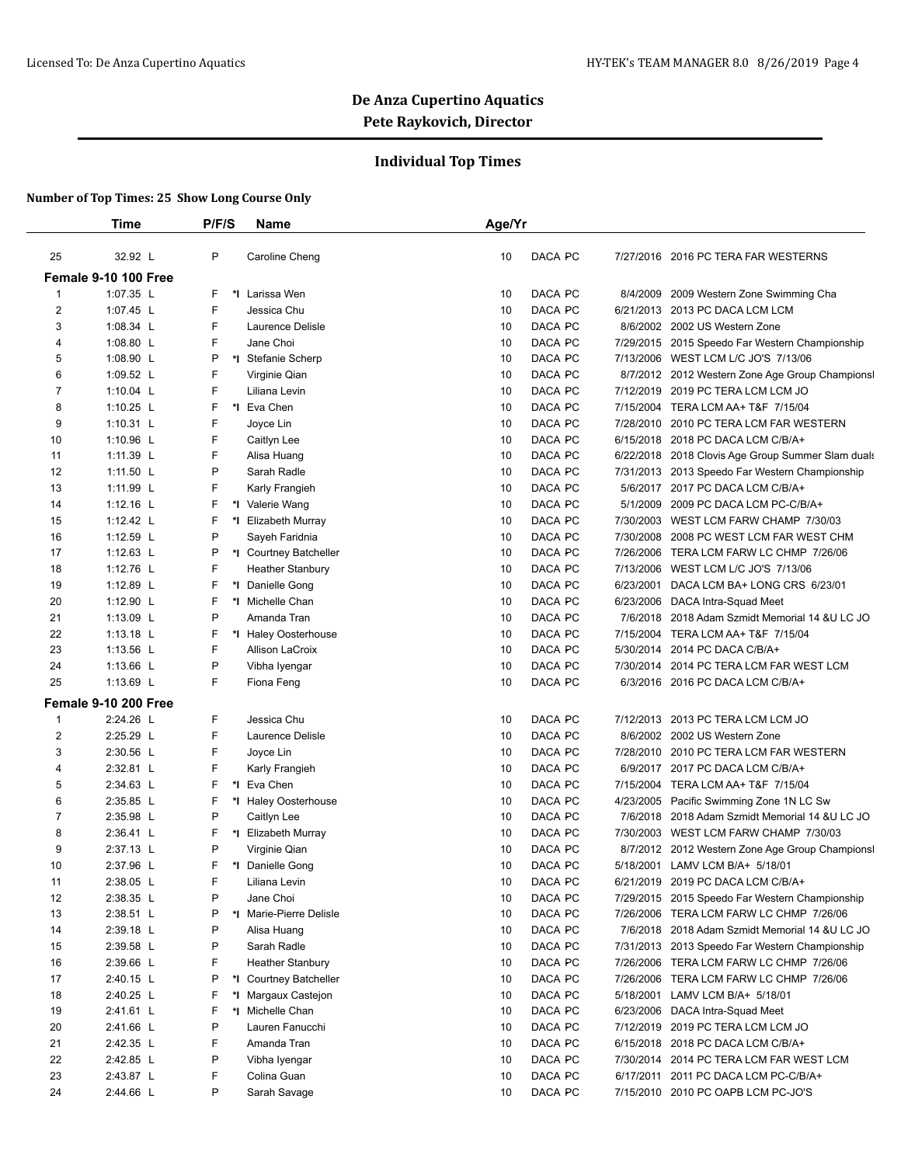## **Individual Top Times**

|                | <b>Time</b>          | P/F/S  | <b>Name</b>             | Age/Yr        |                                                   |
|----------------|----------------------|--------|-------------------------|---------------|---------------------------------------------------|
|                | 32.92 L              | P      |                         |               |                                                   |
| 25             |                      |        | Caroline Cheng          | 10<br>DACA PC | 7/27/2016 2016 PC TERA FAR WESTERNS               |
|                | Female 9-10 100 Free |        |                         |               |                                                   |
| $\mathbf{1}$   | 1:07.35 L            | F      | *1 Larissa Wen          | DACA PC<br>10 | 8/4/2009<br>2009 Western Zone Swimming Cha        |
| $\overline{2}$ | 1:07.45 L            | F      | Jessica Chu             | DACA PC<br>10 | 6/21/2013 2013 PC DACA LCM LCM                    |
| 3              | 1:08.34 L            | F      | Laurence Delisle        | DACA PC<br>10 | 8/6/2002 2002 US Western Zone                     |
| 4              | 1:08.80 L            | F      | Jane Choi               | DACA PC<br>10 | 7/29/2015 2015 Speedo Far Western Championship    |
| 5              | 1:08.90 L            | P      | *I Stefanie Scherp      | DACA PC<br>10 | 7/13/2006 WEST LCM L/C JO'S 7/13/06               |
| 6              | 1:09.52 L            | F      | Virginie Qian           | DACA PC<br>10 | 8/7/2012 2012 Western Zone Age Group Championsl   |
| 7              | 1:10.04 $L$          | F      | Liliana Levin           | DACA PC<br>10 | 7/12/2019 2019 PC TERA LCM LCM JO                 |
| 8              | 1:10.25 L            | F      | *1 Eva Chen             | DACA PC<br>10 | 7/15/2004 TERA LCM AA+ T&F 7/15/04                |
| 9              | 1:10.31 $L$          | F      | Joyce Lin               | DACA PC<br>10 | 7/28/2010 2010 PC TERA LCM FAR WESTERN            |
| 10             | 1:10.96 L            | F      | Caitlyn Lee             | DACA PC<br>10 | 6/15/2018 2018 PC DACA LCM C/B/A+                 |
| 11             | 1:11.39 L            | F      | Alisa Huang             | DACA PC<br>10 | 6/22/2018 2018 Clovis Age Group Summer Slam duals |
| 12             | 1:11.50 L            | P      | Sarah Radle             | DACA PC<br>10 | 7/31/2013 2013 Speedo Far Western Championship    |
| 13             | 1:11.99 L            | F      | Karly Frangieh          | DACA PC<br>10 | 5/6/2017 2017 PC DACA LCM C/B/A+                  |
| 14             | 1:12.16 $L$          | F      | *I Valerie Wang         | DACA PC<br>10 | 5/1/2009 2009 PC DACA LCM PC-C/B/A+               |
| 15             | 1:12.42 $L$          | F      | *I Elizabeth Murray     | DACA PC<br>10 | 7/30/2003 WEST LCM FARW CHAMP 7/30/03             |
| 16             | 1:12.59 L            | P      | Sayeh Faridnia          | DACA PC<br>10 | 7/30/2008<br>2008 PC WEST LCM FAR WEST CHM        |
| 17             | $1:12.63$ L          | P      | *I Courtney Batcheller  | DACA PC<br>10 | 7/26/2006 TERA LCM FARW LC CHMP 7/26/06           |
| 18             | 1:12.76 L            | F      | <b>Heather Stanbury</b> | DACA PC<br>10 | 7/13/2006 WEST LCM L/C JO'S 7/13/06               |
| 19             | 1:12.89 L            | F      | *1 Danielle Gong        | DACA PC<br>10 | DACA LCM BA+ LONG CRS 6/23/01<br>6/23/2001        |
| 20             | 1:12.90 L            | F      | *I Michelle Chan        | DACA PC<br>10 | 6/23/2006<br>DACA Intra-Squad Meet                |
| 21             | 1:13.09 L            | P      | Amanda Tran             | DACA PC<br>10 | 7/6/2018 2018 Adam Szmidt Memorial 14 &U LC JO    |
| 22             | 1:13.18 L            | F      | *I Haley Oosterhouse    | DACA PC<br>10 | 7/15/2004 TERA LCM AA+ T&F 7/15/04                |
| 23             | 1:13.56 $L$          | F      | Allison LaCroix         | DACA PC<br>10 | 5/30/2014 2014 PC DACA C/B/A+                     |
| 24             | 1:13.66 L            | P      | Vibha Iyengar           | 10<br>DACA PC | 7/30/2014 2014 PC TERA LCM FAR WEST LCM           |
| 25             | 1:13.69 L            | F      | Fiona Feng              | 10<br>DACA PC | 6/3/2016 2016 PC DACA LCM C/B/A+                  |
|                | Female 9-10 200 Free |        |                         |               |                                                   |
| 1              | 2:24.26 L            | F      | Jessica Chu             | DACA PC<br>10 | 7/12/2013 2013 PC TERA LCM LCM JO                 |
| $\overline{2}$ | 2:25.29 L            | F      | Laurence Delisle        | DACA PC<br>10 | 8/6/2002 2002 US Western Zone                     |
| 3              | 2:30.56 L            | F      | Joyce Lin               | DACA PC<br>10 | 7/28/2010 2010 PC TERA LCM FAR WESTERN            |
| 4              | 2:32.81 L            | F      | Karly Frangieh          | DACA PC<br>10 | 6/9/2017 2017 PC DACA LCM C/B/A+                  |
| 5              | 2:34.63 L            | F      | *I Eva Chen             | DACA PC<br>10 | 7/15/2004 TERA LCM AA+ T&F 7/15/04                |
| 6              | 2:35.85 L            | F      | *I Haley Oosterhouse    | DACA PC<br>10 | 4/23/2005 Pacific Swimming Zone 1N LC Sw          |
| 7              | 2:35.98 L            | P      | Caitlyn Lee             | DACA PC<br>10 | 7/6/2018 2018 Adam Szmidt Memorial 14 &U LC JO    |
| 8              | 2:36.41 L            | F      | *I Elizabeth Murray     | 10<br>DACA PC | 7/30/2003 WEST LCM FARW CHAMP 7/30/03             |
| 9              | 2:37.13 L            | P      | Virginie Qian           | DACA PC<br>10 | 8/7/2012 2012 Western Zone Age Group Championsl   |
| 10             | 2:37.96 L            | F.     | *I Danielle Gong        | 10<br>DACA PC | 5/18/2001 LAMV LCM B/A+ 5/18/01                   |
| 11             | 2:38.05 L            | F      | Liliana Levin           | 10<br>DACA PC | 6/21/2019 2019 PC DACA LCM C/B/A+                 |
| 12             | 2:38.35 L            | P      | Jane Choi               | DACA PC<br>10 | 7/29/2015 2015 Speedo Far Western Championship    |
| 13             | 2:38.51 L            | P      | *I Marie-Pierre Delisle | DACA PC<br>10 | 7/26/2006 TERA LCM FARW LC CHMP 7/26/06           |
| 14             | 2:39.18 L            | P      | Alisa Huang             | 10<br>DACA PC | 7/6/2018 2018 Adam Szmidt Memorial 14 & U LC JO   |
| 15             | 2:39.58 L            | P      | Sarah Radle             | DACA PC<br>10 | 7/31/2013 2013 Speedo Far Western Championship    |
| 16             | 2:39.66 L            | F      | <b>Heather Stanbury</b> | DACA PC<br>10 | 7/26/2006 TERA LCM FARW LC CHMP 7/26/06           |
| 17             | 2:40.15 L            | P      | *I Courtney Batcheller  | DACA PC<br>10 | 7/26/2006 TERA LCM FARW LC CHMP 7/26/06           |
| 18             | 2:40.25 L            | F      | *I Margaux Castejon     | DACA PC<br>10 | 5/18/2001 LAMV LCM B/A+ 5/18/01                   |
| 19             | 2:41.61 L            | F      | *1 Michelle Chan        | DACA PC<br>10 | 6/23/2006 DACA Intra-Squad Meet                   |
| 20             | 2:41.66 L            | P      | Lauren Fanucchi         | DACA PC<br>10 |                                                   |
|                |                      |        |                         |               | 7/12/2019 2019 PC TERA LCM LCM JO                 |
| 21             | 2:42.35 L            | F<br>P | Amanda Tran             | DACA PC<br>10 | 6/15/2018 2018 PC DACA LCM C/B/A+                 |
| 22             | 2:42.85 L            |        | Vibha Iyengar           | DACA PC<br>10 | 7/30/2014 2014 PC TERA LCM FAR WEST LCM           |
| 23             | 2:43.87 L            | F      | Colina Guan             | DACA PC<br>10 | 6/17/2011 2011 PC DACA LCM PC-C/B/A+              |
| 24             | 2:44.66 L            | P      | Sarah Savage            | DACA PC<br>10 | 7/15/2010 2010 PC OAPB LCM PC-JO'S                |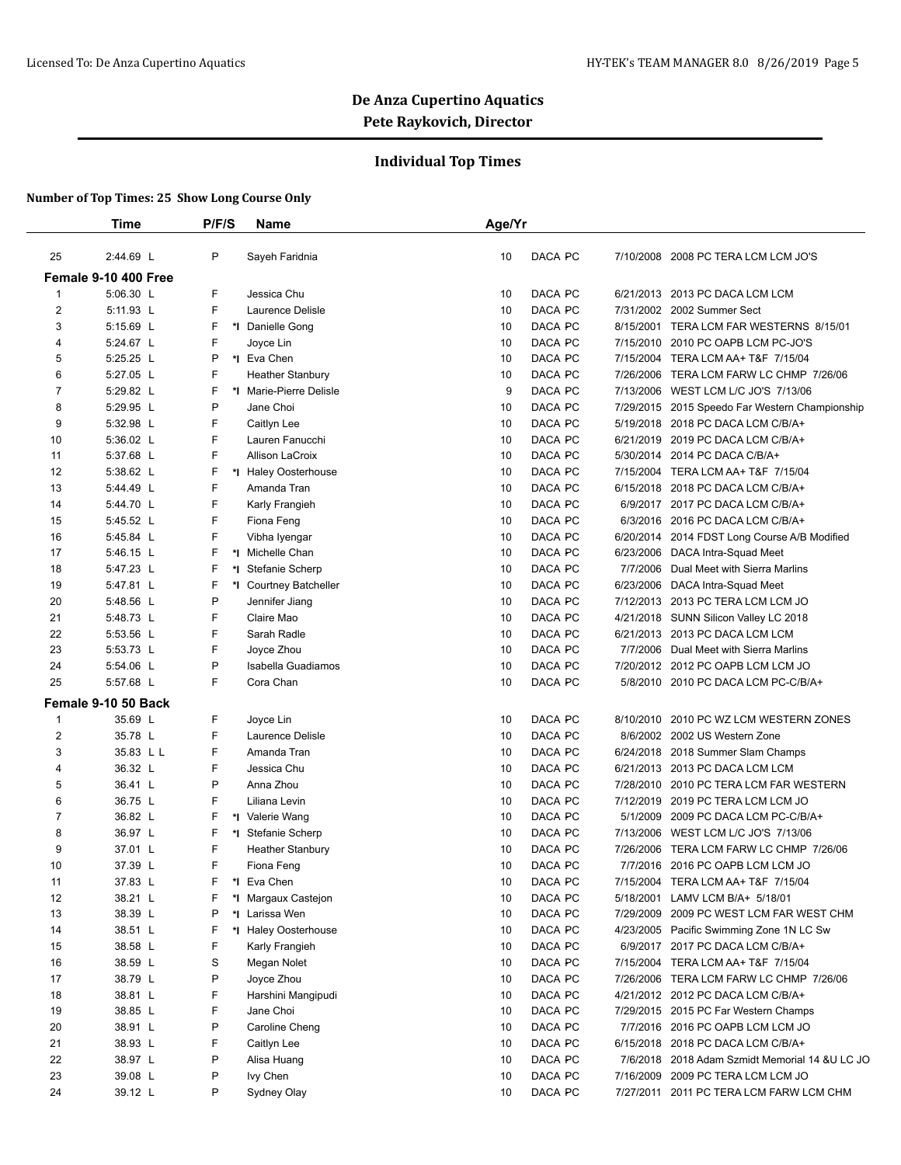## **Individual Top Times**

|                | <b>Time</b>          | P/F/S | <b>Name</b>             | Age/Yr |         |                                                 |
|----------------|----------------------|-------|-------------------------|--------|---------|-------------------------------------------------|
| 25             | 2:44.69 L            | P     | Sayeh Faridnia          | 10     | DACA PC | 7/10/2008 2008 PC TERA LCM LCM JO'S             |
|                | Female 9-10 400 Free |       |                         |        |         |                                                 |
| $\mathbf{1}$   | 5:06.30 L            | F     | Jessica Chu             | 10     | DACA PC | 6/21/2013 2013 PC DACA LCM LCM                  |
| $\overline{2}$ | 5:11.93 L            | F     | Laurence Delisle        | 10     | DACA PC | 7/31/2002 2002 Summer Sect                      |
| 3              | 5:15.69 L            | F     | *I Danielle Gong        | 10     | DACA PC | 8/15/2001 TERA LCM FAR WESTERNS 8/15/01         |
| 4              | 5:24.67 L            | F     | Joyce Lin               | 10     | DACA PC | 7/15/2010 2010 PC OAPB LCM PC-JO'S              |
| 5              | 5:25.25 L            | P     | *1 Eva Chen             | 10     | DACA PC | 7/15/2004 TERA LCM AA+ T&F 7/15/04              |
| 6              | 5:27.05 L            | F     | <b>Heather Stanbury</b> | 10     | DACA PC | 7/26/2006 TERA LCM FARW LC CHMP 7/26/06         |
| $\overline{7}$ | 5:29.82 L            | F     | *I Marie-Pierre Delisle | 9      | DACA PC | 7/13/2006 WEST LCM L/C JO'S 7/13/06             |
| 8              | 5:29.95 L            | P     | Jane Choi               | 10     | DACA PC | 7/29/2015 2015 Speedo Far Western Championship  |
| 9              | 5:32.98 L            | F     | Caitlyn Lee             | 10     | DACA PC | 5/19/2018 2018 PC DACA LCM C/B/A+               |
| 10             | 5:36.02 L            | F     | Lauren Fanucchi         | 10     | DACA PC | 6/21/2019 2019 PC DACA LCM C/B/A+               |
| 11             | 5:37.68 L            | F     | Allison LaCroix         | 10     | DACA PC | 5/30/2014 2014 PC DACA C/B/A+                   |
| 12             | 5:38.62 L            | F     | *I Haley Oosterhouse    | 10     | DACA PC | 7/15/2004 TERA LCM AA+ T&F 7/15/04              |
| 13             | 5:44.49 L            | F     | Amanda Tran             | 10     | DACA PC | 6/15/2018 2018 PC DACA LCM C/B/A+               |
| 14             | 5:44.70 L            | F     | Karly Frangieh          | 10     | DACA PC | 6/9/2017 2017 PC DACA LCM C/B/A+                |
| 15             | 5:45.52 L            | F     | Fiona Feng              | 10     | DACA PC | 6/3/2016 2016 PC DACA LCM C/B/A+                |
| 16             | 5:45.84 L            | F     | Vibha Iyengar           | 10     | DACA PC | 6/20/2014 2014 FDST Long Course A/B Modified    |
| 17             | 5:46.15 L            | F     | *1 Michelle Chan        | 10     | DACA PC | 6/23/2006 DACA Intra-Squad Meet                 |
| 18             | 5:47.23 L            | F     | *I Stefanie Scherp      | 10     | DACA PC | 7/7/2006 Dual Meet with Sierra Marlins          |
| 19             | 5:47.81 L            | F     | *I Courtney Batcheller  | 10     | DACA PC | 6/23/2006 DACA Intra-Squad Meet                 |
| 20             | 5:48.56 L            | P     | Jennifer Jiang          | 10     | DACA PC | 7/12/2013 2013 PC TERA LCM LCM JO               |
| 21             | 5:48.73 L            | F     | Claire Mao              | 10     | DACA PC | 4/21/2018 SUNN Silicon Valley LC 2018           |
| 22             | 5:53.56 L            | F     | Sarah Radle             | 10     | DACA PC | 6/21/2013 2013 PC DACA LCM LCM                  |
| 23             | 5:53.73 L            | F     | Joyce Zhou              | 10     | DACA PC | 7/7/2006 Dual Meet with Sierra Marlins          |
| 24             | 5:54.06 L            | P     | Isabella Guadiamos      | 10     | DACA PC | 7/20/2012 2012 PC OAPB LCM LCM JO               |
| 25             | 5:57.68 L            | F     | Cora Chan               | 10     | DACA PC | 5/8/2010 2010 PC DACA LCM PC-C/B/A+             |
|                | Female 9-10 50 Back  |       |                         |        |         |                                                 |
| $\mathbf 1$    | 35.69 L              | F     | Joyce Lin               | 10     | DACA PC | 8/10/2010 2010 PC WZ LCM WESTERN ZONES          |
| 2              | 35.78 L              | F     | Laurence Delisle        | 10     | DACA PC | 8/6/2002 2002 US Western Zone                   |
| 3              | 35.83 L L            | F     | Amanda Tran             | 10     | DACA PC | 6/24/2018 2018 Summer Slam Champs               |
| 4              | 36.32 L              | F     | Jessica Chu             | 10     | DACA PC | 6/21/2013 2013 PC DACA LCM LCM                  |
| 5              | 36.41 L              | P     | Anna Zhou               | 10     | DACA PC | 7/28/2010 2010 PC TERA LCM FAR WESTERN          |
| 6              | 36.75 L              | F     | Liliana Levin           | 10     | DACA PC | 7/12/2019 2019 PC TERA LCM LCM JO               |
| $\overline{7}$ | 36.82 L              | F     | *I Valerie Wang         | 10     | DACA PC | 5/1/2009 2009 PC DACA LCM PC-C/B/A+             |
| 8              | 36.97 L              | F     | *I Stefanie Scherp      | 10     | DACA PC | 7/13/2006 WEST LCM L/C JO'S 7/13/06             |
| 9              | 37.01 L              | F     | <b>Heather Stanbury</b> | 10     | DACA PC | 7/26/2006 TERA LCM FARW LC CHMP 7/26/06         |
| 10             | 37.39 L              | F     | Fiona Feng              | 10     | DACA PC | 7/7/2016 2016 PC OAPB LCM LCM JO                |
| 11             | 37.83 L              | F     | *1 Eva Chen             | 10     | DACA PC | 7/15/2004 TERA LCM AA+ T&F 7/15/04              |
| 12             | 38.21 L              | F     | *I Margaux Castejon     | 10     | DACA PC | 5/18/2001 LAMV LCM B/A+ 5/18/01                 |
| 13             | 38.39 L              | P     | *I Larissa Wen          | 10     | DACA PC | 7/29/2009 2009 PC WEST LCM FAR WEST CHM         |
| 14             | 38.51 L              | F     | *I Haley Oosterhouse    | 10     | DACA PC | 4/23/2005 Pacific Swimming Zone 1N LC Sw        |
| 15             | 38.58 L              | F     | Karly Frangieh          | 10     | DACA PC | 6/9/2017 2017 PC DACA LCM C/B/A+                |
| 16             | 38.59 L              | S     | Megan Nolet             | 10     | DACA PC | 7/15/2004 TERA LCM AA+ T&F 7/15/04              |
| 17             | 38.79 L              | P     | Joyce Zhou              | 10     | DACA PC | 7/26/2006 TERA LCM FARW LC CHMP 7/26/06         |
| 18             | 38.81 L              | F     | Harshini Mangipudi      | 10     | DACA PC | 4/21/2012 2012 PC DACA LCM C/B/A+               |
| 19             | 38.85 L              | F     | Jane Choi               | 10     | DACA PC | 7/29/2015 2015 PC Far Western Champs            |
| 20             | 38.91 L              | P     | Caroline Cheng          | 10     | DACA PC | 7/7/2016 2016 PC OAPB LCM LCM JO                |
| 21             | 38.93 L              | F.    | Caitlyn Lee             | 10     | DACA PC | 6/15/2018 2018 PC DACA LCM C/B/A+               |
| 22             | 38.97 L              | P     | Alisa Huang             | 10     | DACA PC | 7/6/2018 2018 Adam Szmidt Memorial 14 & U LC JO |
| 23             | 39.08 L              | Ρ     | lvy Chen                | 10     | DACA PC | 7/16/2009 2009 PC TERA LCM LCM JO               |
| 24             | 39.12 L              | Ρ     | Sydney Olay             | 10     | DACA PC | 7/27/2011 2011 PC TERA LCM FARW LCM CHM         |
|                |                      |       |                         |        |         |                                                 |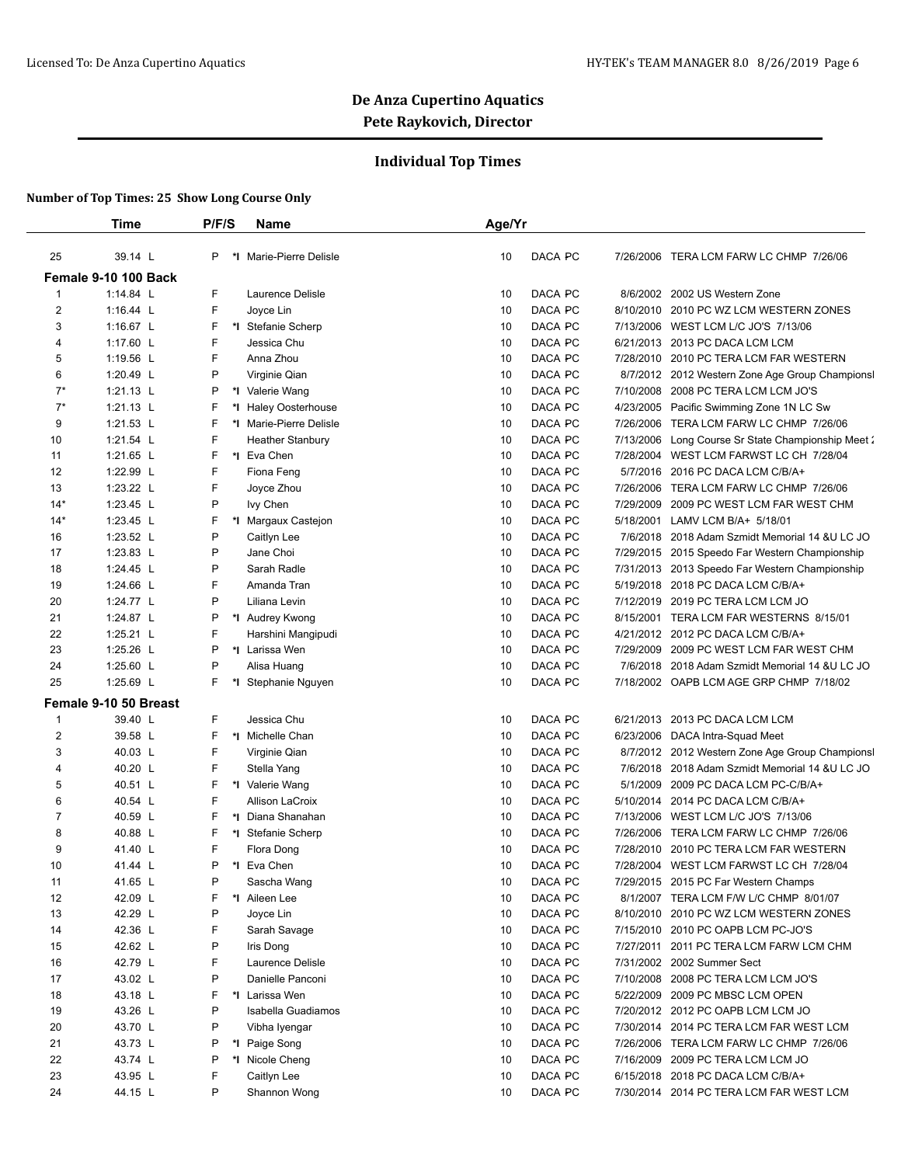## **Individual Top Times**

|                | Time                  | P/F/S | Name                    | Age/Yr |                      |                                                 |
|----------------|-----------------------|-------|-------------------------|--------|----------------------|-------------------------------------------------|
| 25             | 39.14 L               | P     | *I Marie-Pierre Delisle | 10     | DACA PC              | 7/26/2006 TERA LCM FARW LC CHMP 7/26/06         |
|                | Female 9-10 100 Back  |       |                         |        |                      |                                                 |
| 1              | 1:14.84 L             | F     | Laurence Delisle        | 10     | DACA PC<br>8/6/2002  | 2002 US Western Zone                            |
| $\overline{2}$ | 1:16.44 L             | F.    | Joyce Lin               | 10     | DACA PC              | 8/10/2010 2010 PC WZ LCM WESTERN ZONES          |
| 3              | 1:16.67 L             | F     | *I Stefanie Scherp      | 10     | DACA PC              | 7/13/2006 WEST LCM L/C JO'S 7/13/06             |
| 4              | 1:17.60 L             | F     | Jessica Chu             | 10     | DACA PC<br>6/21/2013 | 2013 PC DACA LCM LCM                            |
| 5              | 1:19.56 L             | F     | Anna Zhou               | 10     | DACA PC              | 7/28/2010 2010 PC TERA LCM FAR WESTERN          |
| 6              | 1:20.49 L             | P     | Virginie Qian           | 10     | DACA PC              | 8/7/2012 2012 Western Zone Age Group Championsl |
| $7^*$          | 1:21.13 L             | P     | *I Valerie Wang         | 10     | DACA PC<br>7/10/2008 | 2008 PC TERA LCM LCM JO'S                       |
| $7^*$          | 1:21.13 L             | F     | *I Haley Oosterhouse    | 10     | DACA PC              | 4/23/2005 Pacific Swimming Zone 1N LC Sw        |
| 9              | 1:21.53 L             | F.    | *I Marie-Pierre Delisle | 10     | DACA PC              | 7/26/2006 TERA LCM FARW LC CHMP 7/26/06         |
| 10             | 1:21.54 L             | F     | <b>Heather Stanbury</b> | 10     | DACA PC<br>7/13/2006 | Long Course Sr State Championship Meet 2        |
| 11             | 1:21.65 L             | F.    | *I Eva Chen             | 10     | DACA PC<br>7/28/2004 | WEST LCM FARWST LC CH 7/28/04                   |
| 12             | 1:22.99 L             | F     | Fiona Feng              | 10     | DACA PC              | 5/7/2016 2016 PC DACA LCM C/B/A+                |
| 13             | 1:23.22 L             | F     | Joyce Zhou              | 10     | DACA PC              | 7/26/2006 TERA LCM FARW LC CHMP 7/26/06         |
| $14*$          | 1:23.45 L             | P     | lvy Chen                | 10     | DACA PC<br>7/29/2009 | 2009 PC WEST LCM FAR WEST CHM                   |
| $14*$          | 1:23.45 L             | F     | *I Margaux Castejon     | 10     | DACA PC<br>5/18/2001 | LAMV LCM B/A+ 5/18/01                           |
| 16             | 1:23.52 L             | P     | Caitlyn Lee             | 10     | DACA PC<br>7/6/2018  | 2018 Adam Szmidt Memorial 14 &U LC JO           |
| 17             | 1:23.83 L             | P     | Jane Choi               | 10     | DACA PC              | 7/29/2015 2015 Speedo Far Western Championship  |
| 18             | 1:24.45 L             | P     | Sarah Radle             | 10     | DACA PC              | 7/31/2013 2013 Speedo Far Western Championship  |
| 19             | 1:24.66 L             | F     | Amanda Tran             | 10     | DACA PC              | 5/19/2018 2018 PC DACA LCM C/B/A+               |
| 20             | 1:24.77 L             | P     | Liliana Levin           | 10     | DACA PC              | 7/12/2019 2019 PC TERA LCM LCM JO               |
| 21             | 1:24.87 L             | P     | *I Audrey Kwong         | 10     | DACA PC              | 8/15/2001 TERA LCM FAR WESTERNS 8/15/01         |
| 22             | 1:25.21 L             | F     | Harshini Mangipudi      | 10     | DACA PC              | 4/21/2012 2012 PC DACA LCM C/B/A+               |
| 23             | 1:25.26 L             | P     | *I Larissa Wen          | 10     | DACA PC              | 7/29/2009 2009 PC WEST LCM FAR WEST CHM         |
| 24             | 1:25.60 L             | P     | Alisa Huang             | 10     | DACA PC              | 7/6/2018 2018 Adam Szmidt Memorial 14 &U LC JO  |
| 25             | 1:25.69 L             | F.    | *I Stephanie Nguyen     | 10     | DACA PC              | 7/18/2002 OAPB LCM AGE GRP CHMP 7/18/02         |
|                | Female 9-10 50 Breast |       |                         |        |                      |                                                 |
| 1              | 39.40 L               | F     | Jessica Chu             | 10     | DACA PC              | 6/21/2013 2013 PC DACA LCM LCM                  |
| $\overline{c}$ | 39.58 L               | F     | *I Michelle Chan        | 10     | DACA PC              | 6/23/2006 DACA Intra-Squad Meet                 |
| 3              | 40.03 L               | F     | Virginie Qian           | 10     | DACA PC              | 8/7/2012 2012 Western Zone Age Group Championsl |
| 4              | 40.20 L               | F     | Stella Yang             | 10     | DACA PC              | 7/6/2018 2018 Adam Szmidt Memorial 14 &U LC JO  |
| 5              | 40.51 L               | F.    | *I Valerie Wang         | 10     | DACA PC<br>5/1/2009  | 2009 PC DACA LCM PC-C/B/A+                      |
| 6              | 40.54 L               | F.    | <b>Allison LaCroix</b>  | 10     | DACA PC<br>5/10/2014 | 2014 PC DACA LCM C/B/A+                         |
| $\overline{7}$ | 40.59 L               | F     | *I Diana Shanahan       | 10     | DACA PC              | 7/13/2006 WEST LCM L/C JO'S 7/13/06             |
| 8              | 40.88 L               | F     | *I Stefanie Scherp      | 10     | DACA PC<br>7/26/2006 | TERA LCM FARW LC CHMP 7/26/06                   |
| 9              | 41.40 L               | F     | Flora Dong              | 10     | DACA PC<br>7/28/2010 | 2010 PC TERA LCM FAR WESTERN                    |
| 10             | 41.44 L               | P     | *1 Eva Chen             | 10     | DACA PC              | 7/28/2004 WEST LCM FARWST LC CH 7/28/04         |
| 11             | 41.65 L               | P     | Sascha Wang             | 10     | DACA PC              | 7/29/2015 2015 PC Far Western Champs            |
| 12             | 42.09 L               | F.    | *I Aileen Lee           | 10     | DACA PC              | 8/1/2007 TERA LCM F/W L/C CHMP 8/01/07          |
| 13             | 42.29 L               | P     | Joyce Lin               | 10     | DACA PC              | 8/10/2010 2010 PC WZ LCM WESTERN ZONES          |
| 14             | 42.36 L               | F     | Sarah Savage            | 10     | DACA PC              | 7/15/2010 2010 PC OAPB LCM PC-JO'S              |
| 15             | 42.62 L               | P     | Iris Dong               | 10     | DACA PC              | 7/27/2011 2011 PC TERA LCM FARW LCM CHM         |
| 16             | 42.79 L               | F     | Laurence Delisle        | 10     | DACA PC              | 7/31/2002 2002 Summer Sect                      |
| 17             | 43.02 L               | P     | Danielle Panconi        | 10     | DACA PC              | 7/10/2008 2008 PC TERA LCM LCM JO'S             |
| 18             | 43.18 L               | F     | *I Larissa Wen          | 10     | DACA PC              | 5/22/2009 2009 PC MBSC LCM OPEN                 |
| 19             | 43.26 L               | P     | Isabella Guadiamos      | 10     | DACA PC              | 7/20/2012 2012 PC OAPB LCM LCM JO               |
| 20             | 43.70 L               | P     | Vibha Iyengar           | 10     | DACA PC              | 7/30/2014 2014 PC TERA LCM FAR WEST LCM         |
| 21             | 43.73 L               | P     | *I Paige Song           | 10     | DACA PC              | 7/26/2006 TERA LCM FARW LC CHMP 7/26/06         |
| 22             | 43.74 L               | P     | *I Nicole Cheng         | 10     | DACA PC              | 7/16/2009 2009 PC TERA LCM LCM JO               |
| 23             | 43.95 L               | F     | Caitlyn Lee             | 10     | DACA PC              | 6/15/2018 2018 PC DACA LCM C/B/A+               |
| 24             | 44.15 L               | P     | Shannon Wong            | 10     | DACA PC              | 7/30/2014 2014 PC TERA LCM FAR WEST LCM         |
|                |                       |       |                         |        |                      |                                                 |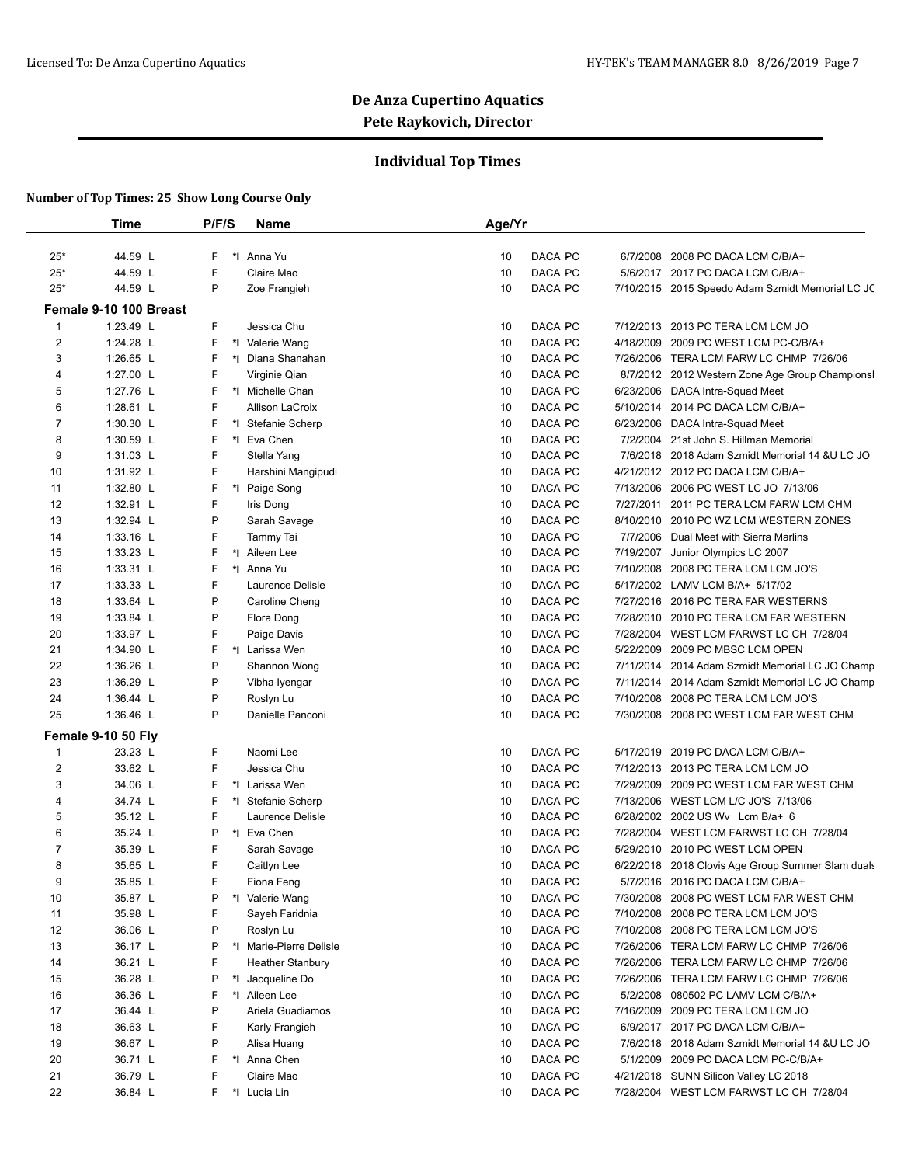## **Individual Top Times**

|                     | <b>Time</b>                         | P/F/S  | <b>Name</b>                          | Age/Yr   |                    |           |                                                                                    |
|---------------------|-------------------------------------|--------|--------------------------------------|----------|--------------------|-----------|------------------------------------------------------------------------------------|
|                     | 44.59 L                             | F      | *1 Anna Yu                           | 10       | DACA PC            |           | 2008 PC DACA LCM C/B/A+                                                            |
| $25*$<br>$25*$      | 44.59 L                             | F      | Claire Mao                           | 10       | DACA PC            | 6/7/2008  | 5/6/2017 2017 PC DACA LCM C/B/A+                                                   |
| $25*$               | 44.59 L                             | P      | Zoe Frangieh                         | 10       | DACA PC            |           |                                                                                    |
|                     |                                     |        |                                      |          |                    |           | 7/10/2015 2015 Speedo Adam Szmidt Memorial LC JC                                   |
|                     | Female 9-10 100 Breast<br>1:23.49 L | F      |                                      |          | DACA PC            |           |                                                                                    |
| 1<br>$\overline{2}$ | 1:24.28 L                           | F      | Jessica Chu                          | 10<br>10 | DACA PC            | 7/12/2013 | 2013 PC TERA LCM LCM JO<br>4/18/2009 2009 PC WEST LCM PC-C/B/A+                    |
| 3                   | 1:26.65 L                           | F      | *I Valerie Wang<br>*1 Diana Shanahan | 10       | DACA PC            |           | 7/26/2006 TERA LCM FARW LC CHMP 7/26/06                                            |
|                     | 1:27.00 L                           | F      |                                      |          |                    |           |                                                                                    |
| 4<br>5              | 1:27.76 L                           | F      | Virginie Qian<br>*I Michelle Chan    | 10<br>10 | DACA PC<br>DACA PC |           | 8/7/2012 2012 Western Zone Age Group Championsl<br>6/23/2006 DACA Intra-Squad Meet |
| 6                   | 1:28.61 L                           | F      | Allison LaCroix                      | 10       | DACA PC            | 5/10/2014 | 2014 PC DACA LCM C/B/A+                                                            |
| $\overline{7}$      | 1:30.30 L                           | F      | *I Stefanie Scherp                   | 10       | DACA PC            | 6/23/2006 |                                                                                    |
| 8                   | 1:30.59 L                           | F      | *I Eva Chen                          | 10       | DACA PC            |           | DACA Intra-Squad Meet<br>7/2/2004 21st John S. Hillman Memorial                    |
| 9                   | 1:31.03 L                           | F      | Stella Yang                          | 10       | DACA PC            |           | 7/6/2018 2018 Adam Szmidt Memorial 14 &U LC JO                                     |
|                     |                                     | F      |                                      | 10       | DACA PC            |           |                                                                                    |
| 10                  | 1:31.92 L                           | F      | Harshini Mangipudi                   | 10       | DACA PC            |           | 4/21/2012 2012 PC DACA LCM C/B/A+<br>7/13/2006 2006 PC WEST LC JO 7/13/06          |
| 11<br>12            | 1:32.80 L<br>1:32.91 L              | F      | *I Paige Song                        | 10       | DACA PC            | 7/27/2011 |                                                                                    |
| 13                  |                                     | P      | Iris Dong<br>Sarah Savage            |          | DACA PC            |           | 2011 PC TERA LCM FARW LCM CHM                                                      |
|                     | 1:32.94 L                           | F      |                                      | 10       | DACA PC            | 8/10/2010 | 2010 PC WZ LCM WESTERN ZONES                                                       |
| 14                  | 1:33.16 L                           | F      | Tammy Tai                            | 10       | DACA PC            | 7/7/2006  | Dual Meet with Sierra Marlins                                                      |
| 15                  | 1:33.23 L                           | F      | *I Aileen Lee                        | 10       |                    | 7/19/2007 | Junior Olympics LC 2007                                                            |
| 16                  | 1:33.31 L                           | F      | *I Anna Yu<br>Laurence Delisle       | 10       | DACA PC            | 7/10/2008 | 2008 PC TERA LCM LCM JO'S                                                          |
| 17                  | 1:33.33 L                           | P      |                                      | 10       | DACA PC<br>DACA PC |           | 5/17/2002 LAMV LCM B/A+ 5/17/02                                                    |
| 18                  | 1:33.64 L                           |        | Caroline Cheng                       | 10       |                    | 7/27/2016 | 2016 PC TERA FAR WESTERNS                                                          |
| 19                  | 1:33.84 L                           | P<br>F | Flora Dong                           | 10       | DACA PC            | 7/28/2010 | 2010 PC TERA LCM FAR WESTERN                                                       |
| 20                  | 1:33.97 L                           | F      | Paige Davis                          | 10       | DACA PC            | 7/28/2004 | WEST LCM FARWST LC CH 7/28/04                                                      |
| 21                  | 1:34.90 L                           |        | *I Larissa Wen                       | 10       | DACA PC            | 5/22/2009 | 2009 PC MBSC LCM OPEN                                                              |
| 22                  | 1:36.26 L                           | P      | Shannon Wong                         | 10       | DACA PC            |           | 7/11/2014 2014 Adam Szmidt Memorial LC JO Champ                                    |
| 23                  | 1:36.29 L                           | P<br>P | Vibha Iyengar                        | 10       | DACA PC<br>DACA PC |           | 7/11/2014 2014 Adam Szmidt Memorial LC JO Champ                                    |
| 24<br>25            | 1:36.44 L                           | P      | Roslyn Lu                            | 10       | DACA PC            | 7/10/2008 | 2008 PC TERA LCM LCM JO'S                                                          |
|                     | 1:36.46 L                           |        | Danielle Panconi                     | 10       |                    |           | 7/30/2008 2008 PC WEST LCM FAR WEST CHM                                            |
|                     | Female 9-10 50 Fly                  |        |                                      |          |                    |           |                                                                                    |
| $\mathbf{1}$        | 23.23 L                             | F      | Naomi Lee                            | 10       | DACA PC            |           | 5/17/2019 2019 PC DACA LCM C/B/A+                                                  |
| 2                   | 33.62 L                             | F      | Jessica Chu                          | 10       | DACA PC            |           | 7/12/2013 2013 PC TERA LCM LCM JO                                                  |
| 3                   | 34.06 L                             | F      | *I Larissa Wen                       | 10       | DACA PC            |           | 7/29/2009 2009 PC WEST LCM FAR WEST CHM                                            |
| 4                   | 34.74 L                             | F      | *I Stefanie Scherp                   | 10       | DACA PC            |           | 7/13/2006 WEST LCM L/C JO'S 7/13/06                                                |
| 5                   | 35.12 L                             | F      | Laurence Delisle                     | 10       | DACA PC            |           | 6/28/2002 2002 US Wv Lcm B/a+ 6                                                    |
| 6                   | 35.24 L                             | P      | *I Eva Chen                          | 10       | DACA PC            | 7/28/2004 | WEST LCM FARWST LC CH 7/28/04                                                      |
| $\overline{7}$      | 35.39 L                             | F      | Sarah Savage                         | 10       | DACA PC            | 5/29/2010 | 2010 PC WEST LCM OPEN                                                              |
| 8                   | 35.65 L                             | F      | Caitlyn Lee                          | 10       | DACA PC            |           | 6/22/2018 2018 Clovis Age Group Summer Slam duals                                  |
| 9                   | 35.85 L                             | F      | Fiona Feng                           | 10       | DACA PC            |           | 5/7/2016 2016 PC DACA LCM C/B/A+                                                   |
| 10                  | 35.87 L                             | P<br>F | *I Valerie Wang                      | 10       | DACA PC            |           | 7/30/2008 2008 PC WEST LCM FAR WEST CHM                                            |
| 11                  | 35.98 L                             |        | Sayeh Faridnia                       | 10       | DACA PC            |           | 7/10/2008 2008 PC TERA LCM LCM JO'S                                                |
| 12                  | 36.06 L                             | P      | Roslyn Lu                            | 10       | DACA PC            |           | 7/10/2008 2008 PC TERA LCM LCM JO'S                                                |
| 13                  | 36.17 L                             | Ρ      | *I Marie-Pierre Delisle              | 10       | DACA PC            |           | 7/26/2006 TERA LCM FARW LC CHMP 7/26/06                                            |
| 14                  | 36.21 L                             | F      | <b>Heather Stanbury</b>              | 10       | DACA PC            | 7/26/2006 | TERA LCM FARW LC CHMP 7/26/06                                                      |
| 15                  | 36.28 L                             | Ρ      | *1 Jacqueline Do                     | 10       | DACA PC            | 7/26/2006 | TERA LCM FARW LC CHMP 7/26/06                                                      |
| 16                  | 36.36 L                             | F      | *I Aileen Lee                        | 10       | DACA PC            | 5/2/2008  | 080502 PC LAMV LCM C/B/A+                                                          |
| 17                  | 36.44 L                             | P      | Ariela Guadiamos                     | 10       | DACA PC            |           | 7/16/2009 2009 PC TERA LCM LCM JO                                                  |
| 18                  | 36.63 L                             | F      | Karly Frangieh                       | 10       | DACA PC            |           | 6/9/2017 2017 PC DACA LCM C/B/A+                                                   |
| 19                  | 36.67 L                             | P      | Alisa Huang                          | 10       | DACA PC            |           | 7/6/2018 2018 Adam Szmidt Memorial 14 &U LC JO                                     |
| 20                  | 36.71 L                             | F      | *1 Anna Chen                         | 10       | DACA PC            | 5/1/2009  | 2009 PC DACA LCM PC-C/B/A+                                                         |
| 21                  | 36.79 L                             | F      | Claire Mao                           | 10       | DACA PC            |           | 4/21/2018 SUNN Silicon Valley LC 2018                                              |
| 22                  | 36.84 L                             | F      | *I Lucia Lin                         | 10       | DACA PC            |           | 7/28/2004 WEST LCM FARWST LC CH 7/28/04                                            |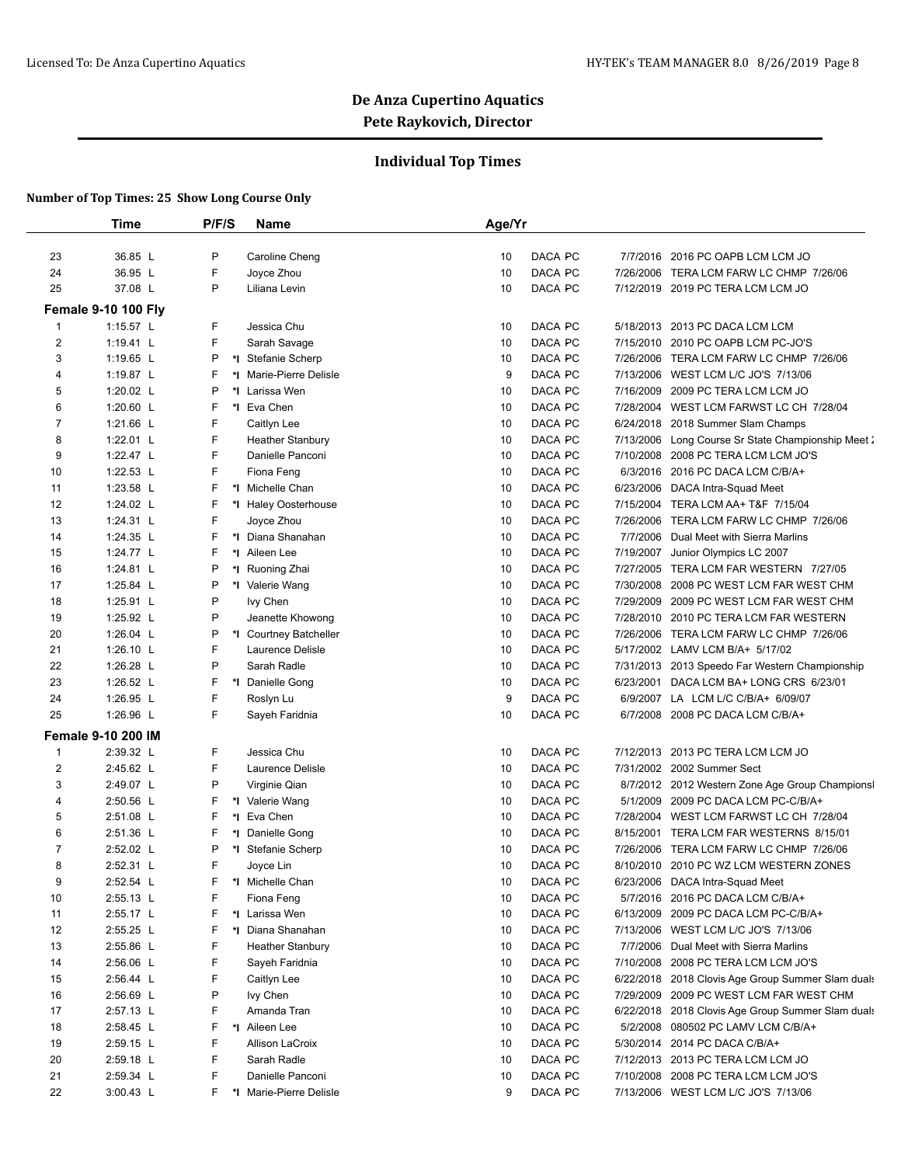## **Individual Top Times**

|                | Time                                      | P/F/S | Name                    | Age/Yr                                                              |  |
|----------------|-------------------------------------------|-------|-------------------------|---------------------------------------------------------------------|--|
| 23             | 36.85 L                                   | P     | Caroline Cheng          | DACA PC<br>7/7/2016 2016 PC OAPB LCM LCM JO<br>10                   |  |
| 24             | 36.95 L                                   | F     | Joyce Zhou              | 10<br>DACA PC<br>7/26/2006 TERA LCM FARW LC CHMP 7/26/06            |  |
| 25             | 37.08 L                                   | P     | Liliana Levin           | DACA PC<br>10<br>7/12/2019 2019 PC TERA LCM LCM JO                  |  |
|                |                                           |       |                         |                                                                     |  |
| 1              | <b>Female 9-10 100 Fly</b><br>$1:15.57$ L | F     | Jessica Chu             | DACA PC<br>5/18/2013 2013 PC DACA LCM LCM<br>10                     |  |
| $\overline{2}$ | 1:19.41 L                                 | F     | Sarah Savage            | 10<br>DACA PC<br>7/15/2010 2010 PC OAPB LCM PC-JO'S                 |  |
| 3              | 1:19.65 $L$                               | P     | *I Stefanie Scherp      | DACA PC<br>10<br>7/26/2006 TERA LCM FARW LC CHMP 7/26/06            |  |
| $\overline{4}$ | 1:19.87 L                                 | F     | *I Marie-Pierre Delisle | DACA PC<br>7/13/2006 WEST LCM L/C JO'S 7/13/06<br>9                 |  |
| 5              | 1:20.02 L                                 | P     | *I Larissa Wen          | DACA PC<br>7/16/2009 2009 PC TERA LCM LCM JO<br>10                  |  |
| 6              | 1:20.60 $L$                               | F     | *1 Eva Chen             | 7/28/2004 WEST LCM FARWST LC CH 7/28/04<br>10<br>DACA PC            |  |
| 7              | 1:21.66 L                                 | F     | Caitlyn Lee             | DACA PC<br>10<br>6/24/2018 2018 Summer Slam Champs                  |  |
| 8              | 1:22.01 L                                 | F     | <b>Heather Stanbury</b> | DACA PC<br>10<br>7/13/2006 Long Course Sr State Championship Meet 2 |  |
| 9              | 1:22.47 L                                 | F     | Danielle Panconi        | 10<br>DACA PC<br>7/10/2008 2008 PC TERA LCM LCM JO'S                |  |
| 10             | 1:22.53 L                                 | F     | Fiona Feng              | DACA PC<br>6/3/2016 2016 PC DACA LCM C/B/A+<br>10                   |  |
| 11             | 1:23.58 L                                 | F     | *I Michelle Chan        | DACA PC<br>6/23/2006 DACA Intra-Squad Meet<br>10                    |  |
| 12             | 1:24.02 L                                 | F     | *I Haley Oosterhouse    | 10<br>DACA PC<br>7/15/2004 TERA LCM AA+ T&F 7/15/04                 |  |
| 13             | 1:24.31 L                                 | F     | Joyce Zhou              | DACA PC<br>10<br>7/26/2006 TERA LCM FARW LC CHMP 7/26/06            |  |
| 14             | 1:24.35 L                                 | F     | *I Diana Shanahan       | DACA PC<br>7/7/2006 Dual Meet with Sierra Marlins<br>10             |  |
| 15             | 1:24.77 L                                 | F     | *I Aileen Lee           | 10<br>DACA PC<br>7/19/2007 Junior Olympics LC 2007                  |  |
| 16             | 1:24.81 $L$                               | P     | *I Ruoning Zhai         | DACA PC<br>10<br>7/27/2005 TERA LCM FAR WESTERN 7/27/05             |  |
| 17             | 1:25.84 L                                 | P     | *I Valerie Wang         | DACA PC<br>7/30/2008 2008 PC WEST LCM FAR WEST CHM<br>10            |  |
| 18             | 1:25.91 $L$                               | P     | lvy Chen                | 10<br>DACA PC<br>7/29/2009 2009 PC WEST LCM FAR WEST CHM            |  |
| 19             | 1:25.92 L                                 | P     | Jeanette Khowong        | DACA PC<br>10<br>7/28/2010 2010 PC TERA LCM FAR WESTERN             |  |
| 20             | 1:26.04 L                                 | P     | *I Courtney Batcheller  | DACA PC<br>10<br>7/26/2006 TERA LCM FARW LC CHMP 7/26/06            |  |
| 21             | 1:26.10 L                                 | F     | Laurence Delisle        | 10<br>DACA PC<br>5/17/2002 LAMV LCM B/A+ 5/17/02                    |  |
| 22             | 1:26.28 L                                 | P     | Sarah Radle             | 10<br>DACA PC<br>7/31/2013 2013 Speedo Far Western Championship     |  |
| 23             | 1:26.52 L                                 | F     | *1 Danielle Gong        | DACA PC<br>10<br>6/23/2001 DACA LCM BA+ LONG CRS 6/23/01            |  |
| 24             | 1:26.95 L                                 | F     | Roslyn Lu               | 6/9/2007 LA LCM L/C C/B/A+ 6/09/07<br>9<br>DACA PC                  |  |
| 25             | 1:26.96 L                                 | F     | Sayeh Faridnia          | DACA PC<br>6/7/2008 2008 PC DACA LCM C/B/A+<br>10                   |  |
|                | <b>Female 9-10 200 IM</b>                 |       |                         |                                                                     |  |
| $\mathbf{1}$   | 2:39.32 L                                 | F     | Jessica Chu             | DACA PC<br>7/12/2013 2013 PC TERA LCM LCM JO<br>10                  |  |
| $\overline{c}$ | 2:45.62 L                                 | F     | Laurence Delisle        | DACA PC<br>7/31/2002 2002 Summer Sect<br>10                         |  |
| 3              | 2:49.07 L                                 | P     | Virginie Qian           | 10<br>DACA PC<br>8/7/2012 2012 Western Zone Age Group Championsl    |  |
| $\overline{4}$ | 2:50.56 L                                 | F     | *I Valerie Wang         | DACA PC<br>5/1/2009 2009 PC DACA LCM PC-C/B/A+<br>10                |  |
| 5              | 2:51.08 L                                 | F     | *I Eva Chen             | DACA PC<br>7/28/2004 WEST LCM FARWST LC CH 7/28/04<br>10            |  |
| 6              | 2:51.36 L                                 | F     | *I Danielle Gong        | 10<br>DACA PC<br>8/15/2001 TERA LCM FAR WESTERNS 8/15/01            |  |
| 7              | 2:52.02 L                                 | P     | *I Stefanie Scherp      | DACA PC<br>7/26/2006 TERA LCM FARW LC CHMP 7/26/06<br>10            |  |
| 8              | 2:52.31 L                                 | F     | Joyce Lin               | 10<br>DACA PC<br>8/10/2010 2010 PC WZ LCM WESTERN ZONES             |  |
| 9              | 2:52.54 L                                 | F     | *I Michelle Chan        | DACA PC<br>6/23/2006 DACA Intra-Squad Meet<br>10                    |  |
| 10             | 2:55.13 L                                 | F     | Fiona Feng              | DACA PC<br>10<br>5/7/2016 2016 PC DACA LCM C/B/A+                   |  |
| 11             | 2:55.17 L                                 | F     | *I Larissa Wen          | 10<br>DACA PC<br>6/13/2009 2009 PC DACA LCM PC-C/B/A+               |  |
| 12             | 2:55.25 L                                 | F     | *I Diana Shanahan       | DACA PC<br>7/13/2006 WEST LCM L/C JO'S 7/13/06<br>10                |  |
| 13             | 2:55.86 L                                 | F     | <b>Heather Stanbury</b> | 10<br>DACA PC<br>7/7/2006 Dual Meet with Sierra Marlins             |  |
| 14             | 2:56.06 L                                 | F     | Sayeh Faridnia          | 7/10/2008 2008 PC TERA LCM LCM JO'S<br>10<br>DACA PC                |  |
| 15             | 2:56.44 L                                 | F     | Caitlyn Lee             | 10<br>DACA PC<br>6/22/2018 2018 Clovis Age Group Summer Slam duals  |  |
| 16             | 2:56.69 L                                 | P     | lvy Chen                | 7/29/2009 2009 PC WEST LCM FAR WEST CHM<br>10<br>DACA PC            |  |
| 17             | 2:57.13 L                                 | F     | Amanda Tran             | 10<br>DACA PC<br>6/22/2018 2018 Clovis Age Group Summer Slam duals  |  |
| 18             | 2:58.45 L                                 | F     | *I Aileen Lee           | DACA PC<br>5/2/2008 080502 PC LAMV LCM C/B/A+<br>10                 |  |
| 19             | 2:59.15 L                                 | F     | Allison LaCroix         | 5/30/2014 2014 PC DACA C/B/A+<br>10<br>DACA PC                      |  |
| 20             | 2:59.18 L                                 | F     | Sarah Radle             | 7/12/2013 2013 PC TERA LCM LCM JO<br>10<br>DACA PC                  |  |
| 21             | 2:59.34 L                                 | F     | Danielle Panconi        | 10<br>DACA PC<br>7/10/2008 2008 PC TERA LCM LCM JO'S                |  |
| 22             | 3:00.43 L                                 | F.    | *I Marie-Pierre Delisle | 9<br>DACA PC<br>7/13/2006 WEST LCM L/C JO'S 7/13/06                 |  |
|                |                                           |       |                         |                                                                     |  |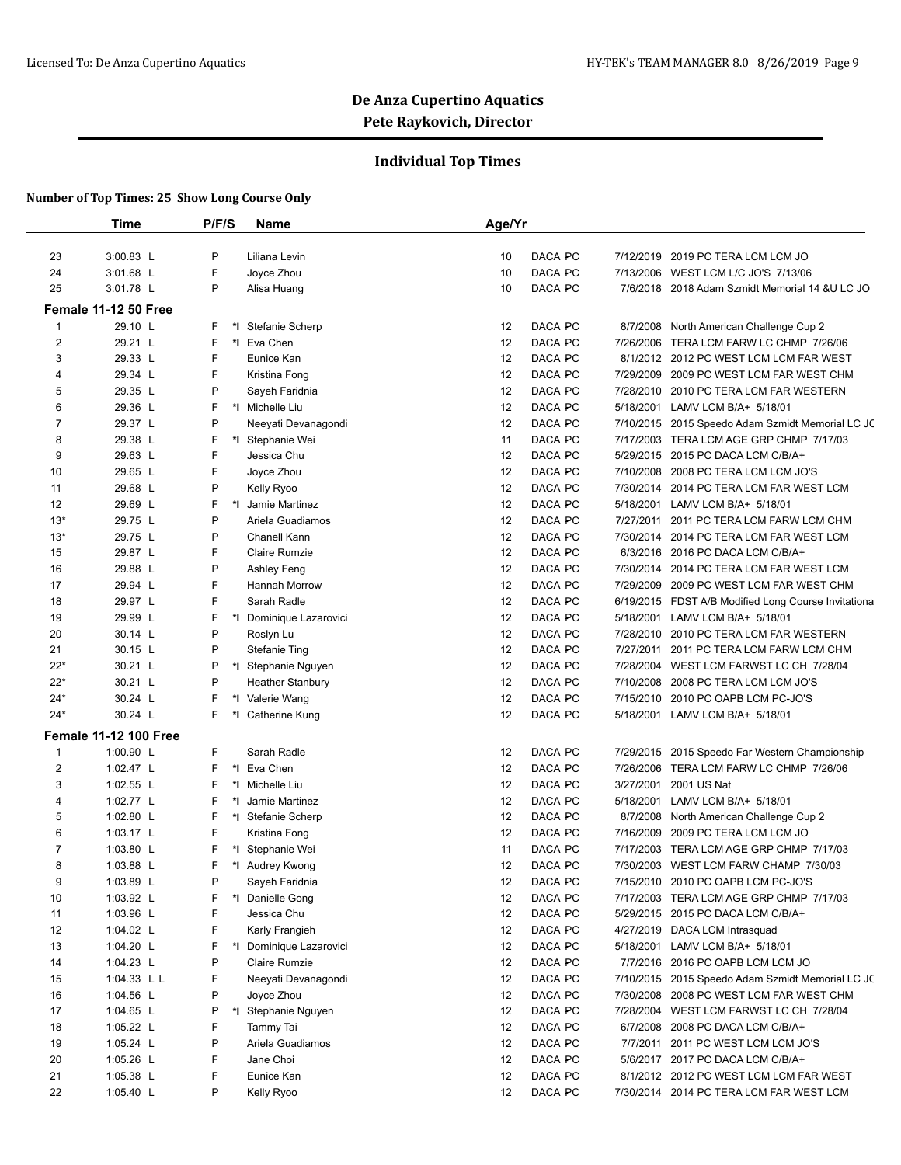## **Individual Top Times**

|                         | Time                         | P/F/S | <b>Name</b>             | Age/Yr |         |           |                                                     |
|-------------------------|------------------------------|-------|-------------------------|--------|---------|-----------|-----------------------------------------------------|
|                         |                              |       |                         |        |         |           |                                                     |
| 23                      | 3:00.83 L                    | P     | Liliana Levin           | 10     | DACA PC |           | 7/12/2019 2019 PC TERA LCM LCM JO                   |
| 24                      | 3:01.68 L                    | F     | Joyce Zhou              | 10     | DACA PC |           | 7/13/2006 WEST LCM L/C JO'S 7/13/06                 |
| 25                      | 3:01.78 L                    | P     | Alisa Huang             | 10     | DACA PC |           | 7/6/2018 2018 Adam Szmidt Memorial 14 & ULC JO      |
|                         | Female 11-12 50 Free         |       |                         |        |         |           |                                                     |
| 1                       | 29.10 L                      | F     | *I Stefanie Scherp      | 12     | DACA PC | 8/7/2008  | North American Challenge Cup 2                      |
| $\overline{\mathbf{c}}$ | 29.21 L                      | F     | *1 Eva Chen             | 12     | DACA PC | 7/26/2006 | TERA LCM FARW LC CHMP 7/26/06                       |
| 3                       | 29.33 L                      | F     | Eunice Kan              | 12     | DACA PC |           | 8/1/2012 2012 PC WEST LCM LCM FAR WEST              |
| 4                       | 29.34 L                      | F     | Kristina Fong           | 12     | DACA PC |           | 7/29/2009 2009 PC WEST LCM FAR WEST CHM             |
| 5                       | 29.35 L                      | P     | Sayeh Faridnia          | 12     | DACA PC |           | 7/28/2010 2010 PC TERA LCM FAR WESTERN              |
| 6                       | 29.36 L                      | F     | *1 Michelle Liu         | 12     | DACA PC |           | 5/18/2001 LAMV LCM B/A+ 5/18/01                     |
| 7                       | 29.37 L                      | P     | Neeyati Devanagondi     | 12     | DACA PC |           | 7/10/2015 2015 Speedo Adam Szmidt Memorial LC JC    |
| 8                       | 29.38 L                      | F     | *I Stephanie Wei        | 11     | DACA PC |           | 7/17/2003 TERA LCM AGE GRP CHMP 7/17/03             |
| 9                       | 29.63 L                      | F     | Jessica Chu             | 12     | DACA PC |           | 5/29/2015 2015 PC DACA LCM C/B/A+                   |
| 10                      | 29.65 L                      | F     | Joyce Zhou              | 12     | DACA PC | 7/10/2008 | 2008 PC TERA LCM LCM JO'S                           |
| 11                      | 29.68 L                      | P     | Kelly Ryoo              | 12     | DACA PC |           | 7/30/2014 2014 PC TERA LCM FAR WEST LCM             |
| 12                      | 29.69 L                      | F     | *I Jamie Martinez       | 12     | DACA PC |           | 5/18/2001 LAMV LCM B/A+ 5/18/01                     |
| $13*$                   | 29.75 L                      | P     | Ariela Guadiamos        | 12     | DACA PC | 7/27/2011 | 2011 PC TERA LCM FARW LCM CHM                       |
| $13*$                   | 29.75 L                      | P     | Chanell Kann            | 12     | DACA PC |           | 7/30/2014 2014 PC TERA LCM FAR WEST LCM             |
| 15                      | 29.87 L                      | F     | Claire Rumzie           | 12     | DACA PC |           | 6/3/2016 2016 PC DACA LCM C/B/A+                    |
| 16                      | 29.88 L                      | P     | Ashley Feng             | 12     | DACA PC | 7/30/2014 | 2014 PC TERA LCM FAR WEST LCM                       |
| 17                      | 29.94 L                      | F     | <b>Hannah Morrow</b>    | 12     | DACA PC |           | 7/29/2009 2009 PC WEST LCM FAR WEST CHM             |
| 18                      | 29.97 L                      | F     | Sarah Radle             | 12     | DACA PC |           | 6/19/2015 FDST A/B Modified Long Course Invitationa |
| 19                      | 29.99 L                      | F     | *I Dominique Lazarovici | 12     | DACA PC | 5/18/2001 | LAMV LCM B/A+ 5/18/01                               |
| 20                      | 30.14 L                      | P     | Roslyn Lu               | 12     | DACA PC |           | 7/28/2010 2010 PC TERA LCM FAR WESTERN              |
| 21                      | 30.15 L                      | P     | <b>Stefanie Ting</b>    | 12     | DACA PC | 7/27/2011 | 2011 PC TERA LCM FARW LCM CHM                       |
| $22*$                   | 30.21 L                      | P     | *I Stephanie Nguyen     | 12     | DACA PC | 7/28/2004 | WEST LCM FARWST LC CH 7/28/04                       |
| $22*$                   | 30.21 L                      | P     | <b>Heather Stanbury</b> | 12     | DACA PC |           | 7/10/2008 2008 PC TERA LCM LCM JO'S                 |
| $24*$                   | 30.24 L                      | F     | *I Valerie Wang         | 12     | DACA PC |           | 7/15/2010 2010 PC OAPB LCM PC-JO'S                  |
| $24*$                   | 30.24 L                      | F     | *I Catherine Kung       | 12     | DACA PC |           | 5/18/2001 LAMV LCM B/A+ 5/18/01                     |
|                         | <b>Female 11-12 100 Free</b> |       |                         |        |         |           |                                                     |
| 1                       | 1:00.90 L                    | F     | Sarah Radle             | 12     | DACA PC |           | 7/29/2015 2015 Speedo Far Western Championship      |
| 2                       | 1:02.47 $L$                  | F     | *1 Eva Chen             | 12     | DACA PC | 7/26/2006 | TERA LCM FARW LC CHMP 7/26/06                       |
| 3                       | 1:02.55 L                    | F     | *1 Michelle Liu         | 12     | DACA PC | 3/27/2001 | 2001 US Nat                                         |
| 4                       | 1:02.77 L                    | F     | Jamie Martinez          | 12     | DACA PC | 5/18/2001 | LAMV LCM B/A+ 5/18/01                               |
| 5                       | 1:02.80 $L$                  | F     | *I Stefanie Scherp      | 12     | DACA PC | 8/7/2008  | North American Challenge Cup 2                      |
| 6                       | 1:03.17 L                    | F     | Kristina Fong           | 12     | DACA PC |           | 7/16/2009 2009 PC TERA LCM LCM JO                   |
| 7                       | 1:03.80 $\lfloor$            | F     | *I Stephanie Wei        | 11     | DACA PC | 7/17/2003 | TERA LCM AGE GRP CHMP 7/17/03                       |
| 8                       | 1:03.88 $L$                  | F     | *I Audrey Kwong         | 12     | DACA PC |           | 7/30/2003 WEST LCM FARW CHAMP 7/30/03               |
| 9                       | 1:03.89 L                    | P     | Sayeh Faridnia          | 12     | DACA PC |           | 7/15/2010 2010 PC OAPB LCM PC-JO'S                  |
| 10                      | 1:03.92 $L$                  | F     | *I Danielle Gong        | 12     | DACA PC |           | 7/17/2003 TERA LCM AGE GRP CHMP 7/17/03             |
| 11                      | 1:03.96 $L$                  | F     | Jessica Chu             | 12     | DACA PC |           | 5/29/2015 2015 PC DACA LCM C/B/A+                   |
| 12                      | 1:04.02 $L$                  | F     | Karly Frangieh          | 12     | DACA PC |           | 4/27/2019 DACA LCM Intrasquad                       |
| 13                      | 1:04.20 $L$                  | F     | *I Dominique Lazarovici | 12     | DACA PC |           | 5/18/2001 LAMV LCM B/A+ 5/18/01                     |
| 14                      | 1:04.23 $L$                  | P     | Claire Rumzie           | 12     | DACA PC |           | 7/7/2016 2016 PC OAPB LCM LCM JO                    |
| 15                      | 1:04.33 $L L$                | F     | Neeyati Devanagondi     | 12     | DACA PC |           | 7/10/2015 2015 Speedo Adam Szmidt Memorial LC JC    |
| 16                      | 1:04.56 $L$                  | P     | Joyce Zhou              | 12     | DACA PC |           | 7/30/2008 2008 PC WEST LCM FAR WEST CHM             |
| 17                      | 1:04.65 $L$                  | P     | *I Stephanie Nguyen     | 12     | DACA PC |           | 7/28/2004 WEST LCM FARWST LC CH 7/28/04             |
| 18                      | 1:05.22 $L$                  | F     | Tammy Tai               | 12     | DACA PC |           | 6/7/2008 2008 PC DACA LCM C/B/A+                    |
| 19                      | 1:05.24 $L$                  | P     | Ariela Guadiamos        | 12     | DACA PC |           | 7/7/2011 2011 PC WEST LCM LCM JO'S                  |
| 20                      | 1:05.26 $L$                  | F     | Jane Choi               | 12     | DACA PC |           | 5/6/2017 2017 PC DACA LCM C/B/A+                    |
| 21                      | 1:05.38 $L$                  | F     | Eunice Kan              | 12     | DACA PC |           | 8/1/2012 2012 PC WEST LCM LCM FAR WEST              |
| 22                      | 1:05.40 $L$                  | P     | Kelly Ryoo              | 12     | DACA PC |           | 7/30/2014 2014 PC TERA LCM FAR WEST LCM             |
|                         |                              |       |                         |        |         |           |                                                     |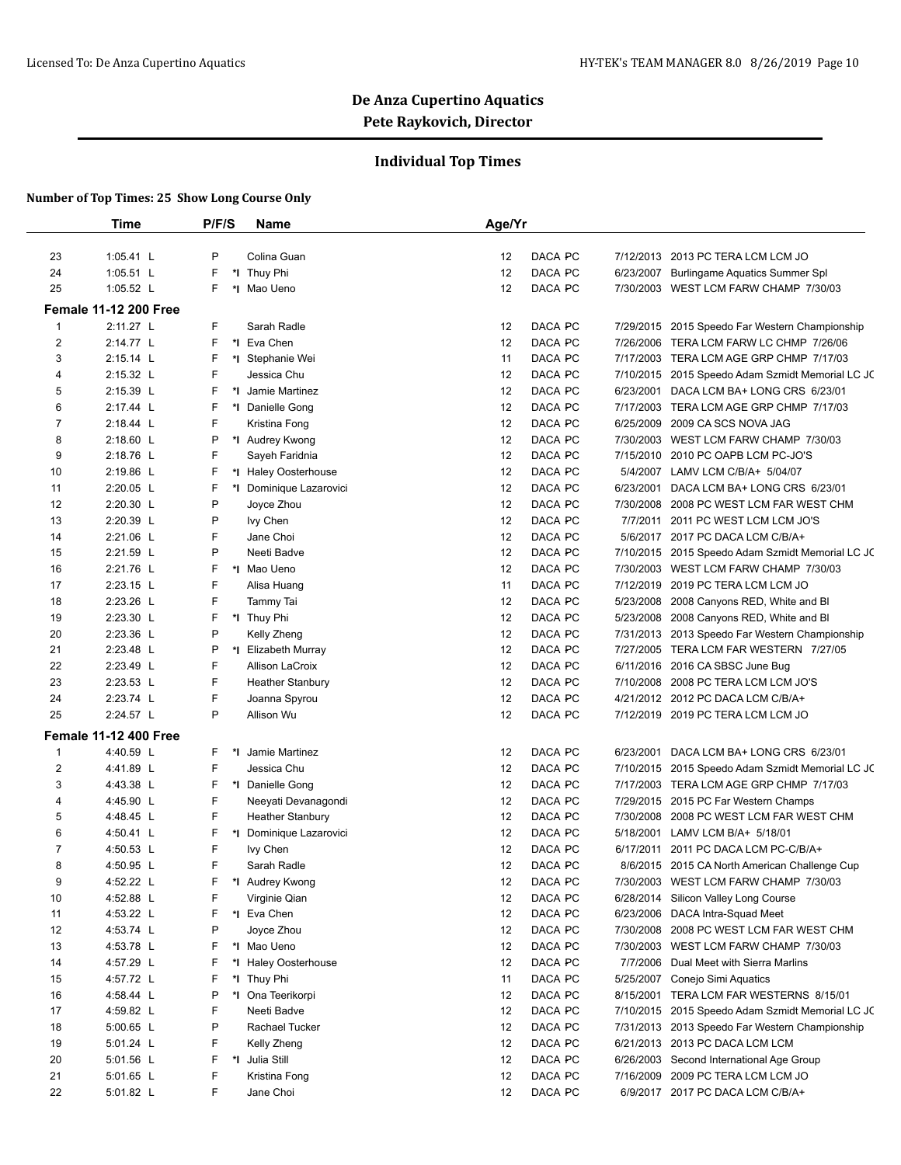## **Individual Top Times**

|                | <b>Time</b>                  | P/F/S | Name                    | Age/Yr        |           |                                                  |
|----------------|------------------------------|-------|-------------------------|---------------|-----------|--------------------------------------------------|
|                |                              |       |                         |               |           |                                                  |
| 23             | 1:05.41 L                    | P     | Colina Guan             | DACA PC<br>12 |           | 7/12/2013 2013 PC TERA LCM LCM JO                |
| 24             | 1:05.51 L                    | F     | *I Thuy Phi             | 12<br>DACA PC |           | 6/23/2007 Burlingame Aquatics Summer Spl         |
| 25             | 1:05.52 L                    | F     | *I Mao Ueno             | 12<br>DACA PC |           | 7/30/2003 WEST LCM FARW CHAMP 7/30/03            |
|                | <b>Female 11-12 200 Free</b> |       |                         |               |           |                                                  |
| 1              | 2:11.27 L                    | F     | Sarah Radle             | DACA PC<br>12 |           | 7/29/2015 2015 Speedo Far Western Championship   |
| $\overline{2}$ | 2:14.77 L                    | F     | *1 Eva Chen             | 12<br>DACA PC |           | 7/26/2006 TERA LCM FARW LC CHMP 7/26/06          |
| 3              | 2:15.14 L                    | F     | *I Stephanie Wei        | 11<br>DACA PC |           | 7/17/2003 TERA LCM AGE GRP CHMP 7/17/03          |
| 4              | 2:15.32 L                    | F     | Jessica Chu             | 12<br>DACA PC |           | 7/10/2015 2015 Speedo Adam Szmidt Memorial LC JC |
| 5              | 2:15.39 L                    | F     | *I Jamie Martinez       | 12<br>DACA PC | 6/23/2001 | DACA LCM BA+ LONG CRS 6/23/01                    |
| 6              | 2:17.44 L                    | F     | *1 Danielle Gong        | 12<br>DACA PC |           | 7/17/2003 TERA LCM AGE GRP CHMP 7/17/03          |
| 7              | 2:18.44 L                    | F     | Kristina Fong           | 12<br>DACA PC | 6/25/2009 | 2009 CA SCS NOVA JAG                             |
| 8              | 2:18.60 L                    | P     | *I Audrey Kwong         | 12<br>DACA PC |           | 7/30/2003 WEST LCM FARW CHAMP 7/30/03            |
| 9              | 2:18.76 L                    | F     | Sayeh Faridnia          | 12<br>DACA PC |           | 7/15/2010 2010 PC OAPB LCM PC-JO'S               |
| 10             | 2:19.86 L                    | F     | *I Haley Oosterhouse    | 12<br>DACA PC | 5/4/2007  | LAMV LCM C/B/A+ 5/04/07                          |
| 11             | 2:20.05 L                    | F     | *I Dominique Lazarovici | 12<br>DACA PC | 6/23/2001 | DACA LCM BA+ LONG CRS 6/23/01                    |
| 12             | 2:20.30 L                    | P     | Joyce Zhou              | 12<br>DACA PC |           | 7/30/2008 2008 PC WEST LCM FAR WEST CHM          |
| 13             | 2:20.39 L                    | P     | Ivy Chen                | 12<br>DACA PC | 7/7/2011  | 2011 PC WEST LCM LCM JO'S                        |
| 14             | 2:21.06 L                    | F     | Jane Choi               | 12<br>DACA PC |           | 5/6/2017 2017 PC DACA LCM C/B/A+                 |
| 15             | 2:21.59 L                    | P     | Neeti Badve             | 12<br>DACA PC |           | 7/10/2015 2015 Speedo Adam Szmidt Memorial LC JC |
| 16             | 2:21.76 L                    | F     | *I Mao Ueno             | 12<br>DACA PC | 7/30/2003 | WEST LCM FARW CHAMP 7/30/03                      |
| 17             | 2:23.15 L                    | F     | Alisa Huang             | 11<br>DACA PC | 7/12/2019 | 2019 PC TERA LCM LCM JO                          |
| 18             | 2:23.26 L                    | F     | Tammy Tai               | 12<br>DACA PC |           | 5/23/2008 2008 Canyons RED, White and BI         |
| 19             | 2:23.30 L                    | F     | *I Thuy Phi             | 12<br>DACA PC |           | 5/23/2008 2008 Canyons RED, White and BI         |
| 20             | 2:23.36 L                    | P     | Kelly Zheng             | 12<br>DACA PC |           | 7/31/2013 2013 Speedo Far Western Championship   |
| 21             | 2:23.48 L                    | P     | *I Elizabeth Murray     | 12<br>DACA PC |           | 7/27/2005 TERA LCM FAR WESTERN 7/27/05           |
| 22             | 2:23.49 L                    | F     | Allison LaCroix         | 12<br>DACA PC |           | 6/11/2016 2016 CA SBSC June Bug                  |
| 23             | 2:23.53 L                    | F     | <b>Heather Stanbury</b> | 12<br>DACA PC |           | 7/10/2008 2008 PC TERA LCM LCM JO'S              |
| 24             | 2:23.74 L                    | F     | Joanna Spyrou           | 12<br>DACA PC |           | 4/21/2012 2012 PC DACA LCM C/B/A+                |
| 25             | 2:24.57 L                    | P     | Allison Wu              | 12<br>DACA PC |           | 7/12/2019 2019 PC TERA LCM LCM JO                |
|                | <b>Female 11-12 400 Free</b> |       |                         |               |           |                                                  |
| $\mathbf{1}$   | 4:40.59 L                    | F     | *I Jamie Martinez       | DACA PC<br>12 | 6/23/2001 | DACA LCM BA+ LONG CRS 6/23/01                    |
| 2              | 4:41.89 L                    | F     | Jessica Chu             | 12<br>DACA PC |           | 7/10/2015 2015 Speedo Adam Szmidt Memorial LC JC |
| 3              | 4:43.38 L                    | F     | *1 Danielle Gong        | DACA PC<br>12 |           | 7/17/2003 TERA LCM AGE GRP CHMP 7/17/03          |
| 4              | 4:45.90 L                    | F     | Neeyati Devanagondi     | 12<br>DACA PC |           | 7/29/2015 2015 PC Far Western Champs             |
| 5              | 4:48.45 L                    | F     | <b>Heather Stanbury</b> | 12<br>DACA PC |           | 7/30/2008 2008 PC WEST LCM FAR WEST CHM          |
| 6              | 4:50.41 L                    | F     | *I Dominique Lazarovici | 12<br>DACA PC |           | 5/18/2001 LAMV LCM B/A+ 5/18/01                  |
| 7              | 4:50.53 L                    | F     | Ivy Chen                | 12<br>DACA PC | 6/17/2011 | 2011 PC DACA LCM PC-C/B/A+                       |
| 8              | 4:50.95 L                    | F     | Sarah Radle             | 12<br>DACA PC |           | 8/6/2015 2015 CA North American Challenge Cup    |
| 9              | 4:52.22 L                    | F     | *I Audrey Kwong         | DACA PC<br>12 |           | 7/30/2003 WEST LCM FARW CHAMP 7/30/03            |
| 10             | 4:52.88 L                    | F     | Virginie Qian           | DACA PC<br>12 |           | 6/28/2014 Silicon Valley Long Course             |
| 11             | 4:53.22 L                    | F     | *1 Eva Chen             | 12<br>DACA PC |           | 6/23/2006 DACA Intra-Squad Meet                  |
| 12             | 4:53.74 L                    | P     | Joyce Zhou              | 12<br>DACA PC |           | 7/30/2008 2008 PC WEST LCM FAR WEST CHM          |
| 13             | 4:53.78 L                    | F     | *I Mao Ueno             | 12<br>DACA PC |           | 7/30/2003 WEST LCM FARW CHAMP 7/30/03            |
| 14             | 4:57.29 L                    | F     | *I Haley Oosterhouse    | 12<br>DACA PC |           | 7/7/2006 Dual Meet with Sierra Marlins           |
| 15             | 4:57.72 L                    | F     | *I Thuy Phi             | 11<br>DACA PC |           | 5/25/2007 Conejo Simi Aquatics                   |
| 16             | 4:58.44 L                    | P     | *I Ona Teerikorpi       | DACA PC<br>12 |           | 8/15/2001 TERA LCM FAR WESTERNS 8/15/01          |
| 17             | 4:59.82 L                    | F     | Neeti Badve             | 12<br>DACA PC |           | 7/10/2015 2015 Speedo Adam Szmidt Memorial LC JC |
| 18             | 5:00.65 L                    | P     | Rachael Tucker          | 12<br>DACA PC |           | 7/31/2013 2013 Speedo Far Western Championship   |
| 19             | 5:01.24 L                    | F     | Kelly Zheng             | 12<br>DACA PC |           | 6/21/2013 2013 PC DACA LCM LCM                   |
| 20             | 5:01.56 L                    | F     | *I Julia Still          | 12<br>DACA PC |           | 6/26/2003 Second International Age Group         |
| 21             | 5:01.65 L                    | F     | Kristina Fong           | 12<br>DACA PC |           | 7/16/2009 2009 PC TERA LCM LCM JO                |
| 22             | 5:01.82 L                    | F     | Jane Choi               | 12<br>DACA PC |           | 6/9/2017 2017 PC DACA LCM C/B/A+                 |
|                |                              |       |                         |               |           |                                                  |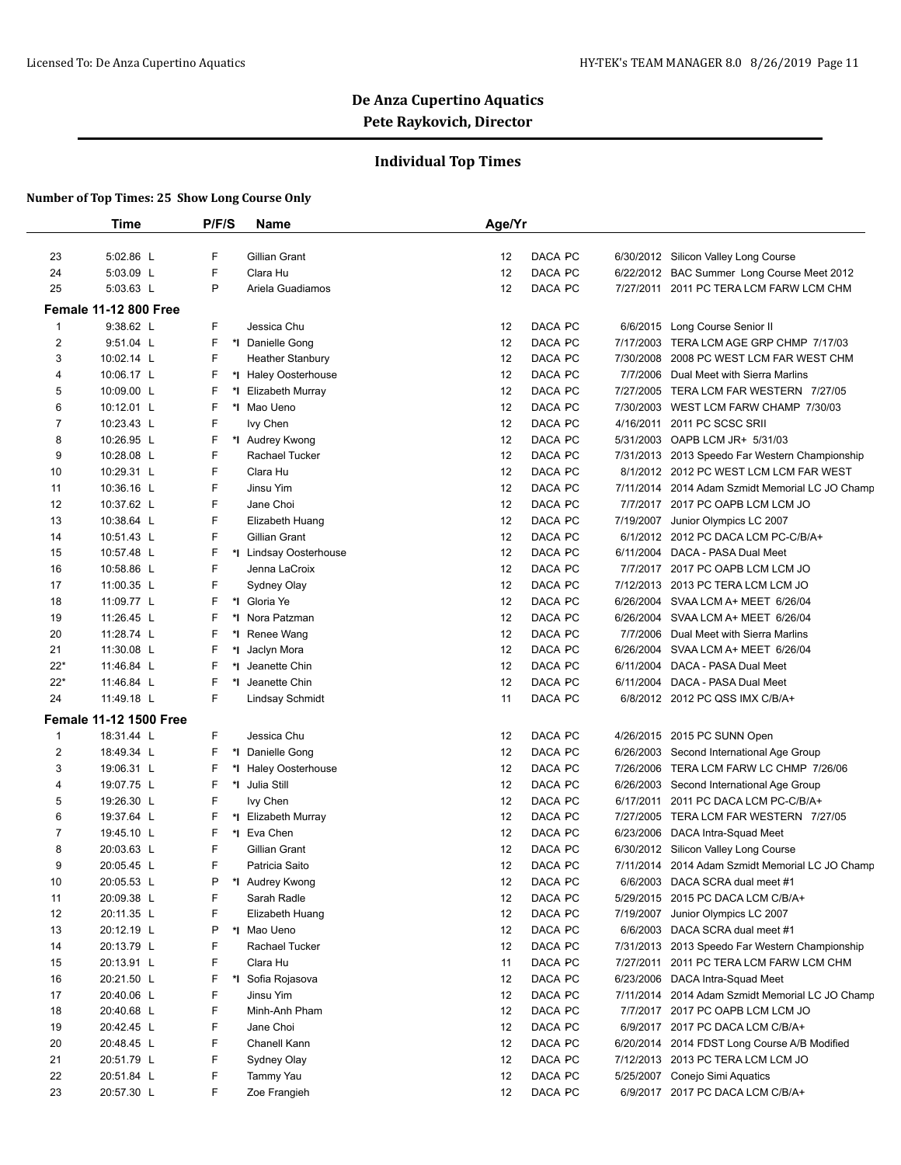## **Individual Top Times**

|                | <b>Time</b>                   | P/F/S   | <b>Name</b>             | Age/Yr |         |           |                                                 |
|----------------|-------------------------------|---------|-------------------------|--------|---------|-----------|-------------------------------------------------|
| 23             | 5:02.86 L                     | F       | Gillian Grant           | 12     | DACA PC |           | 6/30/2012 Silicon Valley Long Course            |
| 24             | 5:03.09 L                     | F       | Clara Hu                | 12     | DACA PC |           | 6/22/2012 BAC Summer Long Course Meet 2012      |
| 25             | 5:03.63 L                     | P       | Ariela Guadiamos        | 12     | DACA PC | 7/27/2011 | 2011 PC TERA LCM FARW LCM CHM                   |
|                | <b>Female 11-12 800 Free</b>  |         |                         |        |         |           |                                                 |
| $\mathbf{1}$   | 9:38.62 L                     | F.      | Jessica Chu             | 12     | DACA PC | 6/6/2015  | Long Course Senior II                           |
| 2              | 9:51.04 L                     | F       | *1 Danielle Gong        | 12     | DACA PC |           | 7/17/2003 TERA LCM AGE GRP CHMP 7/17/03         |
| 3              | 10:02.14 L                    | F       | <b>Heather Stanbury</b> | 12     | DACA PC | 7/30/2008 | 2008 PC WEST LCM FAR WEST CHM                   |
| 4              | 10:06.17 L                    | F       | *I Haley Oosterhouse    | 12     | DACA PC | 7/7/2006  | Dual Meet with Sierra Marlins                   |
| 5              | 10:09.00 L                    | F       | *I Elizabeth Murray     | 12     | DACA PC |           | 7/27/2005 TERA LCM FAR WESTERN 7/27/05          |
| 6              | 10:12.01 L                    | F       | *I Mao Ueno             | 12     | DACA PC |           | 7/30/2003 WEST LCM FARW CHAMP 7/30/03           |
| $\overline{7}$ | 10:23.43 L                    | F       | Ivy Chen                | 12     | DACA PC | 4/16/2011 | 2011 PC SCSC SRII                               |
| 8              | 10:26.95 L                    | F       | *I Audrey Kwong         | 12     | DACA PC |           | 5/31/2003 OAPB LCM JR+ 5/31/03                  |
| 9              | 10:28.08 L                    | F       | Rachael Tucker          | 12     | DACA PC |           | 7/31/2013 2013 Speedo Far Western Championship  |
| 10             | 10:29.31 L                    | F       | Clara Hu                | 12     | DACA PC |           | 8/1/2012 2012 PC WEST LCM LCM FAR WEST          |
| 11             | 10:36.16 L                    | F       | Jinsu Yim               | 12     | DACA PC |           | 7/11/2014 2014 Adam Szmidt Memorial LC JO Champ |
| 12             | 10:37.62 L                    | F       | Jane Choi               | 12     | DACA PC | 7/7/2017  | 2017 PC OAPB LCM LCM JO                         |
| 13             | 10:38.64 L                    | F       | Elizabeth Huang         | 12     | DACA PC | 7/19/2007 | Junior Olympics LC 2007                         |
| 14             | 10:51.43 L                    | F       | Gillian Grant           | 12     | DACA PC |           | 6/1/2012 2012 PC DACA LCM PC-C/B/A+             |
| 15             | 10:57.48 L                    | F       | *I Lindsay Oosterhouse  | 12     | DACA PC |           | 6/11/2004 DACA - PASA Dual Meet                 |
| 16             | 10:58.86 L                    | F       | Jenna LaCroix           | 12     | DACA PC |           | 7/7/2017 2017 PC OAPB LCM LCM JO                |
| 17             | 11:00.35 L                    | F       | Sydney Olay             | 12     | DACA PC |           | 7/12/2013 2013 PC TERA LCM LCM JO               |
| 18             | 11:09.77 L                    | F<br>*l | Gloria Ye               | 12     | DACA PC |           | 6/26/2004 SVAA LCM A+ MEET 6/26/04              |
| 19             | 11:26.45 L                    | F       | *I Nora Patzman         | 12     | DACA PC |           | 6/26/2004 SVAA LCM A+ MEET 6/26/04              |
| 20             | 11:28.74 L                    | F       | *I Renee Wang           | 12     | DACA PC |           | 7/7/2006 Dual Meet with Sierra Marlins          |
| 21             | 11:30.08 L                    | F       | *I Jaclyn Mora          | 12     | DACA PC |           | 6/26/2004 SVAA LCM A+ MEET 6/26/04              |
| $22*$          | 11:46.84 L                    | F       | *I Jeanette Chin        | 12     | DACA PC |           | 6/11/2004 DACA - PASA Dual Meet                 |
| $22*$          | 11:46.84 L                    | F       | *1 Jeanette Chin        | 12     | DACA PC |           | 6/11/2004 DACA - PASA Dual Meet                 |
| 24             | 11:49.18 L                    | F       | <b>Lindsay Schmidt</b>  | 11     | DACA PC |           | 6/8/2012 2012 PC QSS IMX C/B/A+                 |
|                | <b>Female 11-12 1500 Free</b> |         |                         |        |         |           |                                                 |
| $\mathbf{1}$   | 18:31.44 L                    | F       | Jessica Chu             | 12     | DACA PC |           | 4/26/2015 2015 PC SUNN Open                     |
| 2              | 18:49.34 L                    | F       | *I Danielle Gong        | 12     | DACA PC |           | 6/26/2003 Second International Age Group        |
| 3              | 19:06.31 L                    | F       | *I Haley Oosterhouse    | 12     | DACA PC | 7/26/2006 | TERA LCM FARW LC CHMP 7/26/06                   |
| 4              | 19:07.75 L                    | F       | *I Julia Still          | 12     | DACA PC |           | 6/26/2003 Second International Age Group        |
| 5              | 19:26.30 L                    | F       | Ivy Chen                | 12     | DACA PC | 6/17/2011 | 2011 PC DACA LCM PC-C/B/A+                      |
| 6              | 19:37.64 L                    | F       | *I Elizabeth Murray     | 12     | DACA PC |           | 7/27/2005 TERA LCM FAR WESTERN 7/27/05          |
| $\overline{7}$ | 19:45.10 L                    | F       | *I Eva Chen             | 12     | DACA PC |           | 6/23/2006 DACA Intra-Squad Meet                 |
| 8              | 20:03.63 L                    | F       | Gillian Grant           | 12     | DACA PC |           | 6/30/2012 Silicon Valley Long Course            |
| 9              | 20:05.45 L                    | F       | Patricia Saito          | 12     | DACA PC |           | 7/11/2014 2014 Adam Szmidt Memorial LC JO Champ |
| 10             | 20:05.53 L                    | P       | *I Audrey Kwong         | 12     | DACA PC |           | 6/6/2003 DACA SCRA dual meet #1                 |
| 11             | 20:09.38 L                    | F       | Sarah Radle             | 12     | DACA PC |           | 5/29/2015 2015 PC DACA LCM C/B/A+               |
| 12             | 20:11.35 L                    | F       | Elizabeth Huang         | 12     | DACA PC | 7/19/2007 | Junior Olympics LC 2007                         |
| 13             | 20:12.19 L                    | P       | *I Mao Ueno             | 12     | DACA PC |           | 6/6/2003 DACA SCRA dual meet #1                 |
| 14             | 20:13.79 L                    | F       | Rachael Tucker          | 12     | DACA PC |           | 7/31/2013 2013 Speedo Far Western Championship  |
| 15             | 20:13.91 L                    | F       | Clara Hu                | 11     | DACA PC | 7/27/2011 | 2011 PC TERA LCM FARW LCM CHM                   |
| 16             | 20:21.50 L                    | F<br>*l | Sofia Rojasova          | 12     | DACA PC |           | 6/23/2006 DACA Intra-Squad Meet                 |
| 17             | 20:40.06 L                    | F       | Jinsu Yim               | 12     | DACA PC |           | 7/11/2014 2014 Adam Szmidt Memorial LC JO Champ |
| 18             | 20:40.68 L                    | F       | Minh-Anh Pham           | 12     | DACA PC |           | 7/7/2017 2017 PC OAPB LCM LCM JO                |
| 19             | 20:42.45 L                    | F       | Jane Choi               | 12     | DACA PC |           | 6/9/2017 2017 PC DACA LCM C/B/A+                |
| 20             | 20:48.45 L                    | F       | Chanell Kann            | 12     | DACA PC |           | 6/20/2014 2014 FDST Long Course A/B Modified    |
| 21             | 20:51.79 L                    | F       | Sydney Olay             | 12     | DACA PC |           | 7/12/2013 2013 PC TERA LCM LCM JO               |
| 22             | 20:51.84 L                    | F       | Tammy Yau               | 12     | DACA PC |           | 5/25/2007 Conejo Simi Aquatics                  |
| 23             | 20:57.30 L                    | F       | Zoe Frangieh            | 12     | DACA PC |           | 6/9/2017 2017 PC DACA LCM C/B/A+                |
|                |                               |         |                         |        |         |           |                                                 |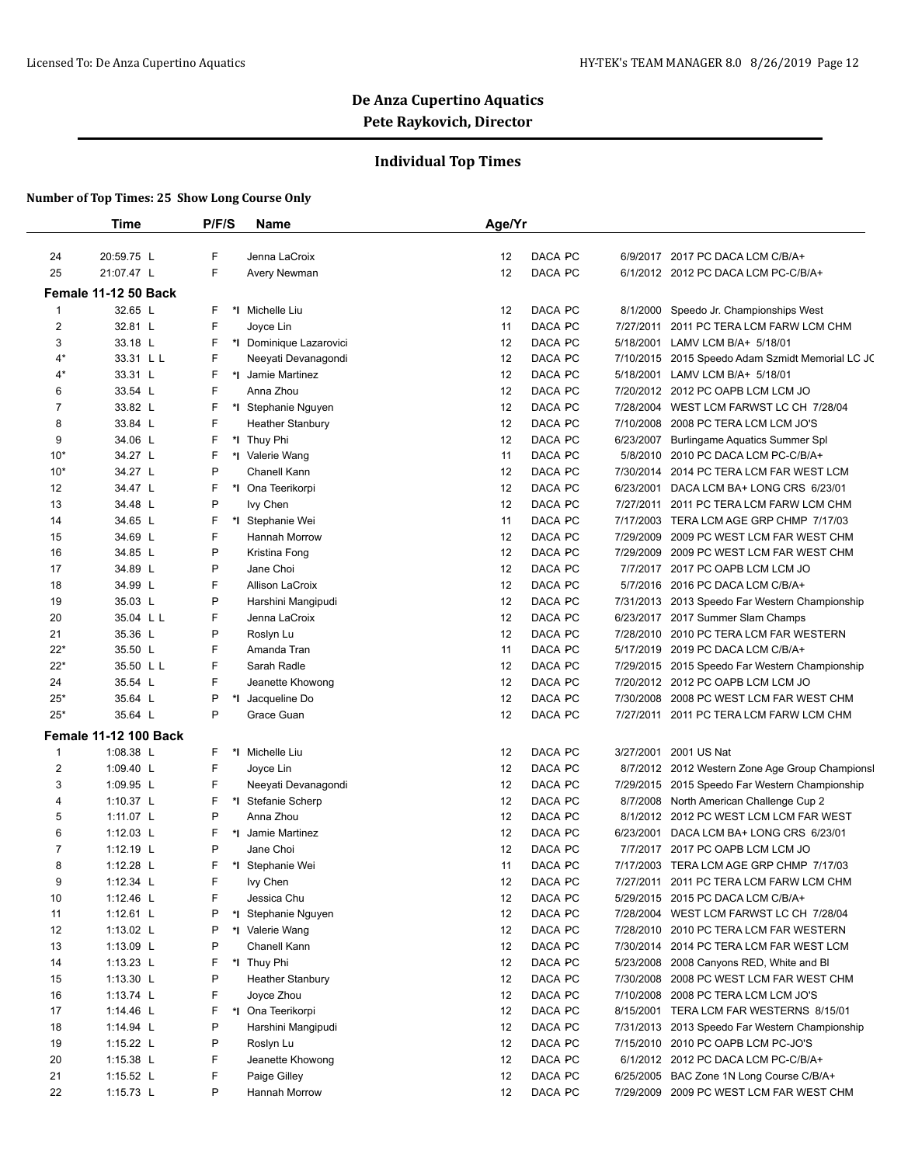## **Individual Top Times**

|              | Time                         | P/F/S   | <b>Name</b>                      | Age/Yr                                                                                                            |
|--------------|------------------------------|---------|----------------------------------|-------------------------------------------------------------------------------------------------------------------|
| 24           | 20:59.75 L                   | F       | Jenna LaCroix                    | 12<br>DACA PC<br>6/9/2017 2017 PC DACA LCM C/B/A+                                                                 |
| 25           | 21:07.47 L                   | F       | Avery Newman                     | DACA PC<br>12<br>6/1/2012 2012 PC DACA LCM PC-C/B/A+                                                              |
|              |                              |         |                                  |                                                                                                                   |
|              | <b>Female 11-12 50 Back</b>  |         |                                  |                                                                                                                   |
| $\mathbf{1}$ | 32.65 L                      | F       | *1 Michelle Liu                  | DACA PC<br>Speedo Jr. Championships West<br>12<br>8/1/2000                                                        |
| 2            | 32.81 L                      | F       | Joyce Lin                        | DACA PC<br>7/27/2011<br>2011 PC TERA LCM FARW LCM CHM<br>11                                                       |
| 3            | 33.18 L                      | F       | *I Dominique Lazarovici          | DACA PC<br>12<br>5/18/2001 LAMV LCM B/A+ 5/18/01                                                                  |
| 4*           | 33.31 L L                    | F       | Neeyati Devanagondi              | DACA PC<br>12<br>7/10/2015 2015 Speedo Adam Szmidt Memorial LC JC                                                 |
| 4*           | 33.31 L                      | F<br>*l | Jamie Martinez                   | DACA PC<br>12<br>5/18/2001 LAMV LCM B/A+ 5/18/01                                                                  |
| 6            | 33.54 L                      | F       | Anna Zhou                        | DACA PC<br>12<br>7/20/2012 2012 PC OAPB LCM LCM JO                                                                |
| 7            | 33.82 L                      | F       | *I Stephanie Nguyen              | DACA PC<br>12<br>7/28/2004<br>WEST LCM FARWST LC CH 7/28/04                                                       |
| 8            | 33.84 L                      | F       | <b>Heather Stanbury</b>          | DACA PC<br>7/10/2008<br>2008 PC TERA LCM LCM JO'S<br>12                                                           |
| 9            | 34.06 L                      | F       | *I Thuy Phi                      | DACA PC<br>12<br>6/23/2007<br>Burlingame Aquatics Summer Spl                                                      |
| $10*$        | 34.27 L                      | F<br>*∣ | Valerie Wang                     | DACA PC<br>5/8/2010<br>11<br>2010 PC DACA LCM PC-C/B/A+                                                           |
| $10*$        | 34.27 L                      | P       | Chanell Kann                     | DACA PC<br>12<br>7/30/2014<br>2014 PC TERA LCM FAR WEST LCM                                                       |
| 12           | 34.47 L                      | F       | *I Ona Teerikorpi                | DACA PC<br>12<br>6/23/2001 DACA LCM BA+ LONG CRS 6/23/01                                                          |
| 13           | 34.48 L                      | P       | Ivy Chen                         | DACA PC<br>12<br>7/27/2011<br>2011 PC TERA LCM FARW LCM CHM                                                       |
| 14           | 34.65 L                      | F       | *I Stephanie Wei                 | DACA PC<br>7/17/2003 TERA LCM AGE GRP CHMP 7/17/03<br>11                                                          |
| 15           | 34.69 L                      | F       | Hannah Morrow                    | DACA PC<br>12<br>7/29/2009<br>2009 PC WEST LCM FAR WEST CHM                                                       |
| 16           | 34.85 L                      | P       | Kristina Fong                    | DACA PC<br>12<br>7/29/2009<br>2009 PC WEST LCM FAR WEST CHM                                                       |
| 17           | 34.89 L                      | P       | Jane Choi                        | DACA PC<br>12<br>7/7/2017<br>2017 PC OAPB LCM LCM JO                                                              |
| 18           | 34.99 L                      | F       | Allison LaCroix                  | DACA PC<br>12<br>5/7/2016 2016 PC DACA LCM C/B/A+                                                                 |
| 19           | 35.03 L                      | P       | Harshini Mangipudi               | DACA PC<br>12<br>7/31/2013 2013 Speedo Far Western Championship                                                   |
| 20           | 35.04 L L                    | F       | Jenna LaCroix                    | DACA PC<br>12<br>6/23/2017 2017 Summer Slam Champs                                                                |
| 21           | 35.36 L                      | P       | Roslyn Lu                        | DACA PC<br>7/28/2010 2010 PC TERA LCM FAR WESTERN<br>12                                                           |
| $22*$        | 35.50 L                      | F       | Amanda Tran                      | DACA PC<br>5/17/2019 2019 PC DACA LCM C/B/A+<br>11                                                                |
| $22*$        | 35.50 L L                    | F       | Sarah Radle                      | DACA PC<br>12<br>7/29/2015 2015 Speedo Far Western Championship                                                   |
| 24           | 35.54 L                      | F       | Jeanette Khowong                 | DACA PC<br>12<br>7/20/2012 2012 PC OAPB LCM LCM JO                                                                |
| $25*$        | 35.64 L                      | P       | *I Jacqueline Do                 | DACA PC<br>12<br>7/30/2008 2008 PC WEST LCM FAR WEST CHM                                                          |
| $25*$        | 35.64 L                      | P       | Grace Guan                       | DACA PC<br>12<br>7/27/2011 2011 PC TERA LCM FARW LCM CHM                                                          |
|              | <b>Female 11-12 100 Back</b> |         |                                  |                                                                                                                   |
| $\mathbf{1}$ | 1:08.38 L                    | F       | *I Michelle Liu                  | DACA PC<br>12<br>3/27/2001<br>2001 US Nat                                                                         |
| 2            | 1:09.40 L                    | F       | Joyce Lin                        | DACA PC<br>12<br>8/7/2012 2012 Western Zone Age Group Championsl                                                  |
| 3            | 1:09.95 L                    | F       | Neeyati Devanagondi              | DACA PC<br>12<br>7/29/2015 2015 Speedo Far Western Championship                                                   |
| 4            | 1:10.37 L                    | F       | *I Stefanie Scherp               | 12<br>DACA PC<br>8/7/2008 North American Challenge Cup 2                                                          |
| 5            | 1:11.07 L                    | P       | Anna Zhou                        | DACA PC<br>12<br>8/1/2012 2012 PC WEST LCM LCM FAR WEST                                                           |
| 6            | $1:12.03$ L                  | F       | *I Jamie Martinez                | 12<br>DACA PC<br>6/23/2001 DACA LCM BA+ LONG CRS 6/23/01                                                          |
| 7            | 1:12.19 $\lfloor$            | P       | Jane Choi                        | 12<br>DACA PC<br>2017 PC OAPB LCM LCM JO<br>7/7/2017                                                              |
| 8            | 1:12.28 $L$                  | F       | *I Stephanie Wei                 | DACA PC<br>7/17/2003 TERA LCM AGE GRP CHMP 7/17/03<br>11                                                          |
| 9            | 1:12.34 $L$                  | F       | Ivy Chen                         | 12<br>DACA PC<br>7/27/2011 2011 PC TERA LCM FARW LCM CHM                                                          |
| 10           | 1:12.46 L                    | F       | Jessica Chu                      | DACA PC<br>12<br>5/29/2015 2015 PC DACA LCM C/B/A+                                                                |
| 11           | 1:12.61 L                    | P       | *I Stephanie Nguyen              | DACA PC<br>12<br>7/28/2004 WEST LCM FARWST LC CH 7/28/04                                                          |
| 12           | 1:13.02 L                    | P       | *1 Valerie Wang                  | 12<br>DACA PC<br>7/28/2010 2010 PC TERA LCM FAR WESTERN                                                           |
| 13           | 1:13.09 L                    | P       | Chanell Kann                     | DACA PC<br>12<br>7/30/2014 2014 PC TERA LCM FAR WEST LCM                                                          |
| 14           | 1:13.23 $L$                  | F       | *I Thuy Phi                      | DACA PC<br>12<br>5/23/2008 2008 Canyons RED, White and BI                                                         |
| 15           | 1:13.30 L                    | P       | <b>Heather Stanbury</b>          | DACA PC<br>12<br>7/30/2008 2008 PC WEST LCM FAR WEST CHM                                                          |
| 16           | 1:13.74 $L$                  | F       | Joyce Zhou                       | DACA PC<br>12<br>7/10/2008 2008 PC TERA LCM LCM JO'S                                                              |
|              | 1:14.46 L                    | F       | *I Ona Teerikorpi                | DACA PC<br>12<br>8/15/2001 TERA LCM FAR WESTERNS 8/15/01                                                          |
|              |                              |         |                                  |                                                                                                                   |
| 17<br>18     |                              | P       | Harshini Mangipudi               | DACA PC<br>12                                                                                                     |
|              | 1:14.94 L                    | P       |                                  | 7/31/2013 2013 Speedo Far Western Championship<br>12                                                              |
| 19           | 1:15.22 $L$                  | F       | Roslyn Lu                        | DACA PC<br>7/15/2010 2010 PC OAPB LCM PC-JO'S                                                                     |
| 20<br>21     | 1:15.38 $L$<br>1:15.52 $L$   | F       | Jeanette Khowong<br>Paige Gilley | DACA PC<br>6/1/2012 2012 PC DACA LCM PC-C/B/A+<br>12<br>DACA PC<br>12<br>6/25/2005 BAC Zone 1N Long Course C/B/A+ |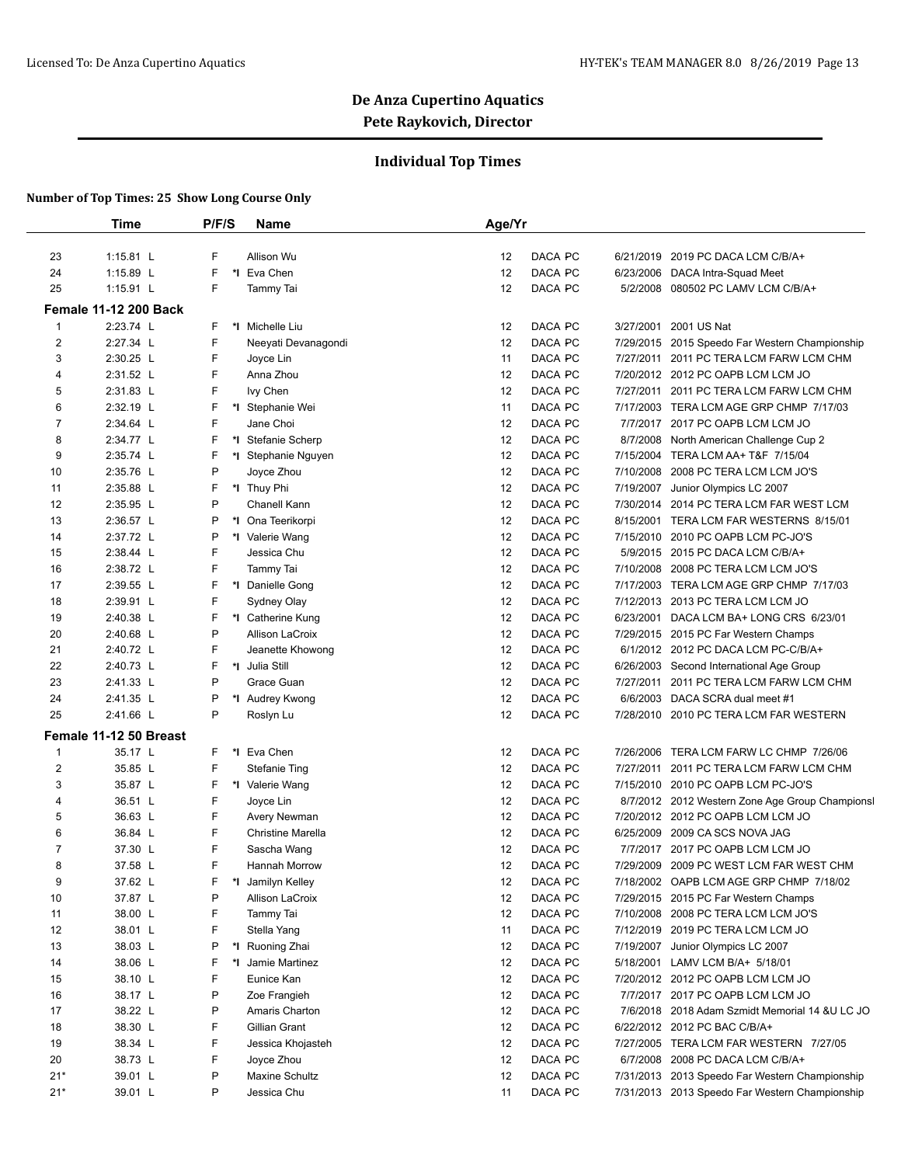## **Individual Top Times**

|                  | <b>Time</b>                  | P/F/S | <b>Name</b>          | Age/Yr                                                           |                               |
|------------------|------------------------------|-------|----------------------|------------------------------------------------------------------|-------------------------------|
|                  |                              |       |                      |                                                                  |                               |
| 23               | 1:15.81 L                    | F     | Allison Wu           | DACA PC<br>6/21/2019 2019 PC DACA LCM C/B/A+<br>12               |                               |
| 24               | 1:15.89 L                    | F     | *1 Eva Chen          | DACA PC<br>12<br>6/23/2006 DACA Intra-Squad Meet                 |                               |
| 25               | $1:15.91$ L                  | F     | Tammy Tai            | DACA PC<br>12<br>5/2/2008 080502 PC LAMV LCM C/B/A+              |                               |
|                  | <b>Female 11-12 200 Back</b> |       |                      |                                                                  |                               |
| 1                | 2:23.74 L                    | F.    | *I Michelle Liu      | DACA PC<br>12<br>3/27/2001 2001 US Nat                           |                               |
| $\overline{2}$   | 2:27.34 L                    | F     | Neeyati Devanagondi  | DACA PC<br>12<br>7/29/2015 2015 Speedo Far Western Championship  |                               |
| 3                | 2:30.25 L                    | F     | Joyce Lin            | DACA PC<br>11<br>7/27/2011 2011 PC TERA LCM FARW LCM CHM         |                               |
| 4                | 2:31.52 L                    | F     | Anna Zhou            | DACA PC<br>12<br>7/20/2012 2012 PC OAPB LCM LCM JO               |                               |
| 5                | 2:31.83 L                    | F.    | Ivy Chen             | DACA PC<br>12<br>7/27/2011 2011 PC TERA LCM FARW LCM CHM         |                               |
| 6                | 2:32.19 L                    | F     | *I Stephanie Wei     | DACA PC<br>11<br>7/17/2003 TERA LCM AGE GRP CHMP 7/17/03         |                               |
| 7                | 2:34.64 L                    | F     | Jane Choi            | DACA PC<br>12<br>7/7/2017 2017 PC OAPB LCM LCM JO                |                               |
| 8                | 2:34.77 L                    | F     | *I Stefanie Scherp   | DACA PC<br>12<br>8/7/2008 North American Challenge Cup 2         |                               |
| 9                | 2:35.74 L                    | F     | *I Stephanie Nguyen  | DACA PC<br>7/15/2004 TERA LCM AA+ T&F 7/15/04<br>12              |                               |
| 10               | 2:35.76 L                    | P     | Joyce Zhou           | DACA PC<br>7/10/2008 2008 PC TERA LCM LCM JO'S<br>12             |                               |
| 11               | 2:35.88 L                    | F     | *I Thuy Phi          | DACA PC<br>12<br>7/19/2007<br>Junior Olympics LC 2007            |                               |
| 12               | 2:35.95 L                    | P     | Chanell Kann         | DACA PC<br>12<br>7/30/2014 2014 PC TERA LCM FAR WEST LCM         |                               |
| 13               | 2:36.57 L                    | P     | *I Ona Teerikorpi    | DACA PC<br>12<br>8/15/2001                                       | TERA LCM FAR WESTERNS 8/15/01 |
| 14               | 2:37.72 L                    | P     | *I Valerie Wang      | DACA PC<br>12<br>7/15/2010 2010 PC OAPB LCM PC-JO'S              |                               |
| 15               | 2:38.44 L                    | F     | Jessica Chu          | DACA PC<br>12<br>5/9/2015 2015 PC DACA LCM C/B/A+                |                               |
| 16               | 2:38.72 L                    | F     | Tammy Tai            | DACA PC<br>12<br>7/10/2008 2008 PC TERA LCM LCM JO'S             |                               |
| 17               | 2:39.55 L                    | F     | *1 Danielle Gong     | DACA PC<br>12<br>7/17/2003 TERA LCM AGE GRP CHMP 7/17/03         |                               |
| 18               | 2:39.91 L                    | F     | Sydney Olay          | DACA PC<br>12<br>7/12/2013 2013 PC TERA LCM LCM JO               |                               |
| 19               | 2:40.38 L                    | F     | *I Catherine Kung    | DACA PC<br>12<br>6/23/2001 DACA LCM BA+ LONG CRS 6/23/01         |                               |
| 20               | 2:40.68 L                    | P     | Allison LaCroix      | DACA PC<br>12<br>7/29/2015 2015 PC Far Western Champs            |                               |
| 21               | 2:40.72 L                    | F     | Jeanette Khowong     | DACA PC<br>12<br>6/1/2012 2012 PC DACA LCM PC-C/B/A+             |                               |
| 22               | 2:40.73 L                    | F.    | *I Julia Still       | DACA PC<br>12<br>6/26/2003 Second International Age Group        |                               |
| 23               | 2:41.33 L                    | P     | Grace Guan           | DACA PC<br>12<br>7/27/2011                                       | 2011 PC TERA LCM FARW LCM CHM |
| 24               | 2:41.35 L                    | P     | *I Audrey Kwong      | DACA PC<br>6/6/2003 DACA SCRA dual meet #1<br>12                 |                               |
| 25               | 2:41.66 L                    | P     | Roslyn Lu            | DACA PC<br>12<br>7/28/2010 2010 PC TERA LCM FAR WESTERN          |                               |
|                  | Female 11-12 50 Breast       |       |                      |                                                                  |                               |
| $\mathbf{1}$     | 35.17 L                      | F.    | *I Eva Chen          | DACA PC<br>7/26/2006<br>12                                       | TERA LCM FARW LC CHMP 7/26/06 |
| $\boldsymbol{2}$ | 35.85 L                      | F     | <b>Stefanie Ting</b> | DACA PC<br>12<br>7/27/2011                                       | 2011 PC TERA LCM FARW LCM CHM |
| 3                | 35.87 L                      | F     | *I Valerie Wang      | DACA PC<br>12<br>7/15/2010 2010 PC OAPB LCM PC-JO'S              |                               |
| 4                | 36.51 L                      | F     | Joyce Lin            | DACA PC<br>12<br>8/7/2012 2012 Western Zone Age Group Championsl |                               |
| 5                | 36.63 L                      | F     | Avery Newman         | 12<br>DACA PC<br>7/20/2012 2012 PC OAPB LCM LCM JO               |                               |
| 6                | 36.84 L                      | F     | Christine Marella    | DACA PC<br>12<br>6/25/2009 2009 CA SCS NOVA JAG                  |                               |
| $\overline{7}$   | 37.30 L                      | F     | Sascha Wang          | 12<br>DACA PC<br>2017 PC OAPB LCM LCM JO<br>7/7/2017             |                               |
| 8                | 37.58 L                      | F     | <b>Hannah Morrow</b> | 12<br>DACA PC<br>7/29/2009 2009 PC WEST LCM FAR WEST CHM         |                               |
| 9                | 37.62 L                      | F     | *1 Jamilyn Kelley    | DACA PC<br>7/18/2002 OAPB LCM AGE GRP CHMP 7/18/02<br>12         |                               |
| 10               | 37.87 L                      | P     | Allison LaCroix      | DACA PC<br>12<br>7/29/2015 2015 PC Far Western Champs            |                               |
| 11               | 38.00 L                      | F     | Tammy Tai            | DACA PC<br>12<br>7/10/2008 2008 PC TERA LCM LCM JO'S             |                               |
| 12               | 38.01 L                      | F     | Stella Yang          | 11<br>DACA PC<br>7/12/2019 2019 PC TERA LCM LCM JO               |                               |
| 13               | 38.03 L                      | P     | *I Ruoning Zhai      | DACA PC<br>7/19/2007 Junior Olympics LC 2007<br>12               |                               |
| 14               | 38.06 L                      | F     | *I Jamie Martinez    | 12<br>DACA PC<br>5/18/2001 LAMV LCM B/A+ 5/18/01                 |                               |
| 15               | 38.10 L                      | F     | Eunice Kan           | DACA PC<br>12<br>7/20/2012 2012 PC OAPB LCM LCM JO               |                               |
| 16               | 38.17 L                      | P     | Zoe Frangieh         | DACA PC<br>7/7/2017 2017 PC OAPB LCM LCM JO<br>12                |                               |
| 17               | 38.22 L                      | P     | Amaris Charton       | DACA PC<br>12<br>7/6/2018 2018 Adam Szmidt Memorial 14 & U LC JO |                               |
| 18               | 38.30 L                      | F     | Gillian Grant        | DACA PC<br>12<br>6/22/2012 2012 PC BAC C/B/A+                    |                               |
| 19               | 38.34 L                      | F     | Jessica Khojasteh    | DACA PC<br>7/27/2005 TERA LCM FAR WESTERN 7/27/05<br>12          |                               |
| 20               | 38.73 L                      | F     | Joyce Zhou           | DACA PC<br>12<br>6/7/2008 2008 PC DACA LCM C/B/A+                |                               |
| $21*$            | 39.01 L                      | P     | Maxine Schultz       | DACA PC<br>12<br>7/31/2013 2013 Speedo Far Western Championship  |                               |
| $21*$            | 39.01 L                      | P     | Jessica Chu          | DACA PC<br>7/31/2013 2013 Speedo Far Western Championship<br>11  |                               |
|                  |                              |       |                      |                                                                  |                               |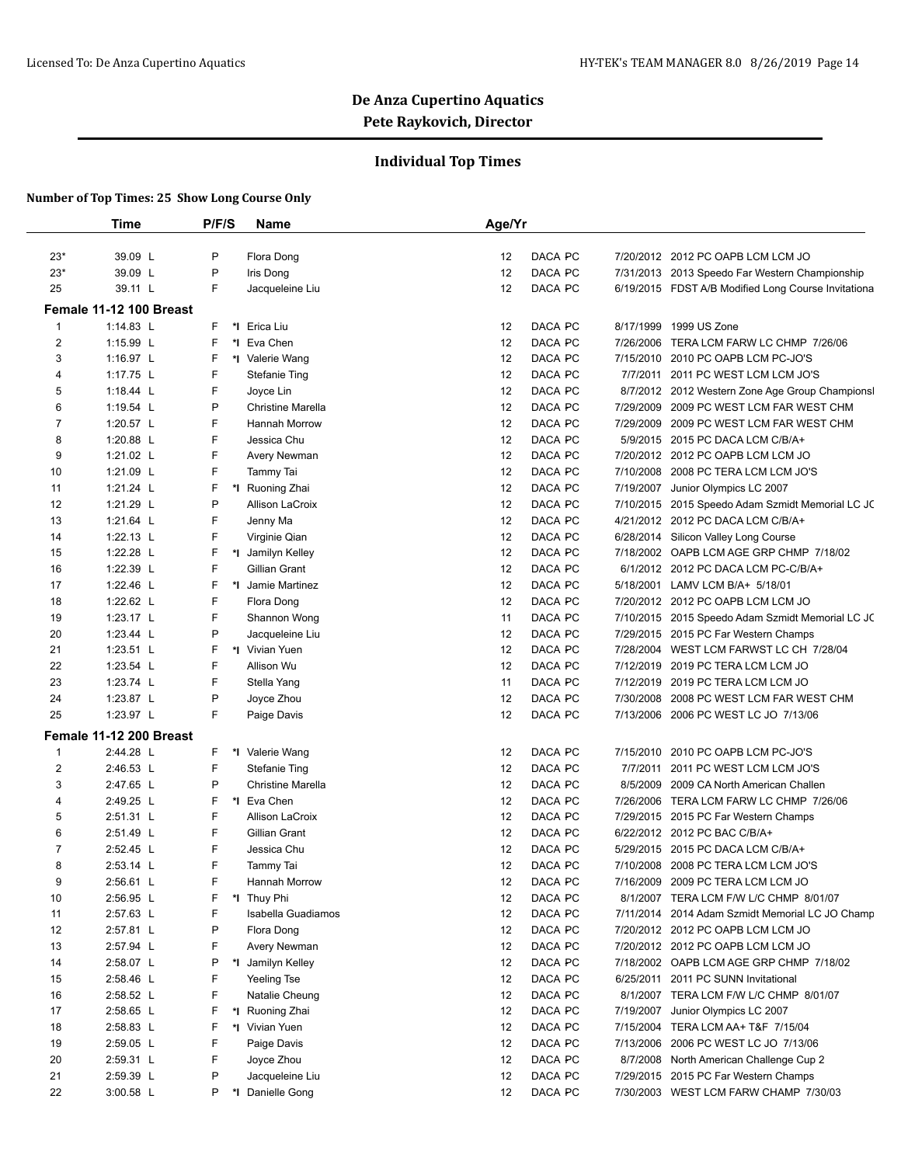## **Individual Top Times**

|                | <b>Time</b>             | P/F/S   | <b>Name</b>              | Age/Yr |                    |           |                                                              |
|----------------|-------------------------|---------|--------------------------|--------|--------------------|-----------|--------------------------------------------------------------|
|                |                         | P       |                          |        |                    |           |                                                              |
| $23*$          | 39.09 L                 | P       | Flora Dong               | 12     | DACA PC            |           | 7/20/2012 2012 PC OAPB LCM LCM JO                            |
| $23*$          | 39.09 L                 | F       | Iris Dong                | 12     | DACA PC            |           | 7/31/2013 2013 Speedo Far Western Championship               |
| 25             | 39.11 L                 |         | Jacqueleine Liu          | 12     | DACA PC            |           | 6/19/2015 FDST A/B Modified Long Course Invitationa          |
|                | Female 11-12 100 Breast |         |                          |        |                    |           |                                                              |
| $\mathbf{1}$   | 1:14.83 L               | F<br>F  | *I Erica Liu             | 12     | DACA PC            | 8/17/1999 | 1999 US Zone                                                 |
| $\overline{2}$ | 1:15.99 L               |         | *I Eva Chen              | 12     | DACA PC            | 7/26/2006 | TERA LCM FARW LC CHMP 7/26/06                                |
| 3              | 1:16.97 L               | F       | *I Valerie Wang          | 12     | DACA PC            |           | 7/15/2010 2010 PC OAPB LCM PC-JO'S                           |
| 4              | 1:17.75 L               | F       | <b>Stefanie Ting</b>     | 12     | DACA PC            |           | 7/7/2011 2011 PC WEST LCM LCM JO'S                           |
| 5              | 1:18.44 L               | F       | Joyce Lin                | 12     | DACA PC            |           | 8/7/2012 2012 Western Zone Age Group Championsl              |
| 6              | 1:19.54 L               | P       | <b>Christine Marella</b> | 12     | DACA PC            | 7/29/2009 | 2009 PC WEST LCM FAR WEST CHM                                |
| 7              | 1:20.57 L               | F       | Hannah Morrow            | 12     | DACA PC            | 7/29/2009 | 2009 PC WEST LCM FAR WEST CHM                                |
| 8              | 1:20.88 L               | F       | Jessica Chu              | 12     | DACA PC            |           | 5/9/2015 2015 PC DACA LCM C/B/A+                             |
| 9              | 1:21.02 L               | F       | Avery Newman             | 12     | DACA PC            |           | 7/20/2012 2012 PC OAPB LCM LCM JO                            |
| 10             | 1:21.09 L               | F       | <b>Tammy Tai</b>         | 12     | DACA PC            | 7/10/2008 | 2008 PC TERA LCM LCM JO'S                                    |
| 11             | 1:21.24 L               | F       | *I Ruoning Zhai          | 12     | DACA PC            | 7/19/2007 | Junior Olympics LC 2007                                      |
| 12             | 1:21.29 L               | P       | Allison LaCroix          | 12     | DACA PC            |           | 7/10/2015 2015 Speedo Adam Szmidt Memorial LC JC             |
| 13             | 1:21.64 L               | F       | Jenny Ma                 | 12     | DACA PC            |           | 4/21/2012 2012 PC DACA LCM C/B/A+                            |
| 14             | 1:22.13 L               | F       | Virginie Qian            | 12     | DACA PC            |           | 6/28/2014 Silicon Valley Long Course                         |
| 15             | 1:22.28 L               | F       | *1 Jamilyn Kelley        | 12     | DACA PC            |           | 7/18/2002 OAPB LCM AGE GRP CHMP 7/18/02                      |
| 16             | 1:22.39 L               | F       | Gillian Grant            | 12     | DACA PC            |           | 6/1/2012 2012 PC DACA LCM PC-C/B/A+                          |
| 17             | 1:22.46 L               | F       | *1 Jamie Martinez        | 12     | DACA PC            |           | 5/18/2001 LAMV LCM B/A+ 5/18/01                              |
| 18             | 1:22.62 L               | F       | Flora Dong               | 12     | DACA PC            |           | 7/20/2012 2012 PC OAPB LCM LCM JO                            |
| 19             | 1:23.17 L               | F       | Shannon Wong             | 11     | DACA PC            |           | 7/10/2015 2015 Speedo Adam Szmidt Memorial LC JC             |
| 20             | 1:23.44 L               | P       | Jacqueleine Liu          | 12     | DACA PC            |           | 7/29/2015 2015 PC Far Western Champs                         |
| 21             | 1:23.51 L               | F       | *I Vivian Yuen           | 12     | DACA PC            |           | 7/28/2004 WEST LCM FARWST LC CH 7/28/04                      |
| 22             | 1:23.54 L               | F       | Allison Wu               | 12     | DACA PC            |           | 7/12/2019 2019 PC TERA LCM LCM JO                            |
| 23             | 1:23.74 L               | F       | Stella Yang              | 11     | DACA PC            |           | 7/12/2019 2019 PC TERA LCM LCM JO                            |
| 24             | 1:23.87 L               | P       | Joyce Zhou               | 12     | DACA PC            | 7/30/2008 | 2008 PC WEST LCM FAR WEST CHM                                |
| 25             | 1:23.97 L               | F       | Paige Davis              | 12     | DACA PC            |           | 7/13/2006 2006 PC WEST LC JO 7/13/06                         |
|                | Female 11-12 200 Breast |         |                          |        |                    |           |                                                              |
| 1              | 2:44.28 L               | F       | *I Valerie Wang          | 12     | DACA PC            |           | 7/15/2010 2010 PC OAPB LCM PC-JO'S                           |
| 2              | 2:46.53 L               | F       | <b>Stefanie Ting</b>     | 12     | DACA PC            | 7/7/2011  | 2011 PC WEST LCM LCM JO'S                                    |
| 3              | 2:47.65 L               | P       | <b>Christine Marella</b> | 12     | DACA PC            | 8/5/2009  | 2009 CA North American Challen                               |
| 4              | 2:49.25 L               | F       | *I Eva Chen              | 12     | DACA PC            | 7/26/2006 | TERA LCM FARW LC CHMP 7/26/06                                |
| 5              | 2:51.31 L               | F       | Allison LaCroix          | 12     | DACA PC            |           | 7/29/2015 2015 PC Far Western Champs                         |
| 6              | 2:51.49 L               | F       | Gillian Grant            | 12     | DACA PC            |           | 6/22/2012 2012 PC BAC C/B/A+                                 |
| $\overline{7}$ | 2:52.45 L               | F       | Jessica Chu              | 12     | DACA PC            |           | 5/29/2015 2015 PC DACA LCM C/B/A+                            |
| 8              | 2:53.14 L               | F       | <b>Tammy Tai</b>         | 12     | DACA PC            |           | 7/10/2008 2008 PC TERA LCM LCM JO'S                          |
| 9              | 2:56.61 L               | F       | Hannah Morrow            | 12     | DACA PC            |           | 7/16/2009 2009 PC TERA LCM LCM JO                            |
| 10             | 2:56.95 L               | F       | *I Thuy Phi              | 12     | DACA PC            |           | 8/1/2007 TERA LCM F/W L/C CHMP 8/01/07                       |
| 11             | 2:57.63 L               | F       | Isabella Guadiamos       | 12     | DACA PC            |           | 7/11/2014 2014 Adam Szmidt Memorial LC JO Champ              |
| 12             | 2:57.81 L               | P       | Flora Dong               | 12     | DACA PC            |           | 7/20/2012 2012 PC OAPB LCM LCM JO                            |
| 13             | 2:57.94 L               | F       | Avery Newman             | 12     | DACA PC            |           | 7/20/2012 2012 PC OAPB LCM LCM JO                            |
| 14             | 2:58.07 L               | P<br>*l | Jamilyn Kelley           | 12     | DACA PC            |           | 7/18/2002 OAPB LCM AGE GRP CHMP 7/18/02                      |
| 15             | 2:58.46 L               | F       | Yeeling Tse              | 12     | DACA PC            | 6/25/2011 | 2011 PC SUNN Invitational                                    |
| 16             | 2:58.52 L               | F       | Natalie Cheung           | 12     | DACA PC            |           | 8/1/2007 TERA LCM F/W L/C CHMP 8/01/07                       |
| 17             | 2:58.65 L               | F       | *I Ruoning Zhai          | 12     | DACA PC            | 7/19/2007 | Junior Olympics LC 2007                                      |
| 18             | 2:58.83 L               | F       | *I Vivian Yuen           | 12     | DACA PC            | 7/15/2004 | TERA LCM AA+ T&F 7/15/04                                     |
|                |                         | F       |                          |        |                    |           |                                                              |
| 19             | 2:59.05 L               | F       | Paige Davis              | 12     | DACA PC            | 7/13/2006 | 2006 PC WEST LC JO 7/13/06<br>North American Challenge Cup 2 |
| 20             | 2:59.31 L               | P       | Joyce Zhou               | 12     | DACA PC<br>DACA PC | 8/7/2008  |                                                              |
| 21             | 2:59.39 L               |         | Jacqueleine Liu          | 12     |                    |           | 7/29/2015 2015 PC Far Western Champs                         |
| 22             | 3:00.58 L               | P       | *I Danielle Gong         | 12     | DACA PC            |           | 7/30/2003 WEST LCM FARW CHAMP 7/30/03                        |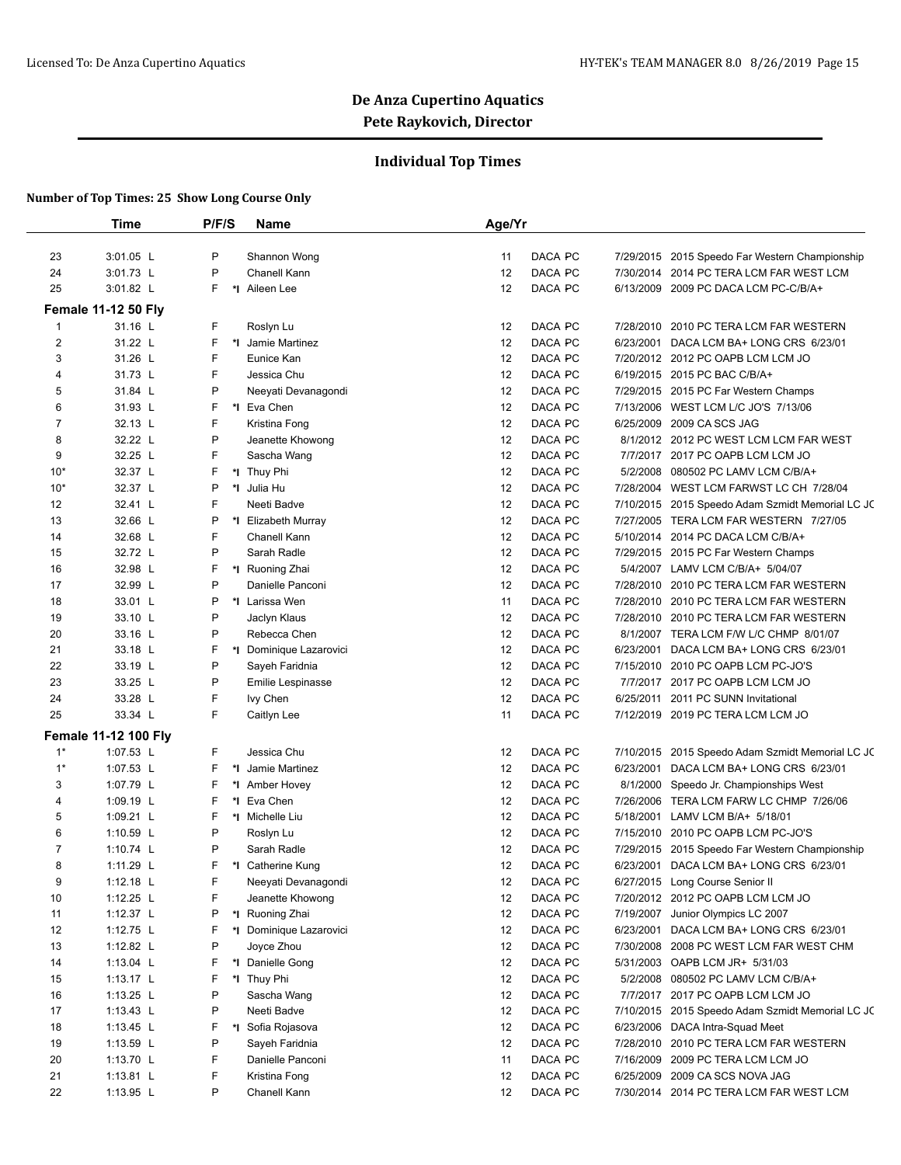## **Individual Top Times**

|                              | Time                        | P/F/S  | Name                            | Age/Yr   |                      |                                                                                 |
|------------------------------|-----------------------------|--------|---------------------------------|----------|----------------------|---------------------------------------------------------------------------------|
|                              |                             | P      |                                 |          |                      |                                                                                 |
| 23<br>24                     | 3:01.05 L<br>3:01.73 L      | P      | Shannon Wong<br>Chanell Kann    | 11<br>12 | DACA PC<br>DACA PC   | 7/29/2015 2015 Speedo Far Western Championship<br>2014 PC TERA LCM FAR WEST LCM |
|                              |                             | F      |                                 |          | 7/30/2014            |                                                                                 |
| 25                           | 3:01.82 L                   |        | *I Aileen Lee                   | 12       | DACA PC              | 6/13/2009 2009 PC DACA LCM PC-C/B/A+                                            |
|                              | <b>Female 11-12 50 Fly</b>  |        |                                 |          | DACA PC              |                                                                                 |
| 1                            | 31.16 L                     | F      | Roslyn Lu                       | 12       |                      | 7/28/2010 2010 PC TERA LCM FAR WESTERN                                          |
| $\overline{\mathbf{c}}$<br>3 | 31.22 L                     | F<br>F | *I Jamie Martinez<br>Eunice Kan | 12<br>12 | DACA PC<br>6/23/2001 | DACA LCM BA+ LONG CRS 6/23/01<br>7/20/2012 2012 PC OAPB LCM LCM JO              |
|                              | 31.26 L                     |        | Jessica Chu                     |          | DACA PC              |                                                                                 |
| 4<br>5                       | 31.73 L                     | F<br>P | Neeyati Devanagondi             | 12<br>12 | DACA PC              | 6/19/2015 2015 PC BAC C/B/A+<br>7/29/2015 2015 PC Far Western Champs            |
| 6                            | 31.84 L                     | F      | *1 Eva Chen                     | 12       | DACA PC<br>DACA PC   |                                                                                 |
|                              | 31.93 L                     |        |                                 |          | 7/13/2006<br>DACA PC | WEST LCM L/C JO'S 7/13/06                                                       |
| 7                            | 32.13 L                     | F      | Kristina Fong                   | 12       |                      | 6/25/2009 2009 CA SCS JAG                                                       |
| 8                            | 32.22 L                     | P      | Jeanette Khowong                | 12       | DACA PC              | 8/1/2012 2012 PC WEST LCM LCM FAR WEST                                          |
| 9                            | 32.25 L                     | F      | Sascha Wang                     | 12       | DACA PC              | 7/7/2017 2017 PC OAPB LCM LCM JO                                                |
| $10*$                        | 32.37 L                     | F      | *I Thuy Phi                     | 12       | DACA PC<br>5/2/2008  | 080502 PC LAMV LCM C/B/A+                                                       |
| $10*$                        | 32.37 L                     | P      | *I Julia Hu                     | 12       | DACA PC<br>7/28/2004 | WEST LCM FARWST LC CH 7/28/04                                                   |
| 12                           | 32.41 L                     | F      | Neeti Badve                     | 12       | DACA PC              | 7/10/2015 2015 Speedo Adam Szmidt Memorial LC JC                                |
| 13                           | 32.66 L                     | P      | *I Elizabeth Murray             | 12       | DACA PC              | 7/27/2005 TERA LCM FAR WESTERN 7/27/05                                          |
| 14                           | 32.68 L                     | F      | Chanell Kann                    | 12       | DACA PC              | 5/10/2014 2014 PC DACA LCM C/B/A+                                               |
| 15                           | 32.72 L                     | P      | Sarah Radle                     | 12       | DACA PC              | 7/29/2015 2015 PC Far Western Champs                                            |
| 16                           | 32.98 L                     | F      | *I Ruoning Zhai                 | 12       | DACA PC              | 5/4/2007 LAMV LCM C/B/A+ 5/04/07                                                |
| 17                           | 32.99 L                     | P      | Danielle Panconi                | 12       | DACA PC              | 7/28/2010 2010 PC TERA LCM FAR WESTERN                                          |
| 18                           | 33.01 L                     | P      | *I Larissa Wen                  | 11       | DACA PC              | 7/28/2010 2010 PC TERA LCM FAR WESTERN                                          |
| 19                           | 33.10 L                     | P      | Jaclyn Klaus                    | 12       | DACA PC              | 7/28/2010 2010 PC TERA LCM FAR WESTERN                                          |
| 20                           | 33.16 L                     | P      | Rebecca Chen                    | 12       | DACA PC<br>8/1/2007  | TERA LCM F/W L/C CHMP 8/01/07                                                   |
| 21                           | 33.18 L                     | F      | *I Dominique Lazarovici         | 12       | DACA PC<br>6/23/2001 | DACA LCM BA+ LONG CRS 6/23/01                                                   |
| 22                           | 33.19 L                     | P      | Sayeh Faridnia                  | 12       | DACA PC              | 7/15/2010 2010 PC OAPB LCM PC-JO'S                                              |
| 23                           | 33.25 L                     | P      | Emilie Lespinasse               | 12       | DACA PC              | 7/7/2017 2017 PC OAPB LCM LCM JO                                                |
| 24                           | 33.28 L                     | F      | lvy Chen                        | 12       | DACA PC<br>6/25/2011 | 2011 PC SUNN Invitational                                                       |
| 25                           | 33.34 L                     | F      | Caitlyn Lee                     | 11       | DACA PC              | 7/12/2019 2019 PC TERA LCM LCM JO                                               |
|                              | <b>Female 11-12 100 Fly</b> |        |                                 |          |                      |                                                                                 |
| $1^*$                        | 1:07.53 L                   | F      | Jessica Chu                     | 12       | DACA PC              | 7/10/2015 2015 Speedo Adam Szmidt Memorial LC JC                                |
| $1^*$                        | 1:07.53 L                   | F      | *I Jamie Martinez               | 12       | DACA PC<br>6/23/2001 | DACA LCM BA+ LONG CRS 6/23/01                                                   |
| 3                            | 1:07.79 L                   | F      | *1 Amber Hovey                  | 12       | DACA PC<br>8/1/2000  | Speedo Jr. Championships West                                                   |
| 4                            | 1:09.19 L                   | F      | *I Eva Chen                     | 12       | DACA PC<br>7/26/2006 | TERA LCM FARW LC CHMP 7/26/06                                                   |
| 5                            | 1:09.21 $L$                 | F      | *I Michelle Liu                 | 12       | DACA PC              | 5/18/2001 LAMV LCM B/A+ 5/18/01                                                 |
| 6                            | 1:10.59 L                   | P      | Roslyn Lu                       | 12       | DACA PC              | 7/15/2010 2010 PC OAPB LCM PC-JO'S                                              |
| $\overline{7}$               | 1:10.74 $L$                 | P      | Sarah Radle                     | 12       | DACA PC              | 7/29/2015 2015 Speedo Far Western Championship                                  |
| 8                            | 1:11.29 L                   | F      | *I Catherine Kung               | 12       | DACA PC<br>6/23/2001 | DACA LCM BA+ LONG CRS 6/23/01                                                   |
| 9                            | 1:12.18 L                   | F      | Neeyati Devanagondi             | 12       | DACA PC              | 6/27/2015 Long Course Senior II                                                 |
| 10                           | 1:12.25 $L$                 | F      | Jeanette Khowong                | 12       | DACA PC              | 7/20/2012 2012 PC OAPB LCM LCM JO                                               |
| 11                           | 1:12.37 $L$                 | P      | *I Ruoning Zhai                 | 12       | DACA PC<br>7/19/2007 | Junior Olympics LC 2007                                                         |
| 12                           | 1:12.75 $L$                 | F      | *I Dominique Lazarovici         | 12       | DACA PC<br>6/23/2001 | DACA LCM BA+ LONG CRS 6/23/01                                                   |
| 13                           | 1:12.82 L                   | P      | Joyce Zhou                      | 12       | DACA PC              | 7/30/2008 2008 PC WEST LCM FAR WEST CHM                                         |
| 14                           | 1:13.04 $L$                 | F      | *1 Danielle Gong                | 12       | DACA PC              | 5/31/2003 OAPB LCM JR+ 5/31/03                                                  |
| 15                           | 1:13.17 $L$                 | F      | *I Thuy Phi                     | 12       | DACA PC              | 5/2/2008 080502 PC LAMV LCM C/B/A+                                              |
| 16                           | 1:13.25 $L$                 | P      | Sascha Wang                     | 12       | DACA PC              | 7/7/2017 2017 PC OAPB LCM LCM JO                                                |
| 17                           | 1:13.43 $L$                 | P      | Neeti Badve                     | 12       | DACA PC              | 7/10/2015 2015 Speedo Adam Szmidt Memorial LC JC                                |
| 18                           | 1:13.45 $L$                 | F      | *I Sofia Rojasova               | 12       | DACA PC              | 6/23/2006 DACA Intra-Squad Meet                                                 |
| 19                           | 1:13.59 $L$                 | P      | Sayeh Faridnia                  | 12       | DACA PC              | 7/28/2010 2010 PC TERA LCM FAR WESTERN                                          |
| 20                           | 1:13.70 L                   | F      | Danielle Panconi                | 11       | DACA PC              | 7/16/2009 2009 PC TERA LCM LCM JO                                               |
| 21                           | $1:13.81$ L                 | F      | Kristina Fong                   | 12       | DACA PC              | 6/25/2009 2009 CA SCS NOVA JAG                                                  |
| 22                           | $1:13.95$ L                 | P      | Chanell Kann                    | 12       | DACA PC              | 7/30/2014 2014 PC TERA LCM FAR WEST LCM                                         |
|                              |                             |        |                                 |          |                      |                                                                                 |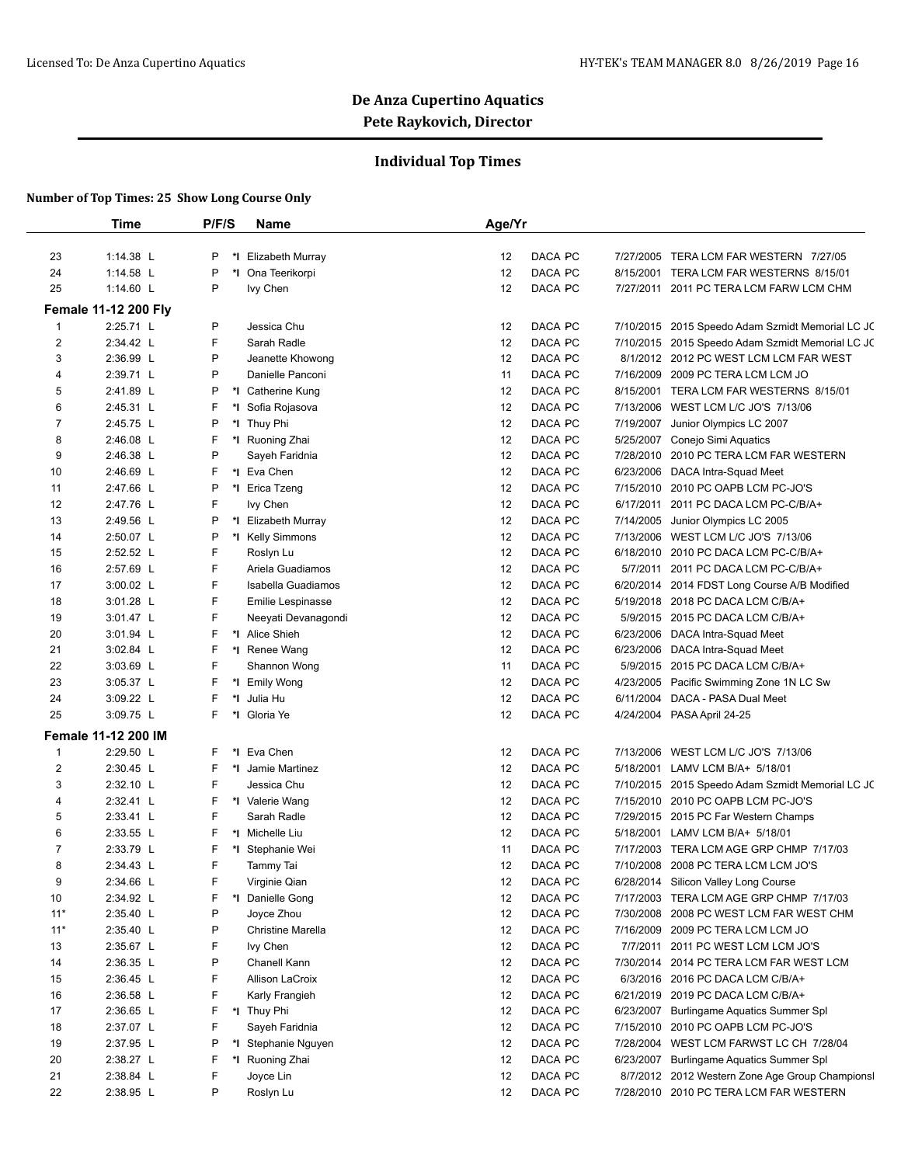## **Individual Top Times**

|                | <b>Time</b>                 | P/F/S   | Name                     | Age/Yr                                                            |
|----------------|-----------------------------|---------|--------------------------|-------------------------------------------------------------------|
|                |                             |         |                          |                                                                   |
| 23             | 1:14.38 L                   | P<br>*I | Elizabeth Murray         | DACA PC<br>7/27/2005 TERA LCM FAR WESTERN 7/27/05<br>12           |
| 24             | 1:14.58 L                   | P       | Ona Teerikorpi<br>*∣     | DACA PC<br>12<br>8/15/2001 TERA LCM FAR WESTERNS 8/15/01          |
| 25             | 1:14.60 L                   | P       | Ivy Chen                 | DACA PC<br>12<br>7/27/2011 2011 PC TERA LCM FARW LCM CHM          |
|                | <b>Female 11-12 200 Flv</b> |         |                          |                                                                   |
| 1              | 2:25.71 L                   | P       | Jessica Chu              | DACA PC<br>12<br>7/10/2015 2015 Speedo Adam Szmidt Memorial LC JC |
| $\overline{2}$ | 2:34.42 L                   | F       | Sarah Radle              | DACA PC<br>12<br>7/10/2015 2015 Speedo Adam Szmidt Memorial LC JC |
| 3              | 2:36.99 L                   | P       | Jeanette Khowong         | DACA PC<br>12<br>8/1/2012 2012 PC WEST LCM LCM FAR WEST           |
| 4              | 2:39.71 L                   | P       | Danielle Panconi         | DACA PC<br>11<br>7/16/2009 2009 PC TERA LCM LCM JO                |
| 5              | 2:41.89 L                   | P       | *1 Catherine Kung        | DACA PC<br>12<br>8/15/2001 TERA LCM FAR WESTERNS 8/15/01          |
| 6              | 2:45.31 L                   | F<br>*∣ | Sofia Rojasova           | 12<br>DACA PC<br>7/13/2006 WEST LCM L/C JO'S 7/13/06              |
| 7              | 2:45.75 L                   | P       | *I Thuy Phi              | DACA PC<br>12<br>7/19/2007<br>Junior Olympics LC 2007             |
| 8              | 2:46.08 L                   | F       | *I Ruoning Zhai          | 12<br>DACA PC<br>5/25/2007 Conejo Simi Aquatics                   |
| 9              | 2:46.38 L                   | P       | Sayeh Faridnia           | DACA PC<br>7/28/2010 2010 PC TERA LCM FAR WESTERN<br>12           |
| 10             | 2:46.69 L                   | F       | *I Eva Chen              | DACA PC<br>6/23/2006 DACA Intra-Squad Meet<br>12                  |
| 11             | 2:47.66 L                   | P       | *∣<br>Erica Tzeng        | 12<br>DACA PC<br>7/15/2010 2010 PC OAPB LCM PC-JO'S               |
| 12             | 2:47.76 L                   | F       | Ivy Chen                 | 12<br>DACA PC<br>6/17/2011 2011 PC DACA LCM PC-C/B/A+             |
| 13             | 2:49.56 L                   | P       | *I Elizabeth Murray      | DACA PC<br>12<br>7/14/2005 Junior Olympics LC 2005                |
| 14             | 2:50.07 L                   | P       | *I Kelly Simmons         | 12<br>DACA PC<br>7/13/2006 WEST LCM L/C JO'S 7/13/06              |
| 15             | 2:52.52 L                   | F       | Roslyn Lu                | DACA PC<br>12<br>6/18/2010 2010 PC DACA LCM PC-C/B/A+             |
| 16             | 2:57.69 L                   | F       | Ariela Guadiamos         | DACA PC<br>12<br>5/7/2011 2011 PC DACA LCM PC-C/B/A+              |
| 17             | 3:00.02 L                   | F       | Isabella Guadiamos       | 12<br>DACA PC<br>6/20/2014 2014 FDST Long Course A/B Modified     |
| 18             | 3:01.28 L                   | F       | Emilie Lespinasse        | 12<br>DACA PC<br>5/19/2018 2018 PC DACA LCM C/B/A+                |
| 19             | 3:01.47 L                   | F       | Neeyati Devanagondi      | DACA PC<br>12<br>5/9/2015 2015 PC DACA LCM C/B/A+                 |
| 20             | 3:01.94 L                   | F       | *1 Alice Shieh           | DACA PC<br>12<br>6/23/2006 DACA Intra-Squad Meet                  |
| 21             | $3:02.84$ L                 | F       | *I Renee Wang            | DACA PC<br>6/23/2006 DACA Intra-Squad Meet<br>12                  |
| 22             | 3:03.69 L                   | F       | Shannon Wong             | DACA PC<br>11<br>5/9/2015 2015 PC DACA LCM C/B/A+                 |
| 23             | 3:05.37 L                   | F       | *I Emily Wong            | DACA PC<br>12<br>4/23/2005 Pacific Swimming Zone 1N LC Sw         |
| 24             | 3:09.22 L                   | F<br>*∣ | Julia Hu                 | 12<br>DACA PC<br>6/11/2004<br>DACA - PASA Dual Meet               |
| 25             | 3:09.75 L                   | F       | Gloria Ye<br>*∣          | 12<br>DACA PC<br>4/24/2004 PASA April 24-25                       |
|                | <b>Female 11-12 200 IM</b>  |         |                          |                                                                   |
| 1              | 2:29.50 L                   | F.      | Eva Chen<br>*∣           | DACA PC<br>12<br>7/13/2006 WEST LCM L/C JO'S 7/13/06              |
| $\overline{2}$ | 2:30.45 L                   | F       | *I Jamie Martinez        | DACA PC<br>12<br>5/18/2001 LAMV LCM B/A+ 5/18/01                  |
| 3              | 2:32.10 L                   | F       | Jessica Chu              | 12<br>DACA PC<br>7/10/2015 2015 Speedo Adam Szmidt Memorial LC JC |
| 4              | 2:32.41 L                   | F       | *I Valerie Wang          | DACA PC<br>7/15/2010 2010 PC OAPB LCM PC-JO'S<br>12               |
| 5              | 2:33.41 L                   | F       | Sarah Radle              | DACA PC<br>12<br>7/29/2015 2015 PC Far Western Champs             |
| 6              | 2:33.55 L                   | F       | *I Michelle Liu          | 12<br>DACA PC<br>5/18/2001 LAMV LCM B/A+ 5/18/01                  |
| 7              | 2:33.79 L                   | F       | *∣<br>Stephanie Wei      | DACA PC<br>11<br>7/17/2003 TERA LCM AGE GRP CHMP 7/17/03          |
| 8              | 2:34.43 L                   | F       | Tammy Tai                | 12<br>DACA PC<br>7/10/2008 2008 PC TERA LCM LCM JO'S              |
| 9              | 2:34.66 L                   | F       | Virginie Qian            | DACA PC<br>12<br>6/28/2014 Silicon Valley Long Course             |
| 10             | 2:34.92 L                   | F       | *I Danielle Gong         | DACA PC<br>12<br>7/17/2003 TERA LCM AGE GRP CHMP 7/17/03          |
| $11*$          | 2:35.40 L                   | P       | Joyce Zhou               | DACA PC<br>7/30/2008 2008 PC WEST LCM FAR WEST CHM<br>12          |
| $11*$          | 2:35.40 L                   | P       | <b>Christine Marella</b> | 12<br>DACA PC<br>7/16/2009 2009 PC TERA LCM LCM JO                |
| 13             | 2:35.67 L                   | F       | Ivy Chen                 | 12<br>DACA PC<br>7/7/2011 2011 PC WEST LCM LCM JO'S               |
| 14             | 2:36.35 L                   | P       | Chanell Kann             | 12<br>DACA PC<br>7/30/2014 2014 PC TERA LCM FAR WEST LCM          |
| 15             | 2:36.45 L                   | F       | Allison LaCroix          | 12<br>DACA PC<br>6/3/2016 2016 PC DACA LCM C/B/A+                 |
| 16             | 2:36.58 L                   | F       | Karly Frangieh           | DACA PC<br>12<br>6/21/2019 2019 PC DACA LCM C/B/A+                |
| 17             | 2:36.65 L                   | F.      | *I Thuy Phi              | DACA PC<br>12<br>6/23/2007<br>Burlingame Aquatics Summer Spl      |
| 18             | 2:37.07 L                   | F       | Sayeh Faridnia           | 12<br>DACA PC<br>7/15/2010<br>2010 PC OAPB LCM PC-JO'S            |
| 19             | 2:37.95 L                   | P       | *I Stephanie Nguyen      | DACA PC<br>7/28/2004 WEST LCM FARWST LC CH 7/28/04<br>12          |
| 20             | 2:38.27 L                   | F       | *I Ruoning Zhai          | 12<br>DACA PC<br>6/23/2007 Burlingame Aquatics Summer Spl         |
| 21             | 2:38.84 L                   | F       | Joyce Lin                | 12<br>DACA PC<br>8/7/2012 2012 Western Zone Age Group Championsl  |
| 22             | 2:38.95 L                   | P       | Roslyn Lu                | DACA PC<br>7/28/2010 2010 PC TERA LCM FAR WESTERN<br>12           |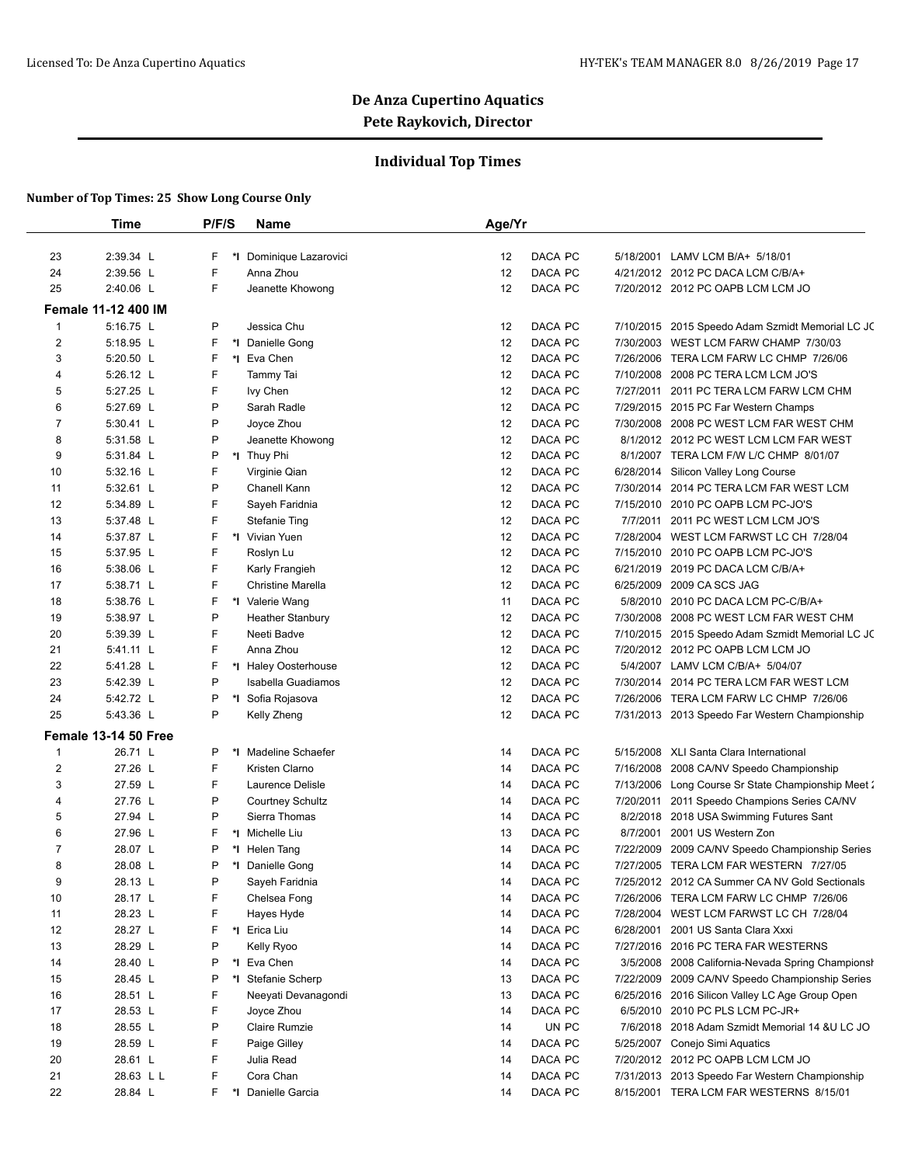## **Individual Top Times**

|                | <b>Time</b>                | P/F/S | Name                    | Age/Yr        |           |                                                    |
|----------------|----------------------------|-------|-------------------------|---------------|-----------|----------------------------------------------------|
|                |                            |       |                         |               |           |                                                    |
| 23             | 2:39.34 L                  | F     | *I Dominique Lazarovici | DACA PC<br>12 |           | 5/18/2001 LAMV LCM B/A+ 5/18/01                    |
| 24             | 2:39.56 L                  | F     | Anna Zhou               | DACA PC<br>12 |           | 4/21/2012 2012 PC DACA LCM C/B/A+                  |
| 25             | 2:40.06 L                  | F     | Jeanette Khowong        | DACA PC<br>12 |           | 7/20/2012 2012 PC OAPB LCM LCM JO                  |
|                | <b>Female 11-12 400 IM</b> |       |                         |               |           |                                                    |
| $\mathbf{1}$   | 5:16.75 L                  | P     | Jessica Chu             | DACA PC<br>12 |           | 7/10/2015 2015 Speedo Adam Szmidt Memorial LC JC   |
| $\overline{2}$ | 5:18.95 L                  | F     | *1 Danielle Gong        | DACA PC<br>12 |           | 7/30/2003 WEST LCM FARW CHAMP 7/30/03              |
| 3              | 5:20.50 L                  | F     | *1 Eva Chen             | DACA PC<br>12 |           | 7/26/2006 TERA LCM FARW LC CHMP 7/26/06            |
| 4              | 5:26.12 L                  | F     | Tammy Tai               | 12<br>DACA PC |           | 7/10/2008 2008 PC TERA LCM LCM JO'S                |
| 5              | 5:27.25 L                  | F     | Ivy Chen                | 12<br>DACA PC | 7/27/2011 | 2011 PC TERA LCM FARW LCM CHM                      |
| 6              | 5:27.69 L                  | P     | Sarah Radle             | DACA PC<br>12 |           | 7/29/2015 2015 PC Far Western Champs               |
| 7              | 5:30.41 L                  | P     | Joyce Zhou              | 12<br>DACA PC |           | 7/30/2008 2008 PC WEST LCM FAR WEST CHM            |
| 8              | 5:31.58 L                  | P     | Jeanette Khowong        | DACA PC<br>12 |           | 8/1/2012 2012 PC WEST LCM LCM FAR WEST             |
| 9              | 5:31.84 L                  | Ρ     | *I Thuy Phi             | 12<br>DACA PC |           | 8/1/2007 TERA LCM F/W L/C CHMP 8/01/07             |
| 10             | 5:32.16 L                  | F     | Virginie Qian           | 12<br>DACA PC |           | 6/28/2014 Silicon Valley Long Course               |
| 11             | 5:32.61 L                  | P     | Chanell Kann            | 12<br>DACA PC | 7/30/2014 | 2014 PC TERA LCM FAR WEST LCM                      |
| 12             | 5:34.89 L                  | F     | Sayeh Faridnia          | DACA PC<br>12 | 7/15/2010 | 2010 PC OAPB LCM PC-JO'S                           |
| 13             | 5:37.48 L                  | F     | <b>Stefanie Ting</b>    | 12<br>DACA PC | 7/7/2011  | 2011 PC WEST LCM LCM JO'S                          |
| 14             | 5:37.87 L                  | F     | *I Vivian Yuen          | DACA PC<br>12 |           | 7/28/2004 WEST LCM FARWST LC CH 7/28/04            |
| 15             | 5:37.95 L                  | F     | Roslyn Lu               | DACA PC<br>12 | 7/15/2010 | 2010 PC OAPB LCM PC-JO'S                           |
| 16             | 5:38.06 L                  | F     | Karly Frangieh          | 12<br>DACA PC |           | 6/21/2019 2019 PC DACA LCM C/B/A+                  |
| 17             | 5:38.71 L                  | F     | Christine Marella       | 12<br>DACA PC | 6/25/2009 | 2009 CA SCS JAG                                    |
| 18             | 5:38.76 L                  | F     | *I Valerie Wang         | DACA PC<br>11 | 5/8/2010  | 2010 PC DACA LCM PC-C/B/A+                         |
| 19             | 5:38.97 L                  | P     | <b>Heather Stanbury</b> | DACA PC<br>12 | 7/30/2008 | 2008 PC WEST LCM FAR WEST CHM                      |
| 20             | 5:39.39 L                  | F     | Neeti Badve             | 12<br>DACA PC |           | 7/10/2015 2015 Speedo Adam Szmidt Memorial LC JC   |
| 21             | 5:41.11 L                  | F     | Anna Zhou               | DACA PC<br>12 |           | 7/20/2012 2012 PC OAPB LCM LCM JO                  |
| 22             | 5:41.28 L                  | F     | *I Haley Oosterhouse    | DACA PC<br>12 |           | 5/4/2007 LAMV LCM C/B/A+ 5/04/07                   |
| 23             | 5:42.39 L                  | P     | Isabella Guadiamos      | 12<br>DACA PC |           | 7/30/2014 2014 PC TERA LCM FAR WEST LCM            |
| 24             | 5:42.72 L                  | P     | *I Sofia Rojasova       | DACA PC<br>12 |           | 7/26/2006 TERA LCM FARW LC CHMP 7/26/06            |
| 25             | 5:43.36 L                  | P     | Kelly Zheng             | DACA PC<br>12 |           | 7/31/2013 2013 Speedo Far Western Championship     |
|                | Female 13-14 50 Free       |       |                         |               |           |                                                    |
| $\mathbf{1}$   | 26.71 L                    | P     | *I Madeline Schaefer    | DACA PC<br>14 |           | 5/15/2008 XLI Santa Clara International            |
| $\overline{2}$ | 27.26 L                    | F     | Kristen Clarno          | DACA PC<br>14 | 7/16/2008 | 2008 CA/NV Speedo Championship                     |
| 3              | 27.59 L                    | F     | Laurence Delisle        | DACA PC<br>14 |           | 7/13/2006 Long Course Sr State Championship Meet 2 |
| 4              | 27.76 L                    | P     | <b>Courtney Schultz</b> | DACA PC<br>14 |           | 7/20/2011 2011 Speedo Champions Series CA/NV       |
| 5              | 27.94 L                    | P     | Sierra Thomas           | DACA PC<br>14 |           | 8/2/2018 2018 USA Swimming Futures Sant            |
| 6              | 27.96 L                    | F     | *I Michelle Liu         | 13<br>DACA PC |           | 8/7/2001 2001 US Western Zon                       |
| 7              | 28.07 L                    | P     | *I Helen Tang           | DACA PC<br>14 | 7/22/2009 | 2009 CA/NV Speedo Championship Series              |
| 8              | 28.08 L                    | P     | *1 Danielle Gong        | DACA PC<br>14 |           | 7/27/2005 TERA LCM FAR WESTERN 7/27/05             |
| 9              | 28.13 L                    | P     | Sayeh Faridnia          | DACA PC<br>14 |           | 7/25/2012 2012 CA Summer CA NV Gold Sectionals     |
| 10             | 28.17 L                    | F     | Chelsea Fong            | DACA PC<br>14 |           | 7/26/2006 TERA LCM FARW LC CHMP 7/26/06            |
| 11             | 28.23 L                    | F     | Hayes Hyde              | DACA PC<br>14 |           | 7/28/2004 WEST LCM FARWST LC CH 7/28/04            |
| 12             | 28.27 L                    | F     | *I Erica Liu            | 14<br>DACA PC |           | 6/28/2001 2001 US Santa Clara Xxxi                 |
| 13             | 28.29 L                    | P     | Kelly Ryoo              | DACA PC<br>14 |           | 7/27/2016 2016 PC TERA FAR WESTERNS                |
| 14             | 28.40 L                    | P     | *I Eva Chen             | DACA PC<br>14 | 3/5/2008  | 2008 California-Nevada Spring Championsh           |
| 15             | 28.45 L                    | Ρ     | *I Stefanie Scherp      | 13<br>DACA PC |           | 7/22/2009 2009 CA/NV Speedo Championship Series    |
| 16             | 28.51 L                    | F     | Neevati Devanagondi     | DACA PC<br>13 |           | 6/25/2016 2016 Silicon Valley LC Age Group Open    |
| 17             | 28.53 L                    | F.    | Joyce Zhou              | DACA PC<br>14 | 6/5/2010  | 2010 PC PLS LCM PC-JR+                             |
| 18             | 28.55 L                    | P     | Claire Rumzie           | UN PC<br>14   |           | 7/6/2018 2018 Adam Szmidt Memorial 14 & U LC JO    |
| 19             | 28.59 L                    | F     | Paige Gilley            | DACA PC<br>14 |           | 5/25/2007 Conejo Simi Aquatics                     |
| 20             | 28.61 L                    | F     | Julia Read              | DACA PC<br>14 |           | 7/20/2012 2012 PC OAPB LCM LCM JO                  |
| 21             | 28.63 L L                  | F     | Cora Chan               | DACA PC<br>14 |           | 7/31/2013 2013 Speedo Far Western Championship     |
| 22             | 28.84 L                    | F.    | *I Danielle Garcia      | DACA PC<br>14 |           | 8/15/2001 TERA LCM FAR WESTERNS 8/15/01            |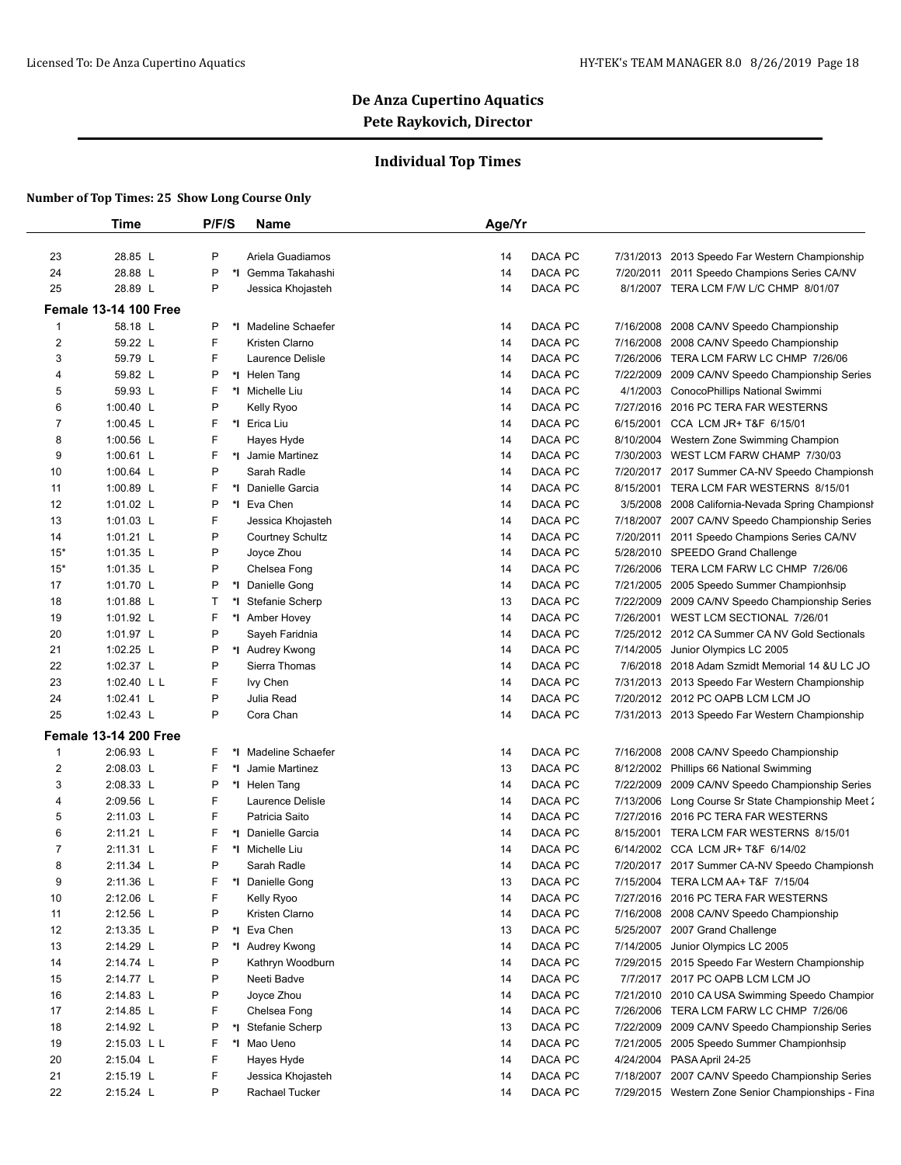## **Individual Top Times**

|       | Time                                    | P/F/S              | <b>Name</b>                        | Age/Yr |         |           |                                                    |
|-------|-----------------------------------------|--------------------|------------------------------------|--------|---------|-----------|----------------------------------------------------|
| 23    | 28.85 L                                 | P                  | Ariela Guadiamos                   | 14     | DACA PC | 7/31/2013 | 2013 Speedo Far Western Championship               |
| 24    | 28.88 L                                 | P                  | *I Gemma Takahashi                 | 14     | DACA PC | 7/20/2011 | 2011 Speedo Champions Series CA/NV                 |
| 25    | 28.89 L                                 | P                  | Jessica Khojasteh                  | 14     | DACA PC |           | 8/1/2007 TERA LCM F/W L/C CHMP 8/01/07             |
|       |                                         |                    |                                    |        |         |           |                                                    |
|       | <b>Female 13-14 100 Free</b><br>58.18 L | P                  | *I Madeline Schaefer               |        |         |           |                                                    |
| 1     |                                         | F                  |                                    | 14     | DACA PC | 7/16/2008 | 2008 CA/NV Speedo Championship                     |
| 2     | 59.22 L<br>59.79 L                      | F                  | Kristen Clarno<br>Laurence Delisle | 14     | DACA PC |           | 7/16/2008 2008 CA/NV Speedo Championship           |
| 3     | 59.82 L                                 |                    |                                    | 14     | DACA PC |           | 7/26/2006 TERA LCM FARW LC CHMP 7/26/06            |
| 4     |                                         | P<br>F             | *I Helen Tang                      | 14     | DACA PC | 7/22/2009 | 2009 CA/NV Speedo Championship Series              |
| 5     | 59.93 L                                 | P                  | *I Michelle Liu                    | 14     | DACA PC | 4/1/2003  | ConocoPhillips National Swimmi                     |
| 6     | 1:00.40 L                               |                    | Kelly Ryoo                         | 14     | DACA PC | 7/27/2016 | 2016 PC TERA FAR WESTERNS                          |
| 7     | 1:00.45 L                               | F                  | *I Erica Liu                       | 14     | DACA PC | 6/15/2001 | CCA LCM JR+ T&F 6/15/01                            |
| 8     | 1:00.56 L                               | F                  | Hayes Hyde                         | 14     | DACA PC |           | 8/10/2004 Western Zone Swimming Champion           |
| 9     | 1:00.61 L                               | F                  | *I Jamie Martinez                  | 14     | DACA PC |           | 7/30/2003 WEST LCM FARW CHAMP 7/30/03              |
| 10    | 1:00.64 L                               | P                  | Sarah Radle                        | 14     | DACA PC |           | 7/20/2017 2017 Summer CA-NV Speedo Championsh      |
| 11    | 1:00.89 L                               | F                  | *1 Danielle Garcia                 | 14     | DACA PC | 8/15/2001 | TERA LCM FAR WESTERNS 8/15/01                      |
| 12    | 1:01.02 L                               | P<br>*∣            | Eva Chen                           | 14     | DACA PC | 3/5/2008  | 2008 California-Nevada Spring Championsh           |
| 13    | 1:01.03 L                               | F                  | Jessica Khojasteh                  | 14     | DACA PC | 7/18/2007 | 2007 CA/NV Speedo Championship Series              |
| 14    | 1:01.21 L                               | P                  | <b>Courtney Schultz</b>            | 14     | DACA PC |           | 7/20/2011 2011 Speedo Champions Series CA/NV       |
| $15*$ | 1:01.35 L                               | P                  | Joyce Zhou                         | 14     | DACA PC |           | 5/28/2010 SPEEDO Grand Challenge                   |
| $15*$ | 1:01.35 L                               | P                  | Chelsea Fong                       | 14     | DACA PC |           | 7/26/2006 TERA LCM FARW LC CHMP 7/26/06            |
| 17    | 1:01.70 L                               | P<br>*∣            | Danielle Gong                      | 14     | DACA PC |           | 7/21/2005 2005 Speedo Summer Championhsip          |
| 18    | 1:01.88 L                               | $\mathsf{T}$<br>*I | Stefanie Scherp                    | 13     | DACA PC | 7/22/2009 | 2009 CA/NV Speedo Championship Series              |
| 19    | 1:01.92 L                               | F                  | *I Amber Hovey                     | 14     | DACA PC | 7/26/2001 | WEST LCM SECTIONAL 7/26/01                         |
| 20    | 1:01.97 L                               | P                  | Sayeh Faridnia                     | 14     | DACA PC |           | 7/25/2012 2012 CA Summer CA NV Gold Sectionals     |
| 21    | 1:02.25 L                               | P                  | *I Audrey Kwong                    | 14     | DACA PC | 7/14/2005 | Junior Olympics LC 2005                            |
| 22    | 1:02.37 L                               | P                  | Sierra Thomas                      | 14     | DACA PC |           | 7/6/2018 2018 Adam Szmidt Memorial 14 & U LC JO    |
| 23    | 1:02.40 L L                             | F                  | Ivy Chen                           | 14     | DACA PC |           | 7/31/2013 2013 Speedo Far Western Championship     |
| 24    | 1:02.41 L                               | P                  | Julia Read                         | 14     | DACA PC |           | 7/20/2012 2012 PC OAPB LCM LCM JO                  |
| 25    | 1:02.43 L                               | P                  | Cora Chan                          | 14     | DACA PC |           | 7/31/2013 2013 Speedo Far Western Championship     |
|       | <b>Female 13-14 200 Free</b>            |                    |                                    |        |         |           |                                                    |
| 1     | 2:06.93 L                               | F                  | *I Madeline Schaefer               | 14     | DACA PC | 7/16/2008 | 2008 CA/NV Speedo Championship                     |
| 2     | 2:08.03 L                               | F                  | *I Jamie Martinez                  | 13     | DACA PC |           | 8/12/2002 Phillips 66 National Swimming            |
| 3     | 2:08.33 L                               | P                  | *I Helen Tang                      | 14     | DACA PC | 7/22/2009 | 2009 CA/NV Speedo Championship Series              |
| 4     | 2:09.56 L                               | F                  | Laurence Delisle                   | 14     | DACA PC |           | 7/13/2006 Long Course Sr State Championship Meet 2 |
| 5     | 2:11.03 L                               | F                  | Patricia Saito                     | 14     | DACA PC |           | 7/27/2016 2016 PC TERA FAR WESTERNS                |
| 6     | 2:11.21 L                               | F                  | *1 Danielle Garcia                 | 14     | DACA PC |           | 8/15/2001 TERA LCM FAR WESTERNS 8/15/01            |
| 7     | 2:11.31 L                               | F                  | *I Michelle Liu                    | 14     | DACA PC |           | 6/14/2002 CCA LCM JR+ T&F 6/14/02                  |
| 8     | 2:11.34 L                               | P                  | Sarah Radle                        | 14     | DACA PC |           | 7/20/2017 2017 Summer CA-NV Speedo Championsh      |
| 9     | 2:11.36 L                               | F                  | *I Danielle Gong                   | 13     | DACA PC |           | 7/15/2004 TERA LCM AA+ T&F 7/15/04                 |
| 10    | 2:12.06 L                               | F                  | Kelly Ryoo                         | 14     | DACA PC |           | 7/27/2016 2016 PC TERA FAR WESTERNS                |
| 11    | 2:12.56 L                               | P                  | Kristen Clarno                     | 14     | DACA PC |           | 7/16/2008 2008 CA/NV Speedo Championship           |
| 12    | 2:13.35 L                               | P                  | *I Eva Chen                        | 13     | DACA PC |           | 5/25/2007 2007 Grand Challenge                     |
| 13    | 2:14.29 L                               | P                  | *I Audrey Kwong                    | 14     | DACA PC |           | 7/14/2005 Junior Olympics LC 2005                  |
| 14    | 2:14.74 L                               | P                  | Kathryn Woodburn                   | 14     | DACA PC |           | 7/29/2015 2015 Speedo Far Western Championship     |
| 15    | 2:14.77 L                               | P                  | Neeti Badve                        | 14     | DACA PC |           | 7/7/2017 2017 PC OAPB LCM LCM JO                   |
| 16    | 2:14.83 L                               | P                  | Joyce Zhou                         | 14     | DACA PC |           | 7/21/2010 2010 CA USA Swimming Speedo Champior     |
| 17    | 2:14.85 L                               | F                  | Chelsea Fong                       | 14     | DACA PC |           | 7/26/2006 TERA LCM FARW LC CHMP 7/26/06            |
| 18    | 2:14.92 L                               | P                  | *I Stefanie Scherp                 | 13     | DACA PC |           | 7/22/2009 2009 CA/NV Speedo Championship Series    |
| 19    | 2:15.03 L L                             | F                  | *I Mao Ueno                        | 14     | DACA PC |           | 7/21/2005 2005 Speedo Summer Championhsip          |
| 20    | 2:15.04 L                               | F                  | Hayes Hyde                         | 14     | DACA PC |           | 4/24/2004 PASA April 24-25                         |
| 21    | 2:15.19 L                               | F                  | Jessica Khojasteh                  | 14     | DACA PC | 7/18/2007 | 2007 CA/NV Speedo Championship Series              |
| 22    | 2:15.24 L                               | P                  | Rachael Tucker                     | 14     | DACA PC |           | 7/29/2015 Western Zone Senior Championships - Fina |
|       |                                         |                    |                                    |        |         |           |                                                    |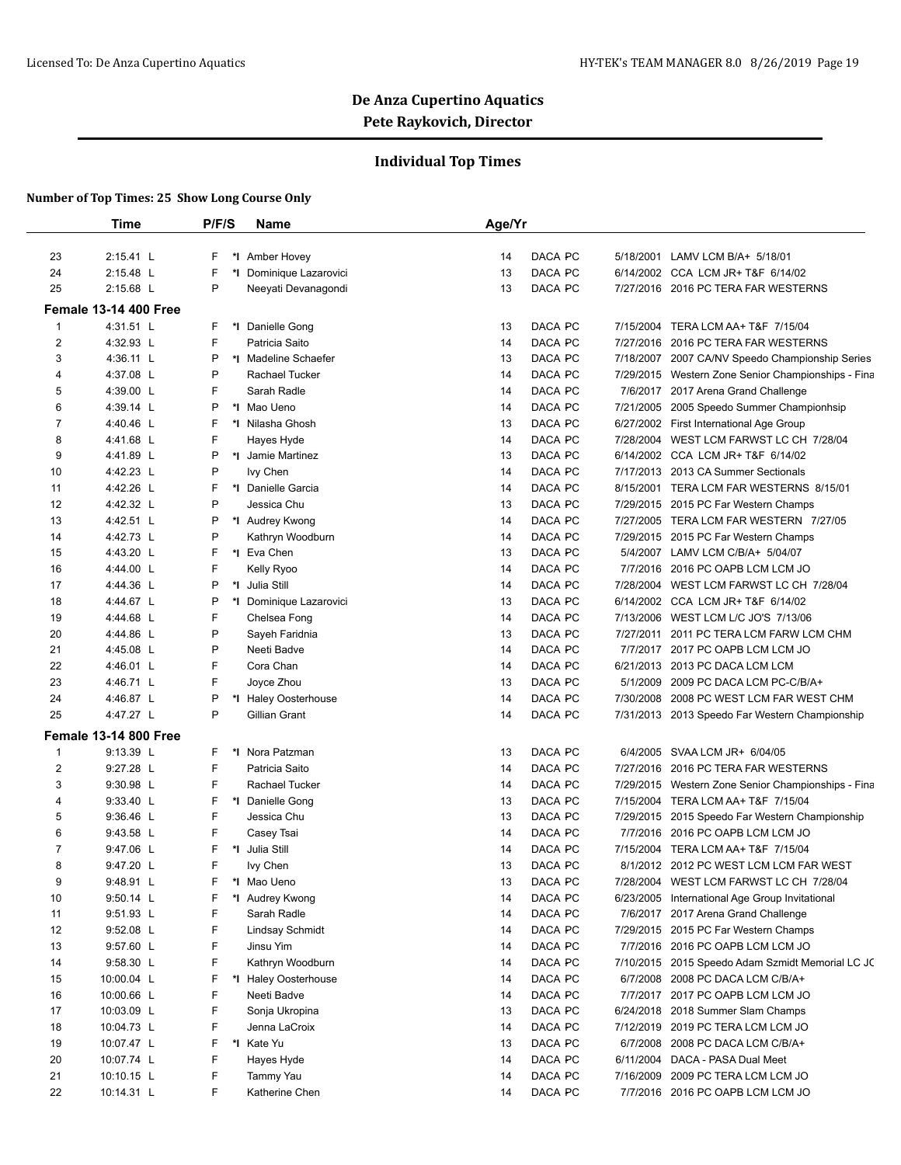## **Individual Top Times**

|                | <b>Time</b>                  | P/F/S    | Name                    | Age/Yr        |           |                                                    |
|----------------|------------------------------|----------|-------------------------|---------------|-----------|----------------------------------------------------|
|                |                              |          |                         |               |           |                                                    |
| 23             | 2:15.41 L                    | F.<br>*l | Amber Hovey             | DACA PC<br>14 | 5/18/2001 | LAMV LCM B/A+ 5/18/01                              |
| 24             | 2:15.48 L                    | F<br>*∣  | Dominique Lazarovici    | 13<br>DACA PC |           | 6/14/2002 CCA LCM JR+ T&F 6/14/02                  |
| 25             | 2:15.68 L                    | P        | Neeyati Devanagondi     | 13<br>DACA PC |           | 7/27/2016 2016 PC TERA FAR WESTERNS                |
|                | <b>Female 13-14 400 Free</b> |          |                         |               |           |                                                    |
| 1              | 4:31.51 L                    | F        | *I Danielle Gong        | DACA PC<br>13 | 7/15/2004 | TERA LCM AA+ T&F 7/15/04                           |
| 2              | 4:32.93 L                    | F        | Patricia Saito          | 14<br>DACA PC |           | 7/27/2016 2016 PC TERA FAR WESTERNS                |
| 3              | 4:36.11 L                    | P        | *I Madeline Schaefer    | DACA PC<br>13 |           | 7/18/2007 2007 CA/NV Speedo Championship Series    |
| 4              | 4:37.08 L                    | P        | Rachael Tucker          | 14<br>DACA PC | 7/29/2015 | Western Zone Senior Championships - Fina           |
| 5              | 4:39.00 L                    | F        | Sarah Radle             | 14<br>DACA PC |           | 7/6/2017 2017 Arena Grand Challenge                |
| 6              | 4:39.14 L                    | P        | *I Mao Ueno             | DACA PC<br>14 |           | 7/21/2005 2005 Speedo Summer Championhsip          |
| 7              | 4:40.46 L                    | F        | *I Nilasha Ghosh        | DACA PC<br>13 |           | 6/27/2002 First International Age Group            |
| 8              | 4:41.68 L                    | F        | Hayes Hyde              | DACA PC<br>14 |           | 7/28/2004 WEST LCM FARWST LC CH 7/28/04            |
| 9              | 4:41.89 L                    | P        | *I Jamie Martinez       | DACA PC<br>13 | 6/14/2002 | CCA LCM JR+ T&F 6/14/02                            |
| 10             | 4:42.23 L                    | P        | Ivy Chen                | DACA PC<br>14 |           | 7/17/2013 2013 CA Summer Sectionals                |
| 11             | 4:42.26 L                    | F        | *1 Danielle Garcia      | DACA PC<br>14 |           | 8/15/2001 TERA LCM FAR WESTERNS 8/15/01            |
| 12             | 4:42.32 L                    | P        | Jessica Chu             | 13<br>DACA PC |           | 7/29/2015 2015 PC Far Western Champs               |
| 13             | 4:42.51 L                    | P        | *I Audrey Kwong         | 14<br>DACA PC |           | 7/27/2005 TERA LCM FAR WESTERN 7/27/05             |
| 14             | 4:42.73 L                    | P        | Kathryn Woodburn        | 14<br>DACA PC |           | 7/29/2015 2015 PC Far Western Champs               |
| 15             | 4:43.20 L                    | F        | *I Eva Chen             | 13<br>DACA PC |           | 5/4/2007 LAMV LCM C/B/A+ 5/04/07                   |
| 16             | 4:44.00 L                    | F        | Kelly Ryoo              | 14<br>DACA PC | 7/7/2016  | 2016 PC OAPB LCM LCM JO                            |
| 17             | 4:44.36 L                    | P<br>*I  | Julia Still             | 14<br>DACA PC | 7/28/2004 | WEST LCM FARWST LC CH 7/28/04                      |
| 18             | 4:44.67 L                    | P        | *I Dominique Lazarovici | DACA PC<br>13 | 6/14/2002 | CCA LCM JR+ T&F 6/14/02                            |
| 19             | 4:44.68 L                    | F        | Chelsea Fong            | DACA PC<br>14 | 7/13/2006 | WEST LCM L/C JO'S 7/13/06                          |
| 20             | 4:44.86 L                    | P        | Sayeh Faridnia          | DACA PC<br>13 |           | 7/27/2011 2011 PC TERA LCM FARW LCM CHM            |
| 21             | 4:45.08 L                    | P        | Neeti Badve             | DACA PC<br>14 |           | 7/7/2017 2017 PC OAPB LCM LCM JO                   |
| 22             | 4:46.01 L                    | F        | Cora Chan               | DACA PC<br>14 |           | 6/21/2013 2013 PC DACA LCM LCM                     |
| 23             | 4:46.71 L                    | F        | Joyce Zhou              | DACA PC<br>13 | 5/1/2009  | 2009 PC DACA LCM PC-C/B/A+                         |
| 24             | 4:46.87 L                    | P        | *I Haley Oosterhouse    | 14<br>DACA PC | 7/30/2008 | 2008 PC WEST LCM FAR WEST CHM                      |
| 25             | 4:47.27 L                    | P        | Gillian Grant           | 14<br>DACA PC |           | 7/31/2013 2013 Speedo Far Western Championship     |
|                | <b>Female 13-14 800 Free</b> |          |                         |               |           |                                                    |
| $\mathbf{1}$   | 9:13.39 L                    | F        | *I Nora Patzman         | DACA PC<br>13 | 6/4/2005  | SVAA LCM JR+ 6/04/05                               |
| 2              | 9:27.28 L                    | F        | Patricia Saito          | DACA PC<br>14 |           | 7/27/2016 2016 PC TERA FAR WESTERNS                |
| 3              | 9:30.98 L                    | F        | Rachael Tucker          | DACA PC<br>14 |           | 7/29/2015 Western Zone Senior Championships - Fina |
| $\overline{4}$ | 9:33.40 L                    | F        | *I Danielle Gong        | DACA PC<br>13 |           | 7/15/2004 TERA LCM AA+ T&F 7/15/04                 |
| 5              | $9:36.46$ L                  | F        | Jessica Chu             | 13<br>DACA PC |           | 7/29/2015 2015 Speedo Far Western Championship     |
| 6              | 9:43.58 L                    | F        | Casey Tsai              | DACA PC<br>14 |           | 7/7/2016 2016 PC OAPB LCM LCM JO                   |
| 7              | $9:47.06$ L                  | F<br>*∣  | Julia Still             | DACA PC<br>14 |           | 7/15/2004 TERA LCM AA+ T&F 7/15/04                 |
| 8              | 9:47.20 L                    | F        | lvy Chen                | 13<br>DACA PC |           | 8/1/2012 2012 PC WEST LCM LCM FAR WEST             |
| 9              | 9:48.91 L                    | F        | *I Mao Ueno             | DACA PC<br>13 |           | 7/28/2004 WEST LCM FARWST LC CH 7/28/04            |
| 10             | $9:50.14$ L                  | F        | *I Audrey Kwong         | DACA PC<br>14 |           | 6/23/2005 International Age Group Invitational     |
| 11             | 9:51.93 L                    | F        | Sarah Radle             | 14<br>DACA PC |           | 7/6/2017 2017 Arena Grand Challenge                |
| 12             | 9:52.08 L                    | F        | <b>Lindsay Schmidt</b>  | DACA PC<br>14 |           | 7/29/2015 2015 PC Far Western Champs               |
| 13             | 9:57.60 L                    | F        | Jinsu Yim               | DACA PC<br>14 |           | 7/7/2016 2016 PC OAPB LCM LCM JO                   |
| 14             | 9:58.30 L                    | F        | Kathryn Woodburn        | DACA PC<br>14 |           | 7/10/2015 2015 Speedo Adam Szmidt Memorial LC JC   |
| 15             | 10:00.04 L                   | F        | *I Haley Oosterhouse    | DACA PC<br>14 |           | 6/7/2008 2008 PC DACA LCM C/B/A+                   |
| 16             | 10:00.66 L                   | F        | Neeti Badve             | DACA PC<br>14 |           | 7/7/2017 2017 PC OAPB LCM LCM JO                   |
| 17             | 10:03.09 L                   | F        | Sonja Ukropina          | DACA PC<br>13 |           | 6/24/2018 2018 Summer Slam Champs                  |
| 18             | 10:04.73 L                   | F        | Jenna LaCroix           | DACA PC<br>14 | 7/12/2019 | 2019 PC TERA LCM LCM JO                            |
| 19             | 10:07.47 L                   | F        | *I Kate Yu              | DACA PC<br>13 | 6/7/2008  | 2008 PC DACA LCM C/B/A+                            |
| 20             | 10:07.74 L                   | F        | Hayes Hyde              | DACA PC<br>14 | 6/11/2004 | DACA - PASA Dual Meet                              |
| 21             | 10:10.15 L                   | F        | Tammy Yau               | DACA PC<br>14 |           | 7/16/2009 2009 PC TERA LCM LCM JO                  |
| 22             |                              | F        |                         | DACA PC       |           |                                                    |
|                | 10:14.31 L                   |          | Katherine Chen          | 14            |           | 7/7/2016 2016 PC OAPB LCM LCM JO                   |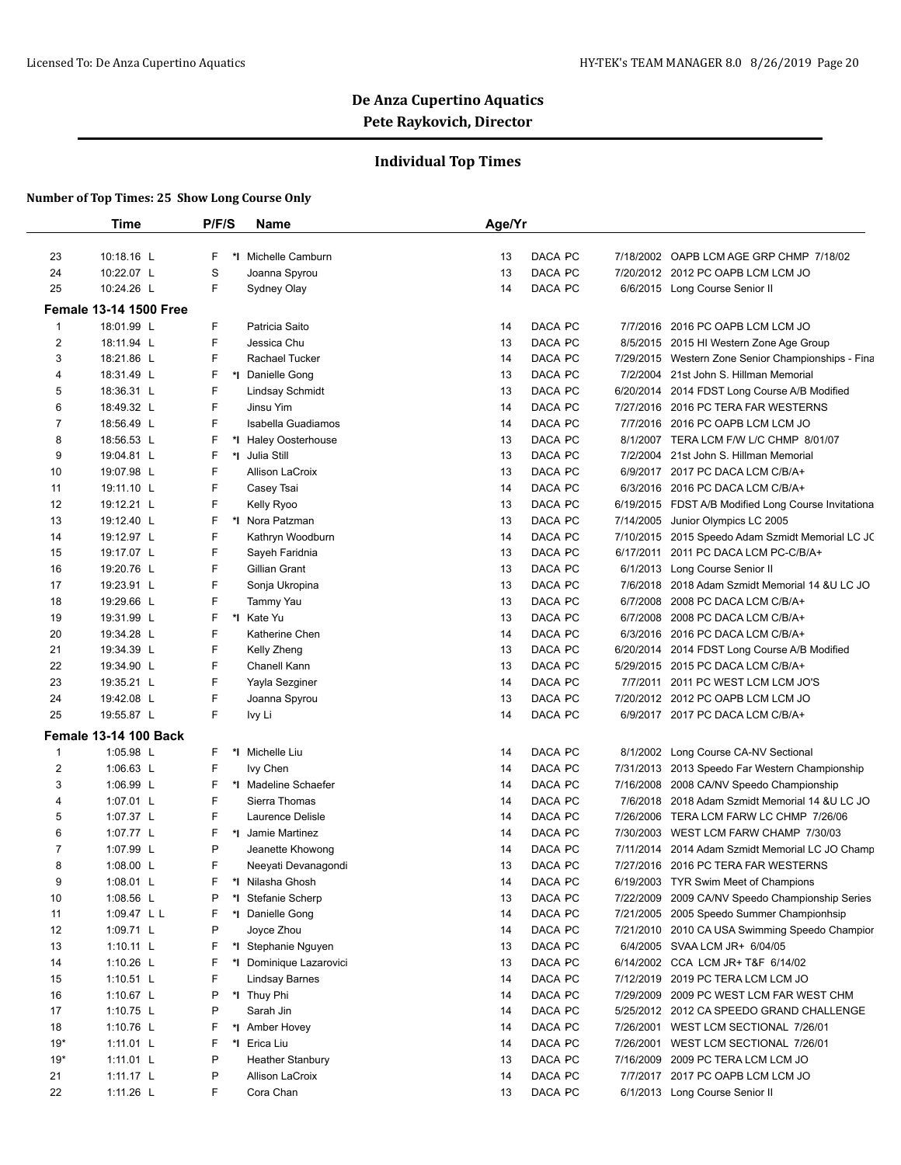## **Individual Top Times**

|                | <b>Time</b>                   | P/F/S   | <b>Name</b>             | Age/Yr |                |           |                                                     |
|----------------|-------------------------------|---------|-------------------------|--------|----------------|-----------|-----------------------------------------------------|
|                |                               |         |                         |        |                |           |                                                     |
| 23             | 10:18.16 L                    | F       | *I Michelle Camburn     | 13     | DACA PC        |           | 7/18/2002 OAPB LCM AGE GRP CHMP 7/18/02             |
| 24             | 10:22.07 L                    | S       | Joanna Spyrou           | 13     | DACA PC        |           | 7/20/2012 2012 PC OAPB LCM LCM JO                   |
| 25             | 10:24.26 L                    | F.      | Sydney Olay             | 14     | DACA PC        |           | 6/6/2015 Long Course Senior II                      |
|                | <b>Female 13-14 1500 Free</b> |         |                         |        |                |           |                                                     |
| $\mathbf{1}$   | 18:01.99 L                    | F       | Patricia Saito          | 14     | DACA PC        | 7/7/2016  | 2016 PC OAPB LCM LCM JO                             |
| 2              | 18:11.94 L                    | F.      | Jessica Chu             | 13     | DACA PC        |           | 8/5/2015 2015 HI Western Zone Age Group             |
| 3              | 18:21.86 L                    | F       | Rachael Tucker          | 14     | DACA PC        |           | 7/29/2015 Western Zone Senior Championships - Fina  |
| 4              | 18:31.49 L                    | F       | *I Danielle Gong        | 13     | DACA PC        |           | 7/2/2004 21st John S. Hillman Memorial              |
| 5              | 18:36.31 L                    | F       | <b>Lindsay Schmidt</b>  | 13     | DACA PC        |           | 6/20/2014 2014 FDST Long Course A/B Modified        |
| 6              | 18:49.32 L                    | F.      | Jinsu Yim               | 14     | <b>DACA PC</b> |           | 7/27/2016 2016 PC TERA FAR WESTERNS                 |
| 7              | 18:56.49 L                    | F       | Isabella Guadiamos      | 14     | DACA PC        |           | 7/7/2016 2016 PC OAPB LCM LCM JO                    |
| 8              | 18:56.53 L                    | F       | *I Haley Oosterhouse    | 13     | DACA PC        |           | 8/1/2007 TERA LCM F/W L/C CHMP 8/01/07              |
| 9              | 19:04.81 L                    | F       | *1 Julia Still          | 13     | DACA PC        | 7/2/2004  | 21st John S. Hillman Memorial                       |
| 10             | 19:07.98 L                    | F       | <b>Allison LaCroix</b>  | 13     | DACA PC        |           | 6/9/2017 2017 PC DACA LCM C/B/A+                    |
| 11             | 19:11.10 L                    | F       | Casey Tsai              | 14     | DACA PC        |           | 6/3/2016 2016 PC DACA LCM C/B/A+                    |
| 12             | 19:12.21 L                    | F.      | Kelly Ryoo              | 13     | DACA PC        |           | 6/19/2015 FDST A/B Modified Long Course Invitationa |
| 13             | 19:12.40 L                    | F       | *I Nora Patzman         | 13     | DACA PC        | 7/14/2005 | Junior Olympics LC 2005                             |
| 14             | 19:12.97 L                    | F       | Kathryn Woodburn        | 14     | DACA PC        |           | 7/10/2015 2015 Speedo Adam Szmidt Memorial LC JC    |
| 15             | 19:17.07 L                    | F       | Sayeh Faridnia          | 13     | DACA PC        |           | 6/17/2011 2011 PC DACA LCM PC-C/B/A+                |
| 16             | 19:20.76 L                    | F       | Gillian Grant           | 13     | DACA PC        | 6/1/2013  | Long Course Senior II                               |
| 17             | 19:23.91 L                    | F       | Sonja Ukropina          | 13     | DACA PC        |           | 7/6/2018 2018 Adam Szmidt Memorial 14 & U LC JO     |
| 18             | 19:29.66 L                    | F       | Tammy Yau               | 13     | DACA PC        | 6/7/2008  | 2008 PC DACA LCM C/B/A+                             |
| 19             | 19:31.99 L                    | F       | *I Kate Yu              | 13     | DACA PC        | 6/7/2008  | 2008 PC DACA LCM C/B/A+                             |
| 20             | 19:34.28 L                    | F       | Katherine Chen          | 14     | DACA PC        |           | 6/3/2016 2016 PC DACA LCM C/B/A+                    |
| 21             | 19:34.39 L                    | F       | Kelly Zheng             | 13     | DACA PC        |           | 6/20/2014 2014 FDST Long Course A/B Modified        |
| 22             | 19:34.90 L                    | F       | Chanell Kann            | 13     | DACA PC        |           | 5/29/2015 2015 PC DACA LCM C/B/A+                   |
| 23             | 19:35.21 L                    | F       | Yayla Sezginer          | 14     | DACA PC        | 7/7/2011  | 2011 PC WEST LCM LCM JO'S                           |
| 24             | 19:42.08 L                    | F       | Joanna Spyrou           | 13     | DACA PC        |           | 7/20/2012 2012 PC OAPB LCM LCM JO                   |
| 25             | 19:55.87 L                    | F.      | Ivy Li                  | 14     | DACA PC        |           | 6/9/2017 2017 PC DACA LCM C/B/A+                    |
|                | <b>Female 13-14 100 Back</b>  |         |                         |        |                |           |                                                     |
| $\mathbf{1}$   | 1:05.98 L                     | F       | *I Michelle Liu         | 14     | DACA PC        |           | 8/1/2002 Long Course CA-NV Sectional                |
| 2              | 1:06.63 $L$                   | F       | Ivy Chen                | 14     | DACA PC        |           | 7/31/2013 2013 Speedo Far Western Championship      |
| 3              | 1:06.99 L                     | F       | *I Madeline Schaefer    | 14     | DACA PC        |           | 7/16/2008 2008 CA/NV Speedo Championship            |
| 4              | 1:07.01 L                     | F       | Sierra Thomas           | 14     | DACA PC        |           | 7/6/2018 2018 Adam Szmidt Memorial 14 &U LC JO      |
| 5              | 1:07.37 L                     | F       | Laurence Delisle        | 14     | DACA PC        |           |                                                     |
| 6              | 1:07.77 L                     | F       | *1 Jamie Martinez       | 14     |                |           | 7/26/2006 TERA LCM FARW LC CHMP 7/26/06             |
|                |                               |         |                         |        | DACA PC        |           | 7/30/2003 WEST LCM FARW CHAMP 7/30/03               |
| $\overline{7}$ | 1:07.99 L                     | P<br>F. | Jeanette Khowong        | 14     | DACA PC        |           | 7/11/2014 2014 Adam Szmidt Memorial LC JO Champ     |
| 8              | 1:08.00 $L$                   |         | Neeyati Devanagondi     | 13     | DACA PC        |           | 7/27/2016 2016 PC TERA FAR WESTERNS                 |
| 9              | 1:08.01 L                     | F       | *I Nilasha Ghosh        | 14     | DACA PC        |           | 6/19/2003 TYR Swim Meet of Champions                |
| 10             | 1:08.56 L                     | P       | *I Stefanie Scherp      | 13     | DACA PC        |           | 7/22/2009 2009 CA/NV Speedo Championship Series     |
| 11             | 1:09.47 L L                   | F       | *1 Danielle Gong        | 14     | DACA PC        |           | 7/21/2005 2005 Speedo Summer Championhsip           |
| 12             | 1:09.71 L                     | P       | Joyce Zhou              | 14     | DACA PC        |           | 7/21/2010 2010 CA USA Swimming Speedo Champior      |
| 13             | 1:10.11 $L$                   | F       | *I Stephanie Nguyen     | 13     | DACA PC        |           | 6/4/2005 SVAA LCM JR+ 6/04/05                       |
| 14             | 1:10.26 L                     | F       | *I Dominique Lazarovici | 13     | DACA PC        |           | 6/14/2002 CCA LCM JR+ T&F 6/14/02                   |
| 15             | 1:10.51 $L$                   | F       | <b>Lindsay Barnes</b>   | 14     | DACA PC        |           | 7/12/2019 2019 PC TERA LCM LCM JO                   |
| 16             | 1:10.67 $L$                   | P       | *I Thuy Phi             | 14     | DACA PC        |           | 7/29/2009 2009 PC WEST LCM FAR WEST CHM             |
| 17             | 1:10.75 $L$                   | P       | Sarah Jin               | 14     | DACA PC        |           | 5/25/2012 2012 CA SPEEDO GRAND CHALLENGE            |
| 18             | 1:10.76 L                     | F       | *1 Amber Hovey          | 14     | DACA PC        | 7/26/2001 | WEST LCM SECTIONAL 7/26/01                          |
| $19*$          | 1:11.01 L                     | F       | *I Erica Liu            | 14     | DACA PC        |           | 7/26/2001 WEST LCM SECTIONAL 7/26/01                |
| $19*$          | $1:11.01$ L                   | P       | <b>Heather Stanbury</b> | 13     | DACA PC        |           | 7/16/2009 2009 PC TERA LCM LCM JO                   |
|                |                               |         |                         |        |                |           |                                                     |
| 21             | 1:11.17 $L$                   | P       | Allison LaCroix         | 14     | DACA PC        |           | 7/7/2017 2017 PC OAPB LCM LCM JO                    |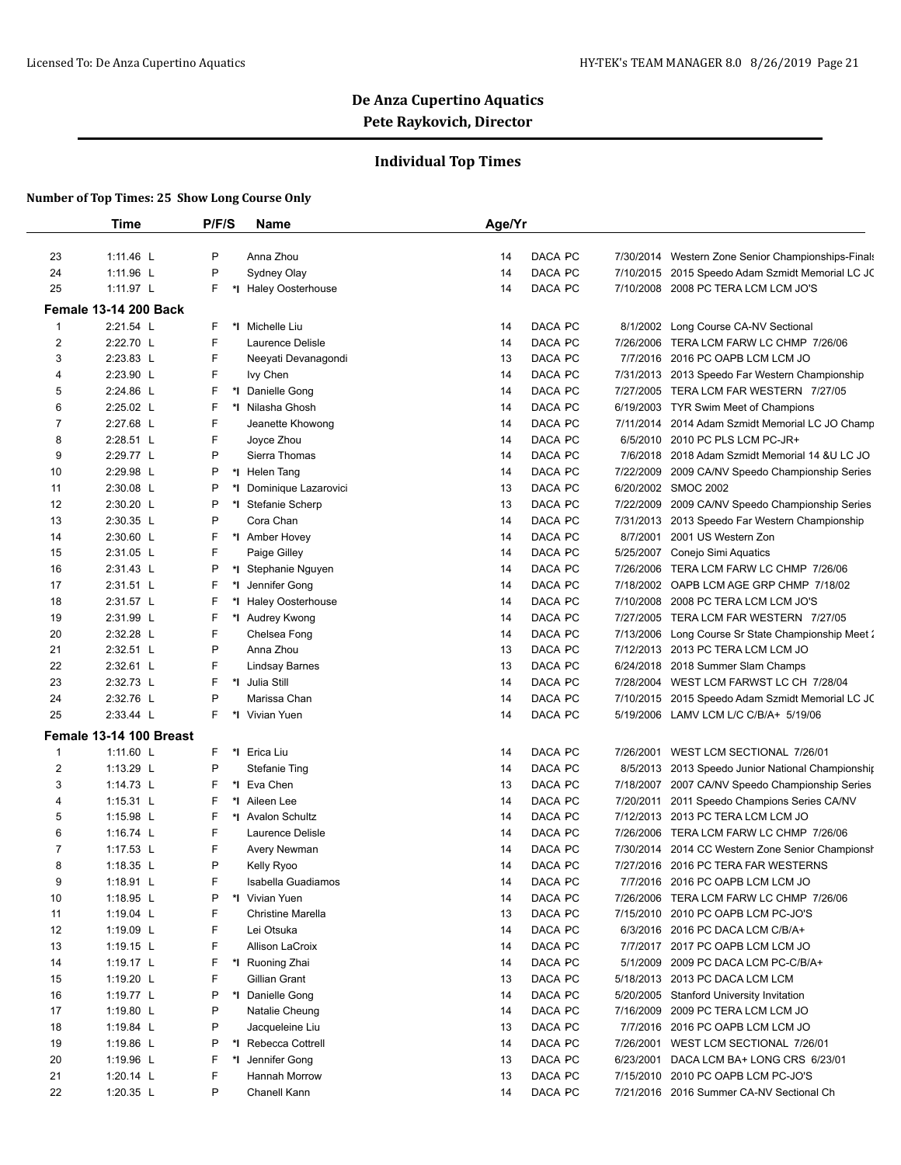## **Individual Top Times**

|                | <b>Time</b>                  | P/F/S   | Name                    | Age/Yr |         |           |                                                   |
|----------------|------------------------------|---------|-------------------------|--------|---------|-----------|---------------------------------------------------|
| 23             | 1:11.46 L                    | P       | Anna Zhou               | 14     | DACA PC | 7/30/2014 | Western Zone Senior Championships-Finals          |
| 24             | 1:11.96 L                    | P       | Sydney Olay             | 14     | DACA PC |           | 7/10/2015 2015 Speedo Adam Szmidt Memorial LC JC  |
| 25             | 1:11.97 L                    | F       | *I Haley Oosterhouse    | 14     | DACA PC |           | 7/10/2008 2008 PC TERA LCM LCM JO'S               |
|                | <b>Female 13-14 200 Back</b> |         |                         |        |         |           |                                                   |
| $\mathbf{1}$   | 2:21.54 L                    | F       | *I Michelle Liu         | 14     | DACA PC | 8/1/2002  | Long Course CA-NV Sectional                       |
| 2              | 2:22.70 L                    | F       | Laurence Delisle        | 14     | DACA PC |           | 7/26/2006 TERA LCM FARW LC CHMP 7/26/06           |
| 3              | 2:23.83 L                    | F       | Neeyati Devanagondi     | 13     | DACA PC |           | 7/7/2016 2016 PC OAPB LCM LCM JO                  |
| 4              | 2:23.90 L                    | F       | Ivy Chen                | 14     | DACA PC |           | 7/31/2013 2013 Speedo Far Western Championship    |
| 5              | 2:24.86 L                    | F       | *1 Danielle Gong        | 14     | DACA PC |           | 7/27/2005 TERA LCM FAR WESTERN 7/27/05            |
| 6              | 2:25.02 L                    | F       | *I Nilasha Ghosh        | 14     | DACA PC |           | 6/19/2003 TYR Swim Meet of Champions              |
| $\overline{7}$ | 2:27.68 L                    | F       | Jeanette Khowong        | 14     | DACA PC |           | 7/11/2014 2014 Adam Szmidt Memorial LC JO Champ   |
| 8              | 2:28.51 L                    | F       | Joyce Zhou              | 14     | DACA PC |           | 6/5/2010 2010 PC PLS LCM PC-JR+                   |
| 9              | 2:29.77 L                    | P       | Sierra Thomas           | 14     | DACA PC |           | 7/6/2018 2018 Adam Szmidt Memorial 14 & U LC JO   |
| 10             | 2:29.98 L                    | P       | *I Helen Tang           | 14     | DACA PC | 7/22/2009 | 2009 CA/NV Speedo Championship Series             |
| 11             | 2:30.08 L                    | P       | *I Dominique Lazarovici | 13     | DACA PC |           | 6/20/2002 SMOC 2002                               |
| 12             | 2:30.20 L                    | P       | *I Stefanie Scherp      | 13     | DACA PC |           | 7/22/2009 2009 CA/NV Speedo Championship Series   |
| 13             | 2:30.35 L                    | P       | Cora Chan               | 14     | DACA PC | 7/31/2013 | 2013 Speedo Far Western Championship              |
| 14             | 2:30.60 L                    | F       | *1 Amber Hovey          | 14     | DACA PC | 8/7/2001  | 2001 US Western Zon                               |
| 15             | 2:31.05 L                    | F       | Paige Gilley            | 14     | DACA PC | 5/25/2007 | Conejo Simi Aquatics                              |
| 16             | 2:31.43 L                    | P       | *I Stephanie Nguyen     | 14     | DACA PC | 7/26/2006 | TERA LCM FARW LC CHMP 7/26/06                     |
| 17             | 2:31.51 L                    | F<br>*l | Jennifer Gong           | 14     | DACA PC | 7/18/2002 | OAPB LCM AGE GRP CHMP 7/18/02                     |
| 18             | 2:31.57 L                    | F       | *I Haley Oosterhouse    | 14     | DACA PC |           | 7/10/2008 2008 PC TERA LCM LCM JO'S               |
| 19             | 2:31.99 L                    | F       | *I Audrey Kwong         | 14     | DACA PC | 7/27/2005 | TERA LCM FAR WESTERN 7/27/05                      |
| 20             | 2:32.28 L                    | F       | Chelsea Fong            | 14     | DACA PC | 7/13/2006 | Long Course Sr State Championship Meet 2          |
| 21             | 2:32.51 L                    | P       | Anna Zhou               | 13     | DACA PC |           | 7/12/2013 2013 PC TERA LCM LCM JO                 |
| 22             | 2:32.61 L                    | F       | Lindsay Barnes          | 13     | DACA PC |           | 6/24/2018 2018 Summer Slam Champs                 |
| 23             | 2:32.73 L                    | F       | *1 Julia Still          | 14     | DACA PC | 7/28/2004 | WEST LCM FARWST LC CH 7/28/04                     |
| 24             | 2:32.76 L                    | P       | Marissa Chan            | 14     | DACA PC |           | 7/10/2015 2015 Speedo Adam Szmidt Memorial LC JC  |
| 25             | 2:33.44 L                    | F       | *I Vivian Yuen          | 14     | DACA PC |           | 5/19/2006 LAMV LCM L/C C/B/A+ 5/19/06             |
|                | Female 13-14 100 Breast      |         |                         |        |         |           |                                                   |
| $\mathbf{1}$   | 1:11.60 L                    | F       | *I Erica Liu            | 14     | DACA PC | 7/26/2001 | WEST LCM SECTIONAL 7/26/01                        |
| 2              | 1:13.29 L                    | P       | <b>Stefanie Ting</b>    | 14     | DACA PC |           | 8/5/2013 2013 Speedo Junior National Championship |
| 3              | 1:14.73 L                    | F       | *I Eva Chen             | 13     | DACA PC |           | 7/18/2007 2007 CA/NV Speedo Championship Series   |
| 4              | 1:15.31 L                    | F       | *I Aileen Lee           | 14     | DACA PC | 7/20/2011 | 2011 Speedo Champions Series CA/NV                |
| 5              | 1:15.98 L                    | F       | *I Avalon Schultz       | 14     | DACA PC |           | 7/12/2013 2013 PC TERA LCM LCM JO                 |
| 6              | 1:16.74 L                    | F       | Laurence Delisle        | 14     | DACA PC |           | 7/26/2006 TERA LCM FARW LC CHMP 7/26/06           |
| 7              | 1:17.53 L                    | F       | Avery Newman            | 14     | DACA PC |           | 7/30/2014 2014 CC Western Zone Senior Championsh  |
| 8              | 1:18.35 L                    | P       | Kelly Ryoo              | 14     | DACA PC |           | 7/27/2016 2016 PC TERA FAR WESTERNS               |
| 9              | 1:18.91 L                    | F       | Isabella Guadiamos      | 14     | DACA PC |           | 7/7/2016 2016 PC OAPB LCM LCM JO                  |
| 10             | 1:18.95 L                    | P       | *I Vivian Yuen          | 14     | DACA PC |           | 7/26/2006 TERA LCM FARW LC CHMP 7/26/06           |
| 11             | 1:19.04 L                    | F       | Christine Marella       | 13     | DACA PC |           | 7/15/2010 2010 PC OAPB LCM PC-JO'S                |
| 12             | 1:19.09 $\lfloor$            | F       | Lei Otsuka              | 14     | DACA PC |           | 6/3/2016 2016 PC DACA LCM C/B/A+                  |
| 13             | 1:19.15 L                    | F       | Allison LaCroix         | 14     | DACA PC |           | 7/7/2017 2017 PC OAPB LCM LCM JO                  |
| 14             | 1:19.17 L                    | F       | *I Ruoning Zhai         | 14     | DACA PC | 5/1/2009  | 2009 PC DACA LCM PC-C/B/A+                        |
| 15             | 1:19.20 $L$                  | F       | Gillian Grant           | 13     | DACA PC |           | 5/18/2013 2013 PC DACA LCM LCM                    |
| 16             | 1:19.77 L                    | P       | *I Danielle Gong        | 14     | DACA PC |           | 5/20/2005 Stanford University Invitation          |
| 17             | 1:19.80 L                    | P       | Natalie Cheung          | 14     | DACA PC | 7/16/2009 | 2009 PC TERA LCM LCM JO                           |
| 18             | 1:19.84 $L$                  | P       | Jacqueleine Liu         | 13     | DACA PC |           | 7/7/2016 2016 PC OAPB LCM LCM JO                  |
| 19             | 1:19.86 L                    | P       | *I Rebecca Cottrell     | 14     | DACA PC | 7/26/2001 | WEST LCM SECTIONAL 7/26/01                        |
| 20             | 1:19.96 L                    | F<br>*I | Jennifer Gong           | 13     | DACA PC | 6/23/2001 | DACA LCM BA+ LONG CRS 6/23/01                     |
| 21             | 1:20.14 $L$                  | F       | Hannah Morrow           | 13     | DACA PC |           | 7/15/2010 2010 PC OAPB LCM PC-JO'S                |
| 22             | 1:20.35 L                    | P       | Chanell Kann            | 14     | DACA PC |           | 7/21/2016 2016 Summer CA-NV Sectional Ch          |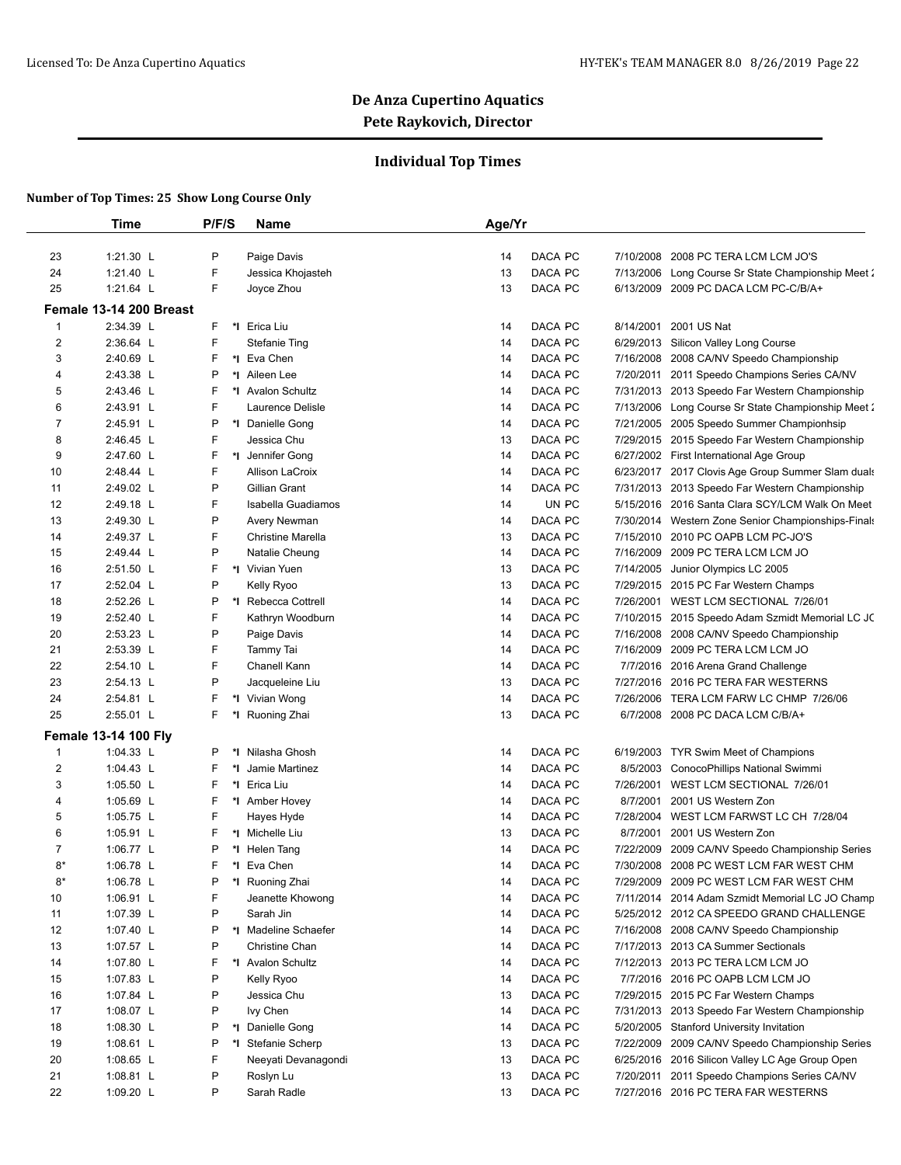## **Individual Top Times**

|                  | <b>Time</b>                 | P/F/S | Name                     | Age/Yr |         |           |                                                  |
|------------------|-----------------------------|-------|--------------------------|--------|---------|-----------|--------------------------------------------------|
|                  |                             |       |                          |        |         |           |                                                  |
| 23               | 1:21.30 L                   | P     | Paige Davis              | 14     | DACA PC | 7/10/2008 | 2008 PC TERA LCM LCM JO'S                        |
| 24               | 1:21.40 L                   | F     | Jessica Khojasteh        | 13     | DACA PC | 7/13/2006 | Long Course Sr State Championship Meet 2         |
| 25               | 1:21.64 L                   | F.    | Joyce Zhou               | 13     | DACA PC | 6/13/2009 | 2009 PC DACA LCM PC-C/B/A+                       |
|                  | Female 13-14 200 Breast     |       |                          |        |         |           |                                                  |
| $\mathbf{1}$     | 2:34.39 L                   | F.    | *I Erica Liu             | 14     | DACA PC | 8/14/2001 | 2001 US Nat                                      |
| $\boldsymbol{2}$ | 2:36.64 L                   | F     | <b>Stefanie Ting</b>     | 14     | DACA PC | 6/29/2013 | Silicon Valley Long Course                       |
| 3                | 2:40.69 L                   | F     | *I Eva Chen              | 14     | DACA PC | 7/16/2008 | 2008 CA/NV Speedo Championship                   |
| 4                | 2:43.38 L                   | P     | *I Aileen Lee            | 14     | DACA PC | 7/20/2011 | 2011 Speedo Champions Series CA/NV               |
| 5                | 2:43.46 L                   | F     | *I Avalon Schultz        | 14     | DACA PC |           | 7/31/2013 2013 Speedo Far Western Championship   |
| 6                | 2:43.91 L                   | F     | Laurence Delisle         | 14     | DACA PC | 7/13/2006 | Long Course Sr State Championship Meet 2         |
| 7                | 2:45.91 L                   | P     | *I Danielle Gong         | 14     | DACA PC | 7/21/2005 | 2005 Speedo Summer Championhsip                  |
| 8                | 2:46.45 L                   | F     | Jessica Chu              | 13     | DACA PC | 7/29/2015 | 2015 Speedo Far Western Championship             |
| 9                | 2:47.60 L                   | F     | *1 Jennifer Gong         | 14     | DACA PC |           | 6/27/2002 First International Age Group          |
| 10               | 2:48.44 L                   | F     | Allison LaCroix          | 14     | DACA PC | 6/23/2017 | 2017 Clovis Age Group Summer Slam duals          |
| 11               | 2:49.02 L                   | P     | Gillian Grant            | 14     | DACA PC | 7/31/2013 | 2013 Speedo Far Western Championship             |
| 12               | 2:49.18 L                   | F     | Isabella Guadiamos       | 14     | UN PC   | 5/15/2016 | 2016 Santa Clara SCY/LCM Walk On Meet            |
| 13               | 2:49.30 L                   | P     | Avery Newman             | 14     | DACA PC | 7/30/2014 | Western Zone Senior Championships-Finals         |
| 14               | 2:49.37 L                   | F.    | <b>Christine Marella</b> | 13     | DACA PC | 7/15/2010 | 2010 PC OAPB LCM PC-JO'S                         |
| 15               | 2:49.44 L                   | P     | Natalie Cheung           | 14     | DACA PC | 7/16/2009 | 2009 PC TERA LCM LCM JO                          |
| 16               | 2:51.50 L                   | F     | *I Vivian Yuen           | 13     | DACA PC | 7/14/2005 | Junior Olympics LC 2005                          |
| 17               | 2:52.04 L                   | P     | Kelly Ryoo               | 13     | DACA PC |           | 7/29/2015 2015 PC Far Western Champs             |
| 18               | 2:52.26 L                   | P     | *I Rebecca Cottrell      | 14     | DACA PC |           | 7/26/2001 WEST LCM SECTIONAL 7/26/01             |
| 19               | 2:52.40 L                   | F     | Kathryn Woodburn         | 14     | DACA PC |           | 7/10/2015 2015 Speedo Adam Szmidt Memorial LC JC |
| 20               | 2:53.23 L                   | P     | Paige Davis              | 14     | DACA PC | 7/16/2008 | 2008 CA/NV Speedo Championship                   |
| 21               | 2:53.39 L                   | F.    | Tammy Tai                | 14     | DACA PC | 7/16/2009 | 2009 PC TERA LCM LCM JO                          |
| 22               | 2:54.10 L                   | F.    | Chanell Kann             | 14     | DACA PC | 7/7/2016  | 2016 Arena Grand Challenge                       |
| 23               | 2:54.13 L                   | P     | Jacqueleine Liu          | 13     | DACA PC |           | 7/27/2016 2016 PC TERA FAR WESTERNS              |
| 24               | 2:54.81 L                   | F     | *I Vivian Wong           | 14     | DACA PC | 7/26/2006 | TERA LCM FARW LC CHMP 7/26/06                    |
| 25               | 2:55.01 L                   | F.    | *I Ruoning Zhai          | 13     | DACA PC | 6/7/2008  | 2008 PC DACA LCM C/B/A+                          |
|                  | <b>Female 13-14 100 Fly</b> |       |                          |        |         |           |                                                  |
| $\mathbf{1}$     | 1:04.33 L                   | P     | *I Nilasha Ghosh         | 14     | DACA PC | 6/19/2003 | TYR Swim Meet of Champions                       |
| $\overline{2}$   | 1:04.43 L                   | F     | *I Jamie Martinez        | 14     | DACA PC | 8/5/2003  | ConocoPhillips National Swimmi                   |
| 3                | 1:05.50 L                   | F     | *I Erica Liu             | 14     | DACA PC | 7/26/2001 | WEST LCM SECTIONAL 7/26/01                       |
| 4                | 1:05.69 L                   | F     | *I Amber Hovey           | 14     | DACA PC | 8/7/2001  | 2001 US Western Zon                              |
| 5                | 1:05.75 L                   | F     | Hayes Hyde               | 14     | DACA PC | 7/28/2004 | WEST LCM FARWST LC CH 7/28/04                    |
| 6                | 1:05.91 L                   | F     | *I Michelle Liu          | 13     | DACA PC | 8/7/2001  | 2001 US Western Zon                              |
| 7                | 1:06.77 L                   | P     | *I Helen Tang            | 14     | DACA PC | 7/22/2009 | 2009 CA/NV Speedo Championship Series            |
| $8*$             | 1:06.78 $L$                 | F.    | *1 Eva Chen              | 14     | DACA PC | 7/30/2008 | 2008 PC WEST LCM FAR WEST CHM                    |
| $8*$             | 1:06.78 L                   | Ρ     | *I Ruoning Zhai          | 14     | DACA PC |           | 7/29/2009 2009 PC WEST LCM FAR WEST CHM          |
| 10               | 1:06.91 L                   | F     | Jeanette Khowong         | 14     | DACA PC |           | 7/11/2014 2014 Adam Szmidt Memorial LC JO Champ  |
| 11               | 1:07.39 L                   | P     | Sarah Jin                | 14     | DACA PC |           | 5/25/2012 2012 CA SPEEDO GRAND CHALLENGE         |
| 12               | 1:07.40 L                   | P     | *I Madeline Schaefer     | 14     | DACA PC |           | 7/16/2008 2008 CA/NV Speedo Championship         |
| 13               | 1:07.57 L                   | P     | Christine Chan           | 14     | DACA PC |           | 7/17/2013 2013 CA Summer Sectionals              |
| 14               | 1:07.80 L                   | F     | *I Avalon Schultz        | 14     | DACA PC |           | 7/12/2013 2013 PC TERA LCM LCM JO                |
| 15               | 1:07.83 L                   | P     | Kelly Ryoo               | 14     | DACA PC |           | 7/7/2016 2016 PC OAPB LCM LCM JO                 |
| 16               | 1:07.84 L                   | P     | Jessica Chu              | 13     | DACA PC |           | 7/29/2015 2015 PC Far Western Champs             |
| 17               | 1:08.07 L                   | P     | lvy Chen                 | 14     | DACA PC |           | 7/31/2013 2013 Speedo Far Western Championship   |
| 18               | 1:08.30 $L$                 | P     | *1 Danielle Gong         | 14     | DACA PC |           | 5/20/2005 Stanford University Invitation         |
| 19               | 1:08.61 L                   | P     | *I Stefanie Scherp       | 13     | DACA PC | 7/22/2009 | 2009 CA/NV Speedo Championship Series            |
| 20               | 1:08.65 L                   | F     | Neeyati Devanagondi      | 13     | DACA PC |           | 6/25/2016 2016 Silicon Valley LC Age Group Open  |
| 21               | 1:08.81 L                   | P     | Roslyn Lu                | 13     | DACA PC | 7/20/2011 | 2011 Speedo Champions Series CA/NV               |
| 22               | 1:09.20 L                   | P     | Sarah Radle              | 13     | DACA PC |           | 7/27/2016 2016 PC TERA FAR WESTERNS              |
|                  |                             |       |                          |        |         |           |                                                  |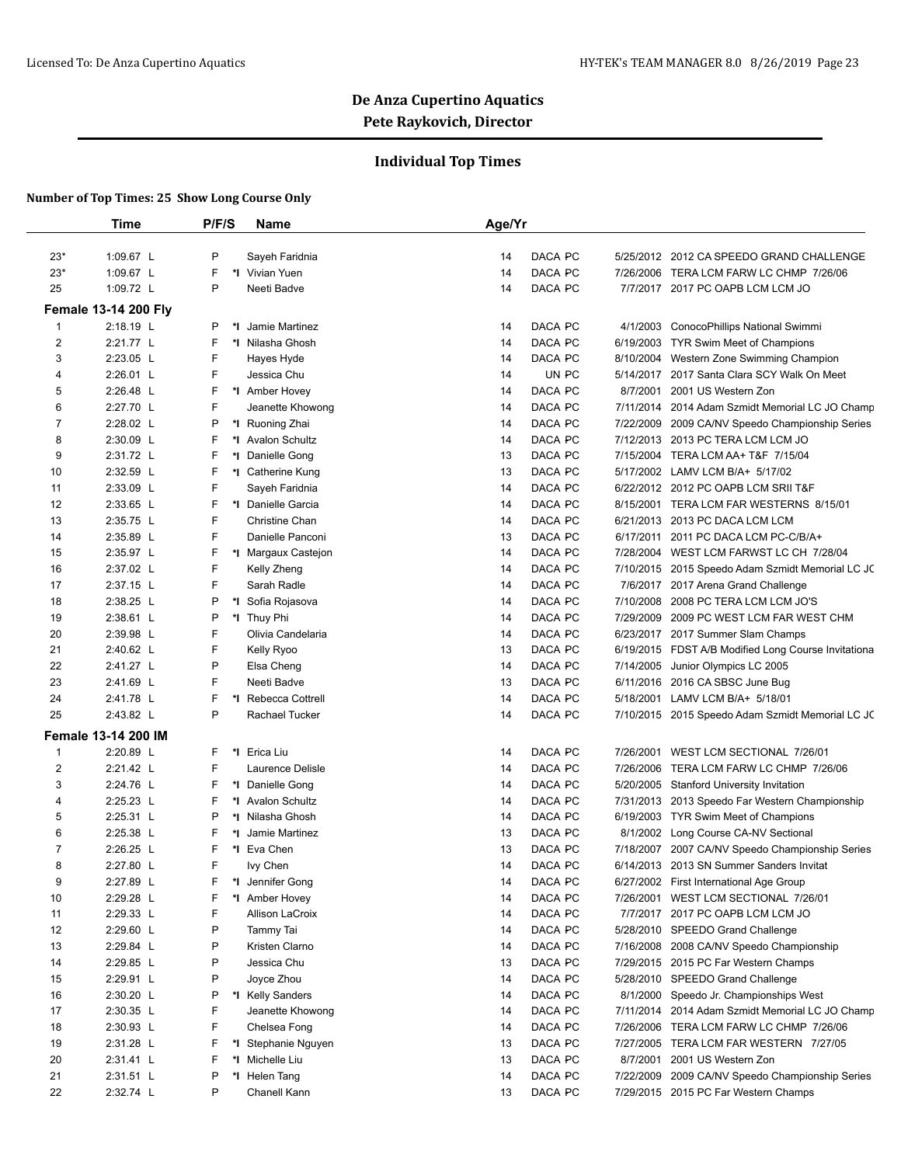## **Individual Top Times**

|                | <b>Time</b>                 | P/F/S   | Name                                   | Age/Yr |         |           |                                                     |
|----------------|-----------------------------|---------|----------------------------------------|--------|---------|-----------|-----------------------------------------------------|
| $23*$          | 1:09.67 L                   | P       | Sayeh Faridnia                         | 14     | DACA PC |           | 5/25/2012 2012 CA SPEEDO GRAND CHALLENGE            |
| $23*$          | 1:09.67 L                   | F       | *I Vivian Yuen                         | 14     | DACA PC |           | 7/26/2006 TERA LCM FARW LC CHMP 7/26/06             |
| 25             | 1:09.72 L                   | P       | Neeti Badve                            | 14     | DACA PC |           | 7/7/2017 2017 PC OAPB LCM LCM JO                    |
|                | <b>Female 13-14 200 Fly</b> |         |                                        |        |         |           |                                                     |
| $\mathbf{1}$   | 2:18.19 L                   | P<br>*I | Jamie Martinez                         | 14     | DACA PC | 4/1/2003  | ConocoPhillips National Swimmi                      |
| $\overline{2}$ | 2:21.77 L                   | F       | *I Nilasha Ghosh                       | 14     | DACA PC |           | 6/19/2003 TYR Swim Meet of Champions                |
| 3              | 2:23.05 L                   | F       | Hayes Hyde                             | 14     | DACA PC |           | 8/10/2004 Western Zone Swimming Champion            |
| 4              | 2:26.01 L                   | F       | Jessica Chu                            | 14     | UN PC   |           | 5/14/2017 2017 Santa Clara SCY Walk On Meet         |
| 5              | 2:26.48 L                   | F       | *1 Amber Hovey                         | 14     | DACA PC | 8/7/2001  | 2001 US Western Zon                                 |
| 6              | 2:27.70 L                   | F       | Jeanette Khowong                       | 14     | DACA PC |           | 7/11/2014 2014 Adam Szmidt Memorial LC JO Champ     |
| 7              | 2:28.02 L                   | P       | *I Ruoning Zhai                        | 14     | DACA PC | 7/22/2009 | 2009 CA/NV Speedo Championship Series               |
| 8              | 2:30.09 L                   | F       | *1 Avalon Schultz                      | 14     | DACA PC |           | 7/12/2013 2013 PC TERA LCM LCM JO                   |
| 9              | 2:31.72 L                   | F       | *1 Danielle Gong                       | 13     | DACA PC |           | 7/15/2004 TERA LCM AA+ T&F 7/15/04                  |
| 10             | 2:32.59 L                   | F       | *I Catherine Kung                      | 13     | DACA PC |           | 5/17/2002 LAMV LCM B/A+ 5/17/02                     |
| 11             | 2:33.09 L                   | F       | Sayeh Faridnia                         | 14     | DACA PC |           | 6/22/2012 2012 PC OAPB LCM SRII T&F                 |
| 12             | 2:33.65 L                   | F       | *1 Danielle Garcia                     | 14     | DACA PC |           | 8/15/2001 TERA LCM FAR WESTERNS 8/15/01             |
| 13             | 2:35.75 L                   | F       | Christine Chan                         | 14     | DACA PC |           | 6/21/2013 2013 PC DACA LCM LCM                      |
| 14             | 2:35.89 L                   | F       | Danielle Panconi                       | 13     | DACA PC | 6/17/2011 | 2011 PC DACA LCM PC-C/B/A+                          |
| 15             | 2:35.97 L                   | F       | *I Margaux Castejon                    | 14     | DACA PC |           | 7/28/2004 WEST LCM FARWST LC CH 7/28/04             |
| 16             | 2:37.02 L                   | F       | Kelly Zheng                            | 14     | DACA PC |           | 7/10/2015 2015 Speedo Adam Szmidt Memorial LC JC    |
| 17             | 2:37.15 L                   | F       | Sarah Radle                            | 14     | DACA PC |           | 7/6/2017 2017 Arena Grand Challenge                 |
| 18             | 2:38.25 L                   | P       | Sofia Rojasova<br>*I                   | 14     | DACA PC | 7/10/2008 | 2008 PC TERA LCM LCM JO'S                           |
| 19             | 2:38.61 L                   | P       | *I Thuy Phi                            | 14     | DACA PC | 7/29/2009 | 2009 PC WEST LCM FAR WEST CHM                       |
| 20             | 2:39.98 L                   | F       | Olivia Candelaria                      | 14     | DACA PC |           | 6/23/2017 2017 Summer Slam Champs                   |
| 21             | 2:40.62 L                   | F       | Kelly Ryoo                             | 13     | DACA PC |           | 6/19/2015 FDST A/B Modified Long Course Invitationa |
| 22             | 2:41.27 L                   | P       | Elsa Cheng                             | 14     | DACA PC | 7/14/2005 | Junior Olympics LC 2005                             |
| 23             | 2:41.69 L                   | F       | Neeti Badve                            | 13     | DACA PC |           | 6/11/2016 2016 CA SBSC June Bug                     |
| 24             | 2:41.78 L                   | F<br>*I | Rebecca Cottrell                       | 14     | DACA PC |           | 5/18/2001 LAMV LCM B/A+ 5/18/01                     |
| 25             | 2:43.82 L                   | P       | Rachael Tucker                         | 14     | DACA PC |           | 7/10/2015 2015 Speedo Adam Szmidt Memorial LC JC    |
|                | <b>Female 13-14 200 IM</b>  |         |                                        |        |         |           |                                                     |
| 1              | 2:20.89 L                   | F       | *I Erica Liu                           | 14     | DACA PC | 7/26/2001 | WEST LCM SECTIONAL 7/26/01                          |
| 2              | 2:21.42 L                   | F       | Laurence Delisle                       | 14     | DACA PC | 7/26/2006 | TERA LCM FARW LC CHMP 7/26/06                       |
| 3              | 2:24.76 L                   | F       | *1 Danielle Gong                       | 14     | DACA PC |           | 5/20/2005 Stanford University Invitation            |
| 4              | 2:25.23 L                   | F       | *I Avalon Schultz                      | 14     | DACA PC |           | 7/31/2013 2013 Speedo Far Western Championship      |
| 5              | 2:25.31 L                   | P       | *I Nilasha Ghosh                       | 14     | DACA PC |           | 6/19/2003 TYR Swim Meet of Champions                |
| 6              | 2:25.38 L                   | F       | *I Jamie Martinez                      | 13     | DACA PC |           | 8/1/2002 Long Course CA-NV Sectional                |
| $\overline{7}$ | 2:26.25 L                   | F       | *I Eva Chen                            | 13     | DACA PC | 7/18/2007 | 2007 CA/NV Speedo Championship Series               |
| 8              | 2:27.80 L                   | F       | lvy Chen                               | 14     | DACA PC |           | 6/14/2013 2013 SN Summer Sanders Invitat            |
| 9              | 2:27.89 L                   | F       | Jennifer Gong<br>*l                    | 14     | DACA PC |           | 6/27/2002 First International Age Group             |
| 10             | 2:29.28 L                   | F       | *I Amber Hovey                         | 14     | DACA PC |           | 7/26/2001 WEST LCM SECTIONAL 7/26/01                |
| 11             | 2:29.33 L                   | F       | Allison LaCroix                        | 14     | DACA PC |           | 7/7/2017 2017 PC OAPB LCM LCM JO                    |
| 12             | 2:29.60 L                   | P       | Tammy Tai                              | 14     | DACA PC |           | 5/28/2010 SPEEDO Grand Challenge                    |
| 13             | 2:29.84 L                   | P       | Kristen Clarno                         | 14     | DACA PC |           | 7/16/2008 2008 CA/NV Speedo Championship            |
| 14             | 2:29.85 L                   | P       | Jessica Chu                            | 13     | DACA PC |           | 7/29/2015 2015 PC Far Western Champs                |
| 15             | 2:29.91 L                   | P       | Joyce Zhou                             | 14     | DACA PC |           | 5/28/2010 SPEEDO Grand Challenge                    |
| 16             | 2:30.20 L                   | P       | *I Kelly Sanders                       | 14     | DACA PC | 8/1/2000  | Speedo Jr. Championships West                       |
| 17             | 2:30.35 L                   | F       | Jeanette Khowong                       | 14     | DACA PC |           | 7/11/2014 2014 Adam Szmidt Memorial LC JO Champ     |
| 18             | 2:30.93 L                   | F       | Chelsea Fong                           | 14     | DACA PC | 7/26/2006 | TERA LCM FARW LC CHMP 7/26/06                       |
| 19             | 2:31.28 L                   | F       |                                        | 13     | DACA PC | 7/27/2005 | TERA LCM FAR WESTERN 7/27/05                        |
|                | 2:31.41 L                   | F       | *I Stephanie Nguyen<br>*1 Michelle Liu | 13     | DACA PC | 8/7/2001  | 2001 US Western Zon                                 |
| 20<br>21       | 2:31.51 L                   | P       |                                        | 14     | DACA PC |           | 2009 CA/NV Speedo Championship Series               |
| 22             | 2:32.74 L                   | P       | *I Helen Tang<br>Chanell Kann          |        | DACA PC | 7/22/2009 | 7/29/2015 2015 PC Far Western Champs                |
|                |                             |         |                                        | 13     |         |           |                                                     |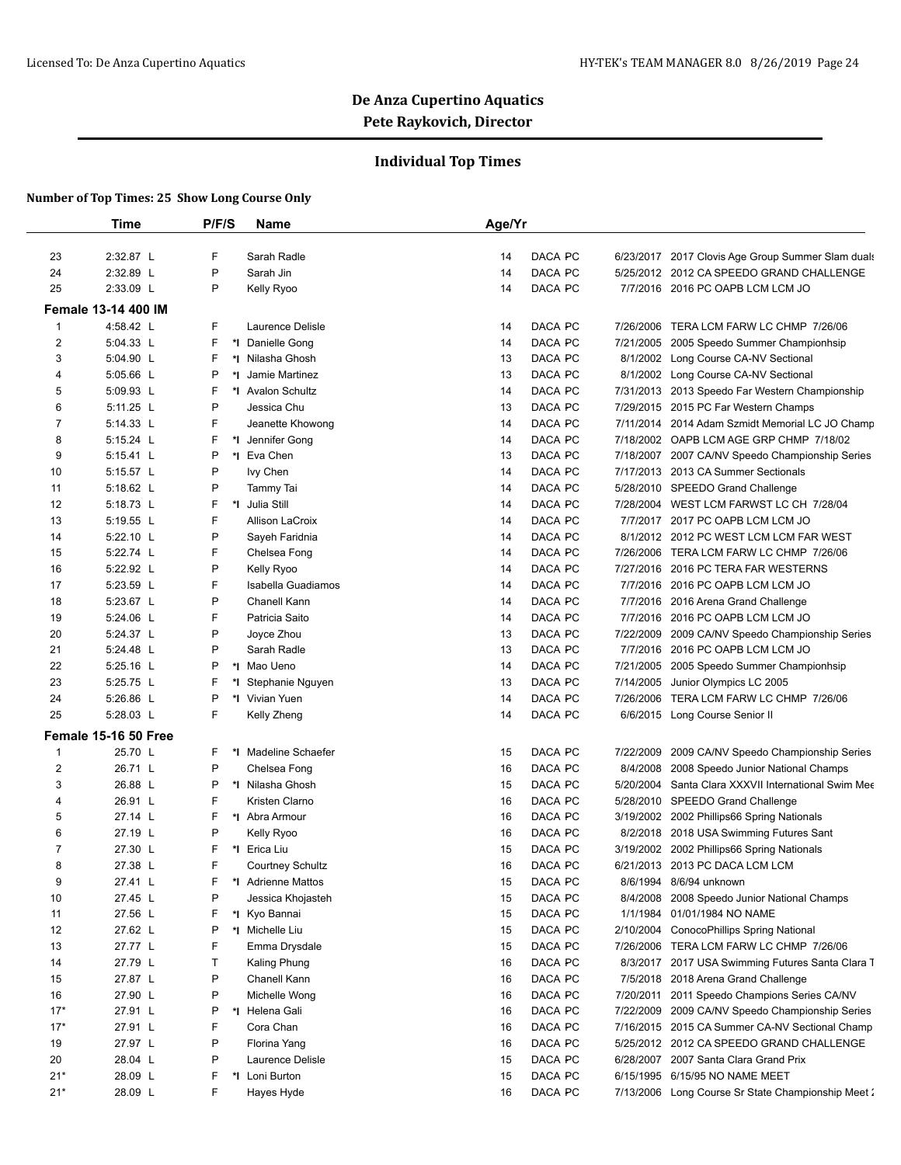## **Individual Top Times**

|                         | <b>Time</b>                 | P/F/S   | Name                    | Age/Yr |         |           |                                                     |
|-------------------------|-----------------------------|---------|-------------------------|--------|---------|-----------|-----------------------------------------------------|
| 23                      | 2:32.87 L                   | F       | Sarah Radle             | 14     | DACA PC |           | 6/23/2017 2017 Clovis Age Group Summer Slam duals   |
| 24                      | 2:32.89 L                   | P       | Sarah Jin               | 14     | DACA PC |           | 5/25/2012 2012 CA SPEEDO GRAND CHALLENGE            |
| 25                      | 2:33.09 L                   | P       | Kelly Ryoo              | 14     | DACA PC |           | 7/7/2016 2016 PC OAPB LCM LCM JO                    |
|                         | Female 13-14 400 IM         |         |                         |        |         |           |                                                     |
| $\mathbf{1}$            | 4:58.42 L                   | F       | Laurence Delisle        | 14     | DACA PC | 7/26/2006 | TERA LCM FARW LC CHMP 7/26/06                       |
| $\overline{\mathbf{c}}$ | 5:04.33 L                   | F       | *I Danielle Gong        | 14     | DACA PC |           | 7/21/2005 2005 Speedo Summer Championhsip           |
| 3                       | 5:04.90 L                   | F       | *I Nilasha Ghosh        | 13     | DACA PC | 8/1/2002  | Long Course CA-NV Sectional                         |
| 4                       | 5:05.66 L                   | P<br>*l | Jamie Martinez          | 13     | DACA PC | 8/1/2002  | Long Course CA-NV Sectional                         |
| 5                       | 5:09.93 L                   | F       | *I Avalon Schultz       | 14     | DACA PC |           | 7/31/2013 2013 Speedo Far Western Championship      |
| 6                       | 5:11.25 L                   | P       | Jessica Chu             | 13     | DACA PC |           | 7/29/2015 2015 PC Far Western Champs                |
| 7                       | 5:14.33 L                   | F       | Jeanette Khowong        | 14     | DACA PC |           | 7/11/2014 2014 Adam Szmidt Memorial LC JO Champ     |
| 8                       | 5:15.24 L                   | F       | *I Jennifer Gong        | 14     | DACA PC |           | 7/18/2002 OAPB LCM AGE GRP CHMP 7/18/02             |
| 9                       | 5:15.41 L                   | P       | *1 Eva Chen             | 13     | DACA PC |           | 7/18/2007 2007 CA/NV Speedo Championship Series     |
| 10                      | 5:15.57 L                   | P       | Ivy Chen                | 14     | DACA PC |           | 7/17/2013 2013 CA Summer Sectionals                 |
| 11                      | 5:18.62 L                   | P       | Tammy Tai               | 14     | DACA PC |           | 5/28/2010 SPEEDO Grand Challenge                    |
| 12                      | 5:18.73 L                   | F<br>*I | Julia Still             | 14     | DACA PC |           | 7/28/2004 WEST LCM FARWST LC CH 7/28/04             |
|                         | 5:19.55 L                   | F       | <b>Allison LaCroix</b>  | 14     | DACA PC |           |                                                     |
| 13                      |                             | P       |                         |        | DACA PC |           | 7/7/2017 2017 PC OAPB LCM LCM JO                    |
| 14                      | 5:22.10 L<br>5:22.74 L      | F       | Sayeh Faridnia          | 14     |         |           | 8/1/2012 2012 PC WEST LCM LCM FAR WEST              |
| 15                      |                             |         | Chelsea Fong            | 14     | DACA PC |           | 7/26/2006 TERA LCM FARW LC CHMP 7/26/06             |
| 16                      | 5:22.92 L                   | P       | Kelly Ryoo              | 14     | DACA PC |           | 7/27/2016 2016 PC TERA FAR WESTERNS                 |
| 17                      | 5:23.59 L                   | F       | Isabella Guadiamos      | 14     | DACA PC |           | 7/7/2016 2016 PC OAPB LCM LCM JO                    |
| 18                      | 5:23.67 L                   | P       | Chanell Kann            | 14     | DACA PC |           | 7/7/2016 2016 Arena Grand Challenge                 |
| 19                      | 5:24.06 L                   | F       | Patricia Saito          | 14     | DACA PC |           | 7/7/2016 2016 PC OAPB LCM LCM JO                    |
| 20                      | 5:24.37 L                   | P       | Joyce Zhou              | 13     | DACA PC |           | 7/22/2009 2009 CA/NV Speedo Championship Series     |
| 21                      | 5:24.48 L                   | P       | Sarah Radle             | 13     | DACA PC |           | 7/7/2016 2016 PC OAPB LCM LCM JO                    |
| 22                      | 5:25.16 L                   | P       | *I Mao Ueno             | 14     | DACA PC |           | 7/21/2005 2005 Speedo Summer Championhsip           |
| 23                      | 5:25.75 L                   | F       | *I Stephanie Nguyen     | 13     | DACA PC | 7/14/2005 | Junior Olympics LC 2005                             |
| 24                      | 5:26.86 L                   | P       | *I Vivian Yuen          | 14     | DACA PC | 7/26/2006 | TERA LCM FARW LC CHMP 7/26/06                       |
| 25                      | 5:28.03 L                   | F       | Kelly Zheng             | 14     | DACA PC |           | 6/6/2015 Long Course Senior II                      |
|                         | <b>Female 15-16 50 Free</b> |         |                         |        |         |           |                                                     |
| $\mathbf{1}$            | 25.70 L                     | F       | *I Madeline Schaefer    | 15     | DACA PC | 7/22/2009 | 2009 CA/NV Speedo Championship Series               |
| 2                       | 26.71 L                     | P       | Chelsea Fong            | 16     | DACA PC | 8/4/2008  | 2008 Speedo Junior National Champs                  |
| 3                       | 26.88 L                     | P       | *I Nilasha Ghosh        | 15     | DACA PC |           | 5/20/2004 Santa Clara XXXVII International Swim Mee |
| 4                       | 26.91 L                     | F       | Kristen Clarno          | 16     | DACA PC |           | 5/28/2010 SPEEDO Grand Challenge                    |
| 5                       | 27.14 L                     | F       | *I Abra Armour          | 16     | DACA PC |           | 3/19/2002 2002 Phillips66 Spring Nationals          |
| 6                       | 27.19 L                     | P       | Kelly Ryoo              | 16     | DACA PC |           | 8/2/2018 2018 USA Swimming Futures Sant             |
| $\overline{7}$          | 27.30 L                     | F       | *I Erica Liu            | 15     | DACA PC |           | 3/19/2002 2002 Phillips66 Spring Nationals          |
| 8                       | 27.38 L                     | F       | <b>Courtney Schultz</b> | 16     | DACA PC |           | 6/21/2013 2013 PC DACA LCM LCM                      |
| 9                       | 27.41 L                     | F       | *I Adrienne Mattos      | 15     | DACA PC |           | 8/6/1994 8/6/94 unknown                             |
| 10                      | 27.45 L                     | P       | Jessica Khojasteh       | 15     | DACA PC | 8/4/2008  | 2008 Speedo Junior National Champs                  |
| 11                      | 27.56 L                     | F       | *I Kyo Bannai           | 15     | DACA PC | 1/1/1984  | 01/01/1984 NO NAME                                  |
| 12                      | 27.62 L                     | P       | *I Michelle Liu         | 15     | DACA PC | 2/10/2004 | ConocoPhillips Spring National                      |
| 13                      | 27.77 L                     | F       | Emma Drysdale           | 15     | DACA PC |           | 7/26/2006 TERA LCM FARW LC CHMP 7/26/06             |
| 14                      | 27.79 L                     | т       | Kaling Phung            | 16     | DACA PC |           | 8/3/2017 2017 USA Swimming Futures Santa Clara T    |
| 15                      | 27.87 L                     | P       | Chanell Kann            | 16     | DACA PC |           | 7/5/2018 2018 Arena Grand Challenge                 |
| 16                      | 27.90 L                     | P       | Michelle Wong           | 16     | DACA PC | 7/20/2011 | 2011 Speedo Champions Series CA/NV                  |
| $17*$                   | 27.91 L                     | P       | *I Helena Gali          | 16     | DACA PC | 7/22/2009 | 2009 CA/NV Speedo Championship Series               |
| $17*$                   | 27.91 L                     | F       | Cora Chan               | 16     | DACA PC |           | 7/16/2015 2015 CA Summer CA-NV Sectional Champ      |
|                         |                             | P       |                         |        | DACA PC |           |                                                     |
| 19                      | 27.97 L                     |         | Florina Yang            | 16     |         |           | 5/25/2012 2012 CA SPEEDO GRAND CHALLENGE            |
| 20                      | 28.04 L                     | P       | Laurence Delisle        | 15     | DACA PC | 6/28/2007 | 2007 Santa Clara Grand Prix                         |
| $21*$                   | 28.09 L                     | F       | *I Loni Burton          | 15     | DACA PC |           | 6/15/1995 6/15/95 NO NAME MEET                      |
| $21*$                   | 28.09 L                     | F       | Hayes Hyde              | 16     | DACA PC |           | 7/13/2006 Long Course Sr State Championship Meet 2  |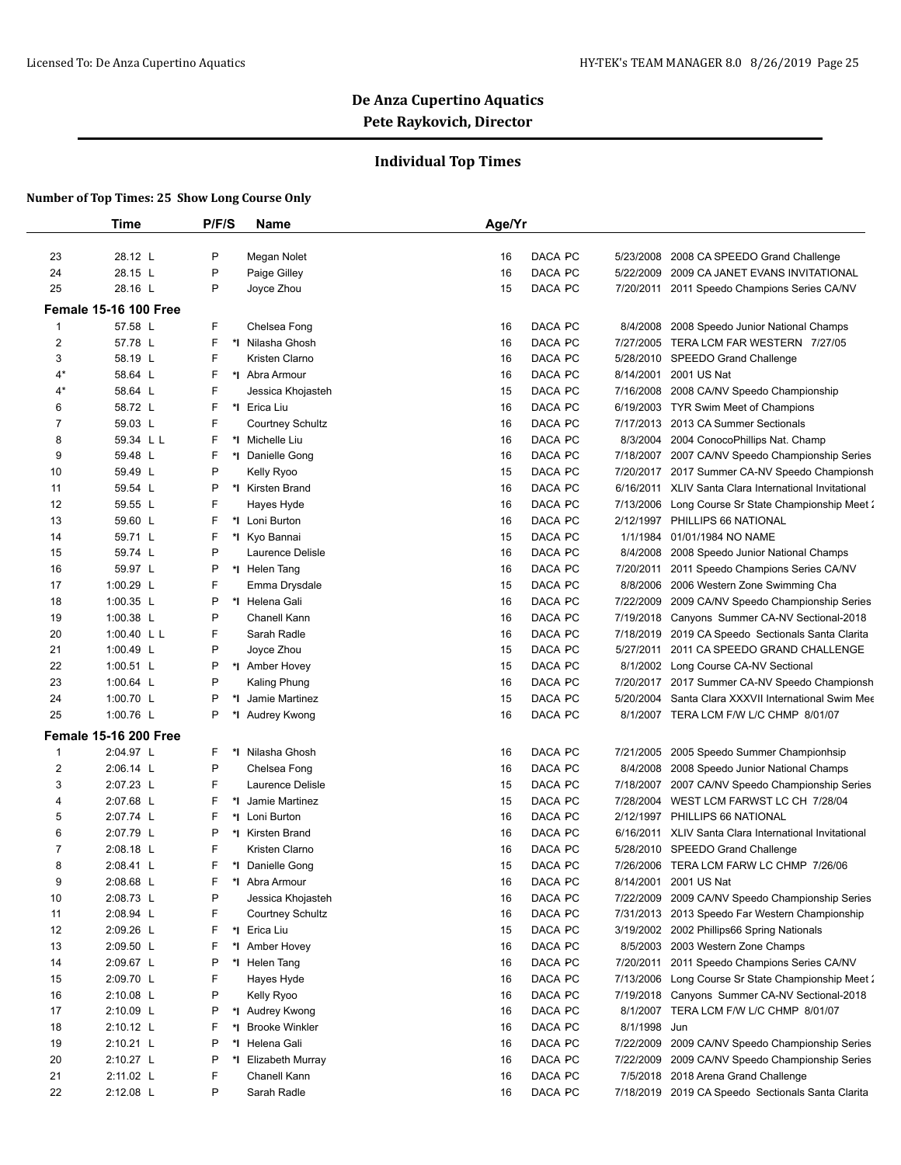## **Individual Top Times**

|                         | <b>Time</b>                  | P/F/S   | <b>Name</b>             | Age/Yr |         |              |                                                       |
|-------------------------|------------------------------|---------|-------------------------|--------|---------|--------------|-------------------------------------------------------|
|                         |                              |         |                         |        |         |              |                                                       |
| 23                      | 28.12 L                      | P       | Megan Nolet             | 16     | DACA PC | 5/23/2008    | 2008 CA SPEEDO Grand Challenge                        |
| 24                      | 28.15 L                      | P       | Paige Gilley            | 16     | DACA PC |              | 5/22/2009 2009 CA JANET EVANS INVITATIONAL            |
| 25                      | 28.16 L                      | P       | Joyce Zhou              | 15     | DACA PC |              | 7/20/2011 2011 Speedo Champions Series CA/NV          |
|                         | <b>Female 15-16 100 Free</b> |         |                         |        |         |              |                                                       |
| 1                       | 57.58 L                      | F       | Chelsea Fong            | 16     | DACA PC | 8/4/2008     | 2008 Speedo Junior National Champs                    |
| $\overline{\mathbf{c}}$ | 57.78 L                      | F       | *I Nilasha Ghosh        | 16     | DACA PC |              | 7/27/2005 TERA LCM FAR WESTERN 7/27/05                |
| 3                       | 58.19 L                      | F       | Kristen Clarno          | 16     | DACA PC |              | 5/28/2010 SPEEDO Grand Challenge                      |
| 4*                      | 58.64 L                      | F       | *I Abra Armour          | 16     | DACA PC | 8/14/2001    | 2001 US Nat                                           |
| 4*                      | 58.64 L                      | F       | Jessica Khojasteh       | 15     | DACA PC | 7/16/2008    | 2008 CA/NV Speedo Championship                        |
| 6                       | 58.72 L                      | F       | *I Erica Liu            | 16     | DACA PC |              | 6/19/2003 TYR Swim Meet of Champions                  |
| 7                       | 59.03 L                      | F       | <b>Courtney Schultz</b> | 16     | DACA PC | 7/17/2013    | 2013 CA Summer Sectionals                             |
| 8                       | 59.34 L L                    | F       | *I Michelle Liu         | 16     | DACA PC | 8/3/2004     | 2004 ConocoPhillips Nat. Champ                        |
| 9                       | 59.48 L                      | F       | *1 Danielle Gong        | 16     | DACA PC |              | 7/18/2007 2007 CA/NV Speedo Championship Series       |
| 10                      | 59.49 L                      | P       | Kelly Ryoo              | 15     | DACA PC |              | 7/20/2017 2017 Summer CA-NV Speedo Championsh         |
| 11                      | 59.54 L                      | P       | *I Kirsten Brand        | 16     | DACA PC |              | 6/16/2011 XLIV Santa Clara International Invitational |
| 12                      | 59.55 L                      | F       | Hayes Hyde              | 16     | DACA PC |              | 7/13/2006 Long Course Sr State Championship Meet 2    |
| 13                      | 59.60 L                      | F       | *I Loni Burton          | 16     | DACA PC | 2/12/1997    | PHILLIPS 66 NATIONAL                                  |
| 14                      | 59.71 L                      | F       | *I Kyo Bannai           | 15     | DACA PC | 1/1/1984     | 01/01/1984 NO NAME                                    |
| 15                      | 59.74 L                      | P       | Laurence Delisle        | 16     | DACA PC |              | 8/4/2008 2008 Speedo Junior National Champs           |
| 16                      | 59.97 L                      | P       | *I Helen Tang           | 16     | DACA PC | 7/20/2011    | 2011 Speedo Champions Series CA/NV                    |
| 17                      | 1:00.29 L                    | F       | Emma Drysdale           | 15     | DACA PC |              | 8/8/2006 2006 Western Zone Swimming Cha               |
| 18                      | 1:00.35 L                    | P       | *I Helena Gali          | 16     | DACA PC |              | 7/22/2009 2009 CA/NV Speedo Championship Series       |
| 19                      | 1:00.38 $L$                  | P       | Chanell Kann            | 16     | DACA PC |              | 7/19/2018 Canyons Summer CA-NV Sectional-2018         |
| 20                      | 1:00.40 $L L$                | F       | Sarah Radle             | 16     | DACA PC |              | 7/18/2019 2019 CA Speedo Sectionals Santa Clarita     |
| 21                      | 1:00.49 L                    | P       | Joyce Zhou              | 15     | DACA PC |              | 5/27/2011 2011 CA SPEEDO GRAND CHALLENGE              |
| 22                      | 1:00.51 $L$                  | P       | *I Amber Hovey          | 15     | DACA PC | 8/1/2002     | Long Course CA-NV Sectional                           |
| 23                      | 1:00.64 L                    | P       | Kaling Phung            | 16     | DACA PC |              | 7/20/2017 2017 Summer CA-NV Speedo Championsh         |
| 24                      | 1:00.70 L                    | P<br>*l | Jamie Martinez          | 15     | DACA PC | 5/20/2004    | Santa Clara XXXVII International Swim Mee             |
| 25                      | 1:00.76 L                    | P       | *I Audrey Kwong         | 16     | DACA PC |              | 8/1/2007 TERA LCM F/W L/C CHMP 8/01/07                |
|                         | <b>Female 15-16 200 Free</b> |         |                         |        |         |              |                                                       |
| 1                       | 2:04.97 L                    | F.      | *I Nilasha Ghosh        | 16     | DACA PC |              | 7/21/2005 2005 Speedo Summer Championhsip             |
| 2                       | 2:06.14 L                    | P       | Chelsea Fong            | 16     | DACA PC | 8/4/2008     | 2008 Speedo Junior National Champs                    |
| 3                       | 2:07.23 L                    | F       | Laurence Delisle        | 15     | DACA PC |              | 7/18/2007 2007 CA/NV Speedo Championship Series       |
| 4                       | 2:07.68 L                    | F       | *I Jamie Martinez       | 15     | DACA PC |              | 7/28/2004 WEST LCM FARWST LC CH 7/28/04               |
| 5                       | 2:07.74 L                    | F       | *I Loni Burton          | 16     | DACA PC |              | 2/12/1997 PHILLIPS 66 NATIONAL                        |
| 6                       | 2:07.79 L                    | P       | *I Kirsten Brand        | 16     | DACA PC |              | 6/16/2011 XLIV Santa Clara International Invitational |
| 7                       | 2:08.18 L                    | F       | Kristen Clarno          | 16     | DACA PC |              | 5/28/2010 SPEEDO Grand Challenge                      |
| 8                       | 2:08.41 L                    | F.      | *1 Danielle Gong        | 15     | DACA PC |              | 7/26/2006 TERA LCM FARW LC CHMP 7/26/06               |
| 9                       | 2:08.68 L                    | F       | *I Abra Armour          | 16     | DACA PC |              | 8/14/2001 2001 US Nat                                 |
| 10                      | 2:08.73 L                    | P       | Jessica Khojasteh       | 16     | DACA PC |              | 7/22/2009 2009 CA/NV Speedo Championship Series       |
| 11                      | 2:08.94 L                    | F       | <b>Courtney Schultz</b> | 16     | DACA PC |              | 7/31/2013 2013 Speedo Far Western Championship        |
| 12                      | 2:09.26 L                    | F       | *I Erica Liu            | 15     | DACA PC |              | 3/19/2002 2002 Phillips66 Spring Nationals            |
| 13                      | 2:09.50 L                    | F       | *I Amber Hovey          | 16     | DACA PC |              | 8/5/2003 2003 Western Zone Champs                     |
| 14                      | 2:09.67 L                    | P       | *I Helen Tang           | 16     | DACA PC |              | 7/20/2011 2011 Speedo Champions Series CA/NV          |
| 15                      | 2:09.70 L                    | F       | Hayes Hyde              | 16     | DACA PC |              | 7/13/2006 Long Course Sr State Championship Meet 2    |
| 16                      | $2:10.08$ L                  | P       | Kelly Ryoo              | 16     | DACA PC |              | 7/19/2018 Canyons Summer CA-NV Sectional-2018         |
| 17                      | 2:10.09 L                    | P       | *I Audrey Kwong         | 16     | DACA PC |              | 8/1/2007 TERA LCM F/W L/C CHMP 8/01/07                |
| 18                      | $2:10.12$ L                  | F<br>*I | <b>Brooke Winkler</b>   | 16     | DACA PC | 8/1/1998 Jun |                                                       |
| 19                      | $2:10.21$ L                  | P       | *I Helena Gali          | 16     | DACA PC |              | 7/22/2009 2009 CA/NV Speedo Championship Series       |
| 20                      | 2:10.27 L                    | P       | *I Elizabeth Murray     | 16     | DACA PC | 7/22/2009    | 2009 CA/NV Speedo Championship Series                 |
| 21                      | 2:11.02 L                    | F       | Chanell Kann            | 16     | DACA PC |              | 7/5/2018 2018 Arena Grand Challenge                   |
| 22                      | 2:12.08 L                    | P       | Sarah Radle             | 16     | DACA PC |              | 7/18/2019 2019 CA Speedo Sectionals Santa Clarita     |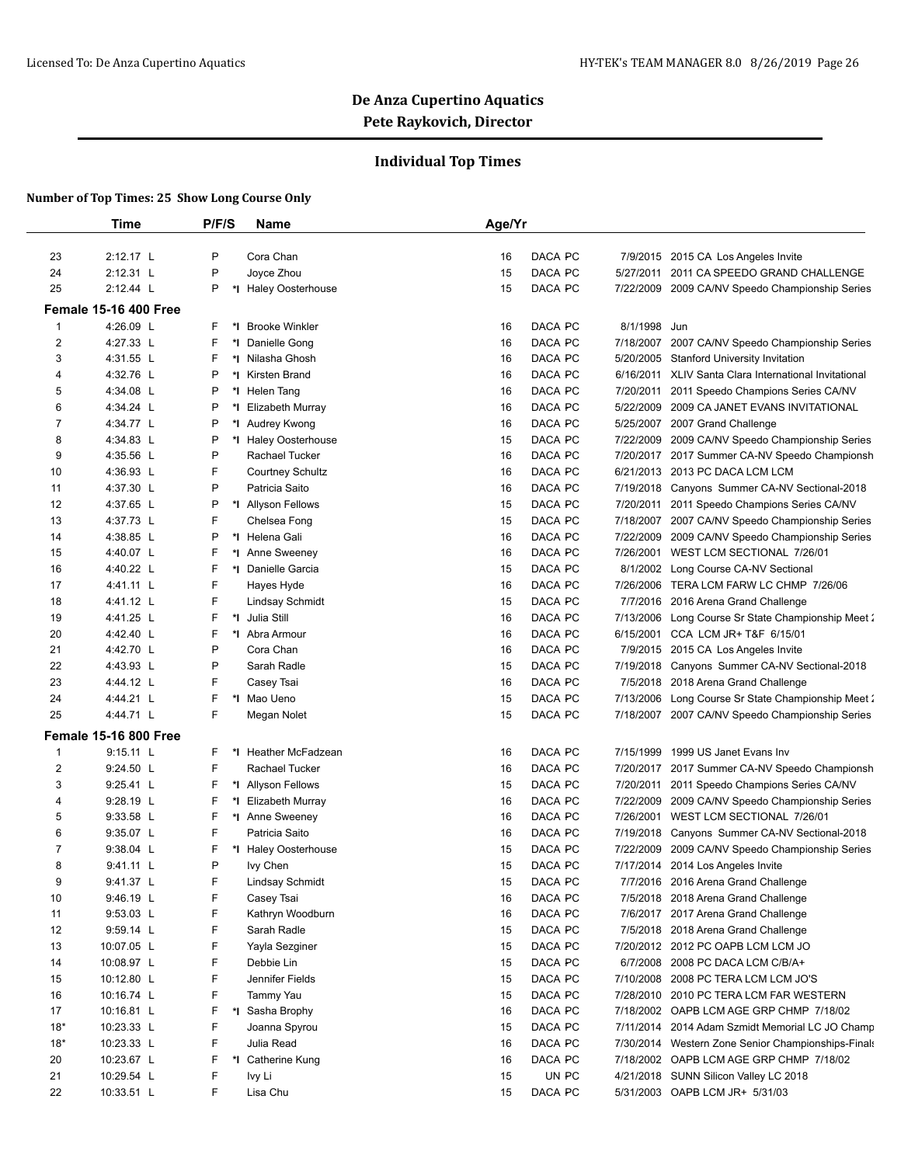## **Individual Top Times**

|                  | <b>Time</b>                  | P/F/S  | <b>Name</b>                          | Age/Yr   |                    |                        |                                                                        |
|------------------|------------------------------|--------|--------------------------------------|----------|--------------------|------------------------|------------------------------------------------------------------------|
| 23               | 2:12.17 L                    | P      | Cora Chan                            | 16       | DACA PC            |                        | 7/9/2015 2015 CA Los Angeles Invite                                    |
| 24               | 2:12.31 L                    | P      | Joyce Zhou                           | 15       | DACA PC            | 5/27/2011              | 2011 CA SPEEDO GRAND CHALLENGE                                         |
| 25               | 2:12.44 L                    | P      | *I Haley Oosterhouse                 | 15       | <b>DACA PC</b>     | 7/22/2009              | 2009 CA/NV Speedo Championship Series                                  |
|                  | <b>Female 15-16 400 Free</b> |        |                                      |          |                    |                        |                                                                        |
|                  |                              |        |                                      |          |                    |                        |                                                                        |
| $\mathbf{1}$     | 4:26.09 L                    | F.     | *I Brooke Winkler                    | 16       | DACA PC            | 8/1/1998               | Jun                                                                    |
| $\overline{2}$   | 4:27.33 L                    | F<br>F | *I Danielle Gong                     | 16       | DACA PC<br>DACA PC | 7/18/2007              | 2007 CA/NV Speedo Championship Series                                  |
| 3                | 4:31.55 L<br>4:32.76 L       | P      | *I Nilasha Ghosh                     | 16       | DACA PC            | 5/20/2005              | <b>Stanford University Invitation</b>                                  |
| 4                |                              | P      | *I Kirsten Brand                     | 16       |                    |                        | 6/16/2011 XLIV Santa Clara International Invitational                  |
| 5<br>6           | 4:34.08 L<br>4:34.24 L       | P      | *I Helen Tang<br>*I Elizabeth Murray | 16<br>16 | DACA PC<br>DACA PC | 7/20/2011<br>5/22/2009 | 2011 Speedo Champions Series CA/NV<br>2009 CA JANET EVANS INVITATIONAL |
| 7                | 4:34.77 L                    | P      | *I Audrey Kwong                      | 16       | DACA PC            | 5/25/2007              | 2007 Grand Challenge                                                   |
| 8                | 4:34.83 L                    | P      | *I Haley Oosterhouse                 | 15       | DACA PC            | 7/22/2009              | 2009 CA/NV Speedo Championship Series                                  |
| 9                | 4:35.56 L                    | P      | Rachael Tucker                       | 16       | DACA PC            |                        | 7/20/2017 2017 Summer CA-NV Speedo Championsh                          |
| 10               | 4:36.93 L                    | F      | <b>Courtney Schultz</b>              | 16       | DACA PC            | 6/21/2013              | 2013 PC DACA LCM LCM                                                   |
| 11               | 4:37.30 L                    | P      | Patricia Saito                       | 16       | DACA PC            | 7/19/2018              | Canyons Summer CA-NV Sectional-2018                                    |
| 12               | 4:37.65 L                    | P      | *I Allyson Fellows                   | 15       | DACA PC            | 7/20/2011              | 2011 Speedo Champions Series CA/NV                                     |
| 13               | 4:37.73 L                    | F      | Chelsea Fong                         | 15       | DACA PC            | 7/18/2007              | 2007 CA/NV Speedo Championship Series                                  |
| 14               | 4:38.85 L                    | P      | *1 Helena Gali                       | 16       | DACA PC            | 7/22/2009              | 2009 CA/NV Speedo Championship Series                                  |
| 15               | 4:40.07 L                    | F      | *I Anne Sweeney                      | 16       | DACA PC            | 7/26/2001              | WEST LCM SECTIONAL 7/26/01                                             |
| 16               | 4:40.22 L                    | F      | *I Danielle Garcia                   | 15       | DACA PC            | 8/1/2002               | Long Course CA-NV Sectional                                            |
| 17               | 4:41.11 L                    | F      | Hayes Hyde                           | 16       | DACA PC            | 7/26/2006              | TERA LCM FARW LC CHMP 7/26/06                                          |
| 18               | 4:41.12 L                    | F      | <b>Lindsay Schmidt</b>               | 15       | DACA PC            | 7/7/2016               | 2016 Arena Grand Challenge                                             |
| 19               | 4:41.25 L                    | F      | *I Julia Still                       | 16       | DACA PC            | 7/13/2006              | Long Course Sr State Championship Meet 2                               |
| 20               | 4:42.40 L                    | F      | *I Abra Armour                       | 16       | DACA PC            | 6/15/2001              | CCA LCM JR+ T&F 6/15/01                                                |
| 21               | 4:42.70 L                    | P      | Cora Chan                            | 16       | DACA PC            |                        | 7/9/2015 2015 CA Los Angeles Invite                                    |
| 22               | 4:43.93 L                    | P      | Sarah Radle                          | 15       | DACA PC            | 7/19/2018              | Canyons Summer CA-NV Sectional-2018                                    |
| 23               | 4:44.12 L                    | F      | Casey Tsai                           | 16       | DACA PC            | 7/5/2018               | 2018 Arena Grand Challenge                                             |
| 24               | 4:44.21 L                    | F      | *I Mao Ueno                          | 15       | DACA PC            | 7/13/2006              | Long Course Sr State Championship Meet 2                               |
| 25               | 4:44.71 L                    | F.     | Megan Nolet                          | 15       | DACA PC            | 7/18/2007              | 2007 CA/NV Speedo Championship Series                                  |
|                  | <b>Female 15-16 800 Free</b> |        |                                      |          |                    |                        |                                                                        |
| 1                | 9:15.11 L                    | F.     | *I Heather McFadzean                 | 16       | DACA PC            | 7/15/1999              | 1999 US Janet Evans Inv                                                |
| $\boldsymbol{2}$ | 9:24.50 L                    | F      | Rachael Tucker                       | 16       | DACA PC            | 7/20/2017              | 2017 Summer CA-NV Speedo Championsh                                    |
| 3                | 9:25.41 L                    | F      | *I Allyson Fellows                   | 15       | DACA PC            | 7/20/2011              | 2011 Speedo Champions Series CA/NV                                     |
| 4                | 9:28.19 L                    | F      | *I Elizabeth Murray                  | 16       | DACA PC            | 7/22/2009              | 2009 CA/NV Speedo Championship Series                                  |
| 5                | 9:33.58 L                    | F      | *1 Anne Sweeney                      | 16       | DACA PC            | 7/26/2001              | WEST LCM SECTIONAL 7/26/01                                             |
| 6                | 9:35.07 L                    | F      | Patricia Saito                       | 16       | DACA PC            | 7/19/2018              | Canyons Summer CA-NV Sectional-2018                                    |
| 7                | 9:38.04 L                    | F      | *I Haley Oosterhouse                 | 15       | DACA PC            | 7/22/2009              | 2009 CA/NV Speedo Championship Series                                  |
| 8                | $9:41.11$ L                  | P      | lvy Chen                             | 15       | DACA PC            |                        | 7/17/2014 2014 Los Angeles Invite                                      |
| 9                | 9:41.37 L                    | F      | Lindsay Schmidt                      | 15       | DACA PC            |                        | 7/7/2016 2016 Arena Grand Challenge                                    |
| 10               | 9:46.19 L                    | F      | Casey Tsai                           | 16       | DACA PC            |                        | 7/5/2018 2018 Arena Grand Challenge                                    |
| 11               | $9:53.03$ L                  | F      | Kathryn Woodburn                     | 16       | DACA PC            |                        | 7/6/2017 2017 Arena Grand Challenge                                    |
| 12               | 9:59.14 L                    | F      | Sarah Radle                          | 15       | DACA PC            |                        | 7/5/2018 2018 Arena Grand Challenge                                    |
| 13               | 10:07.05 L                   | F      | Yayla Sezginer                       | 15       | DACA PC            |                        | 7/20/2012 2012 PC OAPB LCM LCM JO                                      |
| 14               | 10:08.97 L                   | F      | Debbie Lin                           | 15       | DACA PC            |                        | 6/7/2008 2008 PC DACA LCM C/B/A+                                       |
| 15               | 10:12.80 L                   | F      | Jennifer Fields                      | 15       | DACA PC            | 7/10/2008              | 2008 PC TERA LCM LCM JO'S                                              |
| 16               | 10:16.74 L                   | F      | Tammy Yau                            | 15       | DACA PC            | 7/28/2010              | 2010 PC TERA LCM FAR WESTERN                                           |
| 17               | 10:16.81 L                   | F      | *I Sasha Brophy                      | 16       | DACA PC            |                        | 7/18/2002 OAPB LCM AGE GRP CHMP 7/18/02                                |
| $18*$            | 10:23.33 L                   | F      | Joanna Spyrou                        | 15       | DACA PC            | 7/11/2014              | 2014 Adam Szmidt Memorial LC JO Champ                                  |
| $18*$            | 10:23.33 L                   | F      | Julia Read                           | 16       | DACA PC            |                        | 7/30/2014 Western Zone Senior Championships-Finals                     |
| 20               | 10:23.67 L                   | F      | *I Catherine Kung                    | 16       | DACA PC            |                        | 7/18/2002 OAPB LCM AGE GRP CHMP 7/18/02                                |
| 21               | 10:29.54 L                   | F      | lvy Li                               | 15       | UN PC              |                        | 4/21/2018 SUNN Silicon Valley LC 2018                                  |
| 22               | 10:33.51 L                   | F      | Lisa Chu                             | 15       | DACA PC            |                        | 5/31/2003 OAPB LCM JR+ 5/31/03                                         |
|                  |                              |        |                                      |          |                    |                        |                                                                        |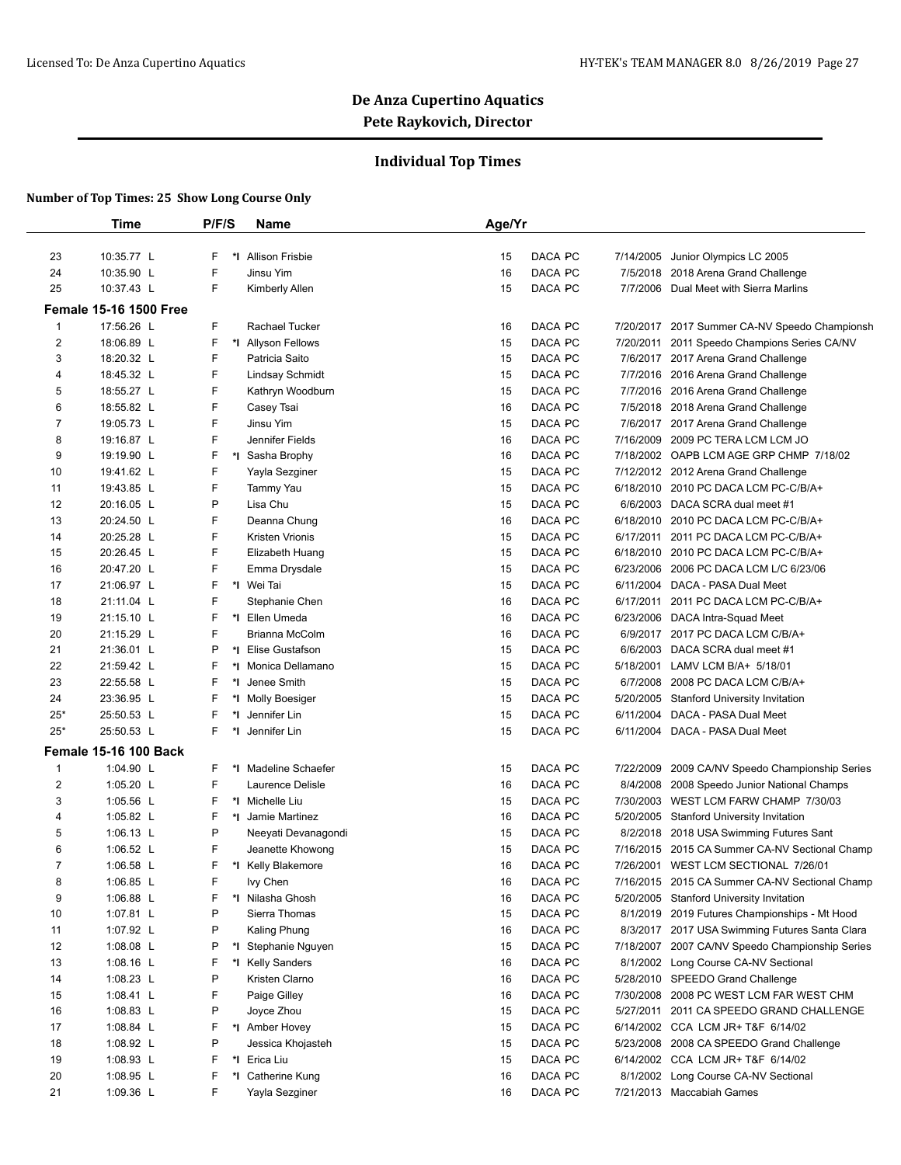## **Individual Top Times**

|                | <b>Time</b>                   | P/F/S   | Name                   | Age/Yr |         |           |                                                 |
|----------------|-------------------------------|---------|------------------------|--------|---------|-----------|-------------------------------------------------|
|                |                               |         |                        |        |         |           |                                                 |
| 23             | 10:35.77 L                    | F<br>*∣ | <b>Allison Frisbie</b> | 15     | DACA PC | 7/14/2005 | Junior Olympics LC 2005                         |
| 24             | 10:35.90 L                    | F       | Jinsu Yim              | 16     | DACA PC |           | 7/5/2018 2018 Arena Grand Challenge             |
| 25             | 10:37.43 L                    | F       | Kimberly Allen         | 15     | DACA PC |           | 7/7/2006 Dual Meet with Sierra Marlins          |
|                | <b>Female 15-16 1500 Free</b> |         |                        |        |         |           |                                                 |
| 1              | 17:56.26 L                    | F       | Rachael Tucker         | 16     | DACA PC | 7/20/2017 | 2017 Summer CA-NV Speedo Championsh             |
| $\overline{c}$ | 18:06.89 L                    | F       | *I Allyson Fellows     | 15     | DACA PC | 7/20/2011 | 2011 Speedo Champions Series CA/NV              |
| 3              | 18:20.32 L                    | F       | Patricia Saito         | 15     | DACA PC |           | 7/6/2017 2017 Arena Grand Challenge             |
| 4              | 18:45.32 L                    | F       | Lindsay Schmidt        | 15     | DACA PC |           | 7/7/2016 2016 Arena Grand Challenge             |
| 5              | 18:55.27 L                    | F       | Kathryn Woodburn       | 15     | DACA PC |           | 7/7/2016 2016 Arena Grand Challenge             |
| 6              | 18:55.82 L                    | F       | Casey Tsai             | 16     | DACA PC |           | 7/5/2018 2018 Arena Grand Challenge             |
| 7              | 19:05.73 L                    | F       | Jinsu Yim              | 15     | DACA PC |           | 7/6/2017 2017 Arena Grand Challenge             |
| 8              | 19:16.87 L                    | F       | Jennifer Fields        | 16     | DACA PC |           | 7/16/2009 2009 PC TERA LCM LCM JO               |
| 9              | 19:19.90 L                    | F       | *1 Sasha Brophy        | 16     | DACA PC |           | 7/18/2002 OAPB LCM AGE GRP CHMP 7/18/02         |
| 10             | 19:41.62 L                    | F       | Yayla Sezginer         | 15     | DACA PC |           | 7/12/2012 2012 Arena Grand Challenge            |
| 11             | 19:43.85 L                    | F       | Tammy Yau              | 15     | DACA PC |           | 6/18/2010 2010 PC DACA LCM PC-C/B/A+            |
| 12             | 20:16.05 L                    | P       | Lisa Chu               | 15     | DACA PC |           | 6/6/2003 DACA SCRA dual meet #1                 |
| 13             | 20:24.50 L                    | F       | Deanna Chung           | 16     | DACA PC |           | 6/18/2010 2010 PC DACA LCM PC-C/B/A+            |
| 14             | 20:25.28 L                    | F       | Kristen Vrionis        | 15     | DACA PC |           | 6/17/2011 2011 PC DACA LCM PC-C/B/A+            |
| 15             | 20:26.45 L                    | F       | Elizabeth Huang        | 15     | DACA PC |           | 6/18/2010 2010 PC DACA LCM PC-C/B/A+            |
| 16             | 20:47.20 L                    | F       | Emma Drysdale          | 15     | DACA PC | 6/23/2006 | 2006 PC DACA LCM L/C 6/23/06                    |
| 17             | 21:06.97 L                    | F       | *I Wei Tai             | 15     | DACA PC |           | 6/11/2004 DACA - PASA Dual Meet                 |
| 18             | 21:11.04 L                    | F       | Stephanie Chen         | 16     | DACA PC |           | 6/17/2011 2011 PC DACA LCM PC-C/B/A+            |
| 19             | 21:15.10 L                    | F       | *I Ellen Umeda         | 16     | DACA PC | 6/23/2006 | DACA Intra-Squad Meet                           |
| 20             | 21:15.29 L                    | F       | Brianna McColm         | 16     | DACA PC |           | 6/9/2017 2017 PC DACA LCM C/B/A+                |
| 21             | 21:36.01 L                    | P       | *I Elise Gustafson     | 15     | DACA PC |           | 6/6/2003 DACA SCRA dual meet #1                 |
| 22             | 21:59.42 L                    | F       | *I Monica Dellamano    | 15     | DACA PC | 5/18/2001 | LAMV LCM B/A+ 5/18/01                           |
| 23             | 22:55.58 L                    | F       | *I Jenee Smith         | 15     | DACA PC | 6/7/2008  | 2008 PC DACA LCM C/B/A+                         |
| 24             | 23:36.95 L                    | F       | *I Molly Boesiger      | 15     | DACA PC | 5/20/2005 | <b>Stanford University Invitation</b>           |
| $25*$          | 25:50.53 L                    | F<br>*I | Jennifer Lin           | 15     | DACA PC | 6/11/2004 | DACA - PASA Dual Meet                           |
| $25*$          | 25:50.53 L                    | F       | *1 Jennifer Lin        | 15     | DACA PC |           | 6/11/2004 DACA - PASA Dual Meet                 |
|                | <b>Female 15-16 100 Back</b>  |         |                        |        |         |           |                                                 |
| 1              | 1:04.90 L                     | F       | *I Madeline Schaefer   | 15     | DACA PC | 7/22/2009 | 2009 CA/NV Speedo Championship Series           |
| 2              | 1:05.20 L                     | F       | Laurence Delisle       | 16     | DACA PC | 8/4/2008  | 2008 Speedo Junior National Champs              |
| 3              | 1:05.56 L                     | F       | *I Michelle Liu        | 15     | DACA PC |           | 7/30/2003 WEST LCM FARW CHAMP 7/30/03           |
| 4              | 1:05.82 L                     | F       | *I Jamie Martinez      | 16     | DACA PC |           | 5/20/2005 Stanford University Invitation        |
| 5              | 1:06.13 $L$                   | P       | Neeyati Devanagondi    | 15     | DACA PC |           | 8/2/2018 2018 USA Swimming Futures Sant         |
| 6              | 1:06.52 $L$                   | F       | Jeanette Khowong       | 15     | DACA PC |           | 7/16/2015 2015 CA Summer CA-NV Sectional Champ  |
| $\overline{7}$ | 1:06.58 $L$                   | F       | *I Kelly Blakemore     | 16     | DACA PC |           | 7/26/2001 WEST LCM SECTIONAL 7/26/01            |
| 8              | 1:06.85 L                     | F       | lvy Chen               | 16     | DACA PC |           | 7/16/2015 2015 CA Summer CA-NV Sectional Champ  |
| 9              | 1:06.88 $L$                   | F       | *I Nilasha Ghosh       | 16     | DACA PC |           | 5/20/2005 Stanford University Invitation        |
| 10             | 1:07.81 $L$                   | P       | Sierra Thomas          | 15     | DACA PC |           | 8/1/2019 2019 Futures Championships - Mt Hood   |
| 11             | 1:07.92 L                     | P       | Kaling Phung           | 16     | DACA PC |           | 8/3/2017 2017 USA Swimming Futures Santa Clara  |
| 12             | 1:08.08 $L$                   | P       | *I Stephanie Nguyen    | 15     | DACA PC |           | 7/18/2007 2007 CA/NV Speedo Championship Series |
| 13             | 1:08.16 $L$                   | F       | *I Kelly Sanders       | 16     | DACA PC |           | 8/1/2002 Long Course CA-NV Sectional            |
| 14             | 1:08.23 $L$                   | P       | Kristen Clarno         | 16     | DACA PC |           | 5/28/2010 SPEEDO Grand Challenge                |
| 15             | 1:08.41 $L$                   | F       | Paige Gilley           | 16     | DACA PC |           | 7/30/2008 2008 PC WEST LCM FAR WEST CHM         |
| 16             | 1:08.83 $L$                   | P       | Joyce Zhou             | 15     | DACA PC | 5/27/2011 | 2011 CA SPEEDO GRAND CHALLENGE                  |
| 17             | 1:08.84 L                     | F       | *I Amber Hovey         | 15     | DACA PC |           | 6/14/2002 CCA LCM JR+ T&F 6/14/02               |
| 18             | 1:08.92 $L$                   | P       | Jessica Khojasteh      | 15     | DACA PC |           | 5/23/2008 2008 CA SPEEDO Grand Challenge        |
| 19             | 1:08.93 $L$                   | F       | *I Erica Liu           | 15     | DACA PC |           | 6/14/2002 CCA LCM JR+ T&F 6/14/02               |
| 20             | 1:08.95 L                     | F       | *I Catherine Kung      | 16     | DACA PC |           | 8/1/2002 Long Course CA-NV Sectional            |
| 21             | 1:09.36 L                     | F       | Yayla Sezginer         | 16     | DACA PC |           | 7/21/2013 Maccabiah Games                       |
|                |                               |         |                        |        |         |           |                                                 |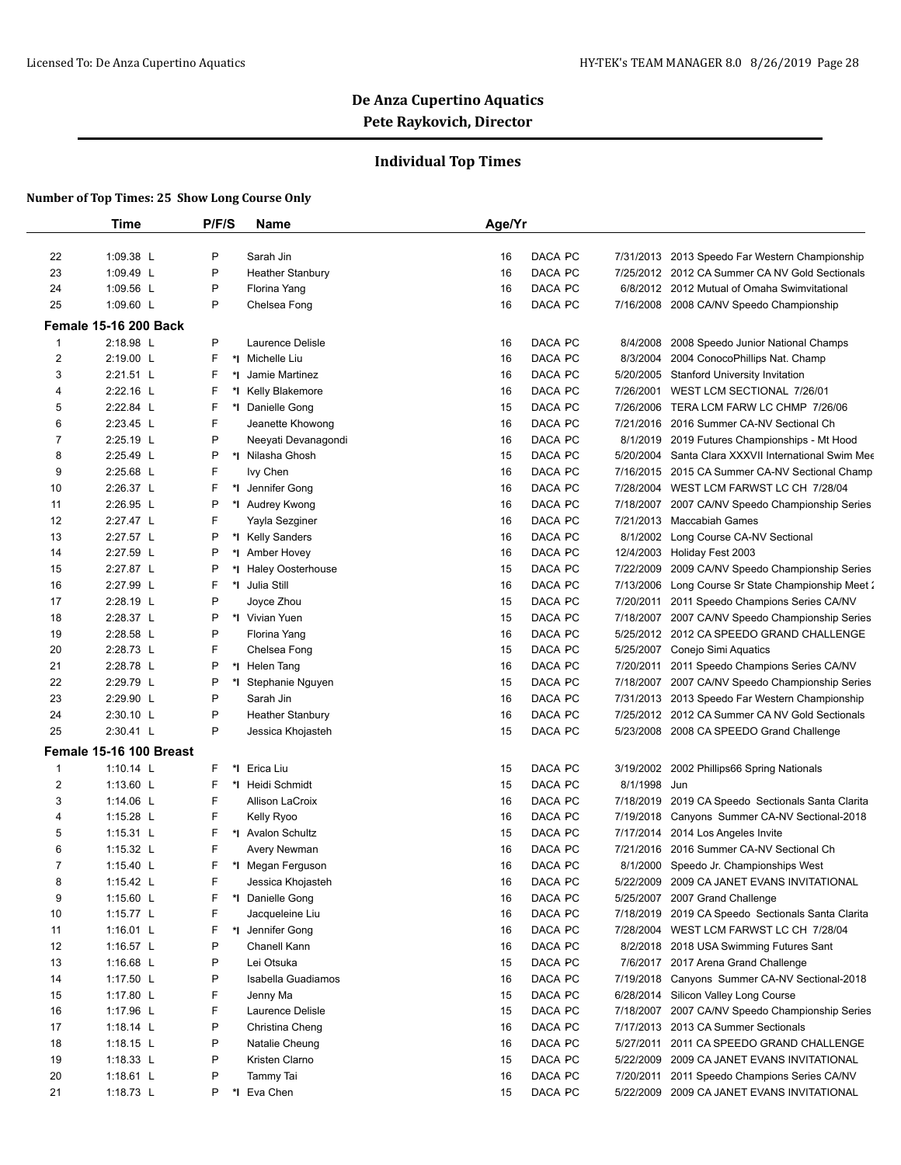## **Individual Top Times**

| 1:09.38 L<br>P<br>Sarah Jin<br>DACA PC<br>22<br>7/31/2013 2013 Speedo Far Western Championship<br>16<br>P<br>23<br>1:09.49 L<br>DACA PC<br>7/25/2012 2012 CA Summer CA NV Gold Sectionals<br><b>Heather Stanbury</b><br>16<br>P<br>24<br>1:09.56 L<br>Florina Yang<br>DACA PC<br>16<br>6/8/2012 2012 Mutual of Omaha Swimvitational<br>P<br>25<br>1:09.60 L<br>DACA PC<br>Chelsea Fong<br>16<br>7/16/2008 2008 CA/NV Speedo Championship<br><b>Female 15-16 200 Back</b><br>P<br>2:18.98 L<br>Laurence Delisle<br>1<br>16<br>DACA PC<br>8/4/2008<br>2008 Speedo Junior National Champs<br>2<br>2:19.00 L<br>F.<br>*1 Michelle Liu<br>DACA PC<br>16<br>8/3/2004<br>2004 ConocoPhillips Nat. Champ<br>F<br>3<br>2:21.51 L<br>*I<br>Jamie Martinez<br>16<br>DACA PC<br>5/20/2005 Stanford University Invitation<br>2:22.16 L<br>F<br>4<br>*I Kelly Blakemore<br>16<br>DACA PC<br>7/26/2001<br>WEST LCM SECTIONAL 7/26/01<br>2:22.84 L<br>F<br>*1 Danielle Gong<br>DACA PC<br>5<br>15<br>7/26/2006<br>TERA LCM FARW LC CHMP 7/26/06<br>F<br>6<br>2:23.45 L<br>Jeanette Khowong<br>DACA PC<br>16<br>7/21/2016<br>2016 Summer CA-NV Sectional Ch<br>P<br>7<br>2:25.19 L<br>DACA PC<br>Neeyati Devanagondi<br>16<br>8/1/2019 2019 Futures Championships - Mt Hood<br>8<br>2:25.49 L<br>P<br>*I Nilasha Ghosh<br>DACA PC<br>15<br>5/20/2004 Santa Clara XXXVII International Swim Mee<br>F<br>9<br>2:25.68 L<br>Ivy Chen<br>DACA PC<br>7/16/2015 2015 CA Summer CA-NV Sectional Champ<br>16<br>2:26.37 L<br>F<br>DACA PC<br>7/28/2004 WEST LCM FARWST LC CH 7/28/04<br>10<br>*I Jennifer Gong<br>16<br>2:26.95 L<br>P<br>DACA PC<br>11<br>*1 Audrey Kwong<br>16<br>7/18/2007 2007 CA/NV Speedo Championship Series<br>F<br>12<br>2:27.47 L<br>DACA PC<br>7/21/2013 Maccabiah Games<br>Yayla Sezginer<br>16<br>13<br>2:27.57 L<br>P<br>*I Kelly Sanders<br>DACA PC<br>16<br>8/1/2002 Long Course CA-NV Sectional<br>2:27.59 L<br>P<br>DACA PC<br>14<br>*1 Amber Hovey<br>16<br>12/4/2003 Holiday Fest 2003<br>15<br>2:27.87 L<br>P<br>7/22/2009<br>*I Haley Oosterhouse<br>15<br>DACA PC<br>2009 CA/NV Speedo Championship Series<br>16<br>2:27.99 L<br>F<br>*I Julia Still<br>16<br>DACA PC<br>7/13/2006 Long Course Sr State Championship Meet 2<br>17<br>2:28.19 L<br>P<br>DACA PC<br>Joyce Zhou<br>15<br>7/20/2011 2011 Speedo Champions Series CA/NV<br>18<br>2:28.37 L<br>P<br>*I Vivian Yuen<br>DACA PC<br>15<br>7/18/2007 2007 CA/NV Speedo Championship Series<br>P<br>2:28.58 L<br>DACA PC<br>5/25/2012 2012 CA SPEEDO GRAND CHALLENGE<br>19<br>Florina Yang<br>16<br>2:28.73 L<br>F<br>Chelsea Fong<br>DACA PC<br>5/25/2007 Conejo Simi Aquatics<br>20<br>15<br>21<br>2:28.78 L<br>P<br>*I Helen Tang<br>DACA PC<br>16<br>7/20/2011<br>2011 Speedo Champions Series CA/NV<br>22<br>2:29.79 L<br>P<br>DACA PC<br>7/18/2007 2007 CA/NV Speedo Championship Series<br>*I Stephanie Nguyen<br>15<br>23<br>2:29.90 L<br>P<br>Sarah Jin<br>DACA PC<br>16<br>7/31/2013 2013 Speedo Far Western Championship<br>P<br>24<br>2:30.10 L<br><b>Heather Stanbury</b><br>DACA PC<br>7/25/2012 2012 CA Summer CA NV Gold Sectionals<br>16<br>P<br>25<br>2:30.41 L<br>DACA PC<br>Jessica Khojasteh<br>15<br>5/23/2008 2008 CA SPEEDO Grand Challenge<br>Female 15-16 100 Breast<br>1:10.14 $L$<br>F<br>Erica Liu<br>1<br>*∣<br>15<br>DACA PC<br>3/19/2002<br>2002 Phillips66 Spring Nationals<br>$\overline{2}$<br>1:13.60 L<br>F<br>*1 Heidi Schmidt<br>DACA PC<br>8/1/1998 Jun<br>15<br>F.<br>3<br>1:14.06 L<br>DACA PC<br>Allison LaCroix<br>16<br>7/18/2019 2019 CA Speedo Sectionals Santa Clarita<br>F<br>4<br>1:15.28 $L$<br>Kelly Ryoo<br>DACA PC<br>7/19/2018 Canyons Summer CA-NV Sectional-2018<br>16<br>5<br>F<br>*I Avalon Schultz<br>$1:15.31$ L<br>15<br>DACA PC<br>7/17/2014 2014 Los Angeles Invite<br>F<br>6<br>1:15.32 L<br>DACA PC<br>Avery Newman<br>16<br>7/21/2016<br>2016 Summer CA-NV Sectional Ch<br>$\overline{7}$<br>F<br>1:15.40 $\lfloor$<br>*I Megan Ferguson<br>16<br>DACA PC<br>8/1/2000 Speedo Jr. Championships West<br>8<br>1:15.42 L<br>F<br>Jessica Khojasteh<br>DACA PC<br>5/22/2009 2009 CA JANET EVANS INVITATIONAL<br>16<br>F.<br>9<br>1:15.60 L<br>*I Danielle Gong<br>DACA PC<br>5/25/2007 2007 Grand Challenge<br>16<br>F<br>1:15.77 L<br>Jacqueleine Liu<br>DACA PC<br>10<br>16<br>7/18/2019 2019 CA Speedo Sectionals Santa Clarita<br>11<br>1:16.01 L<br>F<br>*I Jennifer Gong<br>DACA PC<br>7/28/2004 WEST LCM FARWST LC CH 7/28/04<br>16<br>12<br>P<br>1:16.57 L<br>Chanell Kann<br>DACA PC<br>8/2/2018 2018 USA Swimming Futures Sant<br>16<br>P<br>13<br>DACA PC<br>7/6/2017 2017 Arena Grand Challenge<br>1:16.68 $L$<br>Lei Otsuka<br>15<br>14<br>1:17.50 L<br>P<br>Isabella Guadiamos<br>DACA PC<br>7/19/2018 Canyons Summer CA-NV Sectional-2018<br>16<br>F.<br>15<br>1:17.80 L<br>DACA PC<br>6/28/2014 Silicon Valley Long Course<br>Jenny Ma<br>15 |  |
|------------------------------------------------------------------------------------------------------------------------------------------------------------------------------------------------------------------------------------------------------------------------------------------------------------------------------------------------------------------------------------------------------------------------------------------------------------------------------------------------------------------------------------------------------------------------------------------------------------------------------------------------------------------------------------------------------------------------------------------------------------------------------------------------------------------------------------------------------------------------------------------------------------------------------------------------------------------------------------------------------------------------------------------------------------------------------------------------------------------------------------------------------------------------------------------------------------------------------------------------------------------------------------------------------------------------------------------------------------------------------------------------------------------------------------------------------------------------------------------------------------------------------------------------------------------------------------------------------------------------------------------------------------------------------------------------------------------------------------------------------------------------------------------------------------------------------------------------------------------------------------------------------------------------------------------------------------------------------------------------------------------------------------------------------------------------------------------------------------------------------------------------------------------------------------------------------------------------------------------------------------------------------------------------------------------------------------------------------------------------------------------------------------------------------------------------------------------------------------------------------------------------------------------------------------------------------------------------------------------------------------------------------------------------------------------------------------------------------------------------------------------------------------------------------------------------------------------------------------------------------------------------------------------------------------------------------------------------------------------------------------------------------------------------------------------------------------------------------------------------------------------------------------------------------------------------------------------------------------------------------------------------------------------------------------------------------------------------------------------------------------------------------------------------------------------------------------------------------------------------------------------------------------------------------------------------------------------------------------------------------------------------------------------------------------------------------------------------------------------------------------------------------------------------------------------------------------------------------------------------------------------------------------------------------------------------------------------------------------------------------------------------------------------------------------------------------------------------------------------------------------------------------------------------------------------------------------------------------------------------------------------------------------------------------------------------------------------------------------------------------------------------------------------------------------------------------------------------------------------------------------------------------------------------------------------------------------------------------------------------------------------------------------------------------------------------------------------------------------------------------------------------------------------------------------------------------------------------------------------------------------------------|--|
|                                                                                                                                                                                                                                                                                                                                                                                                                                                                                                                                                                                                                                                                                                                                                                                                                                                                                                                                                                                                                                                                                                                                                                                                                                                                                                                                                                                                                                                                                                                                                                                                                                                                                                                                                                                                                                                                                                                                                                                                                                                                                                                                                                                                                                                                                                                                                                                                                                                                                                                                                                                                                                                                                                                                                                                                                                                                                                                                                                                                                                                                                                                                                                                                                                                                                                                                                                                                                                                                                                                                                                                                                                                                                                                                                                                                                                                                                                                                                                                                                                                                                                                                                                                                                                                                                                                                                                                                                                                                                                                                                                                                                                                                                                                                                                                                                                                                                                |  |
|                                                                                                                                                                                                                                                                                                                                                                                                                                                                                                                                                                                                                                                                                                                                                                                                                                                                                                                                                                                                                                                                                                                                                                                                                                                                                                                                                                                                                                                                                                                                                                                                                                                                                                                                                                                                                                                                                                                                                                                                                                                                                                                                                                                                                                                                                                                                                                                                                                                                                                                                                                                                                                                                                                                                                                                                                                                                                                                                                                                                                                                                                                                                                                                                                                                                                                                                                                                                                                                                                                                                                                                                                                                                                                                                                                                                                                                                                                                                                                                                                                                                                                                                                                                                                                                                                                                                                                                                                                                                                                                                                                                                                                                                                                                                                                                                                                                                                                |  |
|                                                                                                                                                                                                                                                                                                                                                                                                                                                                                                                                                                                                                                                                                                                                                                                                                                                                                                                                                                                                                                                                                                                                                                                                                                                                                                                                                                                                                                                                                                                                                                                                                                                                                                                                                                                                                                                                                                                                                                                                                                                                                                                                                                                                                                                                                                                                                                                                                                                                                                                                                                                                                                                                                                                                                                                                                                                                                                                                                                                                                                                                                                                                                                                                                                                                                                                                                                                                                                                                                                                                                                                                                                                                                                                                                                                                                                                                                                                                                                                                                                                                                                                                                                                                                                                                                                                                                                                                                                                                                                                                                                                                                                                                                                                                                                                                                                                                                                |  |
|                                                                                                                                                                                                                                                                                                                                                                                                                                                                                                                                                                                                                                                                                                                                                                                                                                                                                                                                                                                                                                                                                                                                                                                                                                                                                                                                                                                                                                                                                                                                                                                                                                                                                                                                                                                                                                                                                                                                                                                                                                                                                                                                                                                                                                                                                                                                                                                                                                                                                                                                                                                                                                                                                                                                                                                                                                                                                                                                                                                                                                                                                                                                                                                                                                                                                                                                                                                                                                                                                                                                                                                                                                                                                                                                                                                                                                                                                                                                                                                                                                                                                                                                                                                                                                                                                                                                                                                                                                                                                                                                                                                                                                                                                                                                                                                                                                                                                                |  |
|                                                                                                                                                                                                                                                                                                                                                                                                                                                                                                                                                                                                                                                                                                                                                                                                                                                                                                                                                                                                                                                                                                                                                                                                                                                                                                                                                                                                                                                                                                                                                                                                                                                                                                                                                                                                                                                                                                                                                                                                                                                                                                                                                                                                                                                                                                                                                                                                                                                                                                                                                                                                                                                                                                                                                                                                                                                                                                                                                                                                                                                                                                                                                                                                                                                                                                                                                                                                                                                                                                                                                                                                                                                                                                                                                                                                                                                                                                                                                                                                                                                                                                                                                                                                                                                                                                                                                                                                                                                                                                                                                                                                                                                                                                                                                                                                                                                                                                |  |
|                                                                                                                                                                                                                                                                                                                                                                                                                                                                                                                                                                                                                                                                                                                                                                                                                                                                                                                                                                                                                                                                                                                                                                                                                                                                                                                                                                                                                                                                                                                                                                                                                                                                                                                                                                                                                                                                                                                                                                                                                                                                                                                                                                                                                                                                                                                                                                                                                                                                                                                                                                                                                                                                                                                                                                                                                                                                                                                                                                                                                                                                                                                                                                                                                                                                                                                                                                                                                                                                                                                                                                                                                                                                                                                                                                                                                                                                                                                                                                                                                                                                                                                                                                                                                                                                                                                                                                                                                                                                                                                                                                                                                                                                                                                                                                                                                                                                                                |  |
|                                                                                                                                                                                                                                                                                                                                                                                                                                                                                                                                                                                                                                                                                                                                                                                                                                                                                                                                                                                                                                                                                                                                                                                                                                                                                                                                                                                                                                                                                                                                                                                                                                                                                                                                                                                                                                                                                                                                                                                                                                                                                                                                                                                                                                                                                                                                                                                                                                                                                                                                                                                                                                                                                                                                                                                                                                                                                                                                                                                                                                                                                                                                                                                                                                                                                                                                                                                                                                                                                                                                                                                                                                                                                                                                                                                                                                                                                                                                                                                                                                                                                                                                                                                                                                                                                                                                                                                                                                                                                                                                                                                                                                                                                                                                                                                                                                                                                                |  |
|                                                                                                                                                                                                                                                                                                                                                                                                                                                                                                                                                                                                                                                                                                                                                                                                                                                                                                                                                                                                                                                                                                                                                                                                                                                                                                                                                                                                                                                                                                                                                                                                                                                                                                                                                                                                                                                                                                                                                                                                                                                                                                                                                                                                                                                                                                                                                                                                                                                                                                                                                                                                                                                                                                                                                                                                                                                                                                                                                                                                                                                                                                                                                                                                                                                                                                                                                                                                                                                                                                                                                                                                                                                                                                                                                                                                                                                                                                                                                                                                                                                                                                                                                                                                                                                                                                                                                                                                                                                                                                                                                                                                                                                                                                                                                                                                                                                                                                |  |
|                                                                                                                                                                                                                                                                                                                                                                                                                                                                                                                                                                                                                                                                                                                                                                                                                                                                                                                                                                                                                                                                                                                                                                                                                                                                                                                                                                                                                                                                                                                                                                                                                                                                                                                                                                                                                                                                                                                                                                                                                                                                                                                                                                                                                                                                                                                                                                                                                                                                                                                                                                                                                                                                                                                                                                                                                                                                                                                                                                                                                                                                                                                                                                                                                                                                                                                                                                                                                                                                                                                                                                                                                                                                                                                                                                                                                                                                                                                                                                                                                                                                                                                                                                                                                                                                                                                                                                                                                                                                                                                                                                                                                                                                                                                                                                                                                                                                                                |  |
|                                                                                                                                                                                                                                                                                                                                                                                                                                                                                                                                                                                                                                                                                                                                                                                                                                                                                                                                                                                                                                                                                                                                                                                                                                                                                                                                                                                                                                                                                                                                                                                                                                                                                                                                                                                                                                                                                                                                                                                                                                                                                                                                                                                                                                                                                                                                                                                                                                                                                                                                                                                                                                                                                                                                                                                                                                                                                                                                                                                                                                                                                                                                                                                                                                                                                                                                                                                                                                                                                                                                                                                                                                                                                                                                                                                                                                                                                                                                                                                                                                                                                                                                                                                                                                                                                                                                                                                                                                                                                                                                                                                                                                                                                                                                                                                                                                                                                                |  |
|                                                                                                                                                                                                                                                                                                                                                                                                                                                                                                                                                                                                                                                                                                                                                                                                                                                                                                                                                                                                                                                                                                                                                                                                                                                                                                                                                                                                                                                                                                                                                                                                                                                                                                                                                                                                                                                                                                                                                                                                                                                                                                                                                                                                                                                                                                                                                                                                                                                                                                                                                                                                                                                                                                                                                                                                                                                                                                                                                                                                                                                                                                                                                                                                                                                                                                                                                                                                                                                                                                                                                                                                                                                                                                                                                                                                                                                                                                                                                                                                                                                                                                                                                                                                                                                                                                                                                                                                                                                                                                                                                                                                                                                                                                                                                                                                                                                                                                |  |
|                                                                                                                                                                                                                                                                                                                                                                                                                                                                                                                                                                                                                                                                                                                                                                                                                                                                                                                                                                                                                                                                                                                                                                                                                                                                                                                                                                                                                                                                                                                                                                                                                                                                                                                                                                                                                                                                                                                                                                                                                                                                                                                                                                                                                                                                                                                                                                                                                                                                                                                                                                                                                                                                                                                                                                                                                                                                                                                                                                                                                                                                                                                                                                                                                                                                                                                                                                                                                                                                                                                                                                                                                                                                                                                                                                                                                                                                                                                                                                                                                                                                                                                                                                                                                                                                                                                                                                                                                                                                                                                                                                                                                                                                                                                                                                                                                                                                                                |  |
|                                                                                                                                                                                                                                                                                                                                                                                                                                                                                                                                                                                                                                                                                                                                                                                                                                                                                                                                                                                                                                                                                                                                                                                                                                                                                                                                                                                                                                                                                                                                                                                                                                                                                                                                                                                                                                                                                                                                                                                                                                                                                                                                                                                                                                                                                                                                                                                                                                                                                                                                                                                                                                                                                                                                                                                                                                                                                                                                                                                                                                                                                                                                                                                                                                                                                                                                                                                                                                                                                                                                                                                                                                                                                                                                                                                                                                                                                                                                                                                                                                                                                                                                                                                                                                                                                                                                                                                                                                                                                                                                                                                                                                                                                                                                                                                                                                                                                                |  |
|                                                                                                                                                                                                                                                                                                                                                                                                                                                                                                                                                                                                                                                                                                                                                                                                                                                                                                                                                                                                                                                                                                                                                                                                                                                                                                                                                                                                                                                                                                                                                                                                                                                                                                                                                                                                                                                                                                                                                                                                                                                                                                                                                                                                                                                                                                                                                                                                                                                                                                                                                                                                                                                                                                                                                                                                                                                                                                                                                                                                                                                                                                                                                                                                                                                                                                                                                                                                                                                                                                                                                                                                                                                                                                                                                                                                                                                                                                                                                                                                                                                                                                                                                                                                                                                                                                                                                                                                                                                                                                                                                                                                                                                                                                                                                                                                                                                                                                |  |
|                                                                                                                                                                                                                                                                                                                                                                                                                                                                                                                                                                                                                                                                                                                                                                                                                                                                                                                                                                                                                                                                                                                                                                                                                                                                                                                                                                                                                                                                                                                                                                                                                                                                                                                                                                                                                                                                                                                                                                                                                                                                                                                                                                                                                                                                                                                                                                                                                                                                                                                                                                                                                                                                                                                                                                                                                                                                                                                                                                                                                                                                                                                                                                                                                                                                                                                                                                                                                                                                                                                                                                                                                                                                                                                                                                                                                                                                                                                                                                                                                                                                                                                                                                                                                                                                                                                                                                                                                                                                                                                                                                                                                                                                                                                                                                                                                                                                                                |  |
|                                                                                                                                                                                                                                                                                                                                                                                                                                                                                                                                                                                                                                                                                                                                                                                                                                                                                                                                                                                                                                                                                                                                                                                                                                                                                                                                                                                                                                                                                                                                                                                                                                                                                                                                                                                                                                                                                                                                                                                                                                                                                                                                                                                                                                                                                                                                                                                                                                                                                                                                                                                                                                                                                                                                                                                                                                                                                                                                                                                                                                                                                                                                                                                                                                                                                                                                                                                                                                                                                                                                                                                                                                                                                                                                                                                                                                                                                                                                                                                                                                                                                                                                                                                                                                                                                                                                                                                                                                                                                                                                                                                                                                                                                                                                                                                                                                                                                                |  |
|                                                                                                                                                                                                                                                                                                                                                                                                                                                                                                                                                                                                                                                                                                                                                                                                                                                                                                                                                                                                                                                                                                                                                                                                                                                                                                                                                                                                                                                                                                                                                                                                                                                                                                                                                                                                                                                                                                                                                                                                                                                                                                                                                                                                                                                                                                                                                                                                                                                                                                                                                                                                                                                                                                                                                                                                                                                                                                                                                                                                                                                                                                                                                                                                                                                                                                                                                                                                                                                                                                                                                                                                                                                                                                                                                                                                                                                                                                                                                                                                                                                                                                                                                                                                                                                                                                                                                                                                                                                                                                                                                                                                                                                                                                                                                                                                                                                                                                |  |
|                                                                                                                                                                                                                                                                                                                                                                                                                                                                                                                                                                                                                                                                                                                                                                                                                                                                                                                                                                                                                                                                                                                                                                                                                                                                                                                                                                                                                                                                                                                                                                                                                                                                                                                                                                                                                                                                                                                                                                                                                                                                                                                                                                                                                                                                                                                                                                                                                                                                                                                                                                                                                                                                                                                                                                                                                                                                                                                                                                                                                                                                                                                                                                                                                                                                                                                                                                                                                                                                                                                                                                                                                                                                                                                                                                                                                                                                                                                                                                                                                                                                                                                                                                                                                                                                                                                                                                                                                                                                                                                                                                                                                                                                                                                                                                                                                                                                                                |  |
|                                                                                                                                                                                                                                                                                                                                                                                                                                                                                                                                                                                                                                                                                                                                                                                                                                                                                                                                                                                                                                                                                                                                                                                                                                                                                                                                                                                                                                                                                                                                                                                                                                                                                                                                                                                                                                                                                                                                                                                                                                                                                                                                                                                                                                                                                                                                                                                                                                                                                                                                                                                                                                                                                                                                                                                                                                                                                                                                                                                                                                                                                                                                                                                                                                                                                                                                                                                                                                                                                                                                                                                                                                                                                                                                                                                                                                                                                                                                                                                                                                                                                                                                                                                                                                                                                                                                                                                                                                                                                                                                                                                                                                                                                                                                                                                                                                                                                                |  |
|                                                                                                                                                                                                                                                                                                                                                                                                                                                                                                                                                                                                                                                                                                                                                                                                                                                                                                                                                                                                                                                                                                                                                                                                                                                                                                                                                                                                                                                                                                                                                                                                                                                                                                                                                                                                                                                                                                                                                                                                                                                                                                                                                                                                                                                                                                                                                                                                                                                                                                                                                                                                                                                                                                                                                                                                                                                                                                                                                                                                                                                                                                                                                                                                                                                                                                                                                                                                                                                                                                                                                                                                                                                                                                                                                                                                                                                                                                                                                                                                                                                                                                                                                                                                                                                                                                                                                                                                                                                                                                                                                                                                                                                                                                                                                                                                                                                                                                |  |
|                                                                                                                                                                                                                                                                                                                                                                                                                                                                                                                                                                                                                                                                                                                                                                                                                                                                                                                                                                                                                                                                                                                                                                                                                                                                                                                                                                                                                                                                                                                                                                                                                                                                                                                                                                                                                                                                                                                                                                                                                                                                                                                                                                                                                                                                                                                                                                                                                                                                                                                                                                                                                                                                                                                                                                                                                                                                                                                                                                                                                                                                                                                                                                                                                                                                                                                                                                                                                                                                                                                                                                                                                                                                                                                                                                                                                                                                                                                                                                                                                                                                                                                                                                                                                                                                                                                                                                                                                                                                                                                                                                                                                                                                                                                                                                                                                                                                                                |  |
|                                                                                                                                                                                                                                                                                                                                                                                                                                                                                                                                                                                                                                                                                                                                                                                                                                                                                                                                                                                                                                                                                                                                                                                                                                                                                                                                                                                                                                                                                                                                                                                                                                                                                                                                                                                                                                                                                                                                                                                                                                                                                                                                                                                                                                                                                                                                                                                                                                                                                                                                                                                                                                                                                                                                                                                                                                                                                                                                                                                                                                                                                                                                                                                                                                                                                                                                                                                                                                                                                                                                                                                                                                                                                                                                                                                                                                                                                                                                                                                                                                                                                                                                                                                                                                                                                                                                                                                                                                                                                                                                                                                                                                                                                                                                                                                                                                                                                                |  |
|                                                                                                                                                                                                                                                                                                                                                                                                                                                                                                                                                                                                                                                                                                                                                                                                                                                                                                                                                                                                                                                                                                                                                                                                                                                                                                                                                                                                                                                                                                                                                                                                                                                                                                                                                                                                                                                                                                                                                                                                                                                                                                                                                                                                                                                                                                                                                                                                                                                                                                                                                                                                                                                                                                                                                                                                                                                                                                                                                                                                                                                                                                                                                                                                                                                                                                                                                                                                                                                                                                                                                                                                                                                                                                                                                                                                                                                                                                                                                                                                                                                                                                                                                                                                                                                                                                                                                                                                                                                                                                                                                                                                                                                                                                                                                                                                                                                                                                |  |
|                                                                                                                                                                                                                                                                                                                                                                                                                                                                                                                                                                                                                                                                                                                                                                                                                                                                                                                                                                                                                                                                                                                                                                                                                                                                                                                                                                                                                                                                                                                                                                                                                                                                                                                                                                                                                                                                                                                                                                                                                                                                                                                                                                                                                                                                                                                                                                                                                                                                                                                                                                                                                                                                                                                                                                                                                                                                                                                                                                                                                                                                                                                                                                                                                                                                                                                                                                                                                                                                                                                                                                                                                                                                                                                                                                                                                                                                                                                                                                                                                                                                                                                                                                                                                                                                                                                                                                                                                                                                                                                                                                                                                                                                                                                                                                                                                                                                                                |  |
|                                                                                                                                                                                                                                                                                                                                                                                                                                                                                                                                                                                                                                                                                                                                                                                                                                                                                                                                                                                                                                                                                                                                                                                                                                                                                                                                                                                                                                                                                                                                                                                                                                                                                                                                                                                                                                                                                                                                                                                                                                                                                                                                                                                                                                                                                                                                                                                                                                                                                                                                                                                                                                                                                                                                                                                                                                                                                                                                                                                                                                                                                                                                                                                                                                                                                                                                                                                                                                                                                                                                                                                                                                                                                                                                                                                                                                                                                                                                                                                                                                                                                                                                                                                                                                                                                                                                                                                                                                                                                                                                                                                                                                                                                                                                                                                                                                                                                                |  |
|                                                                                                                                                                                                                                                                                                                                                                                                                                                                                                                                                                                                                                                                                                                                                                                                                                                                                                                                                                                                                                                                                                                                                                                                                                                                                                                                                                                                                                                                                                                                                                                                                                                                                                                                                                                                                                                                                                                                                                                                                                                                                                                                                                                                                                                                                                                                                                                                                                                                                                                                                                                                                                                                                                                                                                                                                                                                                                                                                                                                                                                                                                                                                                                                                                                                                                                                                                                                                                                                                                                                                                                                                                                                                                                                                                                                                                                                                                                                                                                                                                                                                                                                                                                                                                                                                                                                                                                                                                                                                                                                                                                                                                                                                                                                                                                                                                                                                                |  |
|                                                                                                                                                                                                                                                                                                                                                                                                                                                                                                                                                                                                                                                                                                                                                                                                                                                                                                                                                                                                                                                                                                                                                                                                                                                                                                                                                                                                                                                                                                                                                                                                                                                                                                                                                                                                                                                                                                                                                                                                                                                                                                                                                                                                                                                                                                                                                                                                                                                                                                                                                                                                                                                                                                                                                                                                                                                                                                                                                                                                                                                                                                                                                                                                                                                                                                                                                                                                                                                                                                                                                                                                                                                                                                                                                                                                                                                                                                                                                                                                                                                                                                                                                                                                                                                                                                                                                                                                                                                                                                                                                                                                                                                                                                                                                                                                                                                                                                |  |
|                                                                                                                                                                                                                                                                                                                                                                                                                                                                                                                                                                                                                                                                                                                                                                                                                                                                                                                                                                                                                                                                                                                                                                                                                                                                                                                                                                                                                                                                                                                                                                                                                                                                                                                                                                                                                                                                                                                                                                                                                                                                                                                                                                                                                                                                                                                                                                                                                                                                                                                                                                                                                                                                                                                                                                                                                                                                                                                                                                                                                                                                                                                                                                                                                                                                                                                                                                                                                                                                                                                                                                                                                                                                                                                                                                                                                                                                                                                                                                                                                                                                                                                                                                                                                                                                                                                                                                                                                                                                                                                                                                                                                                                                                                                                                                                                                                                                                                |  |
|                                                                                                                                                                                                                                                                                                                                                                                                                                                                                                                                                                                                                                                                                                                                                                                                                                                                                                                                                                                                                                                                                                                                                                                                                                                                                                                                                                                                                                                                                                                                                                                                                                                                                                                                                                                                                                                                                                                                                                                                                                                                                                                                                                                                                                                                                                                                                                                                                                                                                                                                                                                                                                                                                                                                                                                                                                                                                                                                                                                                                                                                                                                                                                                                                                                                                                                                                                                                                                                                                                                                                                                                                                                                                                                                                                                                                                                                                                                                                                                                                                                                                                                                                                                                                                                                                                                                                                                                                                                                                                                                                                                                                                                                                                                                                                                                                                                                                                |  |
|                                                                                                                                                                                                                                                                                                                                                                                                                                                                                                                                                                                                                                                                                                                                                                                                                                                                                                                                                                                                                                                                                                                                                                                                                                                                                                                                                                                                                                                                                                                                                                                                                                                                                                                                                                                                                                                                                                                                                                                                                                                                                                                                                                                                                                                                                                                                                                                                                                                                                                                                                                                                                                                                                                                                                                                                                                                                                                                                                                                                                                                                                                                                                                                                                                                                                                                                                                                                                                                                                                                                                                                                                                                                                                                                                                                                                                                                                                                                                                                                                                                                                                                                                                                                                                                                                                                                                                                                                                                                                                                                                                                                                                                                                                                                                                                                                                                                                                |  |
|                                                                                                                                                                                                                                                                                                                                                                                                                                                                                                                                                                                                                                                                                                                                                                                                                                                                                                                                                                                                                                                                                                                                                                                                                                                                                                                                                                                                                                                                                                                                                                                                                                                                                                                                                                                                                                                                                                                                                                                                                                                                                                                                                                                                                                                                                                                                                                                                                                                                                                                                                                                                                                                                                                                                                                                                                                                                                                                                                                                                                                                                                                                                                                                                                                                                                                                                                                                                                                                                                                                                                                                                                                                                                                                                                                                                                                                                                                                                                                                                                                                                                                                                                                                                                                                                                                                                                                                                                                                                                                                                                                                                                                                                                                                                                                                                                                                                                                |  |
|                                                                                                                                                                                                                                                                                                                                                                                                                                                                                                                                                                                                                                                                                                                                                                                                                                                                                                                                                                                                                                                                                                                                                                                                                                                                                                                                                                                                                                                                                                                                                                                                                                                                                                                                                                                                                                                                                                                                                                                                                                                                                                                                                                                                                                                                                                                                                                                                                                                                                                                                                                                                                                                                                                                                                                                                                                                                                                                                                                                                                                                                                                                                                                                                                                                                                                                                                                                                                                                                                                                                                                                                                                                                                                                                                                                                                                                                                                                                                                                                                                                                                                                                                                                                                                                                                                                                                                                                                                                                                                                                                                                                                                                                                                                                                                                                                                                                                                |  |
|                                                                                                                                                                                                                                                                                                                                                                                                                                                                                                                                                                                                                                                                                                                                                                                                                                                                                                                                                                                                                                                                                                                                                                                                                                                                                                                                                                                                                                                                                                                                                                                                                                                                                                                                                                                                                                                                                                                                                                                                                                                                                                                                                                                                                                                                                                                                                                                                                                                                                                                                                                                                                                                                                                                                                                                                                                                                                                                                                                                                                                                                                                                                                                                                                                                                                                                                                                                                                                                                                                                                                                                                                                                                                                                                                                                                                                                                                                                                                                                                                                                                                                                                                                                                                                                                                                                                                                                                                                                                                                                                                                                                                                                                                                                                                                                                                                                                                                |  |
|                                                                                                                                                                                                                                                                                                                                                                                                                                                                                                                                                                                                                                                                                                                                                                                                                                                                                                                                                                                                                                                                                                                                                                                                                                                                                                                                                                                                                                                                                                                                                                                                                                                                                                                                                                                                                                                                                                                                                                                                                                                                                                                                                                                                                                                                                                                                                                                                                                                                                                                                                                                                                                                                                                                                                                                                                                                                                                                                                                                                                                                                                                                                                                                                                                                                                                                                                                                                                                                                                                                                                                                                                                                                                                                                                                                                                                                                                                                                                                                                                                                                                                                                                                                                                                                                                                                                                                                                                                                                                                                                                                                                                                                                                                                                                                                                                                                                                                |  |
|                                                                                                                                                                                                                                                                                                                                                                                                                                                                                                                                                                                                                                                                                                                                                                                                                                                                                                                                                                                                                                                                                                                                                                                                                                                                                                                                                                                                                                                                                                                                                                                                                                                                                                                                                                                                                                                                                                                                                                                                                                                                                                                                                                                                                                                                                                                                                                                                                                                                                                                                                                                                                                                                                                                                                                                                                                                                                                                                                                                                                                                                                                                                                                                                                                                                                                                                                                                                                                                                                                                                                                                                                                                                                                                                                                                                                                                                                                                                                                                                                                                                                                                                                                                                                                                                                                                                                                                                                                                                                                                                                                                                                                                                                                                                                                                                                                                                                                |  |
|                                                                                                                                                                                                                                                                                                                                                                                                                                                                                                                                                                                                                                                                                                                                                                                                                                                                                                                                                                                                                                                                                                                                                                                                                                                                                                                                                                                                                                                                                                                                                                                                                                                                                                                                                                                                                                                                                                                                                                                                                                                                                                                                                                                                                                                                                                                                                                                                                                                                                                                                                                                                                                                                                                                                                                                                                                                                                                                                                                                                                                                                                                                                                                                                                                                                                                                                                                                                                                                                                                                                                                                                                                                                                                                                                                                                                                                                                                                                                                                                                                                                                                                                                                                                                                                                                                                                                                                                                                                                                                                                                                                                                                                                                                                                                                                                                                                                                                |  |
|                                                                                                                                                                                                                                                                                                                                                                                                                                                                                                                                                                                                                                                                                                                                                                                                                                                                                                                                                                                                                                                                                                                                                                                                                                                                                                                                                                                                                                                                                                                                                                                                                                                                                                                                                                                                                                                                                                                                                                                                                                                                                                                                                                                                                                                                                                                                                                                                                                                                                                                                                                                                                                                                                                                                                                                                                                                                                                                                                                                                                                                                                                                                                                                                                                                                                                                                                                                                                                                                                                                                                                                                                                                                                                                                                                                                                                                                                                                                                                                                                                                                                                                                                                                                                                                                                                                                                                                                                                                                                                                                                                                                                                                                                                                                                                                                                                                                                                |  |
|                                                                                                                                                                                                                                                                                                                                                                                                                                                                                                                                                                                                                                                                                                                                                                                                                                                                                                                                                                                                                                                                                                                                                                                                                                                                                                                                                                                                                                                                                                                                                                                                                                                                                                                                                                                                                                                                                                                                                                                                                                                                                                                                                                                                                                                                                                                                                                                                                                                                                                                                                                                                                                                                                                                                                                                                                                                                                                                                                                                                                                                                                                                                                                                                                                                                                                                                                                                                                                                                                                                                                                                                                                                                                                                                                                                                                                                                                                                                                                                                                                                                                                                                                                                                                                                                                                                                                                                                                                                                                                                                                                                                                                                                                                                                                                                                                                                                                                |  |
|                                                                                                                                                                                                                                                                                                                                                                                                                                                                                                                                                                                                                                                                                                                                                                                                                                                                                                                                                                                                                                                                                                                                                                                                                                                                                                                                                                                                                                                                                                                                                                                                                                                                                                                                                                                                                                                                                                                                                                                                                                                                                                                                                                                                                                                                                                                                                                                                                                                                                                                                                                                                                                                                                                                                                                                                                                                                                                                                                                                                                                                                                                                                                                                                                                                                                                                                                                                                                                                                                                                                                                                                                                                                                                                                                                                                                                                                                                                                                                                                                                                                                                                                                                                                                                                                                                                                                                                                                                                                                                                                                                                                                                                                                                                                                                                                                                                                                                |  |
|                                                                                                                                                                                                                                                                                                                                                                                                                                                                                                                                                                                                                                                                                                                                                                                                                                                                                                                                                                                                                                                                                                                                                                                                                                                                                                                                                                                                                                                                                                                                                                                                                                                                                                                                                                                                                                                                                                                                                                                                                                                                                                                                                                                                                                                                                                                                                                                                                                                                                                                                                                                                                                                                                                                                                                                                                                                                                                                                                                                                                                                                                                                                                                                                                                                                                                                                                                                                                                                                                                                                                                                                                                                                                                                                                                                                                                                                                                                                                                                                                                                                                                                                                                                                                                                                                                                                                                                                                                                                                                                                                                                                                                                                                                                                                                                                                                                                                                |  |
|                                                                                                                                                                                                                                                                                                                                                                                                                                                                                                                                                                                                                                                                                                                                                                                                                                                                                                                                                                                                                                                                                                                                                                                                                                                                                                                                                                                                                                                                                                                                                                                                                                                                                                                                                                                                                                                                                                                                                                                                                                                                                                                                                                                                                                                                                                                                                                                                                                                                                                                                                                                                                                                                                                                                                                                                                                                                                                                                                                                                                                                                                                                                                                                                                                                                                                                                                                                                                                                                                                                                                                                                                                                                                                                                                                                                                                                                                                                                                                                                                                                                                                                                                                                                                                                                                                                                                                                                                                                                                                                                                                                                                                                                                                                                                                                                                                                                                                |  |
|                                                                                                                                                                                                                                                                                                                                                                                                                                                                                                                                                                                                                                                                                                                                                                                                                                                                                                                                                                                                                                                                                                                                                                                                                                                                                                                                                                                                                                                                                                                                                                                                                                                                                                                                                                                                                                                                                                                                                                                                                                                                                                                                                                                                                                                                                                                                                                                                                                                                                                                                                                                                                                                                                                                                                                                                                                                                                                                                                                                                                                                                                                                                                                                                                                                                                                                                                                                                                                                                                                                                                                                                                                                                                                                                                                                                                                                                                                                                                                                                                                                                                                                                                                                                                                                                                                                                                                                                                                                                                                                                                                                                                                                                                                                                                                                                                                                                                                |  |
|                                                                                                                                                                                                                                                                                                                                                                                                                                                                                                                                                                                                                                                                                                                                                                                                                                                                                                                                                                                                                                                                                                                                                                                                                                                                                                                                                                                                                                                                                                                                                                                                                                                                                                                                                                                                                                                                                                                                                                                                                                                                                                                                                                                                                                                                                                                                                                                                                                                                                                                                                                                                                                                                                                                                                                                                                                                                                                                                                                                                                                                                                                                                                                                                                                                                                                                                                                                                                                                                                                                                                                                                                                                                                                                                                                                                                                                                                                                                                                                                                                                                                                                                                                                                                                                                                                                                                                                                                                                                                                                                                                                                                                                                                                                                                                                                                                                                                                |  |
|                                                                                                                                                                                                                                                                                                                                                                                                                                                                                                                                                                                                                                                                                                                                                                                                                                                                                                                                                                                                                                                                                                                                                                                                                                                                                                                                                                                                                                                                                                                                                                                                                                                                                                                                                                                                                                                                                                                                                                                                                                                                                                                                                                                                                                                                                                                                                                                                                                                                                                                                                                                                                                                                                                                                                                                                                                                                                                                                                                                                                                                                                                                                                                                                                                                                                                                                                                                                                                                                                                                                                                                                                                                                                                                                                                                                                                                                                                                                                                                                                                                                                                                                                                                                                                                                                                                                                                                                                                                                                                                                                                                                                                                                                                                                                                                                                                                                                                |  |
|                                                                                                                                                                                                                                                                                                                                                                                                                                                                                                                                                                                                                                                                                                                                                                                                                                                                                                                                                                                                                                                                                                                                                                                                                                                                                                                                                                                                                                                                                                                                                                                                                                                                                                                                                                                                                                                                                                                                                                                                                                                                                                                                                                                                                                                                                                                                                                                                                                                                                                                                                                                                                                                                                                                                                                                                                                                                                                                                                                                                                                                                                                                                                                                                                                                                                                                                                                                                                                                                                                                                                                                                                                                                                                                                                                                                                                                                                                                                                                                                                                                                                                                                                                                                                                                                                                                                                                                                                                                                                                                                                                                                                                                                                                                                                                                                                                                                                                |  |
|                                                                                                                                                                                                                                                                                                                                                                                                                                                                                                                                                                                                                                                                                                                                                                                                                                                                                                                                                                                                                                                                                                                                                                                                                                                                                                                                                                                                                                                                                                                                                                                                                                                                                                                                                                                                                                                                                                                                                                                                                                                                                                                                                                                                                                                                                                                                                                                                                                                                                                                                                                                                                                                                                                                                                                                                                                                                                                                                                                                                                                                                                                                                                                                                                                                                                                                                                                                                                                                                                                                                                                                                                                                                                                                                                                                                                                                                                                                                                                                                                                                                                                                                                                                                                                                                                                                                                                                                                                                                                                                                                                                                                                                                                                                                                                                                                                                                                                |  |
| F<br>16<br>1:17.96 L<br>DACA PC<br>7/18/2007 2007 CA/NV Speedo Championship Series<br>Laurence Delisle<br>15                                                                                                                                                                                                                                                                                                                                                                                                                                                                                                                                                                                                                                                                                                                                                                                                                                                                                                                                                                                                                                                                                                                                                                                                                                                                                                                                                                                                                                                                                                                                                                                                                                                                                                                                                                                                                                                                                                                                                                                                                                                                                                                                                                                                                                                                                                                                                                                                                                                                                                                                                                                                                                                                                                                                                                                                                                                                                                                                                                                                                                                                                                                                                                                                                                                                                                                                                                                                                                                                                                                                                                                                                                                                                                                                                                                                                                                                                                                                                                                                                                                                                                                                                                                                                                                                                                                                                                                                                                                                                                                                                                                                                                                                                                                                                                                   |  |
| P<br>17<br>1:18.14 $L$<br>DACA PC<br>7/17/2013 2013 CA Summer Sectionals<br>Christina Cheng<br>16                                                                                                                                                                                                                                                                                                                                                                                                                                                                                                                                                                                                                                                                                                                                                                                                                                                                                                                                                                                                                                                                                                                                                                                                                                                                                                                                                                                                                                                                                                                                                                                                                                                                                                                                                                                                                                                                                                                                                                                                                                                                                                                                                                                                                                                                                                                                                                                                                                                                                                                                                                                                                                                                                                                                                                                                                                                                                                                                                                                                                                                                                                                                                                                                                                                                                                                                                                                                                                                                                                                                                                                                                                                                                                                                                                                                                                                                                                                                                                                                                                                                                                                                                                                                                                                                                                                                                                                                                                                                                                                                                                                                                                                                                                                                                                                              |  |
| P<br>DACA PC<br>18<br>1:18.15 $L$<br>Natalie Cheung<br>5/27/2011 2011 CA SPEEDO GRAND CHALLENGE<br>16                                                                                                                                                                                                                                                                                                                                                                                                                                                                                                                                                                                                                                                                                                                                                                                                                                                                                                                                                                                                                                                                                                                                                                                                                                                                                                                                                                                                                                                                                                                                                                                                                                                                                                                                                                                                                                                                                                                                                                                                                                                                                                                                                                                                                                                                                                                                                                                                                                                                                                                                                                                                                                                                                                                                                                                                                                                                                                                                                                                                                                                                                                                                                                                                                                                                                                                                                                                                                                                                                                                                                                                                                                                                                                                                                                                                                                                                                                                                                                                                                                                                                                                                                                                                                                                                                                                                                                                                                                                                                                                                                                                                                                                                                                                                                                                          |  |
| P<br>19<br>1:18.33 L<br>Kristen Clarno<br>DACA PC<br>15<br>5/22/2009 2009 CA JANET EVANS INVITATIONAL                                                                                                                                                                                                                                                                                                                                                                                                                                                                                                                                                                                                                                                                                                                                                                                                                                                                                                                                                                                                                                                                                                                                                                                                                                                                                                                                                                                                                                                                                                                                                                                                                                                                                                                                                                                                                                                                                                                                                                                                                                                                                                                                                                                                                                                                                                                                                                                                                                                                                                                                                                                                                                                                                                                                                                                                                                                                                                                                                                                                                                                                                                                                                                                                                                                                                                                                                                                                                                                                                                                                                                                                                                                                                                                                                                                                                                                                                                                                                                                                                                                                                                                                                                                                                                                                                                                                                                                                                                                                                                                                                                                                                                                                                                                                                                                          |  |
| 20<br>1:18.61 L<br>P<br>Tammy Tai<br>DACA PC<br>2011 Speedo Champions Series CA/NV<br>16<br>7/20/2011                                                                                                                                                                                                                                                                                                                                                                                                                                                                                                                                                                                                                                                                                                                                                                                                                                                                                                                                                                                                                                                                                                                                                                                                                                                                                                                                                                                                                                                                                                                                                                                                                                                                                                                                                                                                                                                                                                                                                                                                                                                                                                                                                                                                                                                                                                                                                                                                                                                                                                                                                                                                                                                                                                                                                                                                                                                                                                                                                                                                                                                                                                                                                                                                                                                                                                                                                                                                                                                                                                                                                                                                                                                                                                                                                                                                                                                                                                                                                                                                                                                                                                                                                                                                                                                                                                                                                                                                                                                                                                                                                                                                                                                                                                                                                                                          |  |
| *I Eva Chen<br>21<br>1:18.73 L<br>P<br>DACA PC<br>5/22/2009 2009 CA JANET EVANS INVITATIONAL<br>15                                                                                                                                                                                                                                                                                                                                                                                                                                                                                                                                                                                                                                                                                                                                                                                                                                                                                                                                                                                                                                                                                                                                                                                                                                                                                                                                                                                                                                                                                                                                                                                                                                                                                                                                                                                                                                                                                                                                                                                                                                                                                                                                                                                                                                                                                                                                                                                                                                                                                                                                                                                                                                                                                                                                                                                                                                                                                                                                                                                                                                                                                                                                                                                                                                                                                                                                                                                                                                                                                                                                                                                                                                                                                                                                                                                                                                                                                                                                                                                                                                                                                                                                                                                                                                                                                                                                                                                                                                                                                                                                                                                                                                                                                                                                                                                             |  |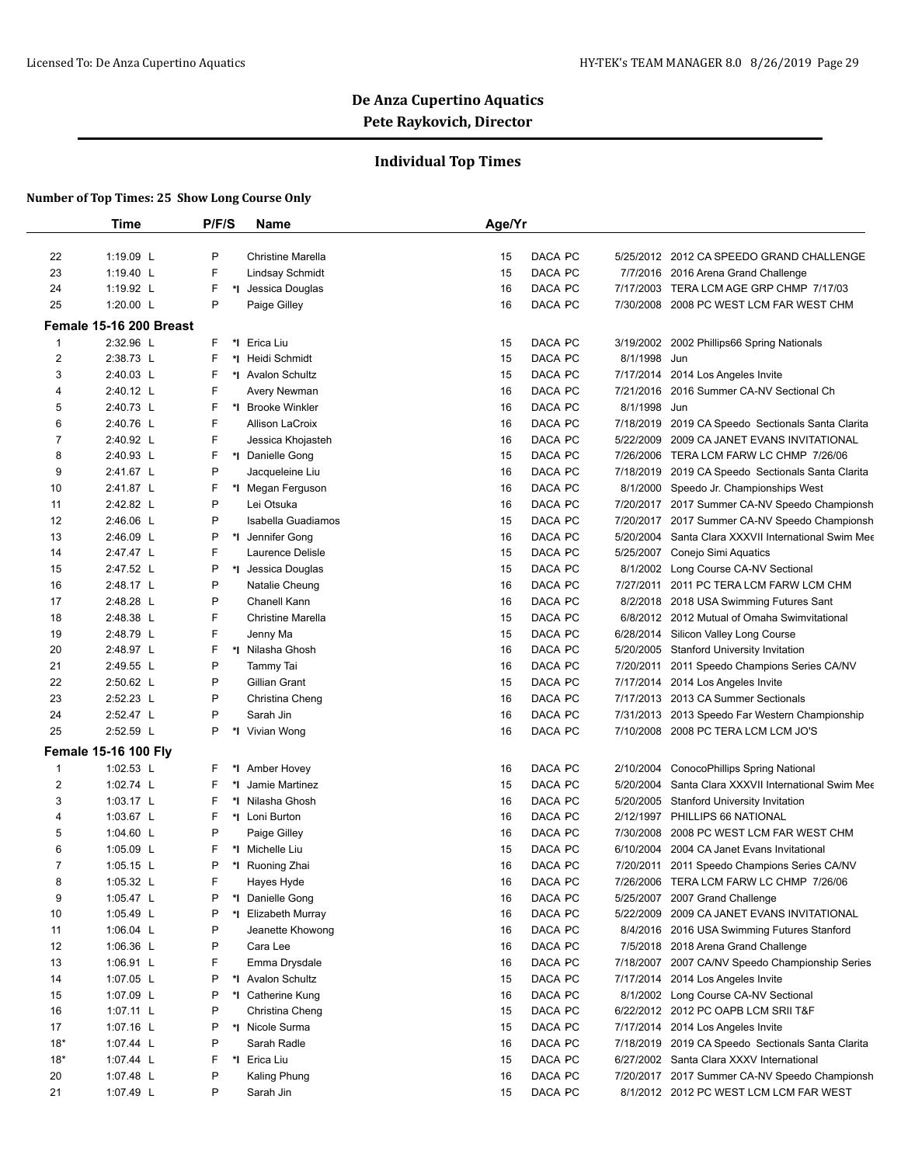## **Individual Top Times**

|       | <b>Time</b>                 | P/F/S   | Name                     | Age/Yr                        |                                                     |
|-------|-----------------------------|---------|--------------------------|-------------------------------|-----------------------------------------------------|
|       |                             |         |                          |                               |                                                     |
| 22    | 1:19.09 L                   | P       | <b>Christine Marella</b> | DACA PC<br>15                 | 5/25/2012 2012 CA SPEEDO GRAND CHALLENGE            |
| 23    | 1:19.40 L                   | F       | Lindsay Schmidt          | DACA PC<br>15                 | 7/7/2016 2016 Arena Grand Challenge                 |
| 24    | 1:19.92 L                   | F       | *I Jessica Douglas       | DACA PC<br>16                 | 7/17/2003 TERA LCM AGE GRP CHMP 7/17/03             |
| 25    | 1:20.00 L                   | P       | Paige Gilley             | DACA PC<br>16                 | 7/30/2008 2008 PC WEST LCM FAR WEST CHM             |
|       | Female 15-16 200 Breast     |         |                          |                               |                                                     |
| 1     | 2:32.96 L                   | F       | *I Erica Liu             | DACA PC<br>15                 | 3/19/2002 2002 Phillips66 Spring Nationals          |
| 2     | 2:38.73 L                   | F       | *1 Heidi Schmidt         | DACA PC<br>8/1/1998 Jun<br>15 |                                                     |
| 3     | 2:40.03 L                   | F       | *I Avalon Schultz        | DACA PC<br>15                 | 7/17/2014 2014 Los Angeles Invite                   |
| 4     | 2:40.12 L                   | F       | Avery Newman             | DACA PC<br>16<br>7/21/2016    | 2016 Summer CA-NV Sectional Ch                      |
| 5     | 2:40.73 L                   | F       | *I Brooke Winkler        | DACA PC<br>8/1/1998 Jun<br>16 |                                                     |
| 6     | 2:40.76 L                   | F       | <b>Allison LaCroix</b>   | DACA PC<br>16<br>7/18/2019    | 2019 CA Speedo Sectionals Santa Clarita             |
| 7     | 2:40.92 L                   | F       | Jessica Khojasteh        | DACA PC<br>16<br>5/22/2009    | 2009 CA JANET EVANS INVITATIONAL                    |
| 8     | 2:40.93 L                   | F       | *1 Danielle Gong         | DACA PC<br>15                 | 7/26/2006 TERA LCM FARW LC CHMP 7/26/06             |
| 9     | 2:41.67 L                   | P       | Jacqueleine Liu          | DACA PC<br>16<br>7/18/2019    | 2019 CA Speedo Sectionals Santa Clarita             |
| 10    | 2:41.87 L                   | F       | *I Megan Ferguson        | DACA PC<br>16                 | 8/1/2000 Speedo Jr. Championships West              |
| 11    | 2:42.82 L                   | P       | Lei Otsuka               | 16<br>DACA PC                 | 7/20/2017 2017 Summer CA-NV Speedo Championsh       |
| 12    | 2:46.06 L                   | P       | Isabella Guadiamos       | DACA PC<br>15<br>7/20/2017    | 2017 Summer CA-NV Speedo Championsh                 |
| 13    | 2:46.09 L                   | P       | *I Jennifer Gong         | DACA PC<br>16                 | 5/20/2004 Santa Clara XXXVII International Swim Mee |
| 14    | 2:47.47 L                   | F       | Laurence Delisle         | DACA PC<br>15                 | 5/25/2007 Conejo Simi Aquatics                      |
| 15    | 2:47.52 L                   | P       | *I Jessica Douglas       | DACA PC<br>15<br>8/1/2002     | Long Course CA-NV Sectional                         |
| 16    | 2:48.17 L                   | P       | Natalie Cheung           | DACA PC<br>16                 | 7/27/2011 2011 PC TERA LCM FARW LCM CHM             |
| 17    | 2:48.28 L                   | P       | Chanell Kann             | DACA PC<br>16                 | 8/2/2018 2018 USA Swimming Futures Sant             |
| 18    | 2:48.38 L                   | F       | <b>Christine Marella</b> | DACA PC<br>15                 | 6/8/2012 2012 Mutual of Omaha Swimvitational        |
| 19    | 2:48.79 L                   | F       | Jenny Ma                 | DACA PC<br>15                 | 6/28/2014 Silicon Valley Long Course                |
| 20    | 2:48.97 L                   | F       | *I Nilasha Ghosh         | DACA PC<br>16                 | 5/20/2005 Stanford University Invitation            |
| 21    | 2:49.55 L                   | P       | Tammy Tai                | DACA PC<br>16<br>7/20/2011    | 2011 Speedo Champions Series CA/NV                  |
| 22    | 2:50.62 L                   | P       | Gillian Grant            | DACA PC<br>15                 | 7/17/2014 2014 Los Angeles Invite                   |
| 23    | 2:52.23 L                   | P       | Christina Cheng          | 16<br>DACA PC                 | 7/17/2013 2013 CA Summer Sectionals                 |
| 24    | 2:52.47 L                   | P       | Sarah Jin                | DACA PC<br>16                 | 7/31/2013 2013 Speedo Far Western Championship      |
| 25    | 2:52.59 L                   | P       | *I Vivian Wong           | DACA PC<br>16                 | 7/10/2008 2008 PC TERA LCM LCM JO'S                 |
|       | <b>Female 15-16 100 Fly</b> |         |                          |                               |                                                     |
| 1     | 1:02.53 L                   | F       | *I Amber Hovey           | DACA PC<br>16<br>2/10/2004    | ConocoPhillips Spring National                      |
| 2     | 1:02.74 L                   | F<br>*∣ | Jamie Martinez           | DACA PC<br>15<br>5/20/2004    | Santa Clara XXXVII International Swim Mee           |
| 3     | 1:03.17 L                   | F       | *I Nilasha Ghosh         | DACA PC<br>16                 | 5/20/2005 Stanford University Invitation            |
| 4     | 1:03.67 $L$                 | F       | *I Loni Burton           | DACA PC<br>16<br>2/12/1997    | PHILLIPS 66 NATIONAL                                |
| 5     | 1:04.60 $L$                 | P       | Paige Gilley             | DACA PC<br>16<br>7/30/2008    | 2008 PC WEST LCM FAR WEST CHM                       |
| 6     | $1:05.09$ L                 | F       | *I Michelle Liu          | DACA PC<br>15                 | 6/10/2004 2004 CA Janet Evans Invitational          |
| 7     | $1:05.15$ L                 | P       | *I Ruoning Zhai          | 16<br><b>DACA PC</b>          | 7/20/2011 2011 Speedo Champions Series CA/NV        |
| 8     | 1:05.32 L                   | F       | Hayes Hyde               | DACA PC<br>7/26/2006<br>16    | TERA LCM FARW LC CHMP 7/26/06                       |
| 9     | 1:05.47 L                   | P       | *I Danielle Gong         | DACA PC<br>16                 | 5/25/2007 2007 Grand Challenge                      |
| 10    | 1:05.49 L                   | P       | *I Elizabeth Murray      | DACA PC<br>16<br>5/22/2009    | 2009 CA JANET EVANS INVITATIONAL                    |
| 11    | 1:06.04 $L$                 | P       | Jeanette Khowong         | DACA PC<br>16                 | 8/4/2016 2016 USA Swimming Futures Stanford         |
| 12    | 1:06.36 $L$                 | P       | Cara Lee                 | DACA PC<br>16                 | 7/5/2018 2018 Arena Grand Challenge                 |
| 13    | 1:06.91 L                   | F       | Emma Drysdale            | DACA PC<br>16<br>7/18/2007    | 2007 CA/NV Speedo Championship Series               |
| 14    | 1:07.05 L                   | P       | *1 Avalon Schultz        | DACA PC<br>15                 | 7/17/2014 2014 Los Angeles Invite                   |
| 15    | 1:07.09 L                   | P       | *I Catherine Kung        | DACA PC<br>16                 | 8/1/2002 Long Course CA-NV Sectional                |
| 16    | 1:07.11 L                   | P       | Christina Cheng          | DACA PC<br>15                 | 6/22/2012 2012 PC OAPB LCM SRII T&F                 |
| 17    | 1:07.16 $L$                 | P       | *I Nicole Surma          | DACA PC<br>15                 | 7/17/2014 2014 Los Angeles Invite                   |
| $18*$ | 1:07.44 L                   | P       | Sarah Radle              | DACA PC<br>16                 | 7/18/2019 2019 CA Speedo Sectionals Santa Clarita   |
| $18*$ | 1:07.44 $L$                 | F       | *I Erica Liu             | DACA PC<br>15                 | 6/27/2002 Santa Clara XXXV International            |
| 20    | 1:07.48 L                   | P       | Kaling Phung             | DACA PC<br>16                 | 7/20/2017 2017 Summer CA-NV Speedo Championsh       |
| 21    | 1:07.49 L                   | P       | Sarah Jin                | DACA PC<br>15                 | 8/1/2012 2012 PC WEST LCM LCM FAR WEST              |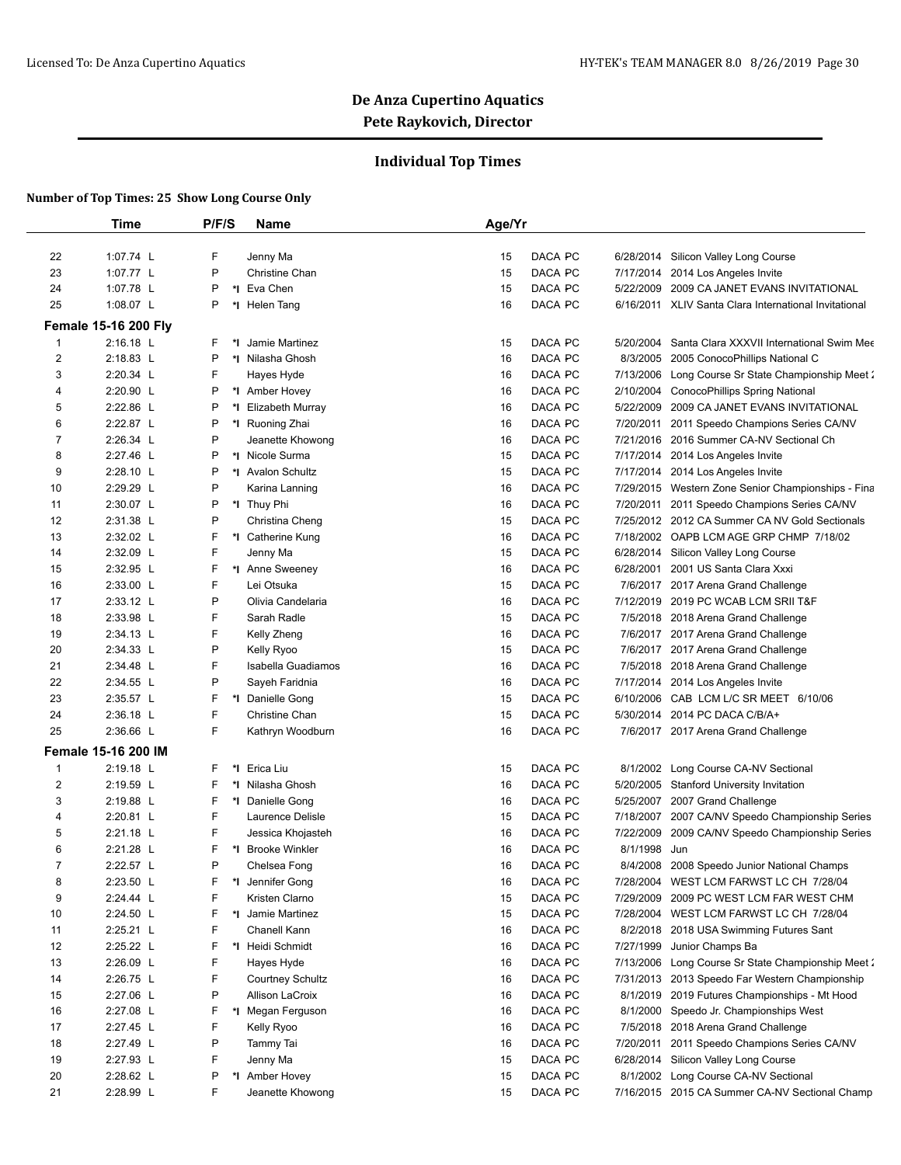## **Individual Top Times**

|                | Time                        | P/F/S  | Name                           | Age/Yr                   |           |                                                                                           |
|----------------|-----------------------------|--------|--------------------------------|--------------------------|-----------|-------------------------------------------------------------------------------------------|
|                |                             |        |                                |                          |           |                                                                                           |
| 22             | 1:07.74 L                   | F      | Jenny Ma                       | DACA PC<br>15            |           | 6/28/2014 Silicon Valley Long Course                                                      |
| 23             | 1:07.77 L                   | P      | Christine Chan                 | DACA PC<br>15            |           | 7/17/2014 2014 Los Angeles Invite                                                         |
| 24             | 1:07.78 L                   | P      | *I Eva Chen                    | DACA PC<br>15            | 5/22/2009 | 2009 CA JANET EVANS INVITATIONAL                                                          |
| 25             | 1:08.07 L                   | Ρ      | *I Helen Tang                  | DACA PC<br>16            |           | 6/16/2011 XLIV Santa Clara International Invitational                                     |
|                | <b>Female 15-16 200 Fly</b> |        |                                |                          |           |                                                                                           |
| 1              | 2:16.18 L                   | F      | *1 Jamie Martinez              | DACA PC<br>15            | 5/20/2004 | Santa Clara XXXVII International Swim Mee                                                 |
| $\overline{2}$ | 2:18.83 L                   | P      | *I Nilasha Ghosh               | DACA PC<br>16            | 8/3/2005  | 2005 ConocoPhillips National C                                                            |
| 3              | 2:20.34 L                   | F      | Hayes Hyde                     | DACA PC<br>16            |           | 7/13/2006 Long Course Sr State Championship Meet 2                                        |
| 4              | 2:20.90 L                   | P      | *1 Amber Hovey                 | 16<br>DACA PC            |           | 2/10/2004 ConocoPhillips Spring National                                                  |
| 5              | 2:22.86 L                   | Ρ      | *I Elizabeth Murray            | DACA PC<br>16            | 5/22/2009 | 2009 CA JANET EVANS INVITATIONAL                                                          |
| 6              | 2:22.87 L                   | P      | *I Ruoning Zhai                | DACA PC<br>16            | 7/20/2011 | 2011 Speedo Champions Series CA/NV                                                        |
| 7              | 2:26.34 L                   | P      | Jeanette Khowong               | DACA PC<br>16            |           | 7/21/2016 2016 Summer CA-NV Sectional Ch                                                  |
| 8              | 2:27.46 L                   | P      | *1 Nicole Surma                | DACA PC<br>15            |           | 7/17/2014 2014 Los Angeles Invite                                                         |
| 9              | 2:28.10 L                   | Ρ      | *I Avalon Schultz              | DACA PC<br>15            |           | 7/17/2014 2014 Los Angeles Invite                                                         |
| 10             | 2:29.29 L                   | P      | Karina Lanning                 | 16<br>DACA PC<br>DACA PC |           | 7/29/2015 Western Zone Senior Championships - Fina                                        |
| 11<br>12       | 2:30.07 L<br>2:31.38 L      | Ρ<br>P | *I Thuy Phi<br>Christina Cheng | 16<br>DACA PC<br>15      |           | 7/20/2011 2011 Speedo Champions Series CA/NV                                              |
| 13             | $2:32.02$ L                 | F      |                                | 16<br>DACA PC            |           | 7/25/2012 2012 CA Summer CA NV Gold Sectionals<br>7/18/2002 OAPB LCM AGE GRP CHMP 7/18/02 |
| 14             | 2:32.09 L                   | F      | *I Catherine Kung<br>Jenny Ma  | 15<br>DACA PC            |           | 6/28/2014 Silicon Valley Long Course                                                      |
| 15             | 2:32.95 L                   | F      | *I Anne Sweeney                | 16<br>DACA PC            | 6/28/2001 | 2001 US Santa Clara Xxxi                                                                  |
| 16             | 2:33.00 L                   | F      | Lei Otsuka                     | 15<br>DACA PC            |           | 7/6/2017 2017 Arena Grand Challenge                                                       |
| 17             | $2:33.12$ L                 | P      | Olivia Candelaria              | 16<br>DACA PC            |           | 7/12/2019 2019 PC WCAB LCM SRII T&F                                                       |
| 18             | 2:33.98 L                   | F      | Sarah Radle                    | 15<br>DACA PC            |           | 7/5/2018 2018 Arena Grand Challenge                                                       |
| 19             | 2:34.13 L                   | F      | Kelly Zheng                    | 16<br>DACA PC            |           | 7/6/2017 2017 Arena Grand Challenge                                                       |
| 20             | 2:34.33 L                   | P      | Kelly Ryoo                     | 15<br>DACA PC            |           | 7/6/2017 2017 Arena Grand Challenge                                                       |
| 21             | 2:34.48 L                   | F      | Isabella Guadiamos             | DACA PC<br>16            |           | 7/5/2018 2018 Arena Grand Challenge                                                       |
| 22             | 2:34.55 L                   | P      | Sayeh Faridnia                 | DACA PC<br>16            |           | 7/17/2014 2014 Los Angeles Invite                                                         |
| 23             | 2:35.57 L                   | F      | *1 Danielle Gong               | DACA PC<br>15            | 6/10/2006 | CAB LCM L/C SR MEET 6/10/06                                                               |
| 24             | 2:36.18 L                   | F      | Christine Chan                 | 15<br>DACA PC            | 5/30/2014 | 2014 PC DACA C/B/A+                                                                       |
| 25             | 2:36.66 L                   | F      | Kathryn Woodburn               | DACA PC<br>16            |           | 7/6/2017 2017 Arena Grand Challenge                                                       |
|                | <b>Female 15-16 200 IM</b>  |        |                                |                          |           |                                                                                           |
| 1              | 2:19.18 L                   | F      | *I Erica Liu                   | 15<br>DACA PC            | 8/1/2002  | Long Course CA-NV Sectional                                                               |
| $\overline{2}$ | 2:19.59 L                   | F      | *I Nilasha Ghosh               | DACA PC<br>16            | 5/20/2005 | <b>Stanford University Invitation</b>                                                     |
| 3              | 2:19.88 L                   | F      | *I Danielle Gong               | DACA PC<br>16            |           | 5/25/2007 2007 Grand Challenge                                                            |
| 4              | 2:20.81 L                   | F      | Laurence Delisle               | 15<br>DACA PC            | 7/18/2007 | 2007 CA/NV Speedo Championship Series                                                     |
| 5              | 2:21.18 L                   | F      | Jessica Khojasteh              | DACA PC<br>16            | 7/22/2009 | 2009 CA/NV Speedo Championship Series                                                     |
| 6              | 2:21.28 L                   | F      | *I Brooke Winkler              | DACA PC<br>16            | 8/1/1998  | Jun                                                                                       |
| $\overline{7}$ | 2:22.57 L                   | P      | Chelsea Fong                   | 16<br>DACA PC            |           | 8/4/2008 2008 Speedo Junior National Champs                                               |
| 8              | 2:23.50 L                   | F      | *I Jennifer Gong               | DACA PC<br>16            | 7/28/2004 | WEST LCM FARWST LC CH 7/28/04                                                             |
| 9              | 2:24.44 L                   | F      | Kristen Clarno                 | DACA PC<br>15            | 7/29/2009 | 2009 PC WEST LCM FAR WEST CHM                                                             |
| 10             | 2:24.50 L                   | F      | *1 Jamie Martinez              | DACA PC<br>15            |           | 7/28/2004 WEST LCM FARWST LC CH 7/28/04                                                   |
| 11             | 2:25.21 L                   | F      | Chanell Kann                   | DACA PC<br>16            |           | 8/2/2018 2018 USA Swimming Futures Sant                                                   |
| 12             | 2:25.22 L                   | F      | *I Heidi Schmidt               | DACA PC<br>16            | 7/27/1999 | Junior Champs Ba                                                                          |
| 13             | 2:26.09 L                   | F      | Hayes Hyde                     | DACA PC<br>16            |           | 7/13/2006 Long Course Sr State Championship Meet 2                                        |
| 14             | 2:26.75 L                   | F      | <b>Courtney Schultz</b>        | DACA PC<br>16            |           | 7/31/2013 2013 Speedo Far Western Championship                                            |
| 15             | 2:27.06 L                   | P      | Allison LaCroix                | DACA PC<br>16            |           | 8/1/2019 2019 Futures Championships - Mt Hood                                             |
| 16             | 2:27.08 L                   | F      | *I Megan Ferguson              | DACA PC<br>16            |           | 8/1/2000 Speedo Jr. Championships West                                                    |
| 17             | 2:27.45 L                   | F      | Kelly Ryoo                     | DACA PC<br>16            |           | 7/5/2018 2018 Arena Grand Challenge                                                       |
| 18             | 2:27.49 L                   | P      | Tammy Tai                      | DACA PC<br>16            |           | 7/20/2011 2011 Speedo Champions Series CA/NV                                              |
| 19             | 2:27.93 L                   | F      | Jenny Ma                       | DACA PC<br>15            |           | 6/28/2014 Silicon Valley Long Course                                                      |
| 20             | 2:28.62 L                   | Ρ      | *I Amber Hovey                 | DACA PC<br>15            |           | 8/1/2002 Long Course CA-NV Sectional                                                      |
| 21             | 2:28.99 L                   | F      | Jeanette Khowong               | DACA PC<br>15            |           | 7/16/2015 2015 CA Summer CA-NV Sectional Champ                                            |
|                |                             |        |                                |                          |           |                                                                                           |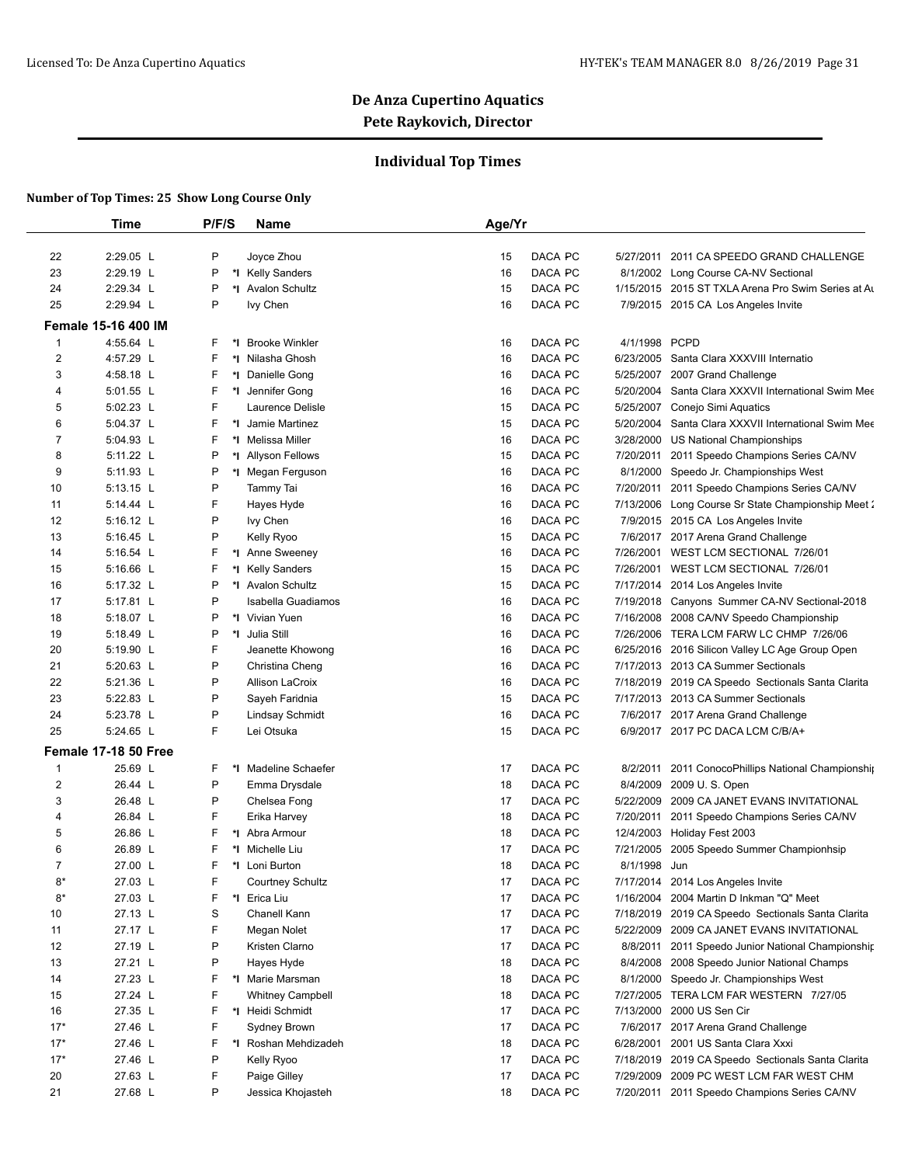## **Individual Top Times**

|                | Time                        | P/F/S   | <b>Name</b>             | Age/Yr        |               |                                                    |
|----------------|-----------------------------|---------|-------------------------|---------------|---------------|----------------------------------------------------|
|                |                             |         |                         |               |               |                                                    |
| 22             | 2:29.05 L                   | P       | Joyce Zhou              | DACA PC<br>15 | 5/27/2011     | 2011 CA SPEEDO GRAND CHALLENGE                     |
| 23             | 2:29.19 L                   | Ρ       | *I Kelly Sanders        | DACA PC<br>16 |               | 8/1/2002 Long Course CA-NV Sectional               |
| 24             | 2:29.34 L                   | P       | *I Avalon Schultz       | DACA PC<br>15 |               | 1/15/2015 2015 ST TXLA Arena Pro Swim Series at Au |
| 25             | 2:29.94 L                   | P       | lvy Chen                | DACA PC<br>16 |               | 7/9/2015 2015 CA Los Angeles Invite                |
|                | <b>Female 15-16 400 IM</b>  |         |                         |               |               |                                                    |
| 1              | 4:55.64 L                   | F       | *I Brooke Winkler       | DACA PC<br>16 | 4/1/1998 PCPD |                                                    |
| 2              | 4:57.29 L                   | F       | *I Nilasha Ghosh        | DACA PC<br>16 |               | 6/23/2005 Santa Clara XXXVIII Internatio           |
| 3              | 4:58.18 L                   | F       | *I Danielle Gong        | DACA PC<br>16 | 5/25/2007     | 2007 Grand Challenge                               |
| 4              | 5:01.55 L                   | F       | *1 Jennifer Gong        | DACA PC<br>16 | 5/20/2004     | Santa Clara XXXVII International Swim Mee          |
| 5              | 5:02.23 L                   | F       | Laurence Delisle        | 15<br>DACA PC | 5/25/2007     | Conejo Simi Aquatics                               |
| 6              | 5:04.37 L                   | F       | *I Jamie Martinez       | DACA PC<br>15 | 5/20/2004     | Santa Clara XXXVII International Swim Mee          |
| 7              | 5:04.93 L                   | F       | *I Melissa Miller       | DACA PC<br>16 |               | 3/28/2000 US National Championships                |
| 8              | 5:11.22 L                   | P       | *I Allyson Fellows      | 15<br>DACA PC | 7/20/2011     | 2011 Speedo Champions Series CA/NV                 |
| 9              | 5:11.93 L                   | P       | *I Megan Ferguson       | DACA PC<br>16 | 8/1/2000      | Speedo Jr. Championships West                      |
| 10             | 5:13.15 L                   | P       | Tammy Tai               | DACA PC<br>16 | 7/20/2011     | 2011 Speedo Champions Series CA/NV                 |
| 11             | 5:14.44 L                   | F       | Hayes Hyde              | 16<br>DACA PC | 7/13/2006     | Long Course Sr State Championship Meet 2           |
| 12             | 5:16.12 L                   | P       | Ivy Chen                | DACA PC<br>16 |               | 7/9/2015 2015 CA Los Angeles Invite                |
| 13             | 5:16.45 L                   | P       | Kelly Ryoo              | DACA PC<br>15 |               | 7/6/2017 2017 Arena Grand Challenge                |
| 14             | 5:16.54 L                   | F       | *I Anne Sweeney         | 16<br>DACA PC | 7/26/2001     | WEST LCM SECTIONAL 7/26/01                         |
| 15             | 5:16.66 L                   | F       | *I Kelly Sanders        | DACA PC<br>15 | 7/26/2001     | WEST LCM SECTIONAL 7/26/01                         |
| 16             | 5:17.32 L                   | P       | *1 Avalon Schultz       | DACA PC<br>15 | 7/17/2014     | 2014 Los Angeles Invite                            |
| 17             | 5:17.81 L                   | P       | Isabella Guadiamos      | 16<br>DACA PC | 7/19/2018     | Canyons Summer CA-NV Sectional-2018                |
| 18             | 5:18.07 L                   | P       | *I Vivian Yuen          | DACA PC<br>16 | 7/16/2008     | 2008 CA/NV Speedo Championship                     |
| 19             | 5:18.49 L                   | P       | *1 Julia Still          | DACA PC<br>16 |               | 7/26/2006 TERA LCM FARW LC CHMP 7/26/06            |
| 20             | 5:19.90 L                   | F       | Jeanette Khowong        | DACA PC<br>16 |               | 6/25/2016 2016 Silicon Valley LC Age Group Open    |
| 21             | 5:20.63 L                   | P       | Christina Cheng         | DACA PC<br>16 |               | 7/17/2013 2013 CA Summer Sectionals                |
| 22             | 5:21.36 L                   | P       | Allison LaCroix         | DACA PC<br>16 |               | 7/18/2019 2019 CA Speedo Sectionals Santa Clarita  |
| 23             | 5:22.83 L                   | P       | Sayeh Faridnia          | DACA PC<br>15 |               | 7/17/2013 2013 CA Summer Sectionals                |
| 24             | 5:23.78 L                   | P       | <b>Lindsay Schmidt</b>  | DACA PC<br>16 |               | 7/6/2017 2017 Arena Grand Challenge                |
| 25             | 5:24.65 L                   | F       | Lei Otsuka              | DACA PC<br>15 |               | 6/9/2017 2017 PC DACA LCM C/B/A+                   |
|                | <b>Female 17-18 50 Free</b> |         |                         |               |               |                                                    |
| 1              | 25.69 L                     | F<br>*l | Madeline Schaefer       | DACA PC<br>17 | 8/2/2011      | 2011 ConocoPhillips National Championship          |
| $\overline{2}$ | 26.44 L                     | P       | Emma Drysdale           | DACA PC<br>18 | 8/4/2009      | 2009 U.S. Open                                     |
| 3              | 26.48 L                     | P       | Chelsea Fong            | DACA PC<br>17 | 5/22/2009     | 2009 CA JANET EVANS INVITATIONAL                   |
| 4              | 26.84 L                     | F       | Erika Harvey            | DACA PC<br>18 | 7/20/2011     | 2011 Speedo Champions Series CA/NV                 |
| 5              | 26.86 L                     | F       | *I Abra Armour          | 18<br>DACA PC |               | 12/4/2003 Holiday Fest 2003                        |
| 6              | 26.89 L                     | F       | *I Michelle Liu         | 17<br>DACA PC | 7/21/2005     | 2005 Speedo Summer Championhsip                    |
| $\overline{7}$ | 27.00 L                     | F       | *I Loni Burton          | 18<br>DACA PC | 8/1/1998 Jun  |                                                    |
| 8*             | 27.03 L                     | F       | <b>Courtney Schultz</b> | DACA PC<br>17 |               | 7/17/2014 2014 Los Angeles Invite                  |
| 8*             | 27.03 L                     | F       | *I Erica Liu            | DACA PC<br>17 |               | 1/16/2004 2004 Martin D Inkman "Q" Meet            |
| 10             | 27.13 L                     | S       | Chanell Kann            | DACA PC<br>17 | 7/18/2019     | 2019 CA Speedo Sectionals Santa Clarita            |
| 11             | 27.17 L                     | F       | Megan Nolet             | 17<br>DACA PC |               | 5/22/2009 2009 CA JANET EVANS INVITATIONAL         |
| 12             | 27.19 L                     | P       | Kristen Clarno          | DACA PC<br>17 | 8/8/2011      | 2011 Speedo Junior National Championship           |
| 13             | 27.21 L                     | P       | Hayes Hyde              | 18<br>DACA PC | 8/4/2008      | 2008 Speedo Junior National Champs                 |
| 14             | 27.23 L                     | F       | *I Marie Marsman        | 18<br>DACA PC |               | 8/1/2000 Speedo Jr. Championships West             |
| 15             | 27.24 L                     | F       | <b>Whitney Campbell</b> | DACA PC<br>18 |               | 7/27/2005 TERA LCM FAR WESTERN 7/27/05             |
| 16             | 27.35 L                     | F       | *I Heidi Schmidt        | 17<br>DACA PC | 7/13/2000     | 2000 US Sen Cir                                    |
| $17*$          | 27.46 L                     | F       | Sydney Brown            | 17<br>DACA PC |               | 7/6/2017 2017 Arena Grand Challenge                |
| $17*$          | 27.46 L                     | F       | *I Roshan Mehdizadeh    | DACA PC<br>18 | 6/28/2001     | 2001 US Santa Clara Xxxi                           |
| $17*$          | 27.46 L                     | P       | Kelly Ryoo              | 17<br>DACA PC | 7/18/2019     | 2019 CA Speedo Sectionals Santa Clarita            |
| 20             | 27.63 L                     | F       | Paige Gilley            | 17<br>DACA PC |               | 7/29/2009 2009 PC WEST LCM FAR WEST CHM            |
| 21             | 27.68 L                     | P       | Jessica Khojasteh       | DACA PC<br>18 |               | 7/20/2011 2011 Speedo Champions Series CA/NV       |
|                |                             |         |                         |               |               |                                                    |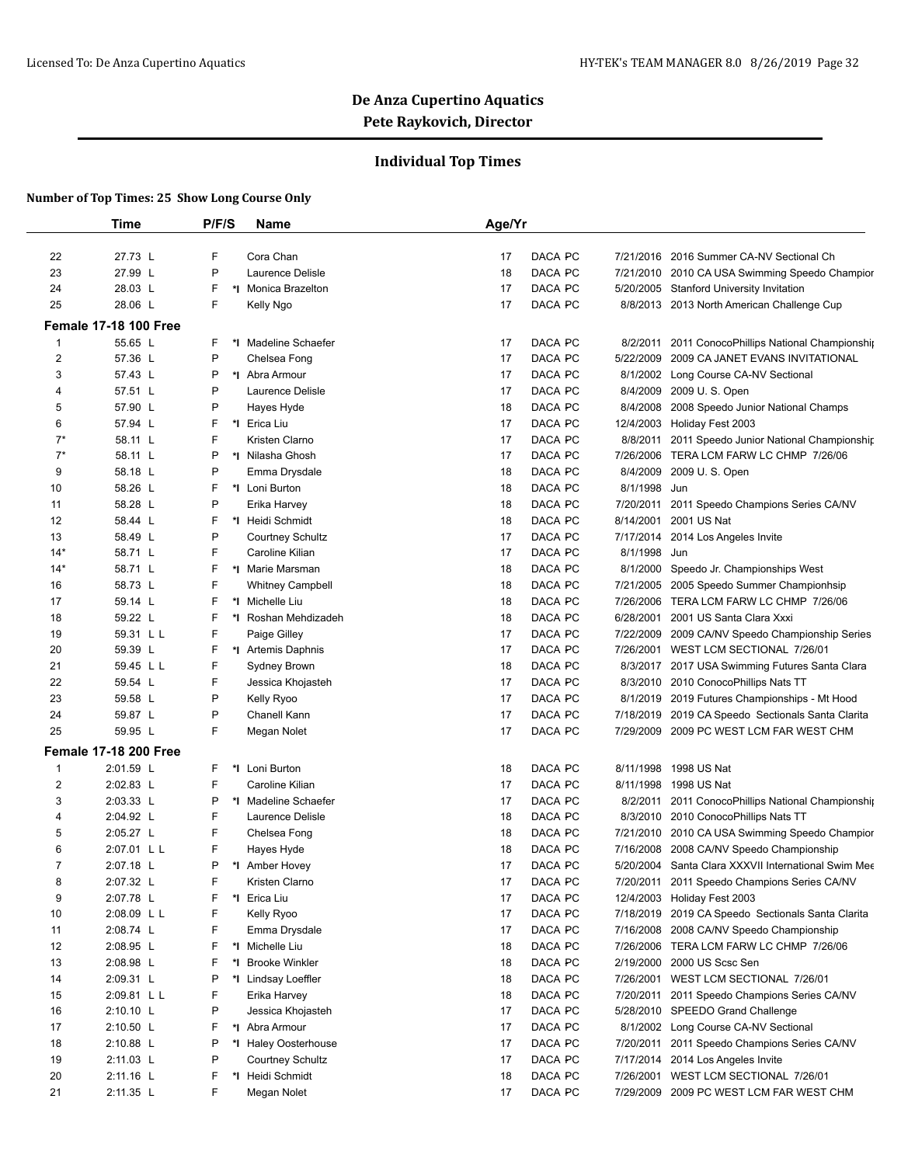## **Individual Top Times**

|       | <b>Time</b>                  | P/F/S | <b>Name</b>             | Age/Yr |         |           |                                                     |
|-------|------------------------------|-------|-------------------------|--------|---------|-----------|-----------------------------------------------------|
| 22    | 27.73 L                      | F     | Cora Chan               | 17     | DACA PC | 7/21/2016 | 2016 Summer CA-NV Sectional Ch                      |
| 23    | 27.99 L                      | P     | Laurence Delisle        | 18     | DACA PC |           | 7/21/2010 2010 CA USA Swimming Speedo Champior      |
| 24    | 28.03 L                      | F     | *I Monica Brazelton     | 17     | DACA PC |           | 5/20/2005 Stanford University Invitation            |
| 25    | 28.06 L                      | F     | Kelly Ngo               | 17     | DACA PC |           | 8/8/2013 2013 North American Challenge Cup          |
|       | <b>Female 17-18 100 Free</b> |       |                         |        |         |           |                                                     |
| 1     | 55.65 L                      | F     | *I Madeline Schaefer    | 17     | DACA PC |           | 8/2/2011 2011 ConocoPhillips National Championship  |
| 2     | 57.36 L                      | P     | Chelsea Fong            | 17     | DACA PC | 5/22/2009 | 2009 CA JANET EVANS INVITATIONAL                    |
| 3     | 57.43 L                      | P     | *I Abra Armour          | 17     | DACA PC |           | 8/1/2002 Long Course CA-NV Sectional                |
| 4     | 57.51 L                      | P     | Laurence Delisle        | 17     | DACA PC | 8/4/2009  | 2009 U.S. Open                                      |
| 5     | 57.90 L                      | P     | Hayes Hyde              | 18     | DACA PC | 8/4/2008  | 2008 Speedo Junior National Champs                  |
| 6     | 57.94 L                      | F     | *I Erica Liu            | 17     | DACA PC |           | 12/4/2003 Holiday Fest 2003                         |
| $7^*$ | 58.11 L                      | F     | Kristen Clarno          | 17     | DACA PC |           | 8/8/2011 2011 Speedo Junior National Championship   |
| $7^*$ | 58.11 L                      | P     | *I Nilasha Ghosh        | 17     | DACA PC |           | 7/26/2006 TERA LCM FARW LC CHMP 7/26/06             |
| 9     | 58.18 L                      | P     | Emma Drysdale           | 18     | DACA PC | 8/4/2009  | 2009 U.S. Open                                      |
| 10    | 58.26 L                      | F     | *I Loni Burton          | 18     | DACA PC | 8/1/1998  | Jun                                                 |
| 11    | 58.28 L                      | P     | Erika Harvey            | 18     | DACA PC | 7/20/2011 | 2011 Speedo Champions Series CA/NV                  |
| 12    | 58.44 L                      | F     | *I Heidi Schmidt        | 18     | DACA PC | 8/14/2001 | 2001 US Nat                                         |
| 13    | 58.49 L                      | P     | <b>Courtney Schultz</b> | 17     | DACA PC |           | 7/17/2014 2014 Los Angeles Invite                   |
| $14*$ | 58.71 L                      | F     | Caroline Kilian         | 17     | DACA PC | 8/1/1998  | Jun                                                 |
| $14*$ | 58.71 L                      | F     | *I Marie Marsman        | 18     | DACA PC | 8/1/2000  | Speedo Jr. Championships West                       |
| 16    | 58.73 L                      | F     | <b>Whitney Campbell</b> | 18     | DACA PC |           | 7/21/2005 2005 Speedo Summer Championhsip           |
| 17    | 59.14 L                      | F     | *1 Michelle Liu         | 18     | DACA PC |           | 7/26/2006 TERA LCM FARW LC CHMP 7/26/06             |
| 18    | 59.22 L                      | F     | *I Roshan Mehdizadeh    | 18     | DACA PC | 6/28/2001 | 2001 US Santa Clara Xxxi                            |
| 19    | 59.31 L L                    | F     | Paige Gilley            | 17     | DACA PC |           | 7/22/2009 2009 CA/NV Speedo Championship Series     |
| 20    | 59.39 L                      | F     | *I Artemis Daphnis      | 17     | DACA PC |           | 7/26/2001 WEST LCM SECTIONAL 7/26/01                |
| 21    | 59.45 L L                    | F     | Sydney Brown            | 18     | DACA PC |           | 8/3/2017 2017 USA Swimming Futures Santa Clara      |
| 22    | 59.54 L                      | F     | Jessica Khojasteh       | 17     | DACA PC |           | 8/3/2010 2010 ConocoPhillips Nats TT                |
| 23    | 59.58 L                      | P     | Kelly Ryoo              | 17     | DACA PC |           | 8/1/2019 2019 Futures Championships - Mt Hood       |
| 24    | 59.87 L                      | P     | Chanell Kann            | 17     | DACA PC |           | 7/18/2019 2019 CA Speedo Sectionals Santa Clarita   |
| 25    | 59.95 L                      | F     | Megan Nolet             | 17     | DACA PC |           | 7/29/2009 2009 PC WEST LCM FAR WEST CHM             |
|       | <b>Female 17-18 200 Free</b> |       |                         |        |         |           |                                                     |
| 1     | 2:01.59 L                    | F     | *I Loni Burton          | 18     | DACA PC | 8/11/1998 | 1998 US Nat                                         |
| 2     | 2:02.83 L                    | F     | Caroline Kilian         | 17     | DACA PC | 8/11/1998 | 1998 US Nat                                         |
| 3     | 2:03.33 L                    | P     | *I Madeline Schaefer    | 17     | DACA PC |           | 8/2/2011 2011 ConocoPhillips National Championship  |
| 4     | 2:04.92 L                    | F     | Laurence Delisle        | 18     | DACA PC |           | 8/3/2010 2010 ConocoPhillips Nats TT                |
| 5     | 2:05.27 L                    | F     | Chelsea Fong            | 18     | DACA PC |           | 7/21/2010 2010 CA USA Swimming Speedo Champior      |
| 6     | 2:07.01 L L                  | F     | Hayes Hyde              | 18     | DACA PC | 7/16/2008 | 2008 CA/NV Speedo Championship                      |
| 7     | 2:07.18 L                    | P     | *1 Amber Hovey          | 17     | DACA PC |           | 5/20/2004 Santa Clara XXXVII International Swim Mee |
| 8     | 2:07.32 L                    | F     | Kristen Clarno          | 17     | DACA PC |           | 7/20/2011 2011 Speedo Champions Series CA/NV        |
| 9     | 2:07.78 L                    | F     | *I Erica Liu            | 17     | DACA PC |           | 12/4/2003 Holiday Fest 2003                         |
| 10    | 2:08.09 L L                  | F     | Kelly Ryoo              | 17     | DACA PC |           | 7/18/2019 2019 CA Speedo Sectionals Santa Clarita   |
| 11    | 2:08.74 L                    | F     | Emma Drysdale           | 17     | DACA PC |           | 7/16/2008 2008 CA/NV Speedo Championship            |
| 12    | 2:08.95 L                    | F     | *I Michelle Liu         | 18     | DACA PC |           | 7/26/2006 TERA LCM FARW LC CHMP 7/26/06             |
| 13    | 2:08.98 L                    | F     | *I Brooke Winkler       | 18     | DACA PC |           | 2/19/2000 2000 US Scsc Sen                          |
| 14    | 2:09.31 L                    | P     | *I Lindsay Loeffler     | 18     | DACA PC |           | 7/26/2001 WEST LCM SECTIONAL 7/26/01                |
| 15    | 2:09.81 L L                  | F     | Erika Harvey            | 18     | DACA PC |           | 7/20/2011 2011 Speedo Champions Series CA/NV        |
| 16    | $2:10.10$ L                  | P     | Jessica Khojasteh       | 17     | DACA PC |           | 5/28/2010 SPEEDO Grand Challenge                    |
| 17    | 2:10.50 L                    | F     | *I Abra Armour          | 17     | DACA PC |           | 8/1/2002 Long Course CA-NV Sectional                |
| 18    | 2:10.88 L                    | P     | *I Haley Oosterhouse    | 17     | DACA PC |           | 7/20/2011 2011 Speedo Champions Series CA/NV        |
| 19    | 2:11.03 L                    | P     | Courtney Schultz        | 17     | DACA PC |           | 7/17/2014 2014 Los Angeles Invite                   |
| 20    | $2:11.16$ L                  | F     | *I Heidi Schmidt        | 18     | DACA PC |           | 7/26/2001 WEST LCM SECTIONAL 7/26/01                |
| 21    | 2:11.35 L                    | F     | Megan Nolet             | 17     | DACA PC |           | 7/29/2009 2009 PC WEST LCM FAR WEST CHM             |
|       |                              |       |                         |        |         |           |                                                     |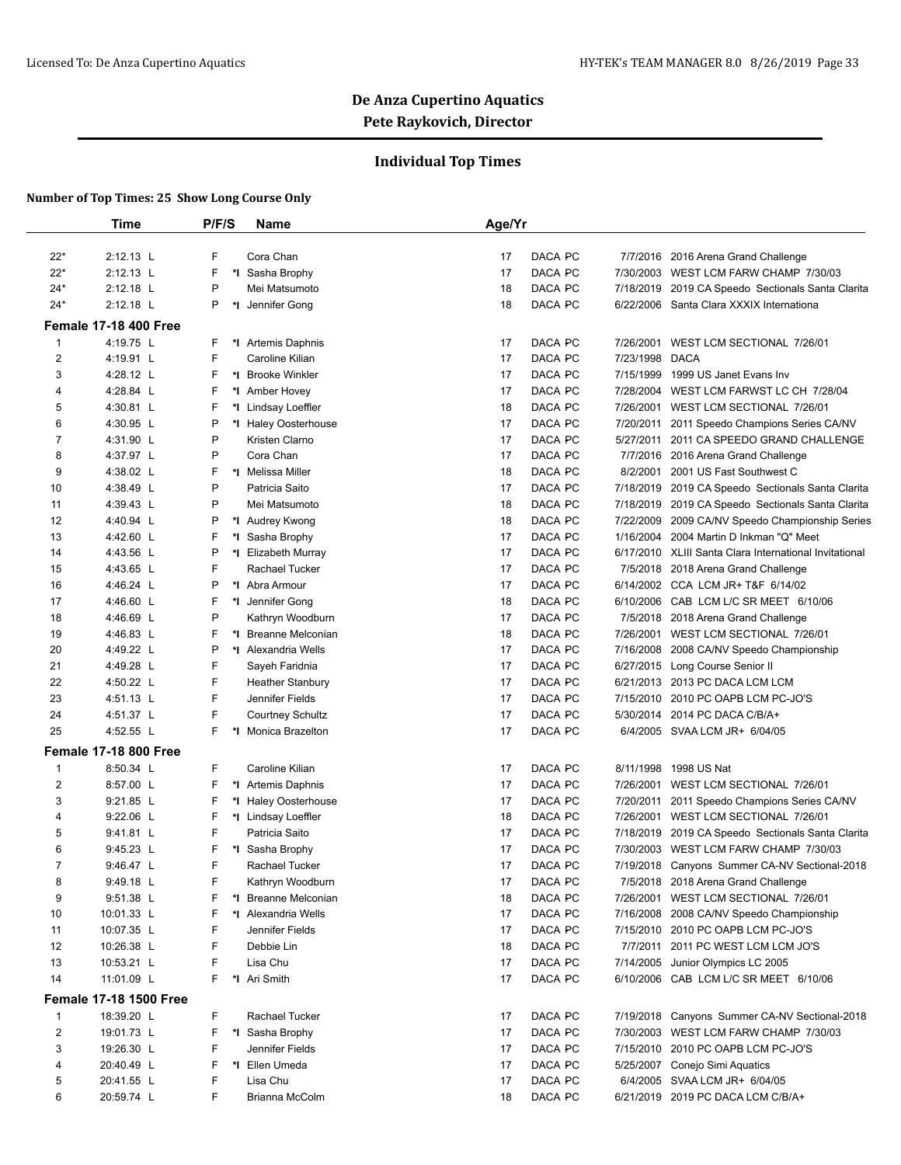## **Individual Top Times**

|                | Time                          | P/F/S | <b>Name</b>             | Age/Yr |         |           |                                                        |
|----------------|-------------------------------|-------|-------------------------|--------|---------|-----------|--------------------------------------------------------|
| $22*$          | 2:12.13 L                     | F     | Cora Chan               | 17     | DACA PC | 7/7/2016  | 2016 Arena Grand Challenge                             |
| $22*$          | 2:12.13 L                     | F     | *I Sasha Brophy         | 17     | DACA PC |           | 7/30/2003 WEST LCM FARW CHAMP 7/30/03                  |
| $24*$          | 2:12.18 L                     | P     | Mei Matsumoto           | 18     | DACA PC | 7/18/2019 | 2019 CA Speedo Sectionals Santa Clarita                |
| $24*$          | 2:12.18 L                     | P     | *I Jennifer Gong        | 18     | DACA PC |           | 6/22/2006 Santa Clara XXXIX Internationa               |
|                | <b>Female 17-18 400 Free</b>  |       |                         |        |         |           |                                                        |
| $\mathbf{1}$   | 4:19.75 L                     | F     | *I Artemis Daphnis      | 17     | DACA PC | 7/26/2001 | WEST LCM SECTIONAL 7/26/01                             |
| 2              | 4:19.91 L                     | F     | Caroline Kilian         | 17     | DACA PC | 7/23/1998 | <b>DACA</b>                                            |
| 3              | 4:28.12 L                     | F     | *I Brooke Winkler       | 17     | DACA PC | 7/15/1999 | 1999 US Janet Evans Inv                                |
| 4              | 4:28.84 L                     | F     | *1 Amber Hovey          | 17     | DACA PC | 7/28/2004 | WEST LCM FARWST LC CH 7/28/04                          |
| 5              | 4:30.81 L                     | F     | *I Lindsay Loeffler     | 18     | DACA PC | 7/26/2001 | WEST LCM SECTIONAL 7/26/01                             |
| 6              | 4:30.95 L                     | P     | *I Haley Oosterhouse    | 17     | DACA PC | 7/20/2011 | 2011 Speedo Champions Series CA/NV                     |
| 7              | 4:31.90 L                     | P     | Kristen Clarno          | 17     | DACA PC | 5/27/2011 | 2011 CA SPEEDO GRAND CHALLENGE                         |
| 8              | 4:37.97 L                     | P     | Cora Chan               | 17     | DACA PC |           | 7/7/2016 2016 Arena Grand Challenge                    |
| 9              | 4:38.02 L                     | F     | *I Melissa Miller       | 18     | DACA PC | 8/2/2001  | 2001 US Fast Southwest C                               |
| 10             | 4:38.49 L                     | P     | Patricia Saito          | 17     | DACA PC | 7/18/2019 | 2019 CA Speedo Sectionals Santa Clarita                |
| 11             | 4:39.43 L                     | P     | Mei Matsumoto           | 18     | DACA PC | 7/18/2019 | 2019 CA Speedo Sectionals Santa Clarita                |
| 12             | 4:40.94 L                     | P     | *I Audrey Kwong         | 18     | DACA PC | 7/22/2009 | 2009 CA/NV Speedo Championship Series                  |
| 13             | 4:42.60 L                     | F     | *I Sasha Brophy         | 17     | DACA PC | 1/16/2004 | 2004 Martin D Inkman "Q" Meet                          |
| 14             | 4:43.56 L                     | P     | *I Elizabeth Murray     | 17     | DACA PC |           | 6/17/2010 XLIII Santa Clara International Invitational |
| 15             | 4:43.65 L                     | F     | <b>Rachael Tucker</b>   | 17     | DACA PC | 7/5/2018  | 2018 Arena Grand Challenge                             |
| 16             | 4:46.24 L                     | P     | *I Abra Armour          | 17     | DACA PC |           | 6/14/2002 CCA LCM JR+ T&F 6/14/02                      |
| 17             | 4:46.60 L                     | F     | *1 Jennifer Gong        | 18     | DACA PC | 6/10/2006 | CAB LCM L/C SR MEET 6/10/06                            |
| 18             | 4:46.69 L                     | P     | Kathryn Woodburn        | 17     | DACA PC | 7/5/2018  | 2018 Arena Grand Challenge                             |
| 19             | 4:46.83 L                     | F     | *I Breanne Melconian    | 18     | DACA PC |           | 7/26/2001 WEST LCM SECTIONAL 7/26/01                   |
| 20             | 4:49.22 L                     | P     | *I Alexandria Wells     | 17     | DACA PC | 7/16/2008 | 2008 CA/NV Speedo Championship                         |
| 21             | 4:49.28 L                     | F     | Sayeh Faridnia          | 17     | DACA PC |           | 6/27/2015 Long Course Senior II                        |
| 22             | 4:50.22 L                     | F     | <b>Heather Stanbury</b> | 17     | DACA PC | 6/21/2013 | 2013 PC DACA LCM LCM                                   |
| 23             | 4:51.13 L                     | F     | Jennifer Fields         | 17     | DACA PC | 7/15/2010 | 2010 PC OAPB LCM PC-JO'S                               |
| 24             | 4:51.37 L                     | F     | <b>Courtney Schultz</b> | 17     | DACA PC | 5/30/2014 | 2014 PC DACA C/B/A+                                    |
| 25             | 4:52.55 L                     | F     | *I Monica Brazelton     | 17     | DACA PC |           | 6/4/2005 SVAA LCM JR+ 6/04/05                          |
|                | <b>Female 17-18 800 Free</b>  |       |                         |        |         |           |                                                        |
| 1              | 8:50.34 L                     | F     | Caroline Kilian         | 17     | DACA PC | 8/11/1998 | 1998 US Nat                                            |
| $\overline{2}$ | 8:57.00 L                     | F     | *I Artemis Daphnis      | 17     | DACA PC | 7/26/2001 | WEST LCM SECTIONAL 7/26/01                             |
| 3              | $9:21.85$ L                   | F     | *I Haley Oosterhouse    | 17     | DACA PC | 7/20/2011 | 2011 Speedo Champions Series CA/NV                     |
| 4              | $9:22.06$ L                   | F     | *I Lindsay Loeffler     | 18     | DACA PC |           | 7/26/2001 WEST LCM SECTIONAL 7/26/01                   |
| 5              | $9:41.81$ L                   | F     | Patricia Saito          | 17     | DACA PC | 7/18/2019 | 2019 CA Speedo Sectionals Santa Clarita                |
| 6              | $9:45.23$ L                   | F     | *I Sasha Brophy         | 17     | DACA PC | 7/30/2003 | WEST LCM FARW CHAMP 7/30/03                            |
| $\overline{7}$ | 9:46.47 L                     | F     | <b>Rachael Tucker</b>   | 17     | DACA PC |           | 7/19/2018 Canyons Summer CA-NV Sectional-2018          |
| 8              | 9:49.18 L                     | F     | Kathryn Woodburn        | 17     | DACA PC |           | 7/5/2018 2018 Arena Grand Challenge                    |
| 9              | 9:51.38 L                     | F     | *I Breanne Melconian    | 18     | DACA PC |           | 7/26/2001 WEST LCM SECTIONAL 7/26/01                   |
| 10             | 10:01.33 L                    | F     | *I Alexandria Wells     | 17     | DACA PC |           | 7/16/2008 2008 CA/NV Speedo Championship               |
| 11             | 10:07.35 L                    | F     | Jennifer Fields         | 17     | DACA PC |           | 7/15/2010 2010 PC OAPB LCM PC-JO'S                     |
| 12             | 10:26.38 L                    | F     | Debbie Lin              | 18     | DACA PC |           | 7/7/2011 2011 PC WEST LCM LCM JO'S                     |
| 13             | 10:53.21 L                    | F     | Lisa Chu                | 17     | DACA PC | 7/14/2005 | Junior Olympics LC 2005                                |
| 14             | 11:01.09 L                    | F     | *I Ari Smith            | 17     | DACA PC |           | 6/10/2006 CAB LCM L/C SR MEET 6/10/06                  |
|                | <b>Female 17-18 1500 Free</b> |       |                         |        |         |           |                                                        |
| $\mathbf{1}$   | 18:39.20 L                    | F     | Rachael Tucker          | 17     | DACA PC |           | 7/19/2018 Canyons Summer CA-NV Sectional-2018          |
| $\overline{2}$ | 19:01.73 L                    | F     | *I Sasha Brophy         | 17     | DACA PC | 7/30/2003 | WEST LCM FARW CHAMP 7/30/03                            |
| 3              | 19:26.30 L                    | F     | Jennifer Fields         | 17     | DACA PC |           | 7/15/2010 2010 PC OAPB LCM PC-JO'S                     |
| 4              | 20:40.49 L                    | F     | *I Ellen Umeda          | 17     | DACA PC |           | 5/25/2007 Conejo Simi Aquatics                         |
| 5              | 20:41.55 L                    | F     | Lisa Chu                | 17     | DACA PC |           | 6/4/2005 SVAA LCM JR+ 6/04/05                          |
| 6              | 20:59.74 L                    | F     | Brianna McColm          | 18     | DACA PC |           | 6/21/2019 2019 PC DACA LCM C/B/A+                      |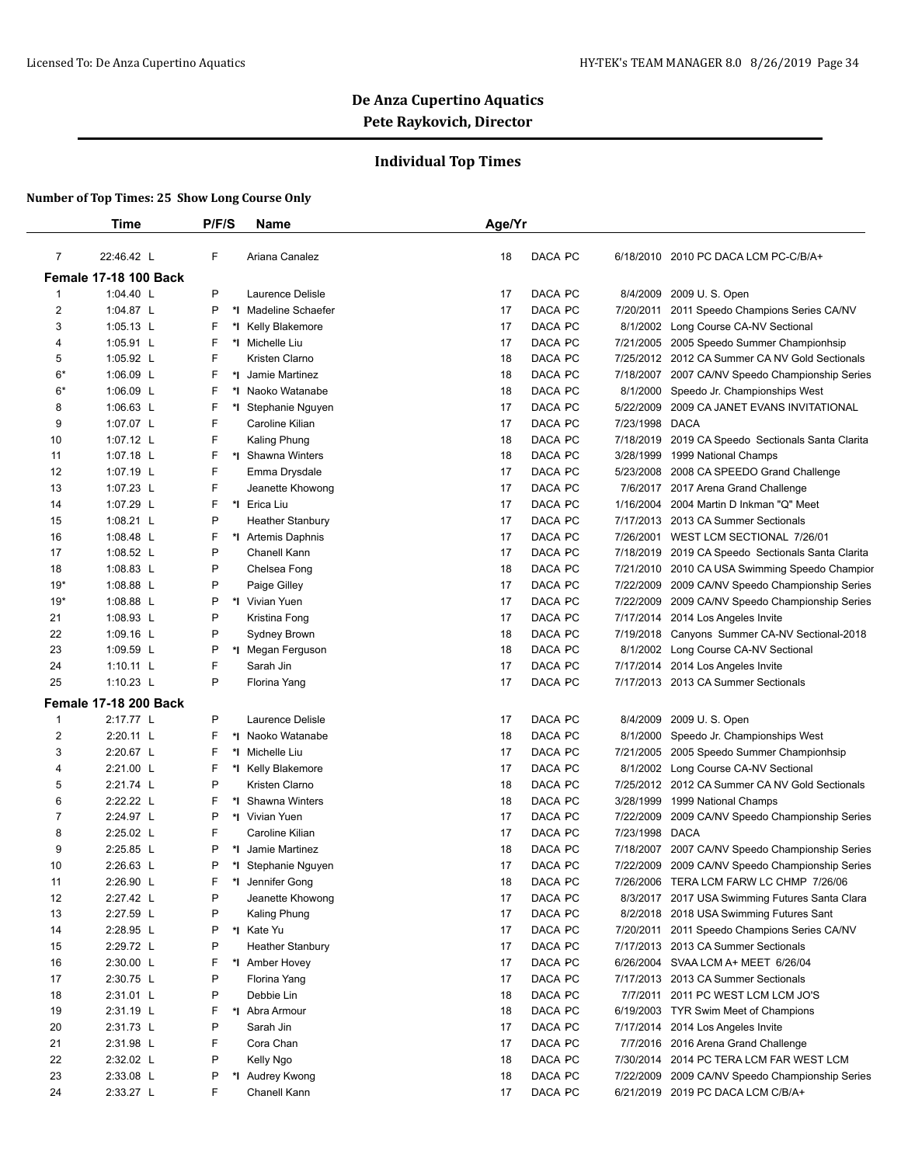## **Individual Top Times**

|                | <b>Time</b>                  | P/F/S   | <b>Name</b>             | Age/Yr |                |                |                                                   |
|----------------|------------------------------|---------|-------------------------|--------|----------------|----------------|---------------------------------------------------|
| $\overline{7}$ | 22:46.42 L                   | F       | Ariana Canalez          | 18     | DACA PC        |                | 6/18/2010 2010 PC DACA LCM PC-C/B/A+              |
|                | <b>Female 17-18 100 Back</b> |         |                         |        |                |                |                                                   |
| 1              | 1:04.40 L                    | P       | Laurence Delisle        | 17     | DACA PC        |                | 8/4/2009 2009 U.S. Open                           |
| $\overline{c}$ | 1:04.87 L                    | P       | *I Madeline Schaefer    | 17     | DACA PC        | 7/20/2011      | 2011 Speedo Champions Series CA/NV                |
| 3              | 1:05.13 L                    | F       | *I Kelly Blakemore      | 17     | DACA PC        | 8/1/2002       | Long Course CA-NV Sectional                       |
| 4              | 1:05.91 L                    | F       | *I Michelle Liu         | 17     | DACA PC        |                | 7/21/2005 2005 Speedo Summer Championhsip         |
| 5              | 1:05.92 L                    | F       | Kristen Clarno          | 18     | DACA PC        |                | 7/25/2012 2012 CA Summer CA NV Gold Sectionals    |
| $6*$           | 1:06.09 L                    | F       | *I Jamie Martinez       | 18     | <b>DACA PC</b> | 7/18/2007      | 2007 CA/NV Speedo Championship Series             |
| $6*$           | 1:06.09 L                    | F       | *I Naoko Watanabe       | 18     | DACA PC        | 8/1/2000       | Speedo Jr. Championships West                     |
| 8              | 1:06.63 L                    | F       | *I Stephanie Nguyen     | 17     | DACA PC        |                | 5/22/2009 2009 CA JANET EVANS INVITATIONAL        |
| 9              | 1:07.07 L                    | F       | Caroline Kilian         | 17     | DACA PC        | 7/23/1998 DACA |                                                   |
| 10             | 1:07.12 L                    | F       | Kaling Phung            | 18     | DACA PC        |                | 7/18/2019 2019 CA Speedo Sectionals Santa Clarita |
| 11             | 1:07.18 L                    | F<br>*∣ | Shawna Winters          | 18     | DACA PC        | 3/28/1999      | 1999 National Champs                              |
| 12             | 1:07.19 L                    | F       | Emma Drysdale           | 17     | DACA PC        | 5/23/2008      | 2008 CA SPEEDO Grand Challenge                    |
| 13             | 1:07.23 L                    | F       | Jeanette Khowong        | 17     | DACA PC        |                | 7/6/2017 2017 Arena Grand Challenge               |
| 14             | 1:07.29 L                    | F       | *I Erica Liu            | 17     | DACA PC        |                | 1/16/2004 2004 Martin D Inkman "Q" Meet           |
| 15             | 1:08.21 $L$                  | P       | <b>Heather Stanbury</b> | 17     | DACA PC        |                | 7/17/2013 2013 CA Summer Sectionals               |
| 16             | 1:08.48 L                    | F       | *1 Artemis Daphnis      | 17     | DACA PC        | 7/26/2001      | WEST LCM SECTIONAL 7/26/01                        |
| 17             | 1:08.52 L                    | P       | Chanell Kann            | 17     | DACA PC        |                | 7/18/2019 2019 CA Speedo Sectionals Santa Clarita |
| 18             | 1:08.83 L                    | P       | Chelsea Fong            | 18     | DACA PC        |                | 7/21/2010 2010 CA USA Swimming Speedo Champior    |
| $19*$          | 1:08.88 L                    | P       | Paige Gilley            | 17     | DACA PC        |                | 7/22/2009 2009 CA/NV Speedo Championship Series   |
| $19*$          | 1:08.88 L                    | P       | *I Vivian Yuen          | 17     | DACA PC        |                | 7/22/2009 2009 CA/NV Speedo Championship Series   |
| 21             | 1:08.93 $L$                  | P       | Kristina Fong           | 17     | DACA PC        |                | 7/17/2014 2014 Los Angeles Invite                 |
| 22             | 1:09.16 L                    | P       | Sydney Brown            | 18     | DACA PC        |                | 7/19/2018 Canyons Summer CA-NV Sectional-2018     |
| 23             | 1:09.59 L                    | P<br>*I | Megan Ferguson          | 18     | DACA PC        | 8/1/2002       | Long Course CA-NV Sectional                       |
| 24             | $1:10.11$ L                  | F       | Sarah Jin               | 17     | DACA PC        | 7/17/2014      | 2014 Los Angeles Invite                           |
| 25             | 1:10.23 L                    | P       | Florina Yang            | 17     | DACA PC        |                | 7/17/2013 2013 CA Summer Sectionals               |
|                |                              |         |                         |        |                |                |                                                   |
|                | <b>Female 17-18 200 Back</b> |         |                         |        |                |                |                                                   |
| 1              | 2:17.77 L                    | P       | Laurence Delisle        | 17     | DACA PC        | 8/4/2009       | 2009 U.S. Open                                    |
| $\overline{c}$ | 2:20.11 L                    | F       | *I Naoko Watanabe       | 18     | DACA PC        | 8/1/2000       | Speedo Jr. Championships West                     |
| 3              | 2:20.67 L                    | F       | *I Michelle Liu         | 17     | DACA PC        |                | 7/21/2005 2005 Speedo Summer Championhsip         |
| 4              | 2:21.00 L                    | F       | *I Kelly Blakemore      | 17     | DACA PC        | 8/1/2002       | Long Course CA-NV Sectional                       |
| 5              | 2:21.74 L                    | P       | Kristen Clarno          | 18     | DACA PC        |                | 7/25/2012 2012 CA Summer CA NV Gold Sectionals    |
| 6              | 2:22.22 L                    | F       | *I Shawna Winters       | 18     | DACA PC        |                | 3/28/1999 1999 National Champs                    |
| 7              | 2:24.97 L                    | P       | *I Vivian Yuen          | 17     | DACA PC        | 7/22/2009      | 2009 CA/NV Speedo Championship Series             |
| 8              | 2:25.02 L                    | F       | Caroline Kilian         | 17     | DACA PC        | 7/23/1998 DACA |                                                   |
| 9              | 2:25.85 L                    | P       | *I Jamie Martinez       | 18     | DACA PC        |                | 7/18/2007 2007 CA/NV Speedo Championship Series   |
| 10             | 2:26.63 L                    | P       | *I Stephanie Nguyen     | 17     | DACA PC        |                | 7/22/2009 2009 CA/NV Speedo Championship Series   |
| 11             | 2:26.90 L                    | F<br>*l | Jennifer Gong           | 18     | DACA PC        | 7/26/2006      | TERA LCM FARW LC CHMP 7/26/06                     |
| 12             | 2:27.42 L                    | P       | Jeanette Khowong        | 17     | DACA PC        |                | 8/3/2017 2017 USA Swimming Futures Santa Clara    |
| 13             | 2:27.59 L                    | P       | Kaling Phung            | 17     | DACA PC        |                | 8/2/2018 2018 USA Swimming Futures Sant           |
| 14             | 2:28.95 L                    | Ρ       | *I Kate Yu              | 17     | DACA PC        |                | 7/20/2011 2011 Speedo Champions Series CA/NV      |
| 15             | 2:29.72 L                    | P       | <b>Heather Stanbury</b> | 17     | DACA PC        |                | 7/17/2013 2013 CA Summer Sectionals               |
| 16             | 2:30.00 L                    | F       | *1 Amber Hovey          | 17     | DACA PC        |                | 6/26/2004 SVAA LCM A+ MEET 6/26/04                |
| 17             | 2:30.75 L                    | P       | Florina Yang            | 17     | DACA PC        |                | 7/17/2013 2013 CA Summer Sectionals               |
| 18             | 2:31.01 L                    | P       | Debbie Lin              | 18     | DACA PC        | 7/7/2011       | 2011 PC WEST LCM LCM JO'S                         |
| 19             | 2:31.19 L                    | F       | *I Abra Armour          | 18     | DACA PC        |                | 6/19/2003 TYR Swim Meet of Champions              |
| 20             | 2:31.73 L                    | P       | Sarah Jin               | 17     | DACA PC        |                | 7/17/2014 2014 Los Angeles Invite                 |
| 21             | 2:31.98 L                    | F       | Cora Chan               | 17     | DACA PC        |                | 7/7/2016 2016 Arena Grand Challenge               |
| 22             | 2:32.02 L                    | P       | Kelly Ngo               | 18     | DACA PC        |                | 7/30/2014 2014 PC TERA LCM FAR WEST LCM           |
| 23             | 2:33.08 L                    | P       | *I Audrey Kwong         | 18     | DACA PC        |                | 7/22/2009 2009 CA/NV Speedo Championship Series   |
|                |                              |         |                         |        |                |                |                                                   |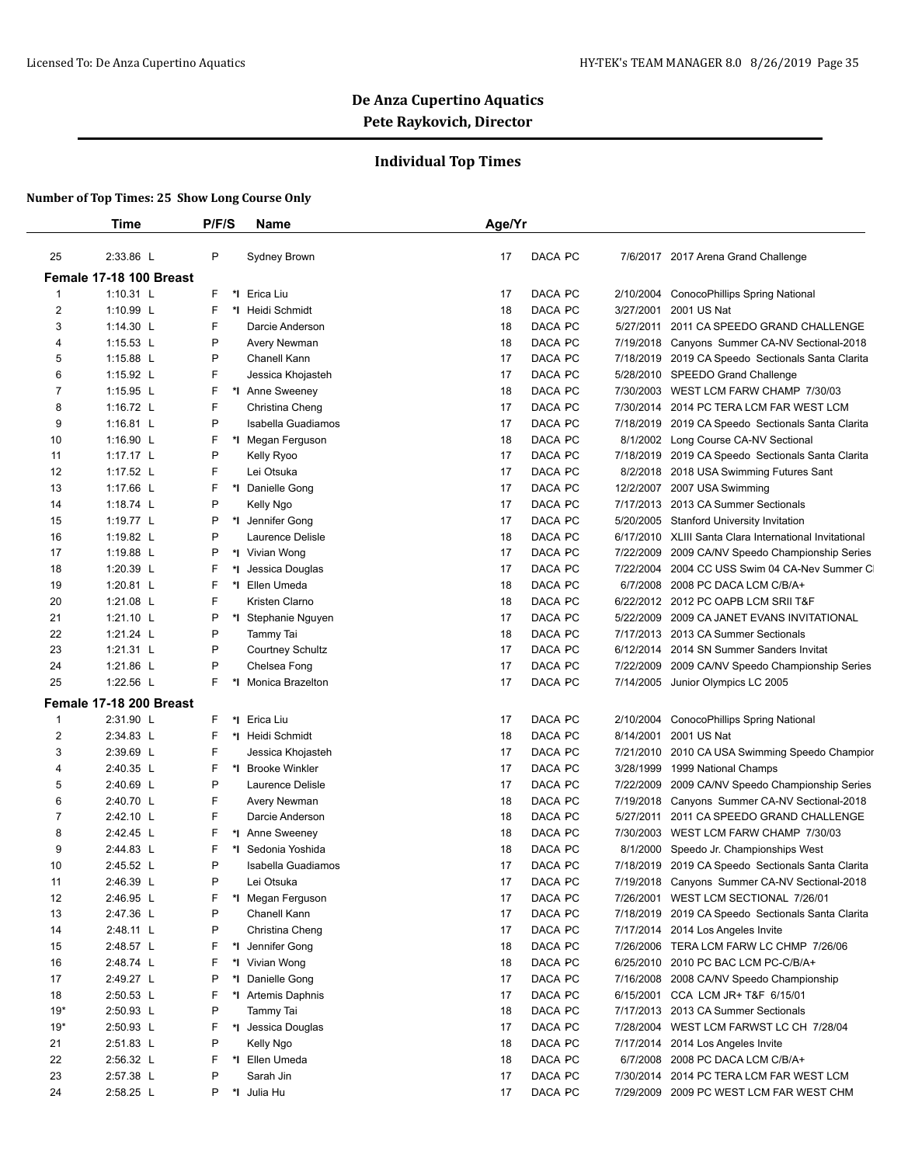## **Individual Top Times**

|          | Time                    | P/F/S        | <b>Name</b>                          | Age/Yr |                    |           |                                                                                                    |
|----------|-------------------------|--------------|--------------------------------------|--------|--------------------|-----------|----------------------------------------------------------------------------------------------------|
| 25       | 2:33.86 L               | P            | Sydney Brown                         | 17     | DACA PC            |           | 7/6/2017 2017 Arena Grand Challenge                                                                |
|          | Female 17-18 100 Breast |              |                                      |        |                    |           |                                                                                                    |
| 1        | 1:10.31 L               | F            | *I Erica Liu                         | 17     | DACA PC            | 2/10/2004 | ConocoPhillips Spring National                                                                     |
| 2        | 1:10.99 L               | F            | *I Heidi Schmidt                     | 18     | DACA PC            | 3/27/2001 | 2001 US Nat                                                                                        |
| 3        | 1:14.30 L               | F            | Darcie Anderson                      | 18     | DACA PC            | 5/27/2011 | 2011 CA SPEEDO GRAND CHALLENGE                                                                     |
| 4        | 1:15.53 L               | P            | Avery Newman                         | 18     | DACA PC            |           | 7/19/2018 Canyons Summer CA-NV Sectional-2018                                                      |
| 5        | 1:15.88 L               | P            | Chanell Kann                         | 17     | DACA PC            |           | 7/18/2019 2019 CA Speedo Sectionals Santa Clarita                                                  |
| 6        | 1:15.92 L               | F            | Jessica Khojasteh                    | 17     | <b>DACA PC</b>     |           | 5/28/2010 SPEEDO Grand Challenge                                                                   |
| 7        | 1:15.95 L               | F            | *I Anne Sweeney                      | 18     | DACA PC            |           | 7/30/2003 WEST LCM FARW CHAMP 7/30/03                                                              |
| 8        | 1:16.72 L               | F            | Christina Cheng                      | 17     | DACA PC            | 7/30/2014 | 2014 PC TERA LCM FAR WEST LCM                                                                      |
| 9        | 1:16.81 $L$             | P            | Isabella Guadiamos                   | 17     | DACA PC            | 7/18/2019 | 2019 CA Speedo Sectionals Santa Clarita                                                            |
| 10       | 1:16.90 L               | F            | *I Megan Ferguson                    | 18     | DACA PC            | 8/1/2002  | Long Course CA-NV Sectional                                                                        |
| 11       | 1:17.17 L               | P            | Kelly Ryoo                           | 17     | DACA PC            |           | 7/18/2019 2019 CA Speedo Sectionals Santa Clarita                                                  |
| 12       | 1:17.52 $L$             | F            | Lei Otsuka                           | 17     | DACA PC            | 8/2/2018  | 2018 USA Swimming Futures Sant                                                                     |
| 13       | 1:17.66 L               | F            | *1 Danielle Gong                     | 17     | DACA PC            |           | 12/2/2007 2007 USA Swimming                                                                        |
| 14       | 1:18.74 $L$             | P            | Kelly Ngo                            | 17     | DACA PC            |           | 7/17/2013 2013 CA Summer Sectionals                                                                |
|          | 1:19.77 L               | P            |                                      | 17     | DACA PC            |           |                                                                                                    |
| 15<br>16 | 1:19.82 L               | P            | *I Jennifer Gong<br>Laurence Delisle | 18     | DACA PC            |           | 5/20/2005 Stanford University Invitation<br>6/17/2010 XLIII Santa Clara International Invitational |
| 17       | 1:19.88 L               | P            | *I Vivian Wong                       | 17     | <b>DACA PC</b>     |           |                                                                                                    |
|          |                         |              |                                      |        |                    | 7/22/2009 | 2009 CA/NV Speedo Championship Series                                                              |
| 18       | 1:20.39 L               | F<br>*l<br>F | Jessica Douglas                      | 17     | DACA PC<br>DACA PC | 7/22/2004 | 2004 CC USS Swim 04 CA-Nev Summer CI                                                               |
| 19       | 1:20.81 L               | F            | *1 Ellen Umeda                       | 18     | DACA PC            | 6/7/2008  | 2008 PC DACA LCM C/B/A+                                                                            |
| 20       | 1:21.08 L               |              | Kristen Clarno                       | 18     |                    |           | 6/22/2012 2012 PC OAPB LCM SRII T&F                                                                |
| 21       | 1:21.10 L               | P            | *I Stephanie Nguyen                  | 17     | DACA PC            | 5/22/2009 | 2009 CA JANET EVANS INVITATIONAL                                                                   |
| 22       | 1:21.24 L               | P            | Tammy Tai                            | 18     | DACA PC            |           | 7/17/2013 2013 CA Summer Sectionals                                                                |
| 23       | 1:21.31 L               | P            | <b>Courtney Schultz</b>              | 17     | DACA PC            | 6/12/2014 | 2014 SN Summer Sanders Invitat                                                                     |
| 24       | 1:21.86 L               | P            | Chelsea Fong                         | 17     | DACA PC            | 7/22/2009 | 2009 CA/NV Speedo Championship Series                                                              |
| 25       | 1:22.56 L               | F            | *I Monica Brazelton                  | 17     | DACA PC            |           | 7/14/2005 Junior Olympics LC 2005                                                                  |
|          | Female 17-18 200 Breast |              |                                      |        |                    |           |                                                                                                    |
| 1        | 2:31.90 L               | F            | *I Erica Liu                         | 17     | DACA PC            | 2/10/2004 | ConocoPhillips Spring National                                                                     |
| 2        | 2:34.83 L               | F            | *1 Heidi Schmidt                     | 18     | DACA PC            | 8/14/2001 | 2001 US Nat                                                                                        |
| 3        | 2:39.69 L               | F            | Jessica Khojasteh                    | 17     | DACA PC            |           | 7/21/2010 2010 CA USA Swimming Speedo Champior                                                     |
| 4        | 2:40.35 L               | F            | *I Brooke Winkler                    | 17     | DACA PC            | 3/28/1999 | 1999 National Champs                                                                               |
| 5        | 2:40.69 L               | P            | Laurence Delisle                     | 17     | DACA PC            | 7/22/2009 | 2009 CA/NV Speedo Championship Series                                                              |
| 6        | 2:40.70 L               | F            | Avery Newman                         | 18     | DACA PC            |           | 7/19/2018 Canyons Summer CA-NV Sectional-2018                                                      |
| 7        | 2:42.10 L               | F            | Darcie Anderson                      | 18     | DACA PC            | 5/27/2011 | 2011 CA SPEEDO GRAND CHALLENGE                                                                     |
| 8        | 2:42.45 L               | F            | *I Anne Sweeney                      | 18     | DACA PC            |           | 7/30/2003 WEST LCM FARW CHAMP 7/30/03                                                              |
| 9        | 2:44.83 L               | F            | *I Sedonia Yoshida                   | 18     | DACA PC            | 8/1/2000  | Speedo Jr. Championships West                                                                      |
| 10       | 2:45.52 L               | P            | Isabella Guadiamos                   | 17     | DACA PC            |           | 7/18/2019 2019 CA Speedo Sectionals Santa Clarita                                                  |
| 11       | 2:46.39 L               | P            | Lei Otsuka                           | 17     | DACA PC            |           | 7/19/2018 Canyons Summer CA-NV Sectional-2018                                                      |
| 12       | 2:46.95 L               | F            | *I Megan Ferguson                    | 17     | DACA PC            |           | 7/26/2001 WEST LCM SECTIONAL 7/26/01                                                               |
| 13       | 2:47.36 L               | P            | Chanell Kann                         | 17     | DACA PC            |           | 7/18/2019 2019 CA Speedo Sectionals Santa Clarita                                                  |
| 14       | 2:48.11 L               | P            | Christina Cheng                      | 17     | DACA PC            |           | 7/17/2014 2014 Los Angeles Invite                                                                  |
| 15       | 2:48.57 L               | F            | *I Jennifer Gong                     | 18     | DACA PC            |           | 7/26/2006 TERA LCM FARW LC CHMP 7/26/06                                                            |
| 16       | 2:48.74 L               | F            | *I Vivian Wong                       | 18     | DACA PC            |           | 6/25/2010 2010 PC BAC LCM PC-C/B/A+                                                                |
| 17       | 2:49.27 L               | P            | *1 Danielle Gong                     | 17     | DACA PC            |           | 7/16/2008 2008 CA/NV Speedo Championship                                                           |
| 18       | 2:50.53 L               | F            | *I Artemis Daphnis                   | 17     | DACA PC            |           | 6/15/2001 CCA LCM JR+ T&F 6/15/01                                                                  |
| $19*$    | 2:50.93 L               | P            | Tammy Tai                            | 18     | DACA PC            |           | 7/17/2013 2013 CA Summer Sectionals                                                                |
|          | 2:50.93 L               | F            | *I Jessica Douglas                   | 17     | DACA PC            |           | 7/28/2004 WEST LCM FARWST LC CH 7/28/04                                                            |
| $19*$    |                         |              |                                      |        |                    |           |                                                                                                    |
|          | 2:51.83 L               | P            |                                      | 18     | DACA PC            |           | 7/17/2014 2014 Los Angeles Invite                                                                  |
| 21       | 2:56.32 L               | F            | Kelly Ngo<br>*I Ellen Umeda          | 18     | DACA PC            |           | 6/7/2008 2008 PC DACA LCM C/B/A+                                                                   |
| 22<br>23 | 2:57.38 L               | P            | Sarah Jin                            | 17     | DACA PC            |           | 7/30/2014 2014 PC TERA LCM FAR WEST LCM                                                            |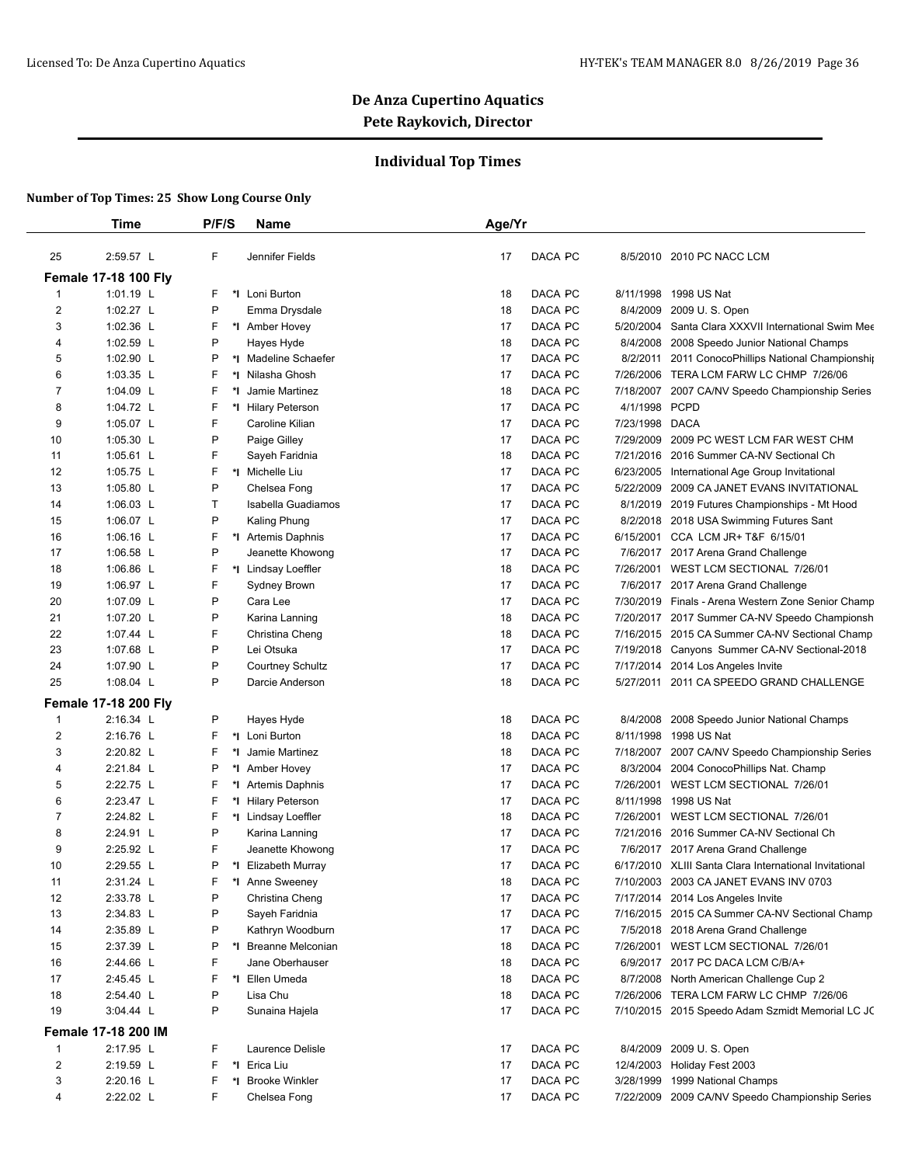## **Individual Top Times**

|                | Time                        | P/F/S   | Name                               | Age/Yr        |                |                                                        |
|----------------|-----------------------------|---------|------------------------------------|---------------|----------------|--------------------------------------------------------|
| 25             | 2:59.57 L                   | F       | Jennifer Fields                    | 17<br>DACA PC |                | 8/5/2010 2010 PC NACC LCM                              |
|                | <b>Female 17-18 100 Fly</b> |         |                                    |               |                |                                                        |
| $\mathbf{1}$   | 1:01.19 L                   | F       | *I Loni Burton                     | DACA PC<br>18 | 8/11/1998      | 1998 US Nat                                            |
| $\overline{2}$ | 1:02.27 L                   | P       | Emma Drysdale                      | DACA PC<br>18 |                | 8/4/2009 2009 U.S. Open                                |
| 3              | 1:02.36 L                   | F       | *I Amber Hovey                     | DACA PC<br>17 | 5/20/2004      | Santa Clara XXXVII International Swim Mee              |
| 4              | 1:02.59 $L$                 | P       | Hayes Hyde                         | DACA PC<br>18 | 8/4/2008       | 2008 Speedo Junior National Champs                     |
| 5              | 1:02.90 $L$                 | P       | *I Madeline Schaefer               | 17<br>DACA PC | 8/2/2011       | 2011 ConocoPhillips National Championship              |
| 6              | 1:03.35 L                   | F       | *I Nilasha Ghosh                   | 17<br>DACA PC | 7/26/2006      | TERA LCM FARW LC CHMP 7/26/06                          |
| 7              | 1:04.09 L                   | F<br>*l | Jamie Martinez                     | 18<br>DACA PC | 7/18/2007      | 2007 CA/NV Speedo Championship Series                  |
| 8              | 1:04.72 L                   | F       | *I Hilary Peterson                 | DACA PC<br>17 | 4/1/1998 PCPD  |                                                        |
| 9              | 1:05.07 L                   | F       | Caroline Kilian                    | 17<br>DACA PC | 7/23/1998 DACA |                                                        |
| 10             | 1:05.30 $L$                 | P       |                                    | DACA PC<br>17 | 7/29/2009      | 2009 PC WEST LCM FAR WEST CHM                          |
| 11             | 1:05.61 $L$                 | F       | Paige Gilley                       | DACA PC<br>18 |                | 7/21/2016 2016 Summer CA-NV Sectional Ch               |
| 12             | 1:05.75 L                   | F       | Sayeh Faridnia<br>*I Michelle Liu  | DACA PC<br>17 | 6/23/2005      |                                                        |
| 13             |                             | P       |                                    | 17<br>DACA PC | 5/22/2009      | International Age Group Invitational                   |
|                | 1:05.80 $L$                 | т       | Chelsea Fong<br>Isabella Guadiamos |               |                | 2009 CA JANET EVANS INVITATIONAL                       |
| 14             | 1:06.03 $L$                 |         |                                    | DACA PC<br>17 |                | 8/1/2019 2019 Futures Championships - Mt Hood          |
| 15             | 1:06.07 $L$                 | P       | Kaling Phung                       | 17<br>DACA PC |                | 8/2/2018 2018 USA Swimming Futures Sant                |
| 16             | 1:06.16 $L$                 | F       | *I Artemis Daphnis                 | 17<br>DACA PC | 6/15/2001      | CCA LCM JR+ T&F 6/15/01                                |
| 17             | 1:06.58 $L$                 | P       | Jeanette Khowong                   | 17<br>DACA PC |                | 7/6/2017 2017 Arena Grand Challenge                    |
| 18             | 1:06.86 L                   | F       | *I Lindsay Loeffler                | 18<br>DACA PC | 7/26/2001      | WEST LCM SECTIONAL 7/26/01                             |
| 19             | 1:06.97 $L$                 | F       | Sydney Brown                       | DACA PC<br>17 |                | 7/6/2017 2017 Arena Grand Challenge                    |
| 20             | 1:07.09 L                   | P       | Cara Lee                           | DACA PC<br>17 |                | 7/30/2019 Finals - Arena Western Zone Senior Champ     |
| 21             | 1:07.20 L                   | P       | Karina Lanning                     | 18<br>DACA PC |                | 7/20/2017 2017 Summer CA-NV Speedo Championsh          |
| 22             | 1:07.44 L                   | F       | Christina Cheng                    | 18<br>DACA PC |                | 7/16/2015 2015 CA Summer CA-NV Sectional Champ         |
| 23             | 1:07.68 L                   | P       | Lei Otsuka                         | DACA PC<br>17 |                | 7/19/2018 Canyons Summer CA-NV Sectional-2018          |
| 24             | 1:07.90 L                   | P       | <b>Courtney Schultz</b>            | 17<br>DACA PC | 7/17/2014      | 2014 Los Angeles Invite                                |
| 25             | 1:08.04 $L$                 | P       | Darcie Anderson                    | 18<br>DACA PC | 5/27/2011      | 2011 CA SPEEDO GRAND CHALLENGE                         |
|                | <b>Female 17-18 200 Fly</b> |         |                                    |               |                |                                                        |
| $\mathbf{1}$   | 2:16.34 L                   | P       | Hayes Hyde                         | DACA PC<br>18 |                | 8/4/2008 2008 Speedo Junior National Champs            |
| 2              | 2:16.76 L                   | F       | *1 Loni Burton                     | DACA PC<br>18 |                | 8/11/1998 1998 US Nat                                  |
| 3              | 2:20.82 L                   | F<br>٠. | Jamie Martinez                     | 18<br>DACA PC |                | 7/18/2007 2007 CA/NV Speedo Championship Series        |
| 4              | 2:21.84 L                   | P       | *1 Amber Hovey                     | 17<br>DACA PC | 8/3/2004       | 2004 ConocoPhillips Nat. Champ                         |
| 5              | 2:22.75 L                   | F       | *I Artemis Daphnis                 | 17<br>DACA PC |                | 7/26/2001 WEST LCM SECTIONAL 7/26/01                   |
| 6              | 2:23.47 L                   | F<br>*l | <b>Hilary Peterson</b>             | DACA PC<br>17 |                | 8/11/1998 1998 US Nat                                  |
| $\overline{7}$ | 2:24.82 L                   | F       | *I Lindsay Loeffler                | 18<br>DACA PC | 7/26/2001      | WEST LCM SECTIONAL 7/26/01                             |
| 8              | 2:24.91 L                   | P       | Karina Lanning                     | DACA PC<br>17 |                | 7/21/2016 2016 Summer CA-NV Sectional Ch               |
| 9              | 2:25.92 L                   | F       | Jeanette Khowong                   | DACA PC<br>17 |                | 7/6/2017 2017 Arena Grand Challenge                    |
| 10             | 2:29.55 L                   | P       | *I Elizabeth Murray                | 17<br>DACA PC |                | 6/17/2010 XLIII Santa Clara International Invitational |
| 11             | 2:31.24 L                   | ۲       | *I Anne Sweeney                    | 18<br>DACA PC |                | 7/10/2003 2003 CA JANET EVANS INV 0703                 |
| 12             | 2:33.78 L                   | P       | Christina Cheng                    | DACA PC<br>17 |                | 7/17/2014 2014 Los Angeles Invite                      |
| 13             | 2:34.83 L                   | P       | Sayeh Faridnia                     | DACA PC<br>17 |                | 7/16/2015 2015 CA Summer CA-NV Sectional Champ         |
| 14             | 2:35.89 L                   | P       | Kathryn Woodburn                   | DACA PC<br>17 |                | 7/5/2018 2018 Arena Grand Challenge                    |
| 15             | 2:37.39 L                   | P       | *I Breanne Melconian               | DACA PC<br>18 |                | 7/26/2001 WEST LCM SECTIONAL 7/26/01                   |
| 16             | 2:44.66 L                   | F       | Jane Oberhauser                    | DACA PC<br>18 |                | 6/9/2017 2017 PC DACA LCM C/B/A+                       |
| 17             | 2:45.45 L                   | F       | *I Ellen Umeda                     | DACA PC<br>18 |                | 8/7/2008 North American Challenge Cup 2                |
| 18             | 2:54.40 L                   | P       | Lisa Chu                           | DACA PC<br>18 |                | 7/26/2006 TERA LCM FARW LC CHMP 7/26/06                |
| 19             | 3:04.44 L                   | P       | Sunaina Hajela                     | DACA PC<br>17 |                | 7/10/2015 2015 Speedo Adam Szmidt Memorial LC JC       |
|                | <b>Female 17-18 200 IM</b>  |         |                                    |               |                |                                                        |
| $\mathbf 1$    | 2:17.95 L                   | F       | Laurence Delisle                   | DACA PC<br>17 |                | 8/4/2009 2009 U.S. Open                                |
| $\overline{2}$ | 2:19.59 L                   | F       | *I Erica Liu                       | DACA PC<br>17 |                | 12/4/2003 Holiday Fest 2003                            |
| 3              | 2:20.16 L                   | F       | *I Brooke Winkler                  | DACA PC<br>17 |                | 3/28/1999 1999 National Champs                         |
| 4              | 2:22.02 L                   | F       | Chelsea Fong                       | DACA PC<br>17 |                | 7/22/2009 2009 CA/NV Speedo Championship Series        |
|                |                             |         |                                    |               |                |                                                        |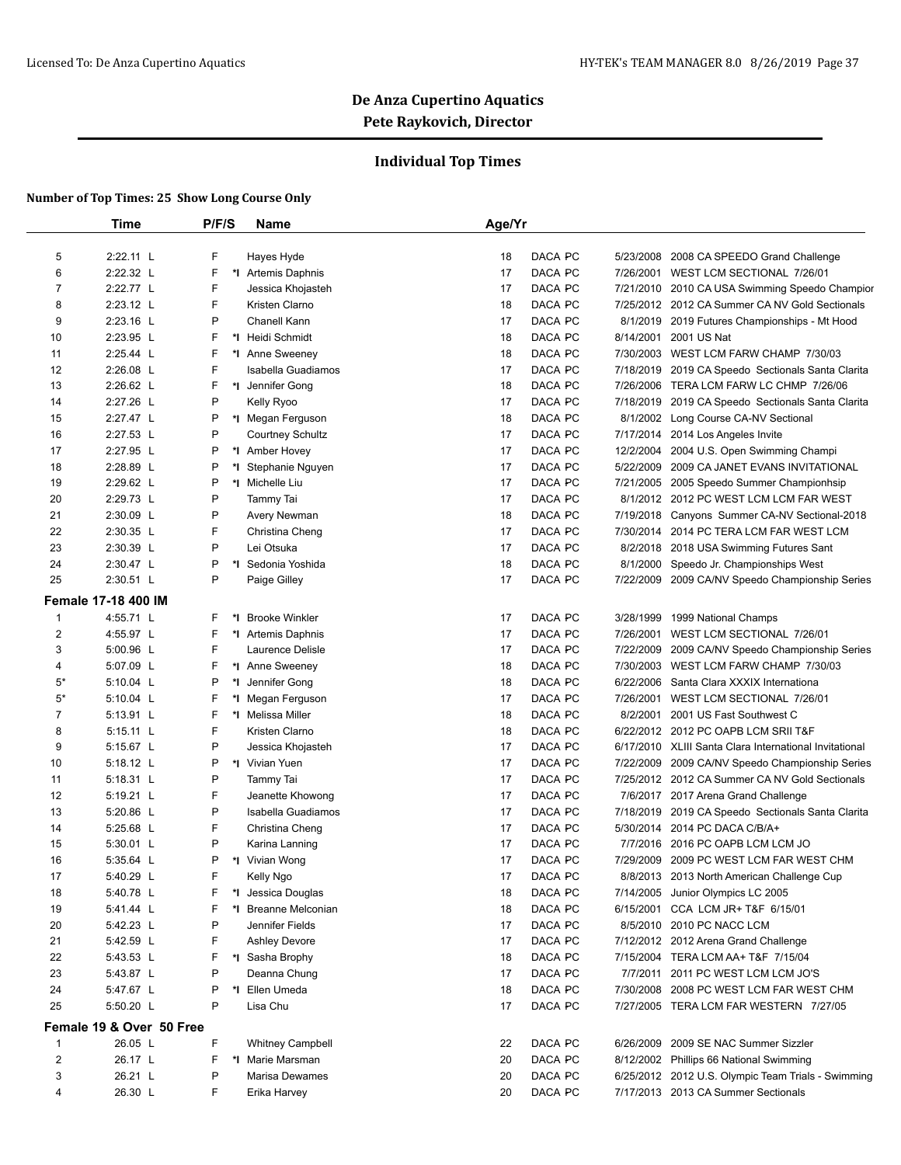## **Individual Top Times**

|                  | Time                       | P/F/S | Name                          | Age/Yr |         |           |                                                        |
|------------------|----------------------------|-------|-------------------------------|--------|---------|-----------|--------------------------------------------------------|
|                  |                            |       |                               |        |         |           |                                                        |
| 5                | 2:22.11 L                  | F     | Hayes Hyde                    | 18     | DACA PC | 5/23/2008 | 2008 CA SPEEDO Grand Challenge                         |
| 6                | 2:22.32 L                  | F     | *I Artemis Daphnis            | 17     | DACA PC |           | 7/26/2001 WEST LCM SECTIONAL 7/26/01                   |
| 7                | 2:22.77 L                  | F     | Jessica Khojasteh             | 17     | DACA PC |           | 7/21/2010 2010 CA USA Swimming Speedo Champior         |
| 8                | 2:23.12 L                  | F     | Kristen Clarno                | 18     | DACA PC |           | 7/25/2012 2012 CA Summer CA NV Gold Sectionals         |
| 9                | 2:23.16 L                  | P     | Chanell Kann                  | 17     | DACA PC |           | 8/1/2019 2019 Futures Championships - Mt Hood          |
| 10               | 2:23.95 L                  | F     | *I Heidi Schmidt              | 18     | DACA PC | 8/14/2001 | 2001 US Nat                                            |
| 11               | 2:25.44 L                  | F     | *I Anne Sweeney               | 18     | DACA PC |           | 7/30/2003 WEST LCM FARW CHAMP 7/30/03                  |
| 12               | 2:26.08 L                  | F     | Isabella Guadiamos            | 17     | DACA PC |           | 7/18/2019 2019 CA Speedo Sectionals Santa Clarita      |
| 13               | $2:26.62$ L                | F     | *I Jennifer Gong              | 18     | DACA PC |           | 7/26/2006 TERA LCM FARW LC CHMP 7/26/06                |
| 14               | 2:27.26 L                  | P     | Kelly Ryoo                    | 17     | DACA PC |           | 7/18/2019 2019 CA Speedo Sectionals Santa Clarita      |
| 15               | 2:27.47 L                  | P     | *I Megan Ferguson             | 18     | DACA PC |           | 8/1/2002 Long Course CA-NV Sectional                   |
| 16               | 2:27.53 L                  | P     | <b>Courtney Schultz</b>       | 17     | DACA PC | 7/17/2014 | 2014 Los Angeles Invite                                |
| 17               | 2:27.95 L                  | P     | *I Amber Hovey                | 17     | DACA PC | 12/2/2004 | 2004 U.S. Open Swimming Champi                         |
| 18               | 2:28.89 L                  | P     | *I Stephanie Nguyen           | 17     | DACA PC |           | 5/22/2009 2009 CA JANET EVANS INVITATIONAL             |
| 19               | 2:29.62 L                  | P     | *I Michelle Liu               | 17     | DACA PC |           | 7/21/2005 2005 Speedo Summer Championhsip              |
| 20               | 2:29.73 L                  | P     | Tammy Tai                     | 17     | DACA PC |           | 8/1/2012 2012 PC WEST LCM LCM FAR WEST                 |
| 21               | 2:30.09 L                  | P     | Avery Newman                  | 18     | DACA PC |           | 7/19/2018 Canyons Summer CA-NV Sectional-2018          |
| 22               | 2:30.35 L                  | F     | Christina Cheng               | 17     | DACA PC | 7/30/2014 | 2014 PC TERA LCM FAR WEST LCM                          |
| 23               | 2:30.39 L                  | P     | Lei Otsuka                    | 17     | DACA PC |           | 8/2/2018 2018 USA Swimming Futures Sant                |
| 24               | 2:30.47 L                  | P     | *I Sedonia Yoshida            | 18     | DACA PC |           | 8/1/2000 Speedo Jr. Championships West                 |
| 25               | 2:30.51 L                  | P     | Paige Gilley                  | 17     | DACA PC |           | 7/22/2009 2009 CA/NV Speedo Championship Series        |
|                  | <b>Female 17-18 400 IM</b> |       |                               |        |         |           |                                                        |
| $\mathbf{1}$     | 4:55.71 L                  | F     | *I Brooke Winkler             | 17     | DACA PC |           | 3/28/1999 1999 National Champs                         |
| $\boldsymbol{2}$ | 4:55.97 L                  | F     | *1 Artemis Daphnis            | 17     | DACA PC |           | 7/26/2001 WEST LCM SECTIONAL 7/26/01                   |
| 3                | 5:00.96 L                  | F     | Laurence Delisle              | 17     | DACA PC |           | 7/22/2009 2009 CA/NV Speedo Championship Series        |
| 4                | 5:07.09 L                  | F     | *I Anne Sweeney               | 18     | DACA PC |           | 7/30/2003 WEST LCM FARW CHAMP 7/30/03                  |
| $5^*$            | 5:10.04 L                  | P     | *1 Jennifer Gong              | 18     | DACA PC | 6/22/2006 | Santa Clara XXXIX Internationa                         |
| $5*$             | 5:10.04 L                  | F     | *I Megan Ferguson             | 17     | DACA PC | 7/26/2001 | WEST LCM SECTIONAL 7/26/01                             |
| 7                | 5:13.91 L                  | F     | *I Melissa Miller             | 18     | DACA PC | 8/2/2001  | 2001 US Fast Southwest C                               |
| 8                | $5:15.11$ L                | F     | Kristen Clarno                | 18     | DACA PC |           | 6/22/2012 2012 PC OAPB LCM SRII T&F                    |
| 9                | 5:15.67 L                  | P     | Jessica Khojasteh             | 17     | DACA PC |           | 6/17/2010 XLIII Santa Clara International Invitational |
| 10               | 5:18.12 L                  | P     | *I Vivian Yuen                | 17     | DACA PC |           | 7/22/2009 2009 CA/NV Speedo Championship Series        |
|                  |                            | P     |                               | 17     |         |           | 7/25/2012 2012 CA Summer CA NV Gold Sectionals         |
| 11               | 5:18.31 L                  | F     | Tammy Tai<br>Jeanette Khowong |        | DACA PC |           |                                                        |
| 12               | 5:19.21 L                  |       |                               | 17     | DACA PC |           | 7/6/2017 2017 Arena Grand Challenge                    |
| 13               | 5:20.86 L                  | P     | Isabella Guadiamos            | 17     | DACA PC |           | 7/18/2019 2019 CA Speedo Sectionals Santa Clarita      |
| 14               | 5:25.68 L                  | F     | Christina Cheng               | 17     | DACA PC |           | 5/30/2014 2014 PC DACA C/B/A+                          |
| 15               | 5:30.01 L                  | P     | Karina Lanning                | 17     | DACA PC |           | 7/7/2016 2016 PC OAPB LCM LCM JO                       |
| 16               | 5:35.64 L                  | P     | *I Vivian Wong                | 17     | DACA PC |           | 7/29/2009 2009 PC WEST LCM FAR WEST CHM                |
| 17               | 5:40.29 L                  | F     | Kelly Ngo                     | 17     | DACA PC |           | 8/8/2013 2013 North American Challenge Cup             |
| 18               | 5:40.78 L                  | F     | *I Jessica Douglas            | 18     | DACA PC |           | 7/14/2005 Junior Olympics LC 2005                      |
| 19               | 5:41.44 L                  | F     | *I Breanne Melconian          | 18     | DACA PC |           | 6/15/2001 CCA LCM JR+ T&F 6/15/01                      |
| 20               | 5:42.23 L                  | P     | Jennifer Fields               | 17     | DACA PC |           | 8/5/2010 2010 PC NACC LCM                              |
| 21               | 5:42.59 L                  | F     | <b>Ashley Devore</b>          | 17     | DACA PC |           | 7/12/2012 2012 Arena Grand Challenge                   |
| 22               | 5:43.53 L                  | F     | *I Sasha Brophy               | 18     | DACA PC |           | 7/15/2004 TERA LCM AA+ T&F 7/15/04                     |
| 23               | 5:43.87 L                  | P     | Deanna Chung                  | 17     | DACA PC |           | 7/7/2011 2011 PC WEST LCM LCM JO'S                     |
|                  | 5:47.67 L                  | P     | *I Ellen Umeda                | 18     | DACA PC |           | 7/30/2008 2008 PC WEST LCM FAR WEST CHM                |
| 24               | 5:50.20 L                  | P     | Lisa Chu                      | 17     | DACA PC |           | 7/27/2005 TERA LCM FAR WESTERN 7/27/05                 |
| 25               |                            |       |                               |        |         |           |                                                        |
|                  | Female 19 & Over 50 Free   |       |                               |        |         |           |                                                        |
| $\mathbf{1}$     | 26.05 L                    | F     | <b>Whitney Campbell</b>       | 22     | DACA PC |           | 6/26/2009 2009 SE NAC Summer Sizzler                   |
| $\boldsymbol{2}$ |                            | F     | *I Marie Marsman              | 20     | DACA PC |           | 8/12/2002 Phillips 66 National Swimming                |
| 3                | 26.17 L<br>26.21 L         | P     | Marisa Dewames                | 20     | DACA PC |           | 6/25/2012 2012 U.S. Olympic Team Trials - Swimming     |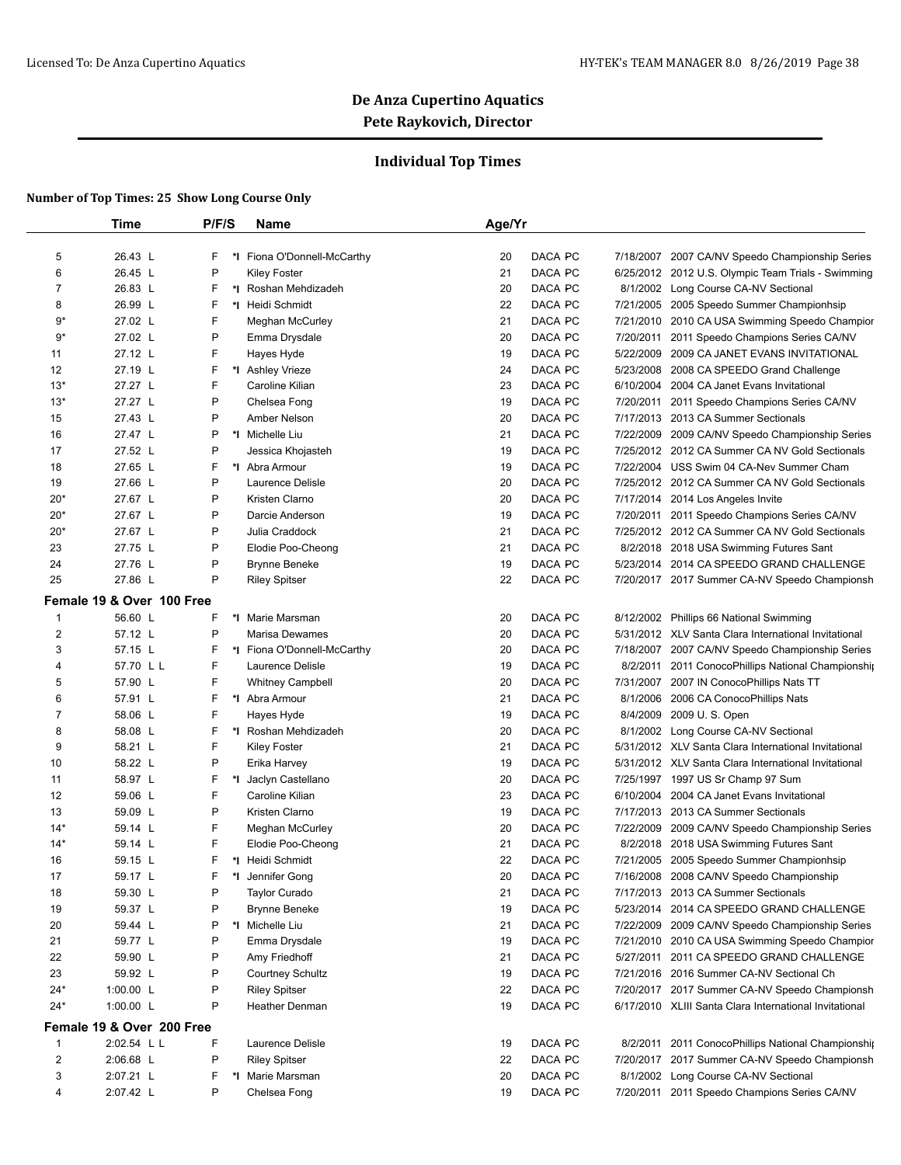## **Individual Top Times**

|                | <b>Time</b>                          | P/F/S   | Name                        | Age/Yr |                |           |                                                        |
|----------------|--------------------------------------|---------|-----------------------------|--------|----------------|-----------|--------------------------------------------------------|
| 5              | 26.43 L                              | F       | *I Fiona O'Donnell-McCarthy | 20     | DACA PC        |           | 7/18/2007 2007 CA/NV Speedo Championship Series        |
| 6              | 26.45 L                              | P       | <b>Kiley Foster</b>         | 21     | DACA PC        |           | 6/25/2012 2012 U.S. Olympic Team Trials - Swimming     |
| $\overline{7}$ | 26.83 L                              | F       | *I Roshan Mehdizadeh        | 20     | DACA PC        |           | 8/1/2002 Long Course CA-NV Sectional                   |
| 8              | 26.99 L                              | F       | *1 Heidi Schmidt            | 22     | DACA PC        |           | 7/21/2005 2005 Speedo Summer Championhsip              |
| $9*$           | 27.02 L                              | F       | Meghan McCurley             | 21     | <b>DACA PC</b> |           | 7/21/2010 2010 CA USA Swimming Speedo Champior         |
| $9*$           | 27.02 L                              | P       | Emma Drysdale               | 20     | DACA PC        | 7/20/2011 | 2011 Speedo Champions Series CA/NV                     |
| 11             | 27.12 L                              | F       | Hayes Hyde                  | 19     | DACA PC        |           | 5/22/2009 2009 CA JANET EVANS INVITATIONAL             |
| 12             | 27.19 L                              | F       | *I Ashley Vrieze            | 24     | DACA PC        |           | 5/23/2008 2008 CA SPEEDO Grand Challenge               |
| $13*$          | 27.27 L                              | F       | Caroline Kilian             | 23     | DACA PC        | 6/10/2004 | 2004 CA Janet Evans Invitational                       |
| $13*$          | 27.27 L                              | P       | Chelsea Fong                | 19     | DACA PC        | 7/20/2011 | 2011 Speedo Champions Series CA/NV                     |
| 15             | 27.43 L                              | P       | Amber Nelson                | 20     | DACA PC        |           | 7/17/2013 2013 CA Summer Sectionals                    |
| 16             | 27.47 L                              | P       | *I Michelle Liu             | 21     | DACA PC        |           | 7/22/2009 2009 CA/NV Speedo Championship Series        |
| 17             | 27.52 L                              | P       | Jessica Khojasteh           | 19     | DACA PC        |           | 7/25/2012 2012 CA Summer CA NV Gold Sectionals         |
| 18             | 27.65 L                              | F       | *I Abra Armour              | 19     | DACA PC        |           | 7/22/2004 USS Swim 04 CA-Nev Summer Cham               |
| 19             | 27.66 L                              | P       | Laurence Delisle            | 20     | DACA PC        |           | 7/25/2012 2012 CA Summer CA NV Gold Sectionals         |
| $20*$          | 27.67 L                              | P       | Kristen Clarno              | 20     | DACA PC        |           | 7/17/2014 2014 Los Angeles Invite                      |
| $20*$          | 27.67 L                              | P       | Darcie Anderson             | 19     | DACA PC        |           | 7/20/2011 2011 Speedo Champions Series CA/NV           |
| 20*            | 27.67 L                              | P       | Julia Craddock              | 21     | DACA PC        |           | 7/25/2012 2012 CA Summer CA NV Gold Sectionals         |
| 23             | 27.75 L                              | P       | Elodie Poo-Cheong           | 21     | DACA PC        |           | 8/2/2018 2018 USA Swimming Futures Sant                |
| 24             | 27.76 L                              | P       | <b>Brynne Beneke</b>        | 19     | DACA PC        |           | 5/23/2014 2014 CA SPEEDO GRAND CHALLENGE               |
| 25             | 27.86 L                              | P       | <b>Riley Spitser</b>        | 22     | DACA PC        |           | 7/20/2017 2017 Summer CA-NV Speedo Championsh          |
|                |                                      |         |                             |        |                |           |                                                        |
| $\mathbf{1}$   | Female 19 & Over 100 Free<br>56.60 L | F       | *I Marie Marsman            | 20     | DACA PC        |           | 8/12/2002 Phillips 66 National Swimming                |
| $\overline{2}$ | 57.12 L                              | P       | Marisa Dewames              | 20     | DACA PC        |           | 5/31/2012 XLV Santa Clara International Invitational   |
| 3              | 57.15 L                              | F       | *I Fiona O'Donnell-McCarthy | 20     | DACA PC        |           | 7/18/2007 2007 CA/NV Speedo Championship Series        |
| 4              | 57.70 L L                            | F       | Laurence Delisle            | 19     | DACA PC        |           | 8/2/2011 2011 ConocoPhillips National Championship     |
| 5              | 57.90 L                              | F       | <b>Whitney Campbell</b>     | 20     | DACA PC        |           | 7/31/2007 2007 IN ConocoPhillips Nats TT               |
| 6              | 57.91 L                              | F       | *I Abra Armour              | 21     | DACA PC        | 8/1/2006  | 2006 CA ConocoPhillips Nats                            |
| $\overline{7}$ | 58.06 L                              | F       | Hayes Hyde                  | 19     | DACA PC        | 8/4/2009  | 2009 U.S. Open                                         |
| 8              | 58.08 L                              | F       | *I Roshan Mehdizadeh        | 20     | DACA PC        |           | 8/1/2002 Long Course CA-NV Sectional                   |
| 9              | 58.21 L                              | F       | <b>Kiley Foster</b>         | 21     | DACA PC        |           | 5/31/2012 XLV Santa Clara International Invitational   |
| 10             | 58.22 L                              | P       | Erika Harvey                | 19     | DACA PC        |           | 5/31/2012 XLV Santa Clara International Invitational   |
| 11             | 58.97 L                              | F<br>*l | Jaclyn Castellano           | 20     | DACA PC        |           | 7/25/1997 1997 US Sr Champ 97 Sum                      |
| 12             | 59.06 L                              | F       | Caroline Kilian             | 23     | DACA PC        | 6/10/2004 | 2004 CA Janet Evans Invitational                       |
| 13             | 59.09 L                              | P       | Kristen Clarno              | 19     | DACA PC        |           | 7/17/2013 2013 CA Summer Sectionals                    |
| $14*$          | 59.14 L                              | F       | Meghan McCurley             | 20     | DACA PC        |           | 7/22/2009 2009 CA/NV Speedo Championship Series        |
| $14*$          | 59.14 L                              | F       | Elodie Poo-Cheong           | 21     | DACA PC        |           | 8/2/2018 2018 USA Swimming Futures Sant                |
| 16             | 59.15 L                              | F       | *I Heidi Schmidt            | 22     | DACA PC        |           | 7/21/2005 2005 Speedo Summer Championhsip              |
| 17             | 59.17 L                              | F.      | *I Jennifer Gong            | 20     | DACA PC        |           | 7/16/2008 2008 CA/NV Speedo Championship               |
| 18             | 59.30 L                              | P       | <b>Taylor Curado</b>        | 21     | DACA PC        |           | 7/17/2013 2013 CA Summer Sectionals                    |
| 19             | 59.37 L                              | P       | <b>Brynne Beneke</b>        | 19     | DACA PC        |           | 5/23/2014 2014 CA SPEEDO GRAND CHALLENGE               |
| 20             | 59.44 L                              | P       | *1 Michelle Liu             | 21     | DACA PC        |           | 7/22/2009 2009 CA/NV Speedo Championship Series        |
| 21             | 59.77 L                              | P       | Emma Drysdale               | 19     | DACA PC        |           | 7/21/2010 2010 CA USA Swimming Speedo Champior         |
| 22             | 59.90 L                              | P       | Amy Friedhoff               | 21     | DACA PC        |           | 5/27/2011 2011 CA SPEEDO GRAND CHALLENGE               |
| 23             | 59.92 L                              | P       | <b>Courtney Schultz</b>     | 19     | DACA PC        |           | 7/21/2016 2016 Summer CA-NV Sectional Ch               |
| $24*$          | 1:00.00 $L$                          | P       | <b>Riley Spitser</b>        | 22     | DACA PC        |           | 7/20/2017 2017 Summer CA-NV Speedo Championsh          |
| $24*$          | 1:00.00 L                            | P       | Heather Denman              | 19     | DACA PC        |           | 6/17/2010 XLIII Santa Clara International Invitational |
|                |                                      |         |                             |        |                |           |                                                        |
|                | Female 19 & Over 200 Free            | F       |                             |        |                |           |                                                        |
| $\mathbf{1}$   | 2:02.54 L L<br>2:06.68 L             |         | Laurence Delisle            | 19     | DACA PC        |           | 8/2/2011 2011 ConocoPhillips National Championship     |
| 2              |                                      | P       | <b>Riley Spitser</b>        | 22     | DACA PC        |           | 7/20/2017 2017 Summer CA-NV Speedo Championsh          |
| 3              | 2:07.21 L                            | F       | *I Marie Marsman            | 20     | DACA PC        |           | 8/1/2002 Long Course CA-NV Sectional                   |
| 4              | 2:07.42 L                            | P       | Chelsea Fong                | 19     | DACA PC        |           | 7/20/2011 2011 Speedo Champions Series CA/NV           |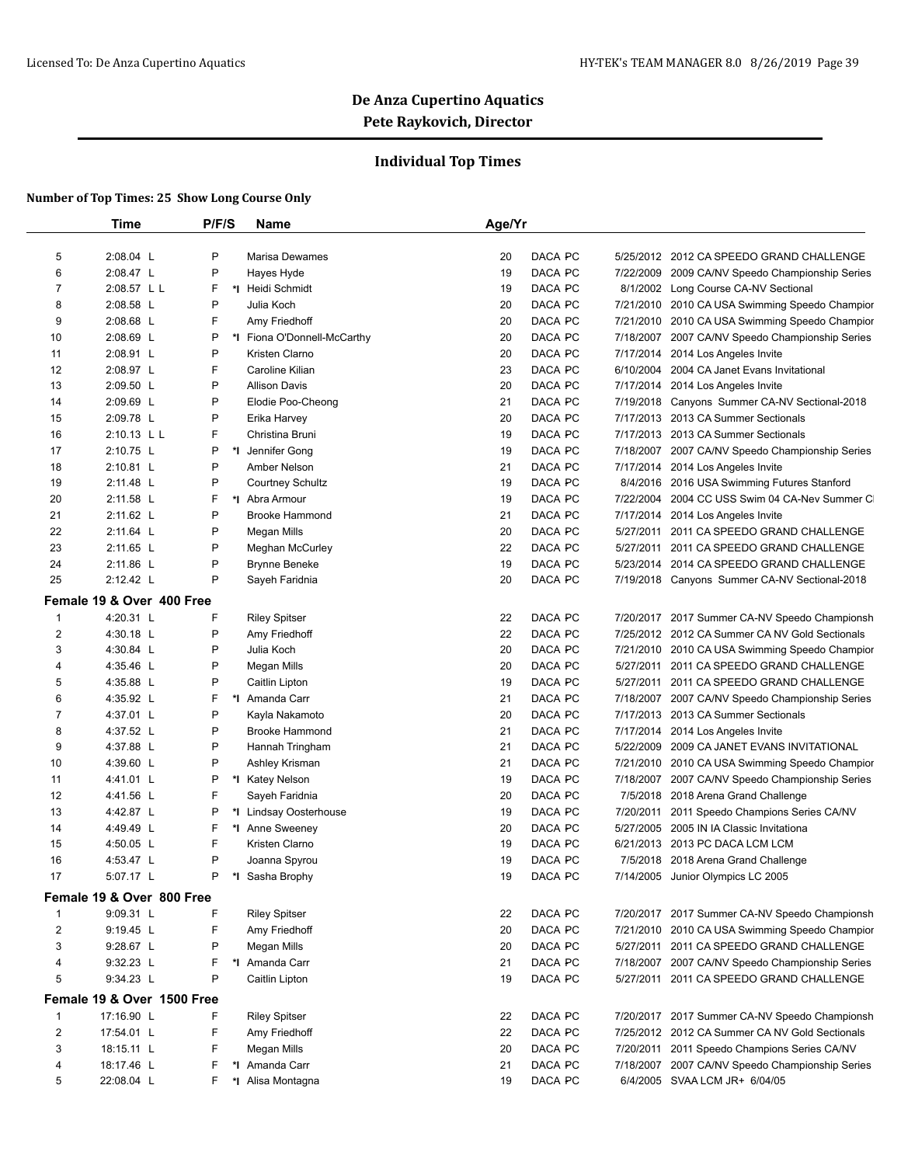## **Individual Top Times**

|                  | <b>Time</b>                | P/F/S   | Name                        | Age/Yr |                |           |                                                 |
|------------------|----------------------------|---------|-----------------------------|--------|----------------|-----------|-------------------------------------------------|
| 5                | 2:08.04 L                  | P       | <b>Marisa Dewames</b>       | 20     | DACA PC        |           | 5/25/2012 2012 CA SPEEDO GRAND CHALLENGE        |
| 6                | 2:08.47 L                  | P       | Hayes Hyde                  | 19     | DACA PC        |           | 7/22/2009 2009 CA/NV Speedo Championship Series |
| $\overline{7}$   | 2:08.57 L L                | F       | *I Heidi Schmidt            | 19     | DACA PC        |           | 8/1/2002 Long Course CA-NV Sectional            |
| 8                | 2:08.58 L                  | P       | Julia Koch                  | 20     | DACA PC        |           | 7/21/2010 2010 CA USA Swimming Speedo Champior  |
| 9                | 2:08.68 L                  | F       | Amy Friedhoff               | 20     | DACA PC        |           | 7/21/2010 2010 CA USA Swimming Speedo Champior  |
| 10               | 2:08.69 L                  | P       | *I Fiona O'Donnell-McCarthy | 20     | DACA PC        |           | 7/18/2007 2007 CA/NV Speedo Championship Series |
| 11               | 2:08.91 L                  | P       | Kristen Clarno              | 20     | DACA PC        |           | 7/17/2014 2014 Los Angeles Invite               |
| 12               | 2:08.97 L                  | F       | Caroline Kilian             | 23     | DACA PC        |           | 6/10/2004 2004 CA Janet Evans Invitational      |
| 13               | 2:09.50 L                  | P       | <b>Allison Davis</b>        | 20     | DACA PC        | 7/17/2014 | 2014 Los Angeles Invite                         |
| 14               | 2:09.69 L                  | P       | Elodie Poo-Cheong           | 21     | DACA PC        |           | 7/19/2018 Canyons Summer CA-NV Sectional-2018   |
| 15               | 2:09.78 L                  | P       | Erika Harvey                | 20     | DACA PC        |           | 7/17/2013 2013 CA Summer Sectionals             |
| 16               | 2:10.13 L L                | F       | Christina Bruni             | 19     | DACA PC        |           | 7/17/2013 2013 CA Summer Sectionals             |
| 17               | 2:10.75 L                  | P<br>*l | Jennifer Gong               | 19     | DACA PC        |           | 7/18/2007 2007 CA/NV Speedo Championship Series |
| 18               | $2:10.81$ L                | P       | Amber Nelson                | 21     | DACA PC        |           | 7/17/2014 2014 Los Angeles Invite               |
| 19               | 2:11.48 L                  | P       | <b>Courtney Schultz</b>     | 19     | DACA PC        |           | 8/4/2016 2016 USA Swimming Futures Stanford     |
| 20               | 2:11.58 L                  | F       | *I Abra Armour              | 19     | DACA PC        |           | 7/22/2004 2004 CC USS Swim 04 CA-Nev Summer CI  |
| 21               | 2:11.62 L                  | P       | <b>Brooke Hammond</b>       | 21     | DACA PC        |           | 7/17/2014 2014 Los Angeles Invite               |
| 22               | 2:11.64 L                  | P       | Megan Mills                 | 20     | DACA PC        | 5/27/2011 | 2011 CA SPEEDO GRAND CHALLENGE                  |
| 23               | 2:11.65 L                  | P       | Meghan McCurley             | 22     | <b>DACA PC</b> | 5/27/2011 | 2011 CA SPEEDO GRAND CHALLENGE                  |
| 24               | 2:11.86 L                  | P       | <b>Brynne Beneke</b>        | 19     | DACA PC        |           | 5/23/2014 2014 CA SPEEDO GRAND CHALLENGE        |
| 25               | 2:12.42 L                  | P       | Sayeh Faridnia              | 20     | DACA PC        |           | 7/19/2018 Canyons Summer CA-NV Sectional-2018   |
|                  | Female 19 & Over 400 Free  |         |                             |        |                |           |                                                 |
| $\mathbf{1}$     | 4:20.31 L                  | F       | <b>Riley Spitser</b>        | 22     | DACA PC        |           | 7/20/2017 2017 Summer CA-NV Speedo Championsh   |
| $\boldsymbol{2}$ | 4:30.18 L                  | P       | Amy Friedhoff               | 22     | DACA PC        |           | 7/25/2012 2012 CA Summer CA NV Gold Sectionals  |
| 3                | 4:30.84 L                  | P       | Julia Koch                  | 20     | DACA PC        |           | 7/21/2010 2010 CA USA Swimming Speedo Champior  |
| 4                | 4:35.46 L                  | P       | Megan Mills                 | 20     | DACA PC        |           | 5/27/2011 2011 CA SPEEDO GRAND CHALLENGE        |
| 5                | 4:35.88 L                  | P       | Caitlin Lipton              | 19     | DACA PC        | 5/27/2011 | 2011 CA SPEEDO GRAND CHALLENGE                  |
| 6                | 4:35.92 L                  | F       | *1 Amanda Carr              | 21     | DACA PC        |           | 7/18/2007 2007 CA/NV Speedo Championship Series |
| 7                | 4:37.01 L                  | P       | Kayla Nakamoto              | 20     | DACA PC        |           | 7/17/2013 2013 CA Summer Sectionals             |
| 8                | 4:37.52 L                  | P       | Brooke Hammond              | 21     | DACA PC        |           | 7/17/2014 2014 Los Angeles Invite               |
| 9                | 4:37.88 L                  | P       | Hannah Tringham             | 21     | DACA PC        |           | 5/22/2009 2009 CA JANET EVANS INVITATIONAL      |
| 10               | 4:39.60 L                  | P       | Ashley Krisman              | 21     | DACA PC        |           | 7/21/2010 2010 CA USA Swimming Speedo Champior  |
| 11               | 4:41.01 L                  | P       | *I Katey Nelson             | 19     | DACA PC        |           | 7/18/2007 2007 CA/NV Speedo Championship Series |
| 12               | 4:41.56 L                  | F       | Sayeh Faridnia              | 20     | DACA PC        |           | 7/5/2018 2018 Arena Grand Challenge             |
| 13               | 4:42.87 L                  | P       | *I Lindsay Oosterhouse      | 19     | DACA PC        | 7/20/2011 | 2011 Speedo Champions Series CA/NV              |
| 14               | 4:49.49 L                  | F       | *I Anne Sweeney             | 20     | DACA PC        |           | 5/27/2005 2005 IN IA Classic Invitationa        |
| 15               | 4:50.05 L                  | F       | Kristen Clarno              | 19     | DACA PC        |           | 6/21/2013 2013 PC DACA LCM LCM                  |
| 16               | 4:53.47 L                  | P       | Joanna Spyrou               | 19     | DACA PC        |           | 7/5/2018 2018 Arena Grand Challenge             |
| 17               | 5:07.17 L                  | P       | *I Sasha Brophy             | 19     | DACA PC        |           | 7/14/2005 Junior Olympics LC 2005               |
|                  |                            |         |                             |        |                |           |                                                 |
|                  | Female 19 & Over 800 Free  |         |                             |        |                |           |                                                 |
| $\mathbf{1}$     | 9:09.31 L                  | F       | <b>Riley Spitser</b>        | 22     | DACA PC        |           | 7/20/2017 2017 Summer CA-NV Speedo Championsh   |
| $\boldsymbol{2}$ | 9:19.45 L                  | F       | Amy Friedhoff               | 20     | DACA PC        |           | 7/21/2010 2010 CA USA Swimming Speedo Champior  |
| 3                | 9:28.67 L                  | P       | Megan Mills                 | 20     | DACA PC        |           | 5/27/2011 2011 CA SPEEDO GRAND CHALLENGE        |
| 4                | 9:32.23 L                  | F       | *1 Amanda Carr              | 21     | DACA PC        |           | 7/18/2007 2007 CA/NV Speedo Championship Series |
| 5                | 9:34.23 L                  | P       | Caitlin Lipton              | 19     | DACA PC        |           | 5/27/2011 2011 CA SPEEDO GRAND CHALLENGE        |
|                  | Female 19 & Over 1500 Free |         |                             |        |                |           |                                                 |
| $\mathbf{1}$     | 17:16.90 L                 | F       | <b>Riley Spitser</b>        | 22     | DACA PC        |           | 7/20/2017 2017 Summer CA-NV Speedo Championsh   |
| $\boldsymbol{2}$ | 17:54.01 L                 | F       | Amy Friedhoff               | 22     | DACA PC        |           | 7/25/2012 2012 CA Summer CA NV Gold Sectionals  |
| 3                | 18:15.11 L                 | F       | Megan Mills                 | 20     | DACA PC        |           | 7/20/2011 2011 Speedo Champions Series CA/NV    |
| 4                | 18:17.46 L                 | F       | *1 Amanda Carr              | 21     | DACA PC        |           | 7/18/2007 2007 CA/NV Speedo Championship Series |
| 5                | 22:08.04 L                 | F       | *I Alisa Montagna           | 19     | DACA PC        |           | 6/4/2005 SVAA LCM JR+ 6/04/05                   |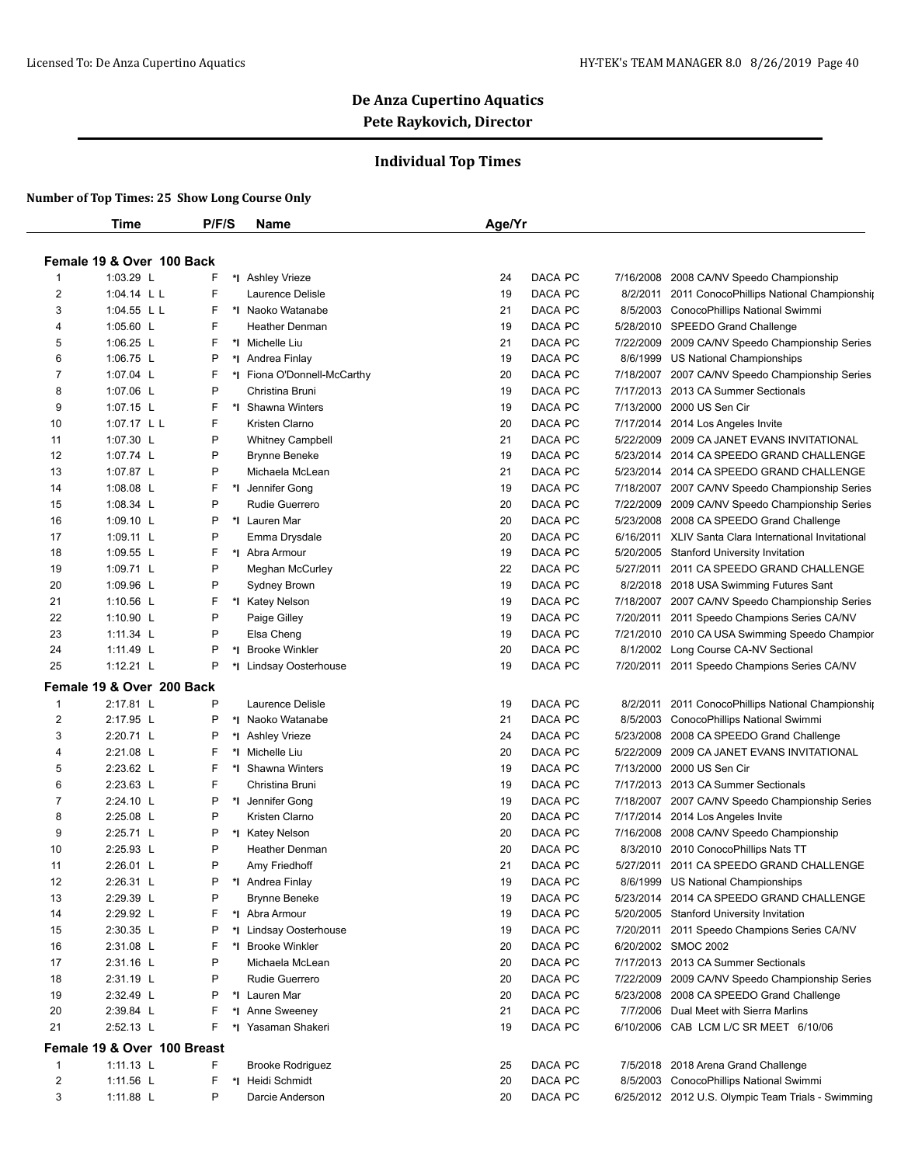## **Individual Top Times**

|                | Time                        | P/F/S | Name                        |                             | Age/Yr |         |           |                                                       |
|----------------|-----------------------------|-------|-----------------------------|-----------------------------|--------|---------|-----------|-------------------------------------------------------|
|                |                             |       |                             |                             |        |         |           |                                                       |
|                | Female 19 & Over 100 Back   |       |                             |                             |        |         |           |                                                       |
| -1             | 1:03.29 L                   | F     | *I Ashley Vrieze            |                             | 24     | DACA PC |           | 7/16/2008 2008 CA/NV Speedo Championship              |
| 2              | 1:04.14 L L                 | F     | Laurence Delisle            |                             | 19     | DACA PC | 8/2/2011  | 2011 ConocoPhillips National Championship             |
| 3              | 1:04.55 L L                 | F     | *I Naoko Watanabe           |                             | 21     | DACA PC |           | 8/5/2003 ConocoPhillips National Swimmi               |
| 4              | 1:05.60 L                   | F     | <b>Heather Denman</b>       |                             | 19     | DACA PC |           | 5/28/2010 SPEEDO Grand Challenge                      |
| 5              | 1:06.25 L                   | F     | *1 Michelle Liu             |                             | 21     | DACA PC |           | 7/22/2009 2009 CA/NV Speedo Championship Series       |
| 6              | 1:06.75 L                   | P     | *I Andrea Finlay            |                             | 19     | DACA PC |           | 8/6/1999 US National Championships                    |
| 7              | 1:07.04 $L$                 | F     |                             | *I Fiona O'Donnell-McCarthy | 20     | DACA PC | 7/18/2007 | 2007 CA/NV Speedo Championship Series                 |
| 8              | 1:07.06 L                   | P     | Christina Bruni             |                             | 19     | DACA PC |           | 7/17/2013 2013 CA Summer Sectionals                   |
| 9              | $1:07.15$ L                 | F     | *I Shawna Winters           |                             | 19     | DACA PC |           | 7/13/2000 2000 US Sen Cir                             |
| 10             | 1:07.17 $L L$               | F     | Kristen Clarno              |                             | 20     | DACA PC |           | 7/17/2014 2014 Los Angeles Invite                     |
| 11             | 1:07.30 L                   | P     | <b>Whitney Campbell</b>     |                             | 21     | DACA PC | 5/22/2009 | 2009 CA JANET EVANS INVITATIONAL                      |
| 12             | 1:07.74 L                   | P     | <b>Brynne Beneke</b>        |                             | 19     | DACA PC |           | 5/23/2014 2014 CA SPEEDO GRAND CHALLENGE              |
| 13             | 1:07.87 L                   | P     | Michaela McLean             |                             | 21     | DACA PC |           | 5/23/2014 2014 CA SPEEDO GRAND CHALLENGE              |
| 14             | $1:08.08$ L                 | F     | *I Jennifer Gong            |                             | 19     | DACA PC |           | 7/18/2007 2007 CA/NV Speedo Championship Series       |
| 15             | 1:08.34 L                   | P     | Rudie Guerrero              |                             | 20     | DACA PC |           | 7/22/2009 2009 CA/NV Speedo Championship Series       |
| 16             | 1:09.10 $\lfloor$           | P     | *I Lauren Mar               |                             | 20     | DACA PC |           | 5/23/2008 2008 CA SPEEDO Grand Challenge              |
| 17             | $1:09.11$ L                 | P     | Emma Drysdale               |                             | 20     | DACA PC |           | 6/16/2011 XLIV Santa Clara International Invitational |
| 18             | 1:09.55 L                   | F     | *I Abra Armour              |                             | 19     | DACA PC |           | 5/20/2005 Stanford University Invitation              |
| 19             | 1:09.71 L                   | P     | <b>Meghan McCurley</b>      |                             | 22     | DACA PC | 5/27/2011 | 2011 CA SPEEDO GRAND CHALLENGE                        |
| 20             | 1:09.96 L                   | P     | Sydney Brown                |                             | 19     | DACA PC |           | 8/2/2018 2018 USA Swimming Futures Sant               |
| 21             | 1:10.56 L                   | F     | *I Katey Nelson             |                             | 19     | DACA PC |           | 7/18/2007 2007 CA/NV Speedo Championship Series       |
| 22             | 1:10.90 $L$                 | P     | Paige Gilley                |                             | 19     | DACA PC | 7/20/2011 | 2011 Speedo Champions Series CA/NV                    |
| 23             | 1:11.34 L                   | P     | Elsa Cheng                  |                             | 19     | DACA PC | 7/21/2010 | 2010 CA USA Swimming Speedo Champior                  |
| 24             | 1:11.49 L                   | P     | <b>Brooke Winkler</b><br>*l |                             | 20     | DACA PC | 8/1/2002  | Long Course CA-NV Sectional                           |
| 25             | 1:12.21 $L$                 | P     | *I Lindsay Oosterhouse      |                             | 19     | DACA PC |           | 7/20/2011 2011 Speedo Champions Series CA/NV          |
|                | Female 19 & Over 200 Back   |       |                             |                             |        |         |           |                                                       |
| -1             | 2:17.81 L                   | P     | Laurence Delisle            |                             | 19     | DACA PC | 8/2/2011  | 2011 ConocoPhillips National Championship             |
| $\overline{c}$ | 2:17.95 L                   | P     | *I Naoko Watanabe           |                             | 21     | DACA PC |           | 8/5/2003 ConocoPhillips National Swimmi               |
| 3              | 2:20.71 L                   | P     | *I Ashley Vrieze            |                             | 24     | DACA PC |           | 5/23/2008 2008 CA SPEEDO Grand Challenge              |
| 4              | 2:21.08 L                   | F     | *I Michelle Liu             |                             | 20     | DACA PC |           | 5/22/2009 2009 CA JANET EVANS INVITATIONAL            |
| 5              | 2:23.62 L                   | F     | *I Shawna Winters           |                             | 19     | DACA PC |           | 7/13/2000 2000 US Sen Cir                             |
| 6              | 2:23.63 L                   | F     | Christina Bruni             |                             | 19     | DACA PC |           | 7/17/2013 2013 CA Summer Sectionals                   |
| 7              | 2:24.10 L                   | P     | *∣<br>Jennifer Gong         |                             | 19     | DACA PC | 7/18/2007 | 2007 CA/NV Speedo Championship Series                 |
| 8              | 2:25.08 L                   | P     | Kristen Clarno              |                             | 20     | DACA PC |           | 7/17/2014 2014 Los Angeles Invite                     |
| 9              | 2:25.71 L                   | P     | *I Katey Nelson             |                             | 20     | DACA PC |           | 7/16/2008 2008 CA/NV Speedo Championship              |
| 10             | 2:25.93 L                   | P     | <b>Heather Denman</b>       |                             | 20     | DACA PC |           | 8/3/2010 2010 ConocoPhillips Nats TT                  |
| 11             | 2:26.01 L                   | P     | Amy Friedhoff               |                             | 21     | DACA PC |           | 5/27/2011 2011 CA SPEEDO GRAND CHALLENGE              |
| 12             | 2:26.31 L                   |       | *I Andrea Finlay            |                             | 19     | DACA PC |           | 8/6/1999 US National Championships                    |
| 13             | 2:29.39 L                   | P     | <b>Brynne Beneke</b>        |                             | 19     | DACA PC |           | 5/23/2014 2014 CA SPEEDO GRAND CHALLENGE              |
| 14             | 2:29.92 L                   | F     | *I Abra Armour              |                             | 19     | DACA PC |           | 5/20/2005 Stanford University Invitation              |
| 15             | 2:30.35 L                   | P     | *I Lindsay Oosterhouse      |                             | 19     | DACA PC |           | 7/20/2011 2011 Speedo Champions Series CA/NV          |
| 16             | 2:31.08 L                   | F     | *I Brooke Winkler           |                             | 20     | DACA PC |           | 6/20/2002 SMOC 2002                                   |
| 17             | 2:31.16 L                   | P     | Michaela McLean             |                             | 20     | DACA PC |           | 7/17/2013 2013 CA Summer Sectionals                   |
| 18             | 2:31.19 L                   | P     | Rudie Guerrero              |                             | 20     | DACA PC |           | 7/22/2009 2009 CA/NV Speedo Championship Series       |
| 19             | 2:32.49 L                   | Ρ     | *I Lauren Mar               |                             | 20     | DACA PC |           | 5/23/2008 2008 CA SPEEDO Grand Challenge              |
| 20             | 2:39.84 L                   | F     | *1 Anne Sweeney             |                             | 21     | DACA PC |           | 7/7/2006 Dual Meet with Sierra Marlins                |
| 21             | 2:52.13 L                   |       | *I Yasaman Shakeri          |                             | 19     | DACA PC |           | 6/10/2006 CAB LCM L/C SR MEET 6/10/06                 |
|                | Female 19 & Over 100 Breast |       |                             |                             |        |         |           |                                                       |
|                |                             |       |                             |                             |        |         |           | 7/5/2018 2018 Arena Grand Challenge                   |
| $\mathbf{1}$   | $1:11.13$ L                 | F.    | <b>Brooke Rodriguez</b>     |                             | 25     | DACA PC |           |                                                       |
| 2              | 1:11.56 L                   | F.    | *I Heidi Schmidt            |                             | 20     | DACA PC |           | 8/5/2003 ConocoPhillips National Swimmi               |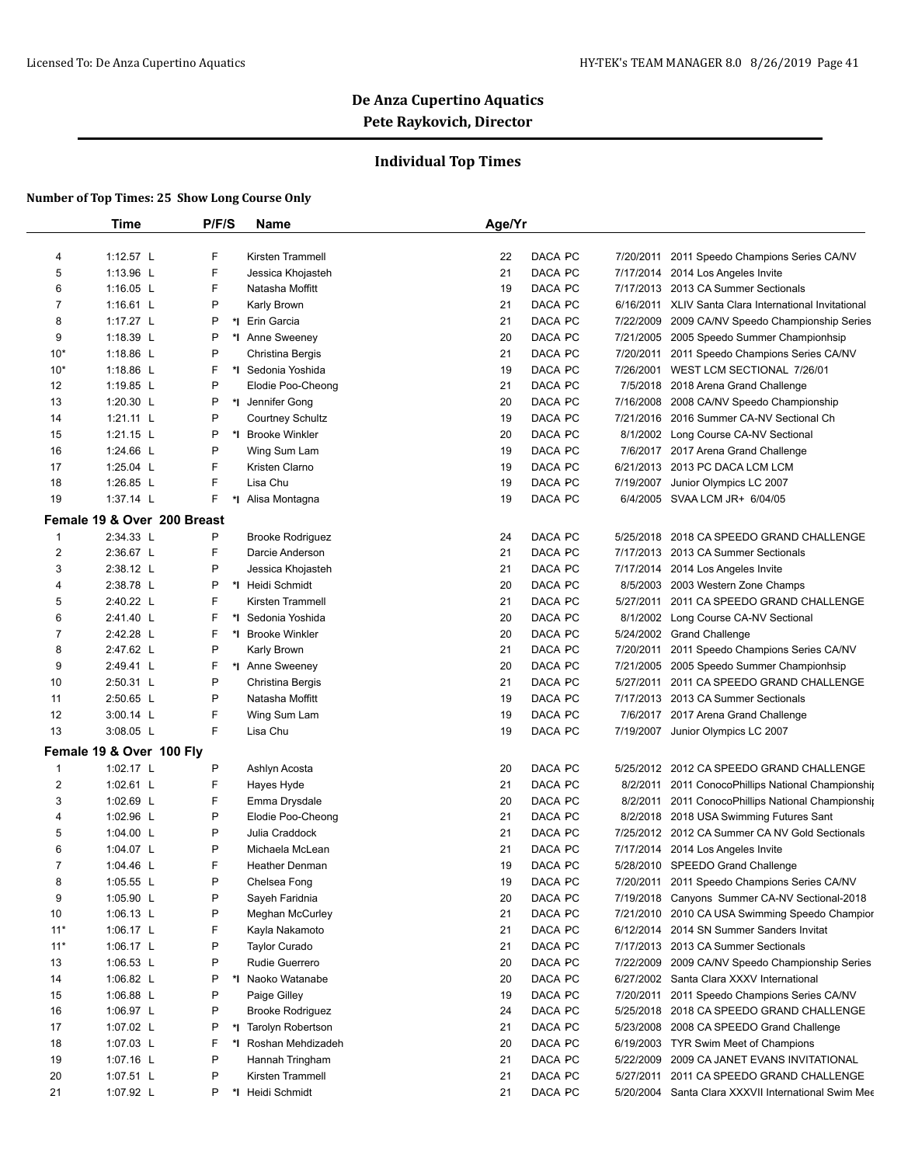## **Individual Top Times**

|                     | <b>Time</b>                 | P/F/S   | <b>Name</b>                          | Age/Yr   |                    |           |                                                                                                          |
|---------------------|-----------------------------|---------|--------------------------------------|----------|--------------------|-----------|----------------------------------------------------------------------------------------------------------|
|                     | 1:12.57 L                   | F       | Kirsten Trammell                     | 22       | DACA PC            |           | 2011 Speedo Champions Series CA/NV                                                                       |
| 4                   | 1:13.96 L                   | F       |                                      |          | DACA PC            | 7/20/2011 |                                                                                                          |
| 5<br>6              | 1:16.05 L                   | F       | Jessica Khojasteh<br>Natasha Moffitt | 21<br>19 | DACA PC            |           | 7/17/2014 2014 Los Angeles Invite<br>7/17/2013 2013 CA Summer Sectionals                                 |
|                     | 1:16.61 $L$                 | P       |                                      | 21       |                    |           |                                                                                                          |
| $\overline{7}$<br>8 | 1:17.27 L                   | P       | Karly Brown                          | 21       | DACA PC<br>DACA PC |           | 6/16/2011 XLIV Santa Clara International Invitational<br>7/22/2009 2009 CA/NV Speedo Championship Series |
|                     |                             | P       | *I Erin Garcia                       |          | DACA PC            |           |                                                                                                          |
| 9                   | 1:18.39 L                   | P       | *I Anne Sweeney                      | 20       |                    | 7/21/2005 | 2005 Speedo Summer Championhsip                                                                          |
| $10*$               | 1:18.86 L                   | F       | Christina Bergis                     | 21       | DACA PC            | 7/20/2011 | 2011 Speedo Champions Series CA/NV                                                                       |
| $10*$               | 1:18.86 L                   |         | *I Sedonia Yoshida                   | 19       | DACA PC            |           | 7/26/2001 WEST LCM SECTIONAL 7/26/01                                                                     |
| 12                  | 1:19.85 L                   | P       | Elodie Poo-Cheong                    | 21       | DACA PC            |           | 7/5/2018 2018 Arena Grand Challenge                                                                      |
| 13                  | 1:20.30 L                   | P<br>P  | *I Jennifer Gong                     | 20       | DACA PC            | 7/16/2008 | 2008 CA/NV Speedo Championship                                                                           |
| 14                  | 1:21.11 L                   |         | <b>Courtney Schultz</b>              | 19       | DACA PC            |           | 7/21/2016 2016 Summer CA-NV Sectional Ch                                                                 |
| 15                  | 1:21.15 L                   | P       | *I Brooke Winkler                    | 20       | DACA PC            |           | 8/1/2002 Long Course CA-NV Sectional                                                                     |
| 16                  | 1:24.66 L                   | P       | Wing Sum Lam                         | 19       | DACA PC            |           | 7/6/2017 2017 Arena Grand Challenge                                                                      |
| 17                  | 1:25.04 L                   | F       | Kristen Clarno                       | 19       | DACA PC            |           | 6/21/2013 2013 PC DACA LCM LCM                                                                           |
| 18                  | 1:26.85 L                   | F       | Lisa Chu                             | 19       | DACA PC            | 7/19/2007 | Junior Olympics LC 2007                                                                                  |
| 19                  | 1:37.14 L                   | F       | *I Alisa Montagna                    | 19       | DACA PC            |           | 6/4/2005 SVAA LCM JR+ 6/04/05                                                                            |
|                     | Female 19 & Over 200 Breast |         |                                      |          |                    |           |                                                                                                          |
| $\mathbf{1}$        | 2:34.33 L                   | P       | <b>Brooke Rodriguez</b>              | 24       | DACA PC            | 5/25/2018 | 2018 CA SPEEDO GRAND CHALLENGE                                                                           |
| 2                   | 2:36.67 L                   | F       | Darcie Anderson                      | 21       | DACA PC            |           | 7/17/2013 2013 CA Summer Sectionals                                                                      |
| 3                   | 2:38.12 L                   | P       | Jessica Khojasteh                    | 21       | DACA PC            |           | 7/17/2014 2014 Los Angeles Invite                                                                        |
| 4                   | 2:38.78 L                   | P       | *1 Heidi Schmidt                     | 20       | DACA PC            |           | 8/5/2003 2003 Western Zone Champs                                                                        |
| 5                   | 2:40.22 L                   | F       | Kirsten Trammell                     | 21       | DACA PC            | 5/27/2011 | 2011 CA SPEEDO GRAND CHALLENGE                                                                           |
| 6                   | 2:41.40 L                   | F       | *I Sedonia Yoshida                   | 20       | DACA PC            |           | 8/1/2002 Long Course CA-NV Sectional                                                                     |
| 7                   | 2:42.28 L                   | F       | *I Brooke Winkler                    | 20       | DACA PC            |           | 5/24/2002 Grand Challenge                                                                                |
| 8                   | 2:47.62 L                   | P       | Karly Brown                          | 21       | DACA PC            | 7/20/2011 | 2011 Speedo Champions Series CA/NV                                                                       |
| 9                   | 2:49.41 L                   | F       | *I Anne Sweeney                      | 20       | DACA PC            |           | 7/21/2005 2005 Speedo Summer Championhsip                                                                |
| 10                  | 2:50.31 L                   | P       | Christina Bergis                     | 21       | DACA PC            | 5/27/2011 | 2011 CA SPEEDO GRAND CHALLENGE                                                                           |
| 11                  | 2:50.65 L                   | P       | Natasha Moffitt                      | 19       | DACA PC            | 7/17/2013 | 2013 CA Summer Sectionals                                                                                |
| 12                  | 3:00.14 L                   | F       | Wing Sum Lam                         | 19       | DACA PC            | 7/6/2017  | 2017 Arena Grand Challenge                                                                               |
| 13                  | 3:08.05 L                   | F       | Lisa Chu                             | 19       | DACA PC            | 7/19/2007 | Junior Olympics LC 2007                                                                                  |
|                     | Female 19 & Over 100 Fly    |         |                                      |          |                    |           |                                                                                                          |
| $\mathbf{1}$        | 1:02.17 L                   | P       | Ashlyn Acosta                        | 20       | DACA PC            | 5/25/2012 | 2012 CA SPEEDO GRAND CHALLENGE                                                                           |
| 2                   | 1:02.61 L                   | F       | Hayes Hyde                           | 21       | DACA PC            |           | 8/2/2011 2011 ConocoPhillips National Championship                                                       |
| 3                   | 1:02.69 L                   | F       | Emma Drysdale                        | 20       | DACA PC            |           | 8/2/2011 2011 ConocoPhillips National Championship                                                       |
| 4                   | 1:02.96 L                   | P       | Elodie Poo-Cheong                    | 21       | DACA PC            |           | 8/2/2018 2018 USA Swimming Futures Sant                                                                  |
| 5                   | 1:04.00 $\lfloor$           | P       | Julia Craddock                       | 21       | DACA PC            |           | 7/25/2012 2012 CA Summer CA NV Gold Sectionals                                                           |
| 6                   | 1:04.07 L                   | P       | Michaela McLean                      | 21       | DACA PC            | 7/17/2014 | 2014 Los Angeles Invite                                                                                  |
| 7                   | 1:04.46 L                   | F       | <b>Heather Denman</b>                | 19       | DACA PC            |           | 5/28/2010 SPEEDO Grand Challenge                                                                         |
| 8                   | 1:05.55 L                   | $\sf P$ | Chelsea Fong                         | 19       | DACA PC            |           | 7/20/2011 2011 Speedo Champions Series CA/NV                                                             |
| 9                   | 1:05.90 L                   | P       | Sayeh Faridnia                       | 20       | DACA PC            |           | 7/19/2018 Canyons Summer CA-NV Sectional-2018                                                            |
| $10$                | 1:06.13 $L$                 | P       | Meghan McCurley                      | 21       | DACA PC            |           | 7/21/2010 2010 CA USA Swimming Speedo Champior                                                           |
| $11*$               | 1:06.17 $L$                 | F       | Kayla Nakamoto                       | 21       | DACA PC            |           | 6/12/2014 2014 SN Summer Sanders Invitat                                                                 |
| $11*$               | 1:06.17 $L$                 | P       | Taylor Curado                        | 21       | DACA PC            |           | 7/17/2013 2013 CA Summer Sectionals                                                                      |
| 13                  | 1:06.53 L                   | P       | Rudie Guerrero                       | 20       | DACA PC            |           | 7/22/2009 2009 CA/NV Speedo Championship Series                                                          |
| 14                  | 1:06.82 $L$                 | P       | *I Naoko Watanabe                    | 20       | DACA PC            |           | 6/27/2002 Santa Clara XXXV International                                                                 |
|                     |                             | P       |                                      |          |                    |           |                                                                                                          |
| 15                  | 1:06.88 L                   | P       | Paige Gilley                         | 19       | DACA PC            |           | 7/20/2011 2011 Speedo Champions Series CA/NV                                                             |
| 16                  | 1:06.97 L                   |         | <b>Brooke Rodriguez</b>              | 24       | DACA PC            |           | 5/25/2018 2018 CA SPEEDO GRAND CHALLENGE                                                                 |
| 17                  | 1:07.02 $L$                 | P       | *I Tarolyn Robertson                 | 21       | DACA PC            |           | 5/23/2008 2008 CA SPEEDO Grand Challenge                                                                 |
| 18                  | 1:07.03 L                   | F       | *I Roshan Mehdizadeh                 | 20       | DACA PC            |           | 6/19/2003 TYR Swim Meet of Champions                                                                     |
| 19                  | 1:07.16 L                   | P       | Hannah Tringham                      | 21       | DACA PC            | 5/22/2009 | 2009 CA JANET EVANS INVITATIONAL                                                                         |
| 20                  | 1:07.51 $L$                 | P       | Kirsten Trammell                     | 21       | DACA PC            |           | 5/27/2011 2011 CA SPEEDO GRAND CHALLENGE                                                                 |
| 21                  | 1:07.92 L                   | P       | *I Heidi Schmidt                     | 21       | DACA PC            |           | 5/20/2004 Santa Clara XXXVII International Swim Mee                                                      |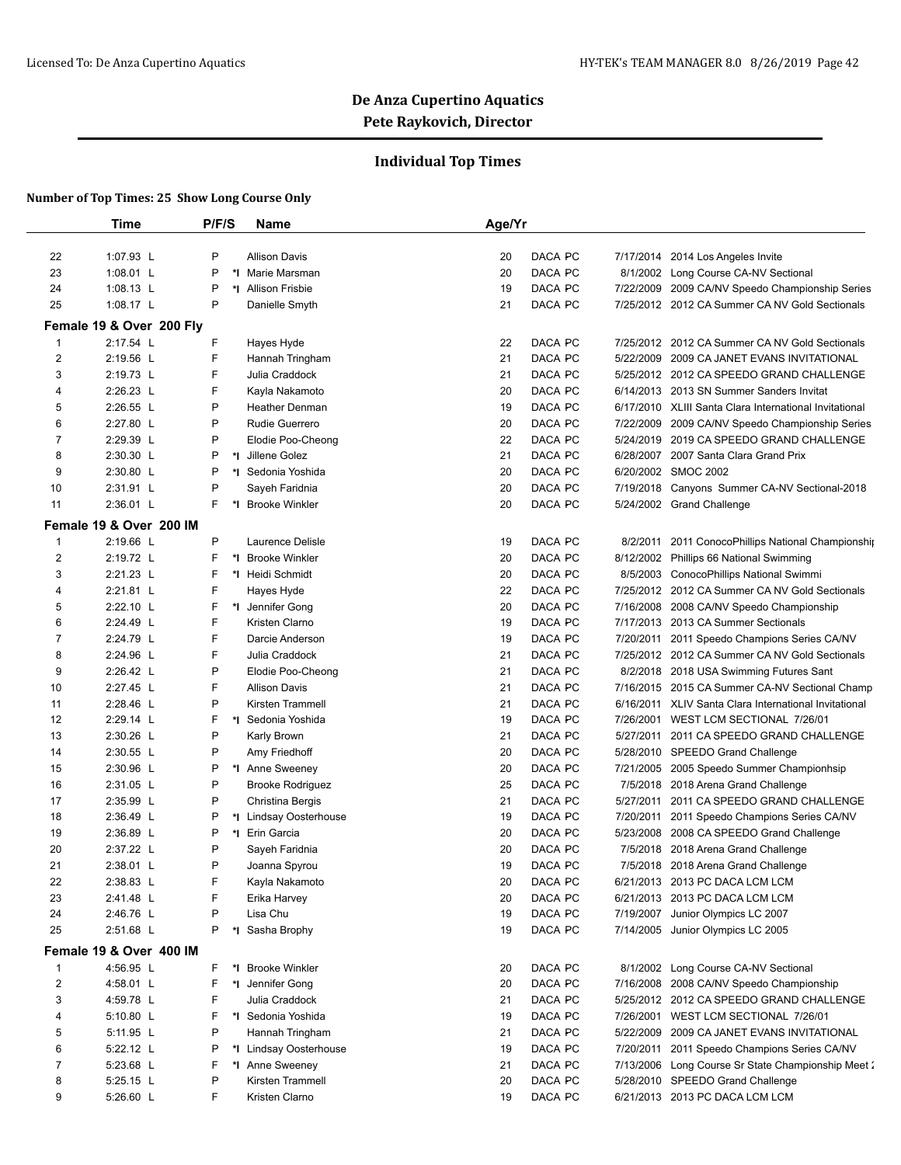## **Individual Top Times**

|                         | Time                     | P/F/S   | Name                    | Age/Yr        |                                                          |  |
|-------------------------|--------------------------|---------|-------------------------|---------------|----------------------------------------------------------|--|
| 22                      | 1:07.93 L                | P       | <b>Allison Davis</b>    | 20<br>DACA PC | 7/17/2014 2014 Los Angeles Invite                        |  |
| 23                      | 1:08.01 L                | P       | *I Marie Marsman        | DACA PC<br>20 | 8/1/2002 Long Course CA-NV Sectional                     |  |
| 24                      | 1:08.13 L                | P       | *I Allison Frisbie      | DACA PC<br>19 | 7/22/2009 2009 CA/NV Speedo Championship Series          |  |
| 25                      | 1:08.17 L                | P       | Danielle Smyth          | DACA PC<br>21 | 7/25/2012 2012 CA Summer CA NV Gold Sectionals           |  |
|                         | Female 19 & Over 200 Fly |         |                         |               |                                                          |  |
| 1                       | 2:17.54 L                | F       | Hayes Hyde              | DACA PC<br>22 | 7/25/2012 2012 CA Summer CA NV Gold Sectionals           |  |
| 2                       | 2:19.56 L                | F.      | Hannah Tringham         | 21<br>DACA PC | 5/22/2009 2009 CA JANET EVANS INVITATIONAL               |  |
| 3                       | 2:19.73 L                | F.      | Julia Craddock          | DACA PC<br>21 | 5/25/2012 2012 CA SPEEDO GRAND CHALLENGE                 |  |
| 4                       | 2:26.23 L                | F       | Kayla Nakamoto          | 20<br>DACA PC | 6/14/2013 2013 SN Summer Sanders Invitat                 |  |
| 5                       | 2:26.55 L                | P       | <b>Heather Denman</b>   | DACA PC<br>19 | 6/17/2010 XLIII Santa Clara International Invitational   |  |
| 6                       | 2:27.80 L                | P       | <b>Rudie Guerrero</b>   | 20<br>DACA PC | 7/22/2009<br>2009 CA/NV Speedo Championship Series       |  |
| 7                       | 2:29.39 L                | P       | Elodie Poo-Cheong       | DACA PC<br>22 | 2019 CA SPEEDO GRAND CHALLENGE<br>5/24/2019              |  |
| 8                       | 2:30.30 L                | P       | *1 Jillene Golez        | 21<br>DACA PC | 6/28/2007 2007 Santa Clara Grand Prix                    |  |
| 9                       | 2:30.80 L                | P       | *I Sedonia Yoshida      | DACA PC       | 6/20/2002 SMOC 2002                                      |  |
|                         | 2:31.91 L                | P       |                         | 20            |                                                          |  |
| 10                      |                          | F.      | Sayeh Faridnia          | 20<br>DACA PC | 7/19/2018 Canyons Summer CA-NV Sectional-2018            |  |
| 11                      | 2:36.01 L                | *∣      | <b>Brooke Winkler</b>   | DACA PC<br>20 | 5/24/2002 Grand Challenge                                |  |
|                         | Female 19 & Over 200 IM  |         |                         |               |                                                          |  |
| $\mathbf{1}$            | 2:19.66 L                | P       | Laurence Delisle        | DACA PC<br>19 | 8/2/2011 2011 ConocoPhillips National Championship       |  |
| 2                       | 2:19.72 L                | F<br>*l | <b>Brooke Winkler</b>   | 20<br>DACA PC | 8/12/2002 Phillips 66 National Swimming                  |  |
| 3                       | 2:21.23 L                | F       | *1 Heidi Schmidt        | 20<br>DACA PC | 8/5/2003 ConocoPhillips National Swimmi                  |  |
| 4                       | 2:21.81 L                | F       | Hayes Hyde              | 22<br>DACA PC | 7/25/2012 2012 CA Summer CA NV Gold Sectionals           |  |
| 5                       | 2:22.10 L                | F       | *I Jennifer Gong        | 20<br>DACA PC | 7/16/2008<br>2008 CA/NV Speedo Championship              |  |
| 6                       | 2:24.49 L                | F       | Kristen Clarno          | 19<br>DACA PC | 7/17/2013 2013 CA Summer Sectionals                      |  |
| 7                       | 2:24.79 L                | F       | Darcie Anderson         | DACA PC<br>19 | 7/20/2011<br>2011 Speedo Champions Series CA/NV          |  |
| 8                       | 2:24.96 L                | F       | Julia Craddock          | 21<br>DACA PC | 7/25/2012 2012 CA Summer CA NV Gold Sectionals           |  |
| 9                       | 2:26.42 L                | P       | Elodie Poo-Cheong       | 21<br>DACA PC | 8/2/2018 2018 USA Swimming Futures Sant                  |  |
| 10                      | 2:27.45 L                | F       | <b>Allison Davis</b>    | 21<br>DACA PC | 7/16/2015 2015 CA Summer CA-NV Sectional Champ           |  |
| 11                      | 2:28.46 L                | P       | Kirsten Trammell        | 21<br>DACA PC | 6/16/2011<br>XLIV Santa Clara International Invitational |  |
| 12                      | 2:29.14 L                | F       | *I Sedonia Yoshida      | 19<br>DACA PC | 7/26/2001<br>WEST LCM SECTIONAL 7/26/01                  |  |
| 13                      | 2:30.26 L                | P       | Karly Brown             | DACA PC<br>21 | 2011 CA SPEEDO GRAND CHALLENGE<br>5/27/2011              |  |
| 14                      | 2:30.55 L                | P       | Amy Friedhoff           | DACA PC<br>20 | 5/28/2010 SPEEDO Grand Challenge                         |  |
| 15                      | 2:30.96 L                | P       | *I Anne Sweeney         | 20<br>DACA PC | 7/21/2005 2005 Speedo Summer Championhsip                |  |
| 16                      | 2:31.05 L                | P       | <b>Brooke Rodriguez</b> | DACA PC<br>25 | 7/5/2018<br>2018 Arena Grand Challenge                   |  |
| 17                      | 2:35.99 L                | P       | Christina Bergis        | 21<br>DACA PC | 5/27/2011<br>2011 CA SPEEDO GRAND CHALLENGE              |  |
| 18                      | 2:36.49 L                | P       | *I Lindsay Oosterhouse  | 19<br>DACA PC | 7/20/2011<br>2011 Speedo Champions Series CA/NV          |  |
| 19                      | 2:36.89 L                | P       | *1 Erin Garcia          | 20<br>DACA PC | 5/23/2008 2008 CA SPEEDO Grand Challenge                 |  |
| 20                      | 2:37.22 L                | P       | Sayeh Faridnia          | DACA PC<br>20 | 7/5/2018 2018 Arena Grand Challenge                      |  |
| 21                      | 2:38.01 L                | P       | Joanna Spyrou           | 19<br>DACA PC | 7/5/2018 2018 Arena Grand Challenge                      |  |
| 22                      | 2:38.83 L                | F       | Kayla Nakamoto          | DACA PC<br>20 | 6/21/2013 2013 PC DACA LCM LCM                           |  |
| 23                      | 2:41.48 L                | F       | Erika Harvey            | DACA PC<br>20 | 6/21/2013 2013 PC DACA LCM LCM                           |  |
| 24                      | 2:46.76 L                | P       | Lisa Chu                | DACA PC<br>19 | 7/19/2007 Junior Olympics LC 2007                        |  |
| 25                      | 2:51.68 L                | P       | *1 Sasha Brophy         | DACA PC<br>19 | 7/14/2005 Junior Olympics LC 2005                        |  |
|                         | Female 19 & Over 400 IM  |         |                         |               |                                                          |  |
| $\mathbf{1}$            | 4:56.95 L                | F.      | *I Brooke Winkler       | DACA PC<br>20 | 8/1/2002 Long Course CA-NV Sectional                     |  |
| $\overline{\mathbf{c}}$ | 4:58.01 L                | F       | *I Jennifer Gong        | DACA PC<br>20 | 7/16/2008 2008 CA/NV Speedo Championship                 |  |
| 3                       | 4:59.78 L                | F       | Julia Craddock          | 21<br>DACA PC | 5/25/2012 2012 CA SPEEDO GRAND CHALLENGE                 |  |
| 4                       | 5:10.80 L                | F.      | *I Sedonia Yoshida      | 19<br>DACA PC | 7/26/2001 WEST LCM SECTIONAL 7/26/01                     |  |
| 5                       | 5:11.95 L                | P       | Hannah Tringham         | 21<br>DACA PC | 5/22/2009 2009 CA JANET EVANS INVITATIONAL               |  |
| 6                       | 5:22.12 L                | P       | *I Lindsay Oosterhouse  | 19<br>DACA PC | 7/20/2011<br>2011 Speedo Champions Series CA/NV          |  |
| 7                       | 5:23.68 L                | F       | *I Anne Sweeney         | 21<br>DACA PC | 7/13/2006 Long Course Sr State Championship Meet 2       |  |
| 8                       | 5:25.15 L                | P       | Kirsten Trammell        | 20<br>DACA PC | 5/28/2010 SPEEDO Grand Challenge                         |  |
| 9                       | 5:26.60 L                | F       | Kristen Clarno          | 19<br>DACA PC | 6/21/2013 2013 PC DACA LCM LCM                           |  |
|                         |                          |         |                         |               |                                                          |  |